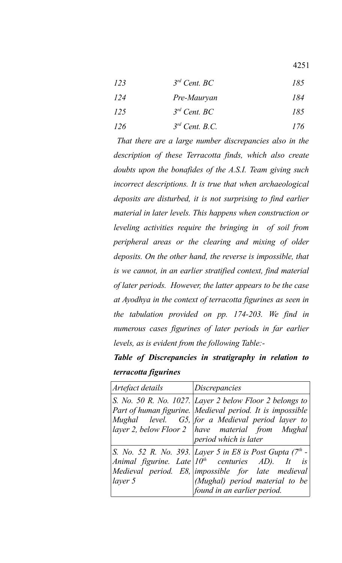| 123 | $3rd$ Cent. BC | 185 |
|-----|----------------|-----|
|     |                |     |

*124 Pre-Mauryan 184*

$$
125 \t 3rd Cent. BC \t 185
$$

*126 3 rd Cent. B.C. 176*

 *That there are a large number discrepancies also in the description of these Terracotta finds, which also create doubts upon the bonafides of the A.S.I. Team giving such incorrect descriptions. It is true that when archaeological deposits are disturbed, it is not surprising to find earlier material in later levels. This happens when construction or leveling activities require the bringing in of soil from peripheral areas or the clearing and mixing of older deposits. On the other hand, the reverse is impossible, that is we cannot, in an earlier stratified context, find material of later periods. However, the latter appears to be the case at Ayodhya in the context of terracotta figurines as seen in the tabulation provided on pp. 174-203. We find in numerous cases figurines of later periods in far earlier levels, as is evident from the following Table:-*

*Table of Discrepancies in stratigraphy in relation to terracotta figurines*

| Artefact details | <i>Discrepancies</i>                                                                                                                                                                                                                                    |  |
|------------------|---------------------------------------------------------------------------------------------------------------------------------------------------------------------------------------------------------------------------------------------------------|--|
|                  | S. No. 50 R. No. 1027. Layer 2 below Floor 2 belongs to<br>Part of human figurine. Medieval period. It is impossible<br>Mughal level. G5, for a Medieval period layer to<br>layer 2, below Floor 2   have material from Mughal<br>period which is later |  |
| layer 5          | S. No. 52 R. No. 393. Layer 5 in E8 is Post Gupta $(7th -$<br>Animal figurine. Late $10^{th}$ centuries AD). It is<br>Medieval period. E8, impossible for late medieval<br>(Mughal) period material to be<br>found in an earlier period.                |  |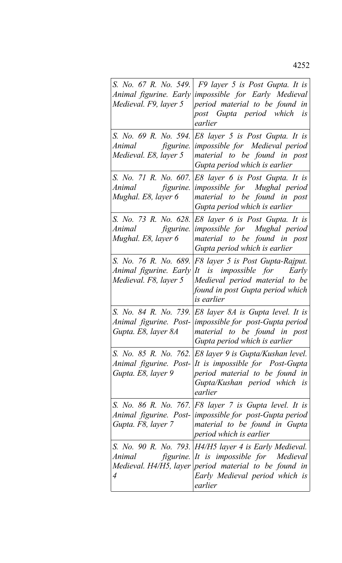| S. No. 67 R. No. 549.                                                    | F9 layer 5 is Post Gupta. It is                                                                                                                                                                         |
|--------------------------------------------------------------------------|---------------------------------------------------------------------------------------------------------------------------------------------------------------------------------------------------------|
| Animal figurine. Early<br>Medieval. F9, layer 5                          | <i>impossible for Early Medieval</i><br>period material to be found in<br>post Gupta period which<br>is<br>earlier                                                                                      |
| S. No. 69 R. No. 594.<br>Animal figurine.<br>Medieval. E8, layer 5       | E8 layer 5 is Post Gupta. It is<br><i>impossible for Medieval period</i><br>material to be found in post<br>Gupta period which is earlier                                                               |
| S. No. 71 R. No. 607.<br>Animal figurine.<br>Mughal. E8, layer 6         | E8 layer 6 is Post Gupta. It is<br>impossible for Mughal period<br>material to be found in post<br>Gupta period which is earlier                                                                        |
| S. No. 73 R. No. 628.<br>Animal figurine.<br>Mughal. E8, layer 6         | E8 layer 6 is Post Gupta. It is<br><i>impossible for Mughal period</i><br>material to be found in post<br>Gupta period which is earlier                                                                 |
| S. No. 76 R. No. 689.<br>Animal figurine. Early<br>Medieval. F8, layer 5 | F8 layer 5 is Post Gupta-Rajput.<br>It is impossible for Early<br>Medieval period material to be<br>found in post Gupta period which<br>is earlier                                                      |
| Gupta. E8, layer 8A                                                      | S. No. 84 R. No. 739. $ E8$ layer 8A is Gupta level. It is<br>Animal figurine. Post- impossible for post-Gupta period<br>material to be found in post<br>Gupta period which is earlier                  |
| S. No. 85 R. No. 762.<br>Animal figurine. Post-<br>Gupta. E8, layer 9    | E8 layer 9 is Gupta/Kushan level.<br>It is impossible for Post-Gupta<br>period material to be found in<br>Gupta/Kushan period which is<br>earlier                                                       |
| Animal figurine. Post-<br>Gupta. F8, layer 7                             | S. No. 86 R. No. 767. $ F8$ layer 7 is Gupta level. It is<br><i>impossible for post-Gupta period</i><br>material to be found in Gupta<br>period which is earlier                                        |
| Animal<br>$\overline{A}$                                                 | S. No. 90 R. No. 793. H4/H5 layer 4 is Early Medieval.<br>figurine. It is impossible for Medieval<br>Medieval. H4/H5, layer period material to be found in<br>Early Medieval period which is<br>earlier |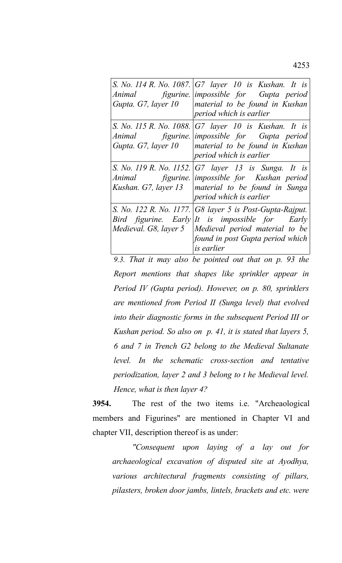| S. No. 114 R. No. 1087.<br>Animal figurine.<br>Gupta. G7, layer 10       | G7 layer 10 is Kushan. It is<br><i>impossible for Gupta period</i><br>material to be found in Kushan<br>period which is earlier                           |
|--------------------------------------------------------------------------|-----------------------------------------------------------------------------------------------------------------------------------------------------------|
| S. No. 115 R. No. 1088.<br>Animal figurine.<br>Gupta. G7, layer 10       | G7 layer 10 is Kushan. It is<br><i>impossible for Gupta period</i><br>material to be found in Kushan<br>period which is earlier                           |
| S. No. 119 R. No. 1152.<br>Animal figurine.<br>Kushan. G7, layer 13      | G7 layer 13 is Sunga. It is<br>impossible for Kushan period<br>material to be found in Sunga<br>period which is earlier                                   |
| S. No. 122 R. No. 1177.<br>Bird figurine. Early<br>Medieval. G8, layer 5 | G8 layer 5 is Post-Gupta-Rajput.<br>It is impossible for Early<br>Medieval period material to be<br>found in post Gupta period which<br><i>is earlier</i> |

*9.3. That it may also be pointed out that on p. 93 the Report mentions that shapes like sprinkler appear in Period IV (Gupta period). However, on p. 80, sprinklers are mentioned from Period II (Sunga level) that evolved into their diagnostic forms in the subsequent Period III or Kushan period. So also on p. 41, it is stated that layers 5, 6 and 7 in Trench G2 belong to the Medieval Sultanate level. In the schematic cross-section and tentative periodization, layer 2 and 3 belong to t he Medieval level. Hence, what is then layer 4?*

**3954.** The rest of the two items i.e. "Archeaological members and Figurines" are mentioned in Chapter VI and chapter VII, description thereof is as under:

*"Consequent upon laying of a lay out for archaeological excavation of disputed site at Ayodhya, various architectural fragments consisting of pillars, pilasters, broken door jambs, lintels, brackets and etc. were*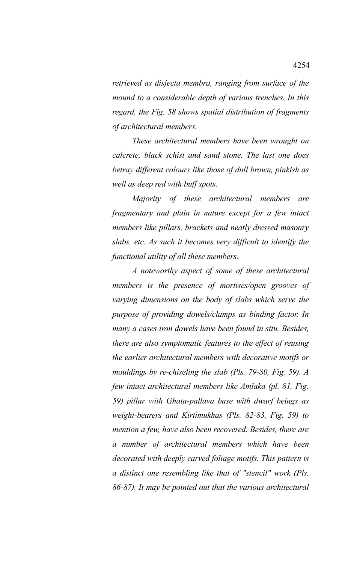*retrieved as disjecta membra, ranging from surface of the mound to a considerable depth of various trenches. In this regard, the Fig. 58 shows spatial distribution of fragments of architectural members.*

*These architectural members have been wrought on calcrete, black schist and sand stone. The last one does betray different colours like those of dull brown, pinkish as well as deep red with buff spots.*

*Majority of these architectural members are fragmentary and plain in nature except for a few intact members like pillars, brackets and neatly dressed masonry slabs, etc. As such it becomes very difficult to identify the functional utility of all these members.*

*A noteworthy aspect of some of these architectural members is the presence of mortises/open grooves of varying dimensions on the body of slabs which serve the purpose of providing dowels/clamps as binding factor. In many a cases iron dowels have been found in situ. Besides, there are also symptomatic features to the effect of reusing the earlier architectural members with decorative motifs or mouldings by re-chiseling the slab (Pls. 79-80, Fig. 59). A few intact architectural members like Amlaka (pl. 81, Fig. 59) pillar with Ghata-pallava base with dwarf beings as weight-bearers and Kirtimukhas (Pls. 82-83, Fig. 59) to mention a few, have also been recovered. Besides, there are a number of architectural members which have been decorated with deeply carved foliage motifs. This pattern is a distinct one resembling like that of "stencil" work (Pls. 86-87). It may be pointed out that the various architectural*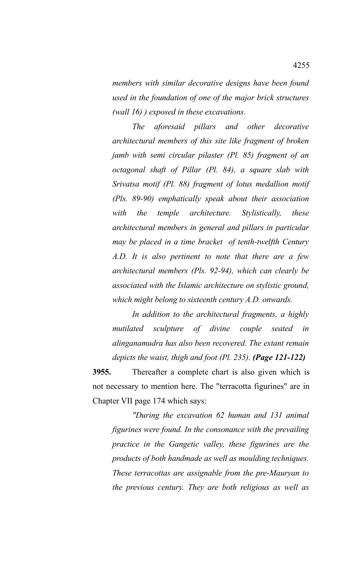*members with similar decorative designs have been found used in the foundation of one of the major brick structures (wall 16) ) exposed in these excavations.*

*The aforesaid pillars and other decorative architectural members of this site like fragment of broken jamb with semi circular pilaster (Pl. 85) fragment of an octagonal shaft of Pillar (Pl. 84), a square slab with Srivatsa motif (Pl. 88) fragment of lotus medallion motif (Pls. 89-90) emphatically speak about their association with the temple architecture. Stylistically, these architectural members in general and pillars in particular may be placed in a time bracket of tenth-twelfth Century A.D. It is also pertinent to note that there are a few architectural members (Pls. 92-94), which can clearly be associated with the Islamic architecture on stylistic ground, which might belong to sixteenth century A.D. onwards.*

*In addition to the architectural fragments, a highly mutilated sculpture of divine couple seated in alinganamudra has also been recovered. The extant remain depicts the waist, thigh and foot (Pl. 235). (Page 121-122)*

**3955.** Thereafter a complete chart is also given which is not necessary to mention here. The "terracotta figurines" are in Chapter VII page 174 which says:

*"During the excavation 62 human and 131 animal figurines were found. In the consonance with the prevailing practice in the Gangetic valley, these figurines are the products of both handmade as well as moulding techniques. These terracottas are assignable from the pre-Mauryan to the previous century. They are both religious as well as*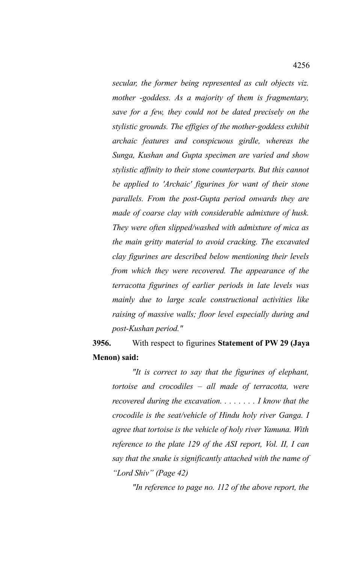*secular, the former being represented as cult objects viz. mother -goddess. As a majority of them is fragmentary, save for a few, they could not be dated precisely on the stylistic grounds. The effigies of the mother-goddess exhibit archaic features and conspicuous girdle, whereas the Sunga, Kushan and Gupta specimen are varied and show stylistic affinity to their stone counterparts. But this cannot be applied to 'Archaic' figurines for want of their stone parallels. From the post-Gupta period onwards they are made of coarse clay with considerable admixture of husk. They were often slipped/washed with admixture of mica as the main gritty material to avoid cracking. The excavated clay figurines are described below mentioning their levels from which they were recovered. The appearance of the terracotta figurines of earlier periods in late levels was mainly due to large scale constructional activities like raising of massive walls; floor level especially during and post-Kushan period."*

**3956.** With respect to figurines **Statement of PW 29 (Jaya Menon) said:** 

*"It is correct to say that the figurines of elephant, tortoise and crocodiles – all made of terracotta, were recovered during the excavation. . . . . . . . I know that the crocodile is the seat/vehicle of Hindu holy river Ganga. I agree that tortoise is the vehicle of holy river Yamuna. With reference to the plate 129 of the ASI report, Vol. II, I can say that the snake is significantly attached with the name of "Lord Shiv" (Page 42)*

*"In reference to page no. 112 of the above report, the*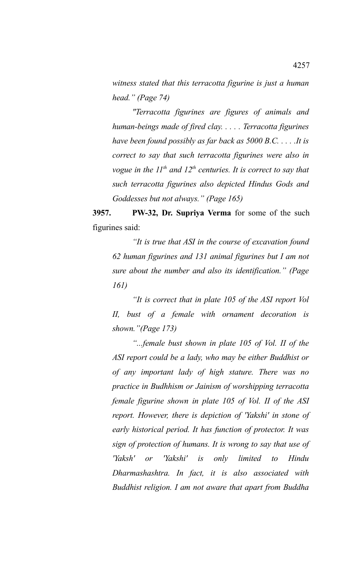*witness stated that this terracotta figurine is just a human head." (Page 74)*

*"Terracotta figurines are figures of animals and human-beings made of fired clay. . . . . Terracotta figurines have been found possibly as far back as 5000 B.C. . . . .It is correct to say that such terracotta figurines were also in vogue in the 11th and 12th centuries. It is correct to say that such terracotta figurines also depicted Hindus Gods and Goddesses but not always." (Page 165)*

**3957. PW-32, Dr. Supriya Verma** for some of the such figurines said:

*"It is true that ASI in the course of excavation found 62 human figurines and 131 animal figurines but I am not sure about the number and also its identification." (Page 161)*

*"It is correct that in plate 105 of the ASI report Vol II, bust of a female with ornament decoration is shown."(Page 173)*

*"...female bust shown in plate 105 of Vol. II of the ASI report could be a lady, who may be either Buddhist or of any important lady of high stature. There was no practice in Budhhism or Jainism of worshipping terracotta female figurine shown in plate 105 of Vol. II of the ASI report. However, there is depiction of 'Yakshi' in stone of early historical period. It has function of protector. It was sign of protection of humans. It is wrong to say that use of 'Yaksh' or 'Yakshi' is only limited to Hindu Dharmashashtra. In fact, it is also associated with Buddhist religion. I am not aware that apart from Buddha*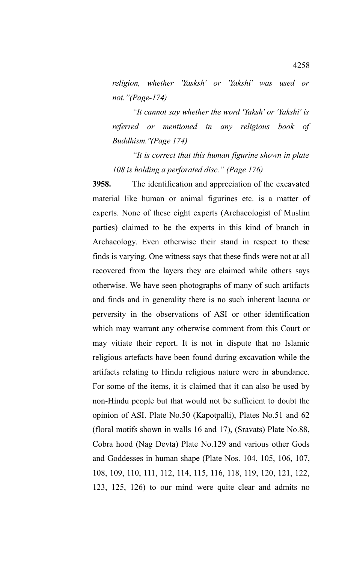*religion, whether 'Yasksh' or 'Yakshi' was used or not."(Page-174)*

*"It cannot say whether the word 'Yaksh' or 'Yakshi' is referred or mentioned in any religious book of Buddhism."(Page 174)*

*"It is correct that this human figurine shown in plate 108 is holding a perforated disc." (Page 176)*

**3958.** The identification and appreciation of the excavated material like human or animal figurines etc. is a matter of experts. None of these eight experts (Archaeologist of Muslim parties) claimed to be the experts in this kind of branch in Archaeology. Even otherwise their stand in respect to these finds is varying. One witness says that these finds were not at all recovered from the layers they are claimed while others says otherwise. We have seen photographs of many of such artifacts and finds and in generality there is no such inherent lacuna or perversity in the observations of ASI or other identification which may warrant any otherwise comment from this Court or may vitiate their report. It is not in dispute that no Islamic religious artefacts have been found during excavation while the artifacts relating to Hindu religious nature were in abundance. For some of the items, it is claimed that it can also be used by non-Hindu people but that would not be sufficient to doubt the opinion of ASI. Plate No.50 (Kapotpalli), Plates No.51 and 62 (floral motifs shown in walls 16 and 17), (Sravats) Plate No.88, Cobra hood (Nag Devta) Plate No.129 and various other Gods and Goddesses in human shape (Plate Nos. 104, 105, 106, 107, 108, 109, 110, 111, 112, 114, 115, 116, 118, 119, 120, 121, 122, 123, 125, 126) to our mind were quite clear and admits no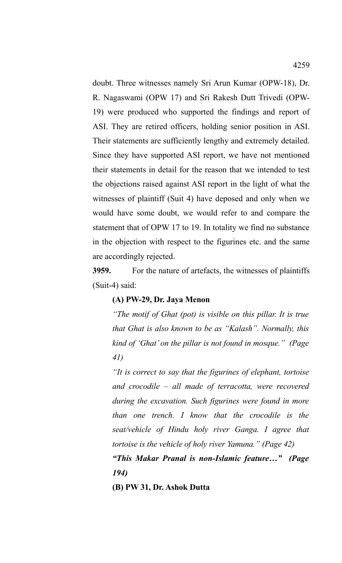doubt. Three witnesses namely Sri Arun Kumar (OPW-18), Dr. R. Nagaswami (OPW 17) and Sri Rakesh Dutt Trivedi (OPW-19) were produced who supported the findings and report of ASI. They are retired officers, holding senior position in ASI. Their statements are sufficiently lengthy and extremely detailed. Since they have supported ASI report, we have not mentioned their statements in detail for the reason that we intended to test the objections raised against ASI report in the light of what the witnesses of plaintiff (Suit 4) have deposed and only when we would have some doubt, we would refer to and compare the statement that of OPW 17 to 19. In totality we find no substance in the objection with respect to the figurines etc. and the same are accordingly rejected.

**3959.** For the nature of artefacts, the witnesses of plaintiffs (Suit-4) said:

# **(A) PW-29, Dr. Jaya Menon**

*"The motif of Ghat (pot) is visible on this pillar. It is true that Ghat is also known to be as "Kalash". Normally, this kind of 'Ghat' on the pillar is not found in mosque." (Page 41)*

*"It is correct to say that the figurines of elephant, tortoise and crocodile – all made of terracotta, were recovered during the excavation. Such figurines were found in more than one trench. I know that the crocodile is the seat/vehicle of Hindu holy river Ganga. I agree that tortoise is the vehicle of holy river Yamuna." (Page 42)*

*"This Makar Pranal is non-Islamic feature…" (Page 194)*

**(B) PW 31, Dr. Ashok Dutta**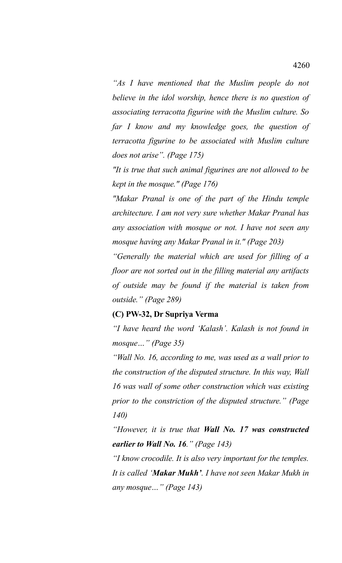*"As I have mentioned that the Muslim people do not believe in the idol worship, hence there is no question of associating terracotta figurine with the Muslim culture. So far I know and my knowledge goes, the question of terracotta figurine to be associated with Muslim culture does not arise". (Page 175)*

*"It is true that such animal figurines are not allowed to be kept in the mosque." (Page 176)*

*"Makar Pranal is one of the part of the Hindu temple architecture. I am not very sure whether Makar Pranal has any association with mosque or not. I have not seen any mosque having any Makar Pranal in it." (Page 203)*

*"Generally the material which are used for filling of a floor are not sorted out in the filling material any artifacts of outside may be found if the material is taken from outside." (Page 289)*

# **(C) PW-32, Dr Supriya Verma**

*"I have heard the word 'Kalash'. Kalash is not found in mosque…" (Page 35)*

*"Wall No. 16, according to me, was used as a wall prior to the construction of the disputed structure. In this way, Wall 16 was wall of some other construction which was existing prior to the constriction of the disputed structure." (Page 140)*

*"However, it is true that Wall No. 17 was constructed earlier to Wall No. 16." (Page 143)*

*"I know crocodile. It is also very important for the temples. It is called 'Makar Mukh'. I have not seen Makar Mukh in any mosque…" (Page 143)*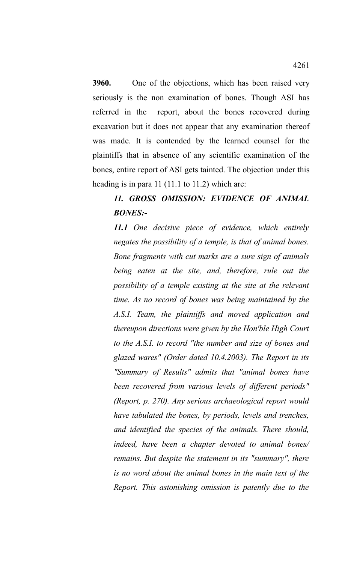**3960.** One of the objections, which has been raised very seriously is the non examination of bones. Though ASI has referred in the report, about the bones recovered during excavation but it does not appear that any examination thereof was made. It is contended by the learned counsel for the plaintiffs that in absence of any scientific examination of the bones, entire report of ASI gets tainted. The objection under this heading is in para 11 (11.1 to 11.2) which are:

# *11. GROSS OMISSION: EVIDENCE OF ANIMAL BONES:-*

*11.1 One decisive piece of evidence, which entirely negates the possibility of a temple, is that of animal bones. Bone fragments with cut marks are a sure sign of animals being eaten at the site, and, therefore, rule out the possibility of a temple existing at the site at the relevant time. As no record of bones was being maintained by the A.S.I. Team, the plaintiffs and moved application and thereupon directions were given by the Hon'ble High Court to the A.S.I. to record "the number and size of bones and glazed wares" (Order dated 10.4.2003). The Report in its "Summary of Results" admits that "animal bones have been recovered from various levels of different periods" (Report, p. 270). Any serious archaeological report would have tabulated the bones, by periods, levels and trenches, and identified the species of the animals. There should, indeed, have been a chapter devoted to animal bones/ remains. But despite the statement in its "summary", there is no word about the animal bones in the main text of the Report. This astonishing omission is patently due to the*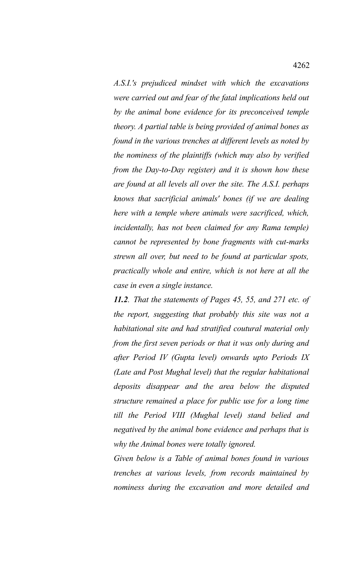*A.S.I.'s prejudiced mindset with which the excavations were carried out and fear of the fatal implications held out by the animal bone evidence for its preconceived temple theory. A partial table is being provided of animal bones as found in the various trenches at different levels as noted by the nominess of the plaintiffs (which may also by verified from the Day-to-Day register) and it is shown how these are found at all levels all over the site. The A.S.I. perhaps knows that sacrificial animals' bones (if we are dealing here with a temple where animals were sacrificed, which, incidentally, has not been claimed for any Rama temple) cannot be represented by bone fragments with cut-marks strewn all over, but need to be found at particular spots, practically whole and entire, which is not here at all the case in even a single instance.* 

*11.2. That the statements of Pages 45, 55, and 271 etc. of the report, suggesting that probably this site was not a habitational site and had stratified coutural material only from the first seven periods or that it was only during and after Period IV (Gupta level) onwards upto Periods IX (Late and Post Mughal level) that the regular habitational deposits disappear and the area below the disputed structure remained a place for public use for a long time till the Period VIII (Mughal level) stand belied and negatived by the animal bone evidence and perhaps that is why the Animal bones were totally ignored.* 

*Given below is a Table of animal bones found in various trenches at various levels, from records maintained by nominess during the excavation and more detailed and*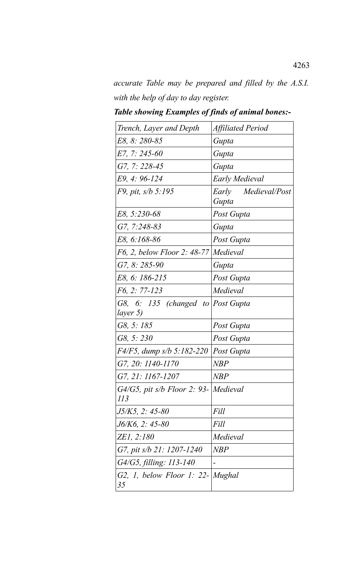*accurate Table may be prepared and filled by the A.S.I. with the help of day to day register.* 

*Table showing Examples of finds of animal bones:-*

| Trench, Layer and Depth                       | <i><b>Affiliated Period</b></i> |
|-----------------------------------------------|---------------------------------|
| E8, 8: 280-85                                 | Gupta                           |
| $E7, 7: 245-60$                               | Gupta                           |
| $G$ 7, 7: 228-45                              | Gupta                           |
| E9, 4: 96-124                                 | Early Medieval                  |
| F9, pit, s/b 5:195                            | Early Medieval/Post<br>Gupta    |
| E8, 5:230-68                                  | Post Gupta                      |
| $G7, 7:248-83$                                | Gupta                           |
| E8, 6:168-86                                  | Post Gupta                      |
| F6, 2, below Floor 2: 48-77   Medieval        |                                 |
| $G7, 8: 285-90$                               | Gupta                           |
| E8, 6: 186-215                                | Post Gupta                      |
| F6, 2: 77-123                                 | Medieval                        |
| G8, 6: 135 (changed to Post Gupta<br>layer 5) |                                 |
| G8, 5: 185                                    | Post Gupta                      |
| G8, 5: 230                                    | Post Gupta                      |
| F4/F5, dump s/b 5:182-220   Post Gupta        |                                 |
| G7, 20: 1140-1170                             | <b>NBP</b>                      |
| G7, 21: 1167-1207                             | NBP                             |
| G4/G5, pit s/b Floor 2: 93- Medieval<br>113   |                                 |
| J5/K5, 2: 45-80                               | Fill                            |
| J6/K6, 2: 45-80                               | <i>Fill</i>                     |
| ZE1, 2:180                                    | Medieval                        |
| G7, pit s/b 21: 1207-1240                     | <i>NBP</i>                      |
| G4/G5, filling: 113-140                       |                                 |
| G2, 1, below Floor 1: 22- Mughal<br>35        |                                 |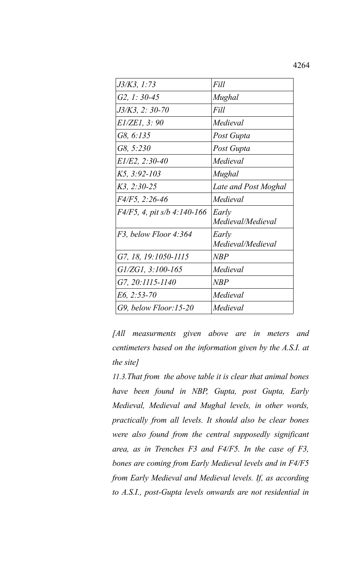| <i>J3/K3, 1:73</i>             | <i>Fill</i>                |
|--------------------------------|----------------------------|
| G2, 1: $30-45$                 | Mughal                     |
| J3/K3, 2: 30-70                | Fill                       |
| E1/ZE1, 3:90                   | Medieval                   |
| G8, 6:135                      | Post Gupta                 |
| G8, 5:230                      | Post Gupta                 |
| E1/E2, 2:30-40                 | Medieval                   |
| $K5, 3:92-103$                 | Mughal                     |
| $K3, 2:30-25$                  | Late and Post Moghal       |
| <i>F4/F5</i> , 2:26-46         | Medieval                   |
| $F4/F5$ , 4, pit s/b 4:140-166 | Early<br>Medieval/Medieval |
| F3, below Floor 4:364          | Early<br>Medieval/Medieval |
| G7, 18, 19:1050-1115           | <b>NBP</b>                 |
| $GI/ZG1, 3:100-165$            | Medieval                   |
| G7, 20:1115-1140               | <b>NBP</b>                 |
| $E6, 2:53-70$                  | Medieval                   |
| G9, below Floor:15-20          | Medieval                   |

*[All measurments given above are in meters and centimeters based on the information given by the A.S.I. at the site]*

*11.3.That from the above table it is clear that animal bones have been found in NBP, Gupta, post Gupta, Early Medieval, Medieval and Mughal levels, in other words, practically from all levels. It should also be clear bones were also found from the central supposedly significant area, as in Trenches F3 and F4/F5. In the case of F3, bones are coming from Early Medieval levels and in F4/F5 from Early Medieval and Medieval levels. If, as according to A.S.I., post-Gupta levels onwards are not residential in*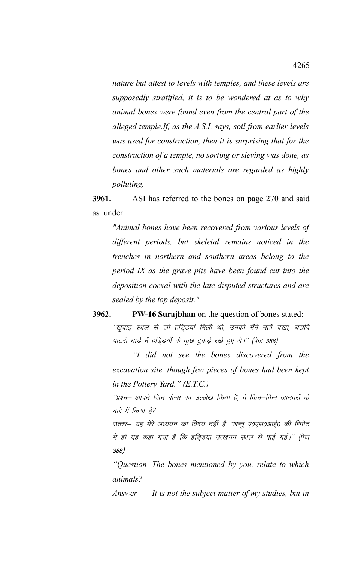*nature but attest to levels with temples, and these levels are supposedly stratified, it is to be wondered at as to why animal bones were found even from the central part of the alleged temple.If, as the A.S.I. says, soil from earlier levels was used for construction, then it is surprising that for the construction of a temple, no sorting or sieving was done, as bones and other such materials are regarded as highly polluting.*

**3961.** ASI has referred to the bones on page 270 and said as under:

*"Animal bones have been recovered from various levels of different periods, but skeletal remains noticed in the trenches in northern and southern areas belong to the period IX as the grave pits have been found cut into the deposition coeval with the late disputed structures and are sealed by the top deposit."*

**3962. PW-16 Surajbhan** on the question of bones stated: ''खुदाई स्थल से जो हड़िडयां मिली थी, उनको मैंने नहीं देखा, यद्यपि पाटरी यार्ड में हड़िडयों के कुछ टुकड़े रखे हुए थे।'' (पेज 388)

*"I did not see the bones discovered from the excavation site, though few pieces of bones had been kept in the Pottery Yard." (E.T.C.)* 

''प्रश्न– आपने जिन बोन्स का उल्लेख किया है, वे किन–किन जानवरों के बारे में किया है?

उत्तर– यह मेरे अध्ययन का विषय नहीं है, परन्तू ए०एस०आई० की रिपोर्ट में ही यह कहा गया है कि हड़िडयां उत्खनन स्थल से पाई गई।'' (पेज 388½

*"Question- The bones mentioned by you, relate to which animals?*

*Answer- It is not the subject matter of my studies, but in*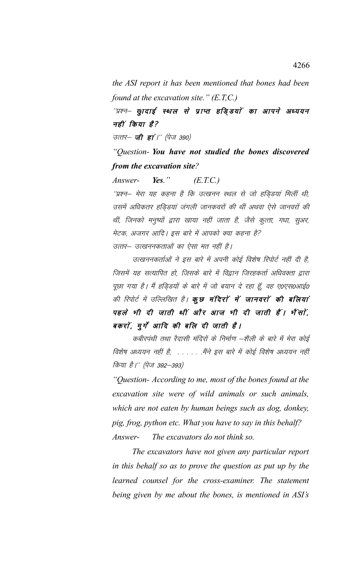the ASI report it has been mentioned that bones had been found at the excavation site."  $(E.T,C.)$ 

''प्रश्न– खुादाई स्थल से प्राप्त हड़िडयों का आपने अध्ययन नहीं किया है?

उत्तर– **जी हां** |'' (पेज 390)

"Ouestion- You have not studied the bones discovered from the excavation site?

 $Answer-$ Yes."  $(E.T.C.)$ 

''प्रश्न– मेरा यह कहना है कि उत्खनन स्थल से जो हङ्डियां मिलीं थी, उसमें अधिकतर हडिडयां जंगली जानकवरों की थीं अथवा ऐसे जानवरों की थीं, जिनको मनुष्यों द्वारा खाया नहीं जाता है, जैसे कुत्ता, गधा, सूअर, मेटक, अजगर आदि। इस बारे में आपको क्या कहना है?

उत्तर— उत्खननकताओं का ऐसा मत नहीं है।

उत्खननकर्ताओं ने इस बारे में अपनी कोई विशेष रिपोर्ट नहीं दी है, जिसमें यह सत्यापित हो, जिसके बारे में विद्वान जिरहकर्ता अधिवक्ता द्वारा पूछा गया है। मैं हड़िडयों के बारे में जो बयान दे रहा हूँ, वह ए0एस0आई0 की रिपोर्ट में उल्लिखित है। कुछ मंदिरों में जानवरों की बलियां पहले भी दी जाती थीं और आज भी दी जाती हैं। भैंसों, बकरों, मुर्गे आदि की बलि दी जाती है।

कबीरपंथी तथा रैदासी मंदिरों के निर्माण –शैली के बारे में मेरा कोई विशेष अध्ययन नहीं है, . . . . . . .मैंने इस बारे में कोई विशेष अध्ययन नहीं किया है।'' (पेज 392–393)

"Question- According to me, most of the bones found at the excavation site were of wild animals or such animals, which are not eaten by human beings such as dog, donkey, pig, frog, python etc. What you have to say in this behalf? Answer-The excavators do not think so.

The excavators have not given any particular report in this behalf so as to prove the question as put up by the learned counsel for the cross-examiner. The statement being given by me about the bones, is mentioned in ASI's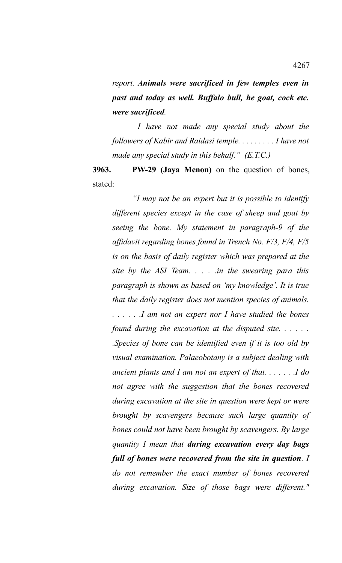*report. Animals were sacrificed in few temples even in past and today as well. Buffalo bull, he goat, cock etc. were sacrificed.*

 *I have not made any special study about the followers of Kabir and Raidasi temple. . . . . . . . . I have not made any special study in this behalf." (E.T.C.)* 

**3963. PW-29 (Jaya Menon)** on the question of bones, stated:

*"I may not be an expert but it is possible to identify different species except in the case of sheep and goat by seeing the bone. My statement in paragraph-9 of the affidavit regarding bones found in Trench No. F/3, F/4, F/5 is on the basis of daily register which was prepared at the site by the ASI Team. . . . .in the swearing para this paragraph is shown as based on 'my knowledge'. It is true that the daily register does not mention species of animals. . . . . . .I am not an expert nor I have studied the bones found during the excavation at the disputed site. . . . . . .Species of bone can be identified even if it is too old by visual examination. Palaeobotany is a subject dealing with ancient plants and I am not an expert of that. . . . . . .I do not agree with the suggestion that the bones recovered during excavation at the site in question were kept or were brought by scavengers because such large quantity of bones could not have been brought by scavengers. By large quantity I mean that during excavation every day bags full of bones were recovered from the site in question. I do not remember the exact number of bones recovered during excavation. Size of those bags were different."*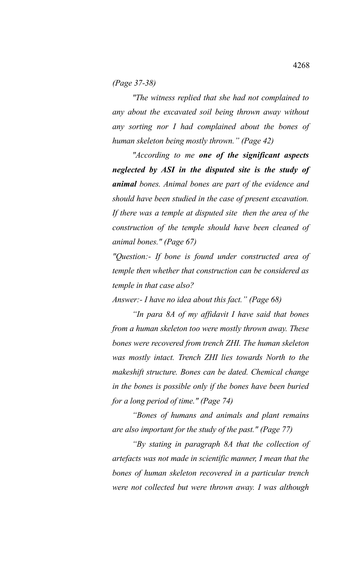#### *(Page 37-38)*

*"The witness replied that she had not complained to any about the excavated soil being thrown away without any sorting nor I had complained about the bones of human skeleton being mostly thrown." (Page 42)*

*"According to me one of the significant aspects neglected by ASI in the disputed site is the study of animal bones. Animal bones are part of the evidence and should have been studied in the case of present excavation. If there was a temple at disputed site then the area of the construction of the temple should have been cleaned of animal bones." (Page 67)*

*"Question:- If bone is found under constructed area of temple then whether that construction can be considered as temple in that case also?*

*Answer:- I have no idea about this fact." (Page 68)*

*"In para 8A of my affidavit I have said that bones from a human skeleton too were mostly thrown away. These bones were recovered from trench ZHI. The human skeleton was mostly intact. Trench ZHI lies towards North to the makeshift structure. Bones can be dated. Chemical change in the bones is possible only if the bones have been buried for a long period of time." (Page 74)*

*"Bones of humans and animals and plant remains are also important for the study of the past." (Page 77)*

*"By stating in paragraph 8A that the collection of artefacts was not made in scientific manner, I mean that the bones of human skeleton recovered in a particular trench were not collected but were thrown away. I was although*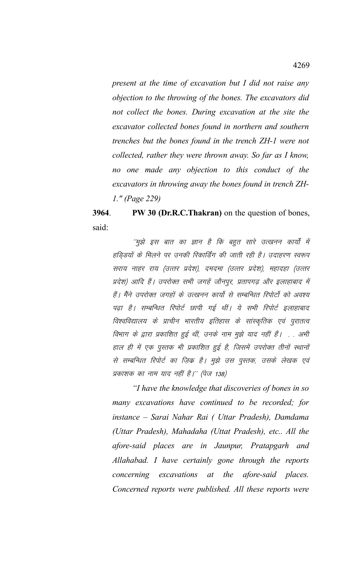present at the time of excavation but I did not raise any objection to the throwing of the bones. The excavators did not collect the bones. During excavation at the site the excavator collected bones found in northern and southern trenches but the bones found in the trench ZH-1 were not collected, rather they were thrown away. So far as I know, no one made any objection to this conduct of the excavators in throwing away the bones found in trench ZH- $1.$ " (Page 229)

3964. PW 30 (Dr.R.C.Thakran) on the question of bones, said:

''मुझे इस बात का ज्ञान है कि बहुत सारे उत्खनन कार्यों में हड़िडयों के मिलने पर उनकी रिकार्डिंग की जाती रही है। उदाहरण स्वरूप सराय नाहर राय (उत्तर प्रदेश), दमदमा (उत्तर प्रदेश), महादहा (उत्तर प्रदेश) आदि हैं। उपरोक्त सभी जगहें जौनपुर, प्रतापगढ़ और इलाहाबाद में हैं। मैंने उपरोक्त जगहों के उत्खनन कार्यो से सम्बन्धित रिपोर्टो को अवश्य पढा है। सम्बन्धित रिपोर्ट छापी गई थीं। ये सभी रिपोर्ट इलाहाबाद विश्वविद्यालय के प्राचीन भारतीय इतिहास के सांस्कृतिक एवं पुरातत्व विभाग के द्वारा प्रकाशित हुई थीं, उनके नाम मुझे याद नहीं हैं। . . अभी हाल ही में एक पुस्तक भी प्रकाशित हुई है, जिसमें उपरोक्त तीनों स्थानों से सम्बन्धित रिपोर्ट का ज़िक्र है। मुझे उस पुस्तक, उसके लेखक एवं प्रकाशक का नाम याद नहीं है।'' (पेज 138)

"I have the knowledge that discoveries of bones in so many excavations have continued to be recorded; for instance – Sarai Nahar Rai (Uttar Pradesh), Damdama (Uttar Pradesh), Mahadaha (Uttat Pradesh), etc.. All the afore-said places are in Jaunpur, Pratapgarh and Allahabad. I have certainly gone through the reports concerning excavations at the afore-said places. Concerned reports were published. All these reports were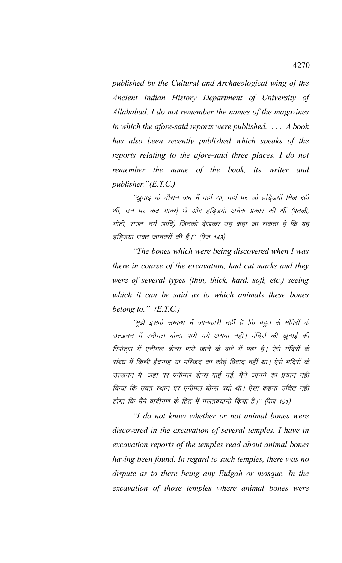published by the Cultural and Archaeological wing of the Ancient Indian History Department of University of Allahabad. I do not remember the names of the magazines in which the afore-said reports were published.  $\ldots$  A book has also been recently published which speaks of the reports relating to the afore-said three places. I do not remember the name of the book, its writer and publisher." $(E.T.C.)$ 

''खुदाई के दौरान जब मैं वहाँ था, वहां पर जो हड़िडयाँ मिल रही थीं, उन पर कट–मार्क्स् थे और हड़िडयॉ अनेक प्रकार की थीं (पतली, मोटी, सख्त, नर्म आदि) जिनको देखकर यह कहा जा सकता है कि यह हड़िडयां उक्त जानवरों की हैं।'' (पेज 143)

"The bones which were being discovered when I was there in course of the excavation, had cut marks and they were of several types (thin, thick, hard, soft, etc.) seeing which it can be said as to which animals these bones belong to."  $(E.T.C.)$ 

''मुझे इसके सम्बन्ध में जानकारी नहीं है कि बहुत से मंदिरों के उत्खनन में एनीमल बोन्स पाये गये अथवा नहीं। मंदिरों की खुदाई की रिपोट्स में एनीमल बोन्स पाये जाने के बारे में पढ़ा है। ऐसे मंदिरों के संबंध में किसी ईदगाह या मस्जिद का कोई विवाद नहीं था। ऐसे मदिरों के उत्खनन में, जहां पर एनीमल बोन्स पाई गई, मैंने जानने का प्रयत्न नहीं किया कि उक्त स्थान पर एनीमल बोन्स क्यों थी। ऐसा कहना उचित नहीं होगा कि मैंने वादीगण के हित में गलतबयानी किया है।'' (पेज 191)

"I do not know whether or not animal bones were discovered in the excavation of several temples. I have in excavation reports of the temples read about animal bones having been found. In regard to such temples, there was no dispute as to there being any Eidgah or mosque. In the excavation of those temples where animal bones were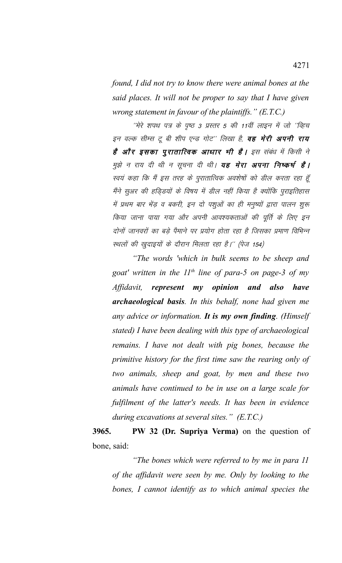found, I did not try to know there were animal bones at the said places. It will not be proper to say that I have given wrong statement in favour of the plaintiffs."  $(E.T.C.)$ 

"मेरे शपथ पत्र के पृष्ठ 3 प्रस्तर 5 की 11वीं लाइन में जो "व्हिच इन वल्क सीम्स टू बी शीप एन्ड गोट'' लिखा है, वह मेरी अपनी राय है और इसका पूरातात्विक आधार भी है। इस संबंध में किसी ने मुझे न राय दी थी न सूचना दी थी। **यह मेरा अपना निष्कर्ष है।** स्वयं कहा कि मैं इस तरह के पुरातात्विक अवशेषों को डील करता रहा हूँ मैंने सुअर की हड़िडयों के विषय में डील नहीं किया है क्योंकि पुराइतिहास में प्रथम बार भेंडु व बकरी, इन दो पशुओं का ही मनुष्यों द्वारा पालन शुरू किया जाना पाया गया और अपनी आवश्यकताओं की पूर्ति के लिए इन दोनों जानवरों का बड़े पैमाने पर प्रयोग होता रहा है जिसका प्रमाण विभिन्न स्थलों की खुदाइयों के दौरान मिलता रहा है।" (पेज 154)

"The words 'which in bulk seems to be sheep and goat' written in the  $11^{th}$  line of para-5 on page-3 of my represent my opinion and also Affidavit, **have** archaeological basis. In this behalf, none had given me any advice or information. It is my own finding. (Himself stated) I have been dealing with this type of archaeological remains. I have not dealt with pig bones, because the primitive history for the first time saw the rearing only of two animals, sheep and goat, by men and these two animals have continued to be in use on a large scale for fulfilment of the latter's needs. It has been in evidence during excavations at several sites."  $(E.T.C.)$ 

3965. PW 32 (Dr. Supriya Verma) on the question of bone, said:

"The bones which were referred to by me in para 11" of the affidavit were seen by me. Only by looking to the bones, I cannot identify as to which animal species the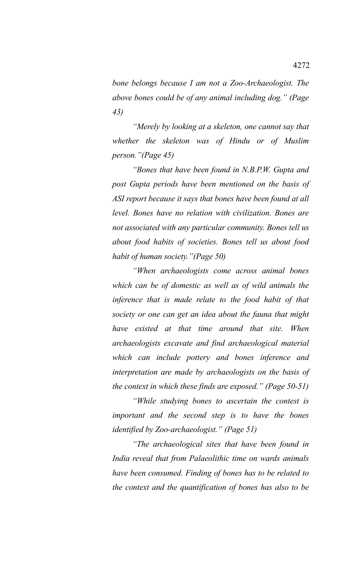*bone belongs because I am not a Zoo-Archaeologist. The above bones could be of any animal including dog." (Page 43)*

*"Merely by looking at a skeleton, one cannot say that whether the skeleton was of Hindu or of Muslim person."(Page 45)*

*"Bones that have been found in N.B.P.W. Gupta and post Gupta periods have been mentioned on the basis of ASI report because it says that bones have been found at all level. Bones have no relation with civilization. Bones are not associated with any particular community. Bones tell us about food habits of societies. Bones tell us about food habit of human society."(Page 50)*

*"When archaeologists come across animal bones which can be of domestic as well as of wild animals the inference that is made relate to the food habit of that society or one can get an idea about the fauna that might have existed at that time around that site. When archaeologists excavate and find archaeological material which can include pottery and bones inference and interpretation are made by archaeologists on the basis of the context in which these finds are exposed." (Page 50-51)*

*"While studying bones to ascertain the contest is important and the second step is to have the bones identified by Zoo-archaeologist." (Page 51)*

*"The archaeological sites that have been found in India reveal that from Palaeolithic time on wards animals have been consumed. Finding of bones has to be related to the context and the quantification of bones has also to be*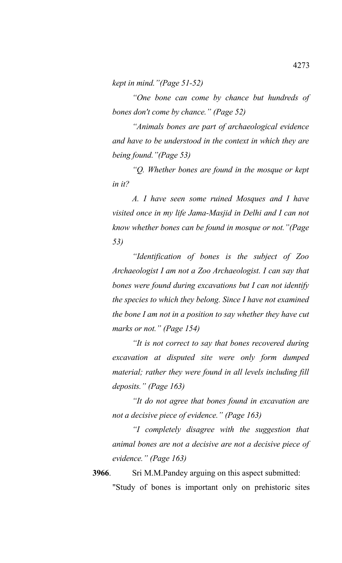*kept in mind."(Page 51-52)*

*"One bone can come by chance but hundreds of bones don't come by chance." (Page 52)*

*"Animals bones are part of archaeological evidence and have to be understood in the context in which they are being found."(Page 53)*

*"Q. Whether bones are found in the mosque or kept in it?*

*A. I have seen some ruined Mosques and I have visited once in my life Jama-Masjid in Delhi and I can not know whether bones can be found in mosque or not."(Page 53)*

*"Identification of bones is the subject of Zoo Archaeologist I am not a Zoo Archaeologist. I can say that bones were found during excavations but I can not identify the species to which they belong. Since I have not examined the bone I am not in a position to say whether they have cut marks or not." (Page 154)*

*"It is not correct to say that bones recovered during excavation at disputed site were only form dumped material; rather they were found in all levels including fill deposits." (Page 163)*

*"It do not agree that bones found in excavation are not a decisive piece of evidence." (Page 163)*

*"I completely disagree with the suggestion that animal bones are not a decisive are not a decisive piece of evidence." (Page 163)*

**3966**. Sri M.M.Pandey arguing on this aspect submitted: "Study of bones is important only on prehistoric sites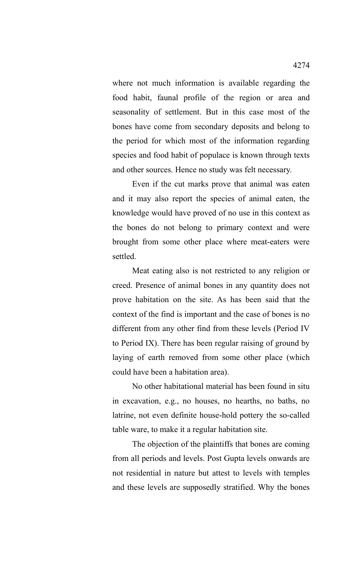where not much information is available regarding the food habit, faunal profile of the region or area and seasonality of settlement. But in this case most of the bones have come from secondary deposits and belong to the period for which most of the information regarding species and food habit of populace is known through texts and other sources. Hence no study was felt necessary.

Even if the cut marks prove that animal was eaten and it may also report the species of animal eaten, the knowledge would have proved of no use in this context as the bones do not belong to primary context and were brought from some other place where meat-eaters were settled.

Meat eating also is not restricted to any religion or creed. Presence of animal bones in any quantity does not prove habitation on the site. As has been said that the context of the find is important and the case of bones is no different from any other find from these levels (Period IV to Period IX). There has been regular raising of ground by laying of earth removed from some other place (which could have been a habitation area).

No other habitational material has been found in situ in excavation, e.g., no houses, no hearths, no baths, no latrine, not even definite house-hold pottery the so-called table ware, to make it a regular habitation site.

The objection of the plaintiffs that bones are coming from all periods and levels. Post Gupta levels onwards are not residential in nature but attest to levels with temples and these levels are supposedly stratified. Why the bones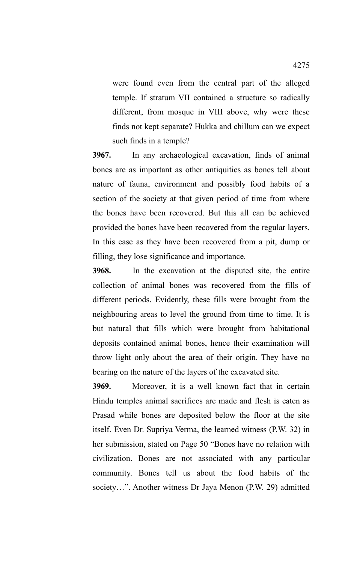were found even from the central part of the alleged temple. If stratum VII contained a structure so radically different, from mosque in VIII above, why were these finds not kept separate? Hukka and chillum can we expect such finds in a temple?

**3967.** In any archaeological excavation, finds of animal bones are as important as other antiquities as bones tell about nature of fauna, environment and possibly food habits of a section of the society at that given period of time from where the bones have been recovered. But this all can be achieved provided the bones have been recovered from the regular layers. In this case as they have been recovered from a pit, dump or filling, they lose significance and importance.

**3968.** In the excavation at the disputed site, the entire collection of animal bones was recovered from the fills of different periods. Evidently, these fills were brought from the neighbouring areas to level the ground from time to time. It is but natural that fills which were brought from habitational deposits contained animal bones, hence their examination will throw light only about the area of their origin. They have no bearing on the nature of the layers of the excavated site.

**3969.** Moreover, it is a well known fact that in certain Hindu temples animal sacrifices are made and flesh is eaten as Prasad while bones are deposited below the floor at the site itself. Even Dr. Supriya Verma, the learned witness (P.W. 32) in her submission, stated on Page 50 "Bones have no relation with civilization. Bones are not associated with any particular community. Bones tell us about the food habits of the society...". Another witness Dr Jaya Menon (P.W. 29) admitted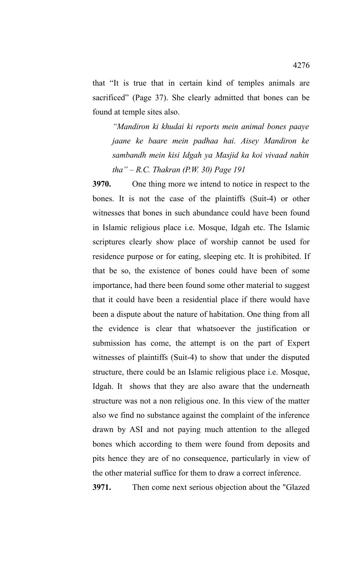that "It is true that in certain kind of temples animals are sacrificed" (Page 37). She clearly admitted that bones can be found at temple sites also.

*"Mandiron ki khudai ki reports mein animal bones paaye jaane ke baare mein padhaa hai. Aisey Mandiron ke sambandh mein kisi Idgah ya Masjid ka koi vivaad nahin tha" – R.C. Thakran (P.W. 30) Page 191*

**3970.** One thing more we intend to notice in respect to the bones. It is not the case of the plaintiffs (Suit-4) or other witnesses that bones in such abundance could have been found in Islamic religious place i.e. Mosque, Idgah etc. The Islamic scriptures clearly show place of worship cannot be used for residence purpose or for eating, sleeping etc. It is prohibited. If that be so, the existence of bones could have been of some importance, had there been found some other material to suggest that it could have been a residential place if there would have been a dispute about the nature of habitation. One thing from all the evidence is clear that whatsoever the justification or submission has come, the attempt is on the part of Expert witnesses of plaintiffs (Suit-4) to show that under the disputed structure, there could be an Islamic religious place i.e. Mosque, Idgah. It shows that they are also aware that the underneath structure was not a non religious one. In this view of the matter also we find no substance against the complaint of the inference drawn by ASI and not paying much attention to the alleged bones which according to them were found from deposits and pits hence they are of no consequence, particularly in view of the other material suffice for them to draw a correct inference.

**3971.** Then come next serious objection about the "Glazed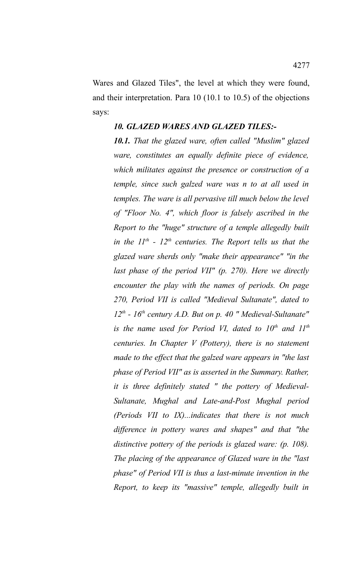Wares and Glazed Tiles", the level at which they were found, and their interpretation. Para 10 (10.1 to 10.5) of the objections says:

### *10. GLAZED WARES AND GLAZED TILES:-*

*10.1. That the glazed ware, often called "Muslim" glazed ware, constitutes an equally definite piece of evidence, which militates against the presence or construction of a temple, since such galzed ware was n to at all used in temples. The ware is all pervasive till much below the level of "Floor No. 4", which floor is falsely ascribed in the Report to the "huge" structure of a temple allegedly built in the 11th - 12th centuries. The Report tells us that the glazed ware sherds only "make their appearance" "in the last phase of the period VII" (p. 270). Here we directly encounter the play with the names of periods. On page 270, Period VII is called "Medieval Sultanate", dated to 12th - 16th century A.D. But on p. 40 " Medieval-Sultanate" is the name used for Period VI, dated to 10th and 11th centuries. In Chapter V (Pottery), there is no statement made to the effect that the galzed ware appears in "the last phase of Period VII" as is asserted in the Summary. Rather, it is three definitely stated " the pottery of Medieval-Sultanate, Mughal and Late-and-Post Mughal period (Periods VII to IX)...indicates that there is not much difference in pottery wares and shapes" and that "the distinctive pottery of the periods is glazed ware: (p. 108). The placing of the appearance of Glazed ware in the "last phase" of Period VII is thus a last-minute invention in the Report, to keep its "massive" temple, allegedly built in*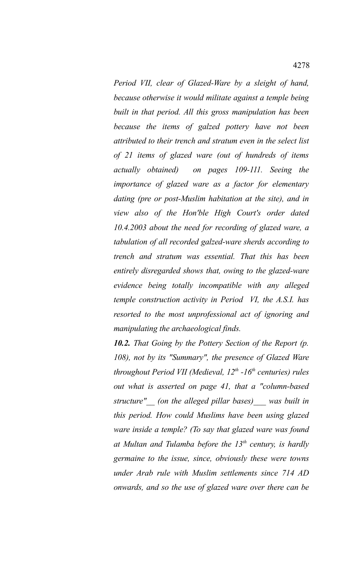*Period VII, clear of Glazed-Ware by a sleight of hand, because otherwise it would militate against a temple being built in that period. All this gross manipulation has been because the items of galzed pottery have not been attributed to their trench and stratum even in the select list of 21 items of glazed ware (out of hundreds of items actually obtained) on pages 109-111. Seeing the importance of glazed ware as a factor for elementary dating (pre or post-Muslim habitation at the site), and in view also of the Hon'ble High Court's order dated 10.4.2003 about the need for recording of glazed ware, a tabulation of all recorded galzed-ware sherds according to trench and stratum was essential. That this has been entirely disregarded shows that, owing to the glazed-ware evidence being totally incompatible with any alleged temple construction activity in Period VI, the A.S.I. has resorted to the most unprofessional act of ignoring and manipulating the archaeological finds.*

*10.2. That Going by the Pottery Section of the Report (p. 108), not by its "Summary", the presence of Glazed Ware throughout Period VII (Medieval, 12th -16th centuries) rules out what is asserted on page 41, that a "column-based structure"\_\_ (on the alleged pillar bases)\_\_\_ was built in this period. How could Muslims have been using glazed ware inside a temple? (To say that glazed ware was found at Multan and Tulamba before the 13th century, is hardly germaine to the issue, since, obviously these were towns under Arab rule with Muslim settlements since 714 AD onwards, and so the use of glazed ware over there can be*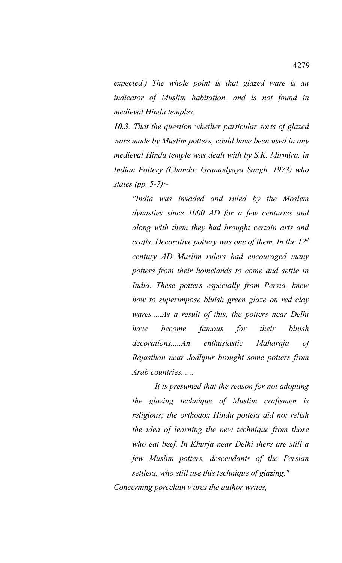*expected.) The whole point is that glazed ware is an indicator of Muslim habitation, and is not found in medieval Hindu temples.*

*10.3. That the question whether particular sorts of glazed ware made by Muslim potters, could have been used in any medieval Hindu temple was dealt with by S.K. Mirmira, in Indian Pottery (Chanda: Gramodyaya Sangh, 1973) who states (pp. 5-7):-*

*"India was invaded and ruled by the Moslem dynasties since 1000 AD for a few centuries and along with them they had brought certain arts and crafts. Decorative pottery was one of them. In the 12th century AD Muslim rulers had encouraged many potters from their homelands to come and settle in India. These potters especially from Persia, knew how to superimpose bluish green glaze on red clay wares.....As a result of this, the potters near Delhi have become famous for their bluish decorations.....An enthusiastic Maharaja of Rajasthan near Jodhpur brought some potters from Arab countries......*

 *It is presumed that the reason for not adopting the glazing technique of Muslim craftsmen is religious; the orthodox Hindu potters did not relish the idea of learning the new technique from those who eat beef. In Khurja near Delhi there are still a few Muslim potters, descendants of the Persian settlers, who still use this technique of glazing."*

*Concerning porcelain wares the author writes,*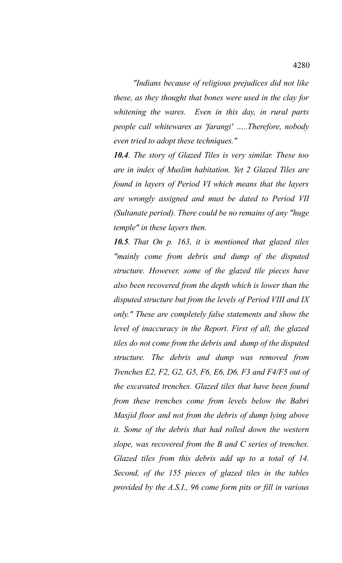*"Indians because of religious prejudices did not like these, as they thought that bones were used in the clay for whitening the wares. Even in this day, in rural parts people call whitewares as 'farangi' …..Therefore, nobody even tried to adopt these techniques."*

*10.4. The story of Glazed Tiles is very similar. These too are in index of Muslim habitation. Yet 2 Glazed Tiles are found in layers of Period VI which means that the layers are wrongly assigned and must be dated to Period VII (Sultanate period). There could be no remains of any "huge temple" in these layers then.* 

*10.5. That On p. 163, it is mentioned that glazed tiles "mainly come from debris and dump of the disputed structure. However, some of the glazed tile pieces have also been recovered from the depth which is lower than the disputed structure but from the levels of Period VIII and IX only." These are completely false statements and show the level of inaccuracy in the Report. First of all, the glazed tiles do not come from the debris and dump of the disputed structure. The debris and dump was removed from Trenches E2, F2, G2, G5, F6, E6, D6, F3 and F4/F5 out of the excavated trenches. Glazed tiles that have been found from these trenches come from levels below the Babri Masjid floor and not from the debris of dump lying above it. Some of the debris that had rolled down the western slope, was recovered from the B and C series of trenches. Glazed tiles from this debris add up to a total of 14. Second, of the 155 pieces of glazed tiles in the tables provided by the A.S.I., 96 come form pits or fill in various*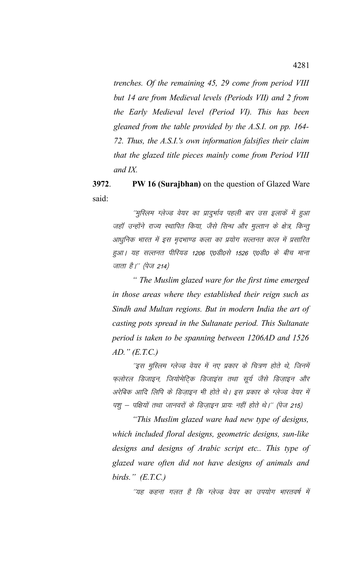trenches. Of the remaining 45, 29 come from period VIII but 14 are from Medieval levels (Periods VII) and 2 from the Early Medieval level (Period VI). This has been gleaned from the table provided by the A.S.I. on pp. 164-72. Thus, the A.S.I.'s own information falsifies their claim that the glazed title pieces mainly come from Period VIII  $and IX.$ 

3972 **PW 16 (Surajbhan)** on the question of Glazed Ware said:

''मुस्लिम ग्लेज्ड वेयर का प्रादुर्भाव पहली बार उस इलाकें में हुआ जहाँ उन्होंने राज्य स्थापित किया, जैसे सिन्ध और मुल्तान के क्षेत्र, किन्तु आधुनिक भारत में इस मृदभाण्ड कला का प्रयोग सल्तनत काल में प्रसारित हुआ। यह सल्तनत पीरियड 1206 ए0डी0से 1526 ए0डी0 के बीच माना जाता है।'' (पेज 214)

" The Muslim glazed ware for the first time emerged in those areas where they established their reign such as Sindh and Multan regions. But in modern India the art of casting pots spread in the Sultanate period. This Sultanate period is taken to be spanning between 1206AD and 1526  $AD.$ " $(E.T.C.)$ 

''इस मुस्लिम ग्लेज्ड वेयर में नए प्रकार के चित्रण होते थे, जिनमें फलोरल डिजाइन, जियोमेटिक डिजाइंस तथा सूर्य जैसे डिजाइन और अरेबिक आदि लिपि के डिज़ाइन भी होते थे। इस प्रकार के ग्लेज्ड वेयर में पशु – पक्षियों तथा जानवरों के डिज़ाइन प्रायः नहीं होते थे।'' (पेज 215)

"This Muslim glazed ware had new type of designs, which included floral designs, geometric designs, sun-like designs and designs of Arabic script etc.. This type of glazed ware often did not have designs of animals and birds."  $(E.T.C.)$ 

''यह कहना गलत है कि ग्लेज्ड वेयर का उपयोग भारतवर्ष में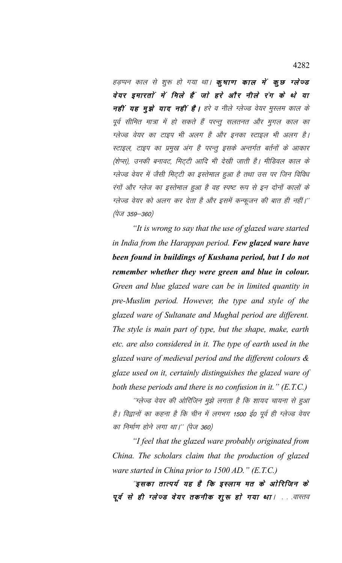हड़प्पन काल से शुरू हो गया था। **कृषाण काल में कूछ ग्लेज्ड** वेयर इमारतों में मिले हैं जो हरे और नीले रंग के थे या नहीं यह मुझे याद नहीं है। हरे व नीले ग्लेज्ड वेयर मुस्लम काल के पूर्व सीमित मात्रा में हो सकते हैं परन्तु सलतनत और मुगल काल का ग्लेज्ड वेयर का टाइप भी अलग है और इनका स्टाइल भी अलग है। स्टाइल, टाइप का प्रमुख अंग है परन्तु इसके अन्तर्गत बर्तनों के आकार (शेप्स), उनकी बनावट, मिट्टी आदि भी देखी जाती है। मीडिवल काल के ग्लेज्ड वेयर में जैसी मिट्टी का इस्तेमाल हुआ है तथा उस पर जिन विविध रंगों और ग्लेज का इस्तेमाल हुआ है वह स्पष्ट रूप से इन दोनों कालों के ग्लेज्ड वेयर को अलग कर देता है और इसमें कन्फूजन की बात ही नहीं।''  $(\dot{q}$ ज 359–360)

*"It is wrong to say that the use of glazed ware started in India from the Harappan period. Few glazed ware have been found in buildings of Kushana period, but I do not remember whether they were green and blue in colour. Green and blue glazed ware can be in limited quantity in pre-Muslim period. However, the type and style of the glazed ware of Sultanate and Mughal period are different. The style is main part of type, but the shape, make, earth etc. are also considered in it. The type of earth used in the glazed ware of medieval period and the different colours & glaze used on it, certainly distinguishes the glazed ware of both these periods and there is no confusion in it." (E.T.C.)*

''ग्लेज्ड वेयर की ओरिजिन मुझे लगता है कि शायद चायना से <u>हु</u>आ है। विद्वानों का कहना है कि चीन में लगभग 1500 ई0 पूर्व ही ग्लेज्ड वेयर का निर्माण होने लगा था।'' (पेज 360)

*"I feel that the glazed ware probably originated from China. The scholars claim that the production of glazed ware started in China prior to 1500 AD." (E.T.C.)* 

"इसका तात्पर्य यह है कि इस्लाम मत के ओरिजिन के पूर्व से ही ग्लेज्ड वेयर तकनीक शुरू हो गया था। . . .वास्तव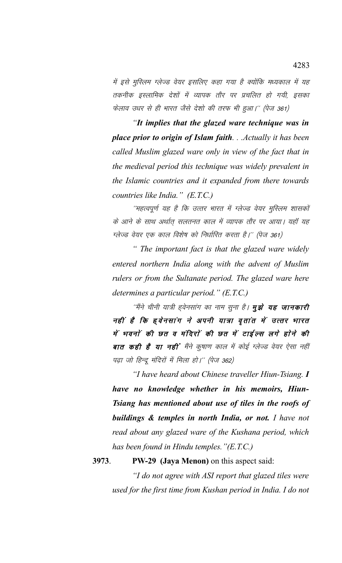में इसे मुस्लिम ग्लेज्ड वेयर इसलिए कहा गया है क्योंकि मध्यकाल में यह तकनीक इस्लामिक देशों में व्यापक तौर पर प्रचलित हो गयी, इसका फेलाव उधर से ही भारत जैसे देशो की तरफ भी हुआ।" (पेज 361)

"It implies that the glazed ware technique was in place prior to origin of Islam faith. . . Actually it has been called Muslim glazed ware only in view of the fact that in the medieval period this technique was widely prevalent in the Islamic countries and it expanded from there towards countries like India." (E.T.C.)

''महत्वपूर्ण यह है कि उत्तर भारत में ग्लेज्ड वेयर मुस्लिम शासकों के आने के साथ अर्थात् सलतनत काल में व्यापक तौर पर आया। यहाँ यह ग्लेज्ड वेयर एक काल विशेष को निर्धारित करता है।'' (पेज 361)

" The important fact is that the glazed ware widely entered northern India along with the advent of Muslim rulers or from the Sultanate period. The glazed ware here determines a particular period." (E.T.C.)

''मैंने चीनी यात्री ह्वेनसांग का नाम सुना है। **मुझे यह जानकारी** नहीं है कि हुवेनसांग ने अपनी यात्रा वृतांत में उत्तर भारत में भवनों की छत व मंदिरों की छत में टाईल्स लगे होने की बात कही है या नहीं मैंने कुषाण काल में कोई ग्लेज्ड वेयर ऐसा नहीं पढ़ा जो हिन्दू मंदिरों में मिला हो।'' (पेज 362)

"I have heard about Chinese traveller Hiun-Tsiang. I have no knowledge whether in his memoirs, Hiun-Tsiang has mentioned about use of tiles in the roofs of buildings & temples in north India, or not. I have not read about any glazed ware of the Kushana period, which has been found in Hindu temples." $(E.T.C.)$ 

#### 3973. **PW-29** (Jaya Menon) on this aspect said:

"I do not agree with ASI report that glazed tiles were used for the first time from Kushan period in India. I do not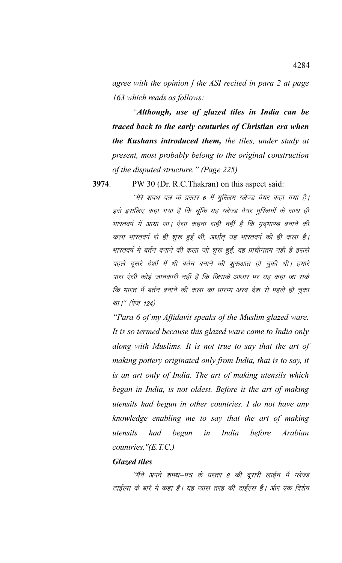*agree with the opinion f the ASI recited in para 2 at page 163 which reads as follows:*

*"Although, use of glazed tiles in India can be traced back to the early centuries of Christian era when the Kushans introduced them, the tiles, under study at present, most probably belong to the original construction of the disputed structure." (Page 225)*

**3974**. PW 30 (Dr. R.C.Thakran) on this aspect said:

''मेरे शपथ पत्र के प्रस्तर 6 में मुस्लिम ग्लेज्ड वेयर कहा गया है। इसे इसलिए कहा गया है कि चूंकि यह ग्लेज्ड वेयर मुस्लिमों के साथ ही भारतवर्ष में आया था। ऐसा कहना सही नहीं है कि मृद्भाण्ड बनाने की कला भारतवर्ष से ही शुरू हुई थी, अर्थात् यह भारतवर्ष की ही कला है। भारतवर्ष में बर्तन बनाने की कला जो शुरू हुई, वह प्राचीनतम नहीं है इससे पहले दूसरे देशों में भी बर्तन बनाने की शुरूआत हो चुकी थी। हमारे पास ऐसी कोई जानकारी नहीं है कि जिसके आधार पर यह कहा जा सके कि भारत में बर्तन बनाने की कला का प्रारम्भ अरब देश से पहले हो चुका था।'' (पेज 124)

*"Para 6 of my Affidavit speaks of the Muslim glazed ware. It is so termed because this glazed ware came to India only along with Muslims. It is not true to say that the art of making pottery originated only from India, that is to say, it is an art only of India. The art of making utensils which began in India, is not oldest. Before it the art of making utensils had begun in other countries. I do not have any knowledge enabling me to say that the art of making utensils had begun in India before Arabian countries."(E.T.C.)*

# *Glazed tiles*

''मैंने अपने शपथ–पत्र के प्रस्तर 8 की दूसरी लाईन में ग्लेज्ड टाईल्स के बारे में कहा है। यह खास तरह की टाईल्स हैं। और एक विशेष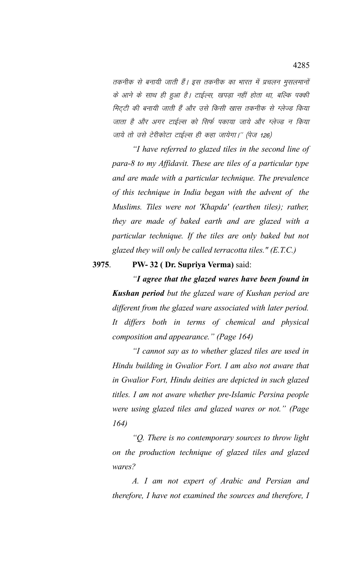तकनीक से बनायी जाती हैं। इस तकनीक का भारत में प्रचलन मुसलमानों के आने के साथ ही हुआ है। टाईल्स, खपड़ा नहीं होता था, बल्कि पक्की मिट्टी की बनायी जाती हैं और उसे किसी खास तकनीक से ग्लेज्ड किया जाता है और अगर टाईल्स को सिर्फ पकाया जाये और ग्लेज्ड न किया जाये तो उसे टेरीकोटा टाईल्स ही कहा जायेगा।'' (पेज 126)

*"I have referred to glazed tiles in the second line of para-8 to my Affidavit. These are tiles of a particular type and are made with a particular technique. The prevalence of this technique in India began with the advent of the Muslims. Tiles were not 'Khapda' (earthen tiles); rather, they are made of baked earth and are glazed with a particular technique. If the tiles are only baked but not glazed they will only be called terracotta tiles." (E.T.C.)*

**3975**. **PW- 32 ( Dr. Supriya Verma)** said:

*"I agree that the glazed wares have been found in Kushan period but the glazed ware of Kushan period are different from the glazed ware associated with later period.*

*It differs both in terms of chemical and physical composition and appearance." (Page 164)*

*"I cannot say as to whether glazed tiles are used in Hindu building in Gwalior Fort. I am also not aware that in Gwalior Fort, Hindu deities are depicted in such glazed titles. I am not aware whether pre-Islamic Persina people were using glazed tiles and glazed wares or not." (Page 164)*

*"Q. There is no contemporary sources to throw light on the production technique of glazed tiles and glazed wares?*

*A. I am not expert of Arabic and Persian and therefore, I have not examined the sources and therefore, I*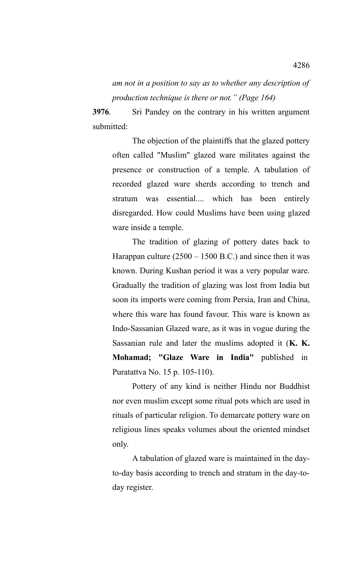*am not in a position to say as to whether any description of production technique is there or not." (Page 164)*

**3976**. Sri Pandey on the contrary in his written argument submitted:

The objection of the plaintiffs that the glazed pottery often called "Muslim" glazed ware militates against the presence or construction of a temple. A tabulation of recorded glazed ware sherds according to trench and stratum was essential.... which has been entirely disregarded. How could Muslims have been using glazed ware inside a temple.

The tradition of glazing of pottery dates back to Harappan culture  $(2500 - 1500 \text{ B.C.})$  and since then it was known. During Kushan period it was a very popular ware. Gradually the tradition of glazing was lost from India but soon its imports were coming from Persia, Iran and China, where this ware has found favour. This ware is known as Indo-Sassanian Glazed ware, as it was in vogue during the Sassanian rule and later the muslims adopted it (**K. K. Mohamad; "Glaze Ware in India"** published in Puratattva No. 15 p. 105-110).

Pottery of any kind is neither Hindu nor Buddhist nor even muslim except some ritual pots which are used in rituals of particular religion. To demarcate pottery ware on religious lines speaks volumes about the oriented mindset only.

A tabulation of glazed ware is maintained in the dayto-day basis according to trench and stratum in the day-today register.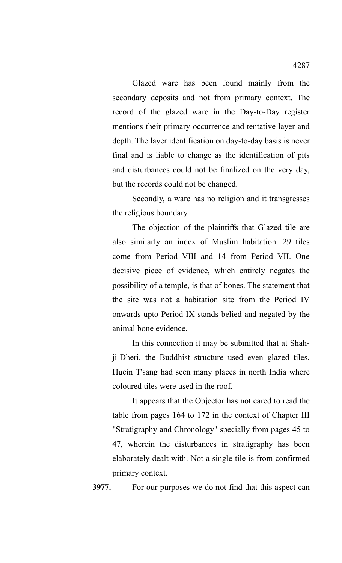Glazed ware has been found mainly from the secondary deposits and not from primary context. The record of the glazed ware in the Day-to-Day register mentions their primary occurrence and tentative layer and depth. The layer identification on day-to-day basis is never final and is liable to change as the identification of pits and disturbances could not be finalized on the very day, but the records could not be changed.

Secondly, a ware has no religion and it transgresses the religious boundary.

The objection of the plaintiffs that Glazed tile are also similarly an index of Muslim habitation. 29 tiles come from Period VIII and 14 from Period VII. One decisive piece of evidence, which entirely negates the possibility of a temple, is that of bones. The statement that the site was not a habitation site from the Period IV onwards upto Period IX stands belied and negated by the animal bone evidence.

In this connection it may be submitted that at Shahji-Dheri, the Buddhist structure used even glazed tiles. Huein T'sang had seen many places in north India where coloured tiles were used in the roof.

It appears that the Objector has not cared to read the table from pages 164 to 172 in the context of Chapter III "Stratigraphy and Chronology" specially from pages 45 to 47, wherein the disturbances in stratigraphy has been elaborately dealt with. Not a single tile is from confirmed primary context.

**3977.** For our purposes we do not find that this aspect can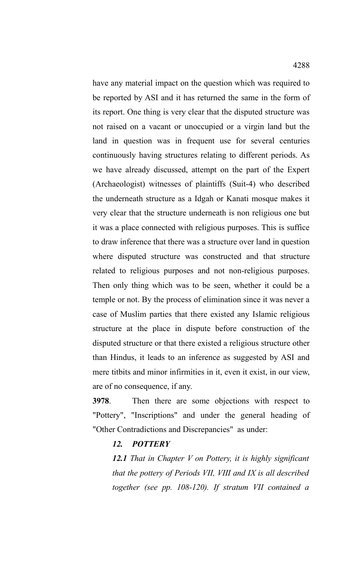have any material impact on the question which was required to be reported by ASI and it has returned the same in the form of its report. One thing is very clear that the disputed structure was not raised on a vacant or unoccupied or a virgin land but the land in question was in frequent use for several centuries continuously having structures relating to different periods. As we have already discussed, attempt on the part of the Expert (Archaeologist) witnesses of plaintiffs (Suit-4) who described the underneath structure as a Idgah or Kanati mosque makes it very clear that the structure underneath is non religious one but it was a place connected with religious purposes. This is suffice to draw inference that there was a structure over land in question where disputed structure was constructed and that structure related to religious purposes and not non-religious purposes. Then only thing which was to be seen, whether it could be a temple or not. By the process of elimination since it was never a case of Muslim parties that there existed any Islamic religious structure at the place in dispute before construction of the disputed structure or that there existed a religious structure other than Hindus, it leads to an inference as suggested by ASI and mere titbits and minor infirmities in it, even it exist, in our view, are of no consequence, if any.

**3978**. Then there are some objections with respect to "Pottery", "Inscriptions" and under the general heading of "Other Contradictions and Discrepancies" as under:

## *12. POTTERY*

*12.1 That in Chapter V on Pottery, it is highly significant that the pottery of Periods VII, VIII and IX is all described together (see pp. 108-120). If stratum VII contained a*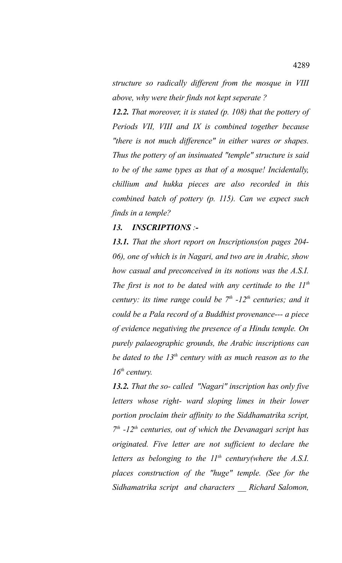*structure so radically different from the mosque in VIII above, why were their finds not kept seperate ?*

*12.2. That moreover, it is stated (p. 108) that the pottery of Periods VII, VIII and IX is combined together because "there is not much difference" in either wares or shapes. Thus the pottery of an insinuated "temple" structure is said to be of the same types as that of a mosque! Incidentally, chillium and hukka pieces are also recorded in this combined batch of pottery (p. 115). Can we expect such finds in a temple?*

## *13. INSCRIPTIONS :-*

*13.1. That the short report on Inscriptions(on pages 204- 06), one of which is in Nagari, and two are in Arabic, show how casual and preconceived in its notions was the A.S.I. The first is not to be dated with any certitude to the 11th century: its time range could be 7th -12th centuries; and it could be a Pala record of a Buddhist provenance--- a piece of evidence negativing the presence of a Hindu temple. On purely palaeographic grounds, the Arabic inscriptions can be dated to the 13th century with as much reason as to the 16th century.*

*13.2. That the so- called "Nagari" inscription has only five letters whose right- ward sloping limes in their lower portion proclaim their affinity to the Siddhamatrika script, 7 th -12th centuries, out of which the Devanagari script has originated. Five letter are not sufficient to declare the letters as belonging to the 11th century(where the A.S.I. places construction of the "huge" temple. (See for the Sidhamatrika script and characters \_\_ Richard Salomon,*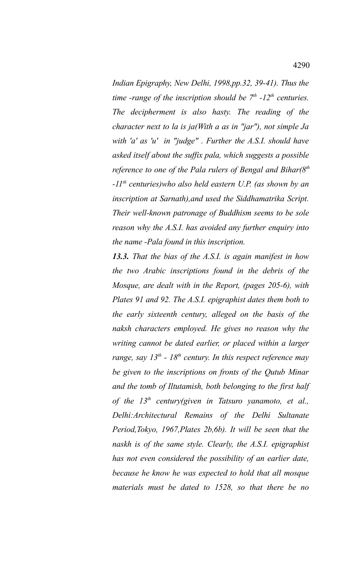*Indian Epigraphy, New Delhi, 1998,pp.32, 39-41). Thus the time -range of the inscription should be 7th -12th centuries. The decipherment is also hasty. The reading of the character next to la is ja(With a as in "jar"), not simple Ja with 'a' as 'u' in "judge" . Further the A.S.I. should have asked itself about the suffix pala, which suggests a possible reference to one of the Pala rulers of Bengal and Bihar(8th -11th centuries)who also held eastern U.P. (as shown by an inscription at Sarnath),and used the Siddhamatrika Script. Their well-known patronage of Buddhism seems to be sole reason why the A.S.I. has avoided any further enquiry into the name -Pala found in this inscription.*

*13.3. That the bias of the A.S.I. is again manifest in how the two Arabic inscriptions found in the debris of the Mosque, are dealt with in the Report, (pages 205-6), with Plates 91 and 92. The A.S.I. epigraphist dates them both to the early sixteenth century, alleged on the basis of the naksh characters employed. He gives no reason why the writing cannot be dated earlier, or placed within a larger range, say 13th - 18th century. In this respect reference may be given to the inscriptions on fronts of the Qutub Minar and the tomb of Iltutamish, both belonging to the first half of the 13th century(given in Tatsuro yanamoto, et al., Delhi:Architectural Remains of the Delhi Sultanate Period,Tokyo, 1967,Plates 2b,6b). It will be seen that the naskh is of the same style. Clearly, the A.S.I. epigraphist has not even considered the possibility of an earlier date, because he know he was expected to hold that all mosque materials must be dated to 1528, so that there be no*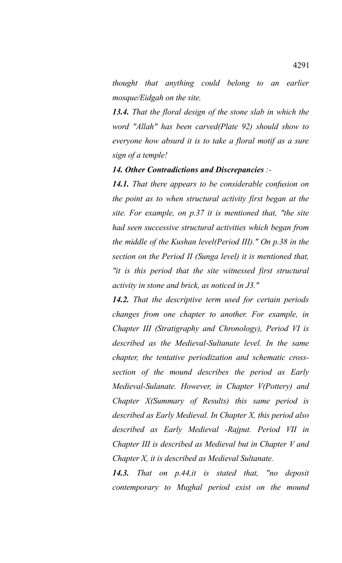*thought that anything could belong to an earlier mosque/Eidgah on the site.*

*13.4. That the floral design of the stone slab in which the word "Allah" has been carved(Plate 92) should show to everyone how absurd it is to take a floral motif as a sure sign of a temple!*

*14. Other Contradictions and Discrepancies :-*

*14.1. That there appears to be considerable confusion on the point as to when structural activity first began at the site. For example, on p.37 it is mentioned that, "the site had seen successive structural activities which began from the middle of the Kushan level(Period III)." On p.38 in the section on the Period II (Sunga level) it is mentioned that, "it is this period that the site witnessed first structural activity in stone and brick, as noticed in J3."*

*14.2. That the descriptive term used for certain periods changes from one chapter to another. For example, in Chapter III (Stratigraphy and Chronology), Period VI is described as the Medieval-Sultanate level. In the same chapter, the tentative periodization and schematic crosssection of the mound describes the period as Early Medieval-Sulanate. However, in Chapter V(Pottery) and Chapter X(Summary of Results) this same period is described as Early Medieval. In Chapter X, this period also described as Early Medieval -Rajput. Period VII in Chapter III is described as Medieval but in Chapter V and Chapter X, it is described as Medieval Sultanate.*

*14.3. That on p.44,it is stated that, "no deposit contemporary to Mughal period exist on the mound*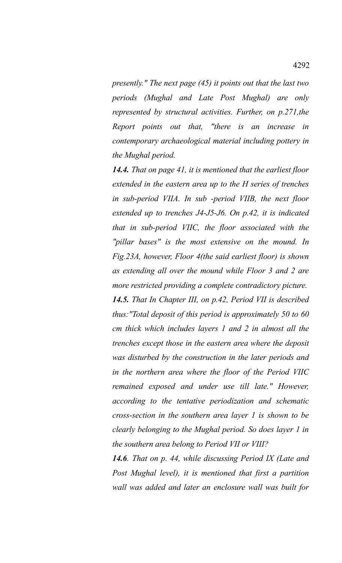*presently." The next page (45) it points out that the last two periods (Mughal and Late Post Mughal) are only represented by structural activities. Further, on p.271,the Report points out that, "there is an increase in contemporary archaeological material including pottery in the Mughal period.*

*14.4. That on page 41, it is mentioned that the earliest floor extended in the eastern area up to the H series of trenches in sub-period VIIA. In sub -period VIIB, the next floor extended up to trenches J4-J5-J6. On p.42, it is indicated that in sub-period VIIC, the floor associated with the "pillar bases" is the most extensive on the mound. In Fig.23A, however, Floor 4(the said earliest floor) is shown as extending all over the mound while Floor 3 and 2 are more restricted providing a complete contradictory picture. 14.5. That In Chapter III, on p.42, Period VII is described thus:"Total deposit of this period is approximately 50 to 60 cm thick which includes layers 1 and 2 in almost all the trenches except those in the eastern area where the deposit was disturbed by the construction in the later periods and in the northern area where the floor of the Period VIIC remained exposed and under use till late." However, according to the tentative periodization and schematic cross-section in the southern area layer 1 is shown to be clearly belonging to the Mughal period. So does layer 1 in the southern area belong to Period VII or VIII?*

*14.6. That on p. 44, while discussing Period IX (Late and Post Mughal level), it is mentioned that first a partition wall was added and later an enclosure wall was built for*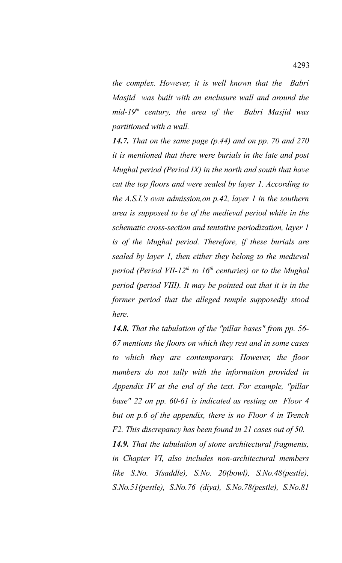*the complex. However, it is well known that the Babri Masjid was built with an enclusure wall and around the mid-19th century, the area of the Babri Masjid was partitioned with a wall.*

*14.7. That on the same page (p.44) and on pp. 70 and 270 it is mentioned that there were burials in the late and post Mughal period (Period IX) in the north and south that have cut the top floors and were sealed by layer 1. According to the A.S.I.'s own admission,on p.42, layer 1 in the southern area is supposed to be of the medieval period while in the schematic cross-section and tentative periodization, layer 1 is of the Mughal period. Therefore, if these burials are sealed by layer 1, then either they belong to the medieval period (Period VII-12th to 16th centuries) or to the Mughal period (period VIII). It may be pointed out that it is in the former period that the alleged temple supposedly stood here.*

*14.8. That the tabulation of the "pillar bases" from pp. 56- 67 mentions the floors on which they rest and in some cases to which they are contemporary. However, the floor numbers do not tally with the information provided in Appendix IV at the end of the text. For example, "pillar base" 22 on pp. 60-61 is indicated as resting on Floor 4 but on p.6 of the appendix, there is no Floor 4 in Trench F2. This discrepancy has been found in 21 cases out of 50. 14.9. That the tabulation of stone architectural fragments, in Chapter VI, also includes non-architectural members like S.No. 3(saddle), S.No. 20(bowl), S.No.48(pestle), S.No.51(pestle), S.No.76 (diya), S.No.78(pestle), S.No.81*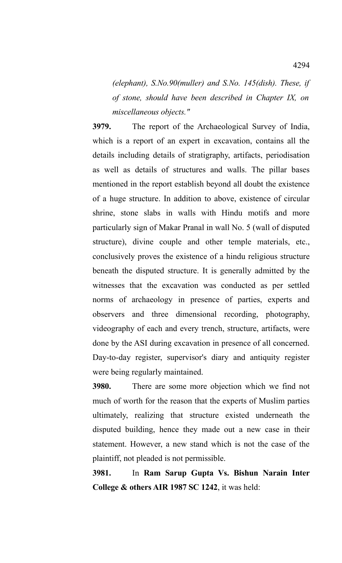*(elephant), S.No.90(muller) and S.No. 145(dish). These, if of stone, should have been described in Chapter IX, on miscellaneous objects."*

**3979.** The report of the Archaeological Survey of India, which is a report of an expert in excavation, contains all the details including details of stratigraphy, artifacts, periodisation as well as details of structures and walls. The pillar bases mentioned in the report establish beyond all doubt the existence of a huge structure. In addition to above, existence of circular shrine, stone slabs in walls with Hindu motifs and more particularly sign of Makar Pranal in wall No. 5 (wall of disputed structure), divine couple and other temple materials, etc., conclusively proves the existence of a hindu religious structure beneath the disputed structure. It is generally admitted by the witnesses that the excavation was conducted as per settled norms of archaeology in presence of parties, experts and observers and three dimensional recording, photography, videography of each and every trench, structure, artifacts, were done by the ASI during excavation in presence of all concerned. Day-to-day register, supervisor's diary and antiquity register were being regularly maintained.

**3980.** There are some more objection which we find not much of worth for the reason that the experts of Muslim parties ultimately, realizing that structure existed underneath the disputed building, hence they made out a new case in their statement. However, a new stand which is not the case of the plaintiff, not pleaded is not permissible.

**3981.** In **Ram Sarup Gupta Vs. Bishun Narain Inter College & others AIR 1987 SC 1242**, it was held: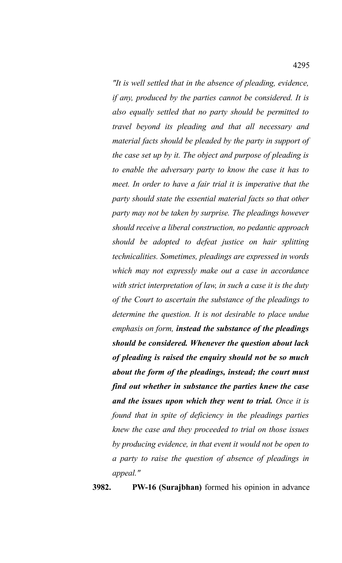*"It is well settled that in the absence of pleading, evidence, if any, produced by the parties cannot be considered. It is*

*also equally settled that no party should be permitted to travel beyond its pleading and that all necessary and material facts should be pleaded by the party in support of the case set up by it. The object and purpose of pleading is to enable the adversary party to know the case it has to meet. In order to have a fair trial it is imperative that the party should state the essential material facts so that other party may not be taken by surprise. The pleadings however should receive a liberal construction, no pedantic approach should be adopted to defeat justice on hair splitting technicalities. Sometimes, pleadings are expressed in words which may not expressly make out a case in accordance with strict interpretation of law, in such a case it is the duty of the Court to ascertain the substance of the pleadings to determine the question. It is not desirable to place undue emphasis on form, instead the substance of the pleadings should be considered. Whenever the question about lack of pleading is raised the enquiry should not be so much about the form of the pleadings, instead; the court must find out whether in substance the parties knew the case and the issues upon which they went to trial. Once it is found that in spite of deficiency in the pleadings parties knew the case and they proceeded to trial on those issues by producing evidence, in that event it would not be open to a party to raise the question of absence of pleadings in appeal."*

**3982. PW-16 (Surajbhan)** formed his opinion in advance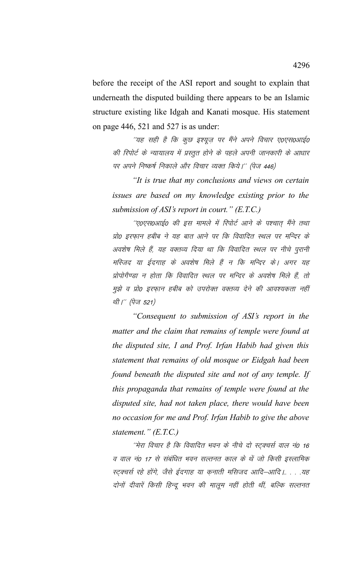before the receipt of the ASI report and sought to explain that underneath the disputed building there appears to be an Islamic structure existing like Idgah and Kanati mosque. His statement on page 446, 521 and 527 is as under:

''यह सही है कि कुछ इश्यूज़ पर मैंने अपने विचार ए०एस०आई० की रिपोर्ट के न्यायालय में प्रस्तुत होने के पहले अपनी जानकारी के आधार पर अपने निष्कर्ष निकाले और विचार व्यक्त किये।'' (पेज 446)

*"It is true that my conclusions and views on certain issues are based on my knowledge existing prior to the submission of ASI's report in court." (E.T.C.)*

''ए०एस०आई० की इस मामले में रिपोर्ट आने के पश्चात मैंने तथा प्रो0 इरफान हबीब ने यह बात आने पर कि विवादित स्थल पर मन्दिर के अवशेष मिले हैं, यह वक्तव्य दिया था कि विवादित स्थल पर नीचे पुरानी मस्जिद या ईदगाह के अवशेष मिले हैं न कि मन्दिर के। अगर यह प्रोपोगैण्डा न होता कि विवादित स्थल पर मन्दिर के अवशेष मिले हैं, तो मुझे व प्रो0 इरफान हबीब को उपरोक्त वक्तव्य देने की आवश्यकता नहीं थी।'' (पेज 521)

*"Consequent to submission of ASI's report in the matter and the claim that remains of temple were found at the disputed site, I and Prof. Irfan Habib had given this statement that remains of old mosque or Eidgah had been found beneath the disputed site and not of any temple. If this propaganda that remains of temple were found at the disputed site, had not taken place, there would have been no occasion for me and Prof. Irfan Habib to give the above statement." (E.T.C.)* 

''मेरा विचार है कि विवादित भवन के नीचे दो स्ट्क्चर्स वाल नं0 16 व वाल नं० 17 से संबंधित भवन सल्तनत काल के थें जो किसी इस्लामिक स्टुक्चर्स रहे होंगे, जैसे ईदगाह या कुनाती मसिजद आदि–आदि |.. . . .यह दोनों दीवारें किसी हिन्दू भवन की मालूम नहीं होती थीं, बल्कि सल्तनत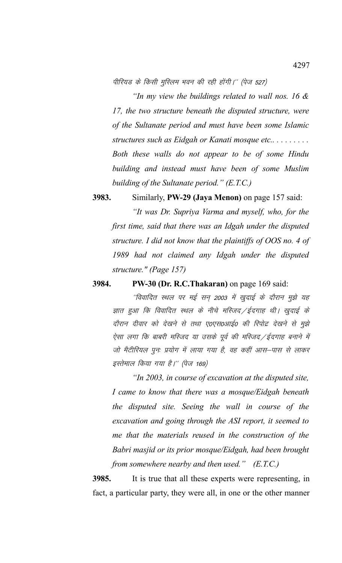पीरियड के किसी मुस्लिम भवन की रही होंगी।'' (पेज 527)

*"In my view the buildings related to wall nos. 16 & 17, the two structure beneath the disputed structure, were of the Sultanate period and must have been some Islamic structures such as Eidgah or Kanati mosque etc.. . . . . . . . . Both these walls do not appear to be of some Hindu building and instead must have been of some Muslim building of the Sultanate period." (E.T.C.)* 

**3983.** Similarly, **PW-29 (Jaya Menon)** on page 157 said:

*"It was Dr. Supriya Varma and myself, who, for the first time, said that there was an Idgah under the disputed structure. I did not know that the plaintiffs of OOS no. 4 of 1989 had not claimed any Idgah under the disputed structure." (Page 157)*

## **3984. PW-30 (Dr. R.C.Thakaran)** on page 169 said:

 $^{\prime\prime}$ विवादित स्थल पर मई सन 2003 में खुदाई के दौरान मुझे यह ज्ञात हुआ कि विवादित स्थल के नीचे मस्जिद ईदगाह थी। खुदाई के दौरान दीवार को देखने से तथा ए०एस०आई० की रिपोट्ट देखने से मुझे ऐसा लगा कि बाबरी मस्जिद या उसके पूर्व की मस्जिद ⁄ईदगाह बनाने में जो मैटीरियल पुनः प्रयोग में लाया गया है, वह कहीं आस–पास से लाकर इस्तेमाल किया गया है।'' (पेज 169)

*"In 2003, in course of excavation at the disputed site, I came to know that there was a mosque/Eidgah beneath the disputed site. Seeing the wall in course of the excavation and going through the ASI report, it seemed to me that the materials reused in the construction of the Babri masjid or its prior mosque/Eidgah, had been brought from somewhere nearby and then used." (E.T.C.)*

**3985.** It is true that all these experts were representing, in fact, a particular party, they were all, in one or the other manner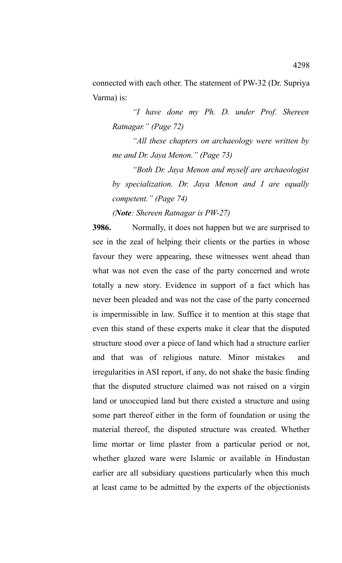connected with each other. The statement of PW-32 (Dr. Supriya Varma) is:

*"I have done my Ph. D. under Prof. Shereen Ratnagar." (Page 72)*

*"All these chapters on archaeology were written by me and Dr. Jaya Menon." (Page 73)*

*"Both Dr. Jaya Menon and myself are archaeologist by specialization. Dr. Jaya Menon and I are equally competent." (Page 74)*

*(Note: Shereen Ratnagar is PW-27)*

**3986.** Normally, it does not happen but we are surprised to see in the zeal of helping their clients or the parties in whose favour they were appearing, these witnesses went ahead than what was not even the case of the party concerned and wrote totally a new story. Evidence in support of a fact which has never been pleaded and was not the case of the party concerned is impermissible in law. Suffice it to mention at this stage that even this stand of these experts make it clear that the disputed structure stood over a piece of land which had a structure earlier and that was of religious nature. Minor mistakes and irregularities in ASI report, if any, do not shake the basic finding that the disputed structure claimed was not raised on a virgin land or unoccupied land but there existed a structure and using some part thereof either in the form of foundation or using the material thereof, the disputed structure was created. Whether lime mortar or lime plaster from a particular period or not, whether glazed ware were Islamic or available in Hindustan earlier are all subsidiary questions particularly when this much at least came to be admitted by the experts of the objectionists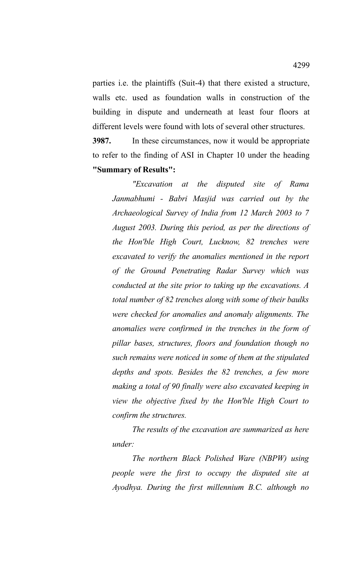parties i.e. the plaintiffs (Suit-4) that there existed a structure, walls etc. used as foundation walls in construction of the building in dispute and underneath at least four floors at different levels were found with lots of several other structures.

**3987.** In these circumstances, now it would be appropriate to refer to the finding of ASI in Chapter 10 under the heading **"Summary of Results":**

*"Excavation at the disputed site of Rama Janmabhumi - Babri Masjid was carried out by the Archaeological Survey of India from 12 March 2003 to 7 August 2003. During this period, as per the directions of the Hon'ble High Court, Lucknow, 82 trenches were excavated to verify the anomalies mentioned in the report of the Ground Penetrating Radar Survey which was conducted at the site prior to taking up the excavations. A total number of 82 trenches along with some of their baulks were checked for anomalies and anomaly alignments. The anomalies were confirmed in the trenches in the form of pillar bases, structures, floors and foundation though no such remains were noticed in some of them at the stipulated depths and spots. Besides the 82 trenches, a few more making a total of 90 finally were also excavated keeping in view the objective fixed by the Hon'ble High Court to confirm the structures.*

*The results of the excavation are summarized as here under:*

*The northern Black Polished Ware (NBPW) using people were the first to occupy the disputed site at Ayodhya. During the first millennium B.C. although no*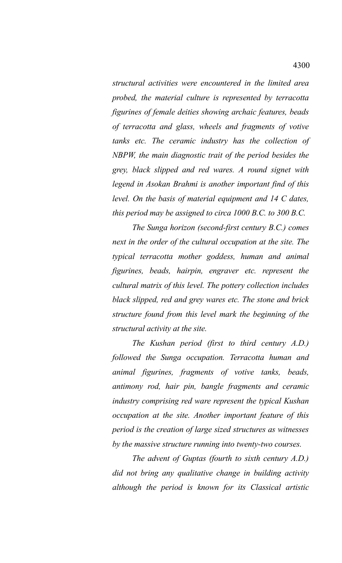*structural activities were encountered in the limited area probed, the material culture is represented by terracotta figurines of female deities showing archaic features, beads of terracotta and glass, wheels and fragments of votive tanks etc. The ceramic industry has the collection of NBPW, the main diagnostic trait of the period besides the grey, black slipped and red wares. A round signet with legend in Asokan Brahmi is another important find of this level. On the basis of material equipment and 14 C dates, this period may be assigned to circa 1000 B.C. to 300 B.C.*

*The Sunga horizon (second-first century B.C.) comes next in the order of the cultural occupation at the site. The typical terracotta mother goddess, human and animal figurines, beads, hairpin, engraver etc. represent the cultural matrix of this level. The pottery collection includes black slipped, red and grey wares etc. The stone and brick structure found from this level mark the beginning of the structural activity at the site.*

*The Kushan period (first to third century A.D.) followed the Sunga occupation. Terracotta human and animal figurines, fragments of votive tanks, beads, antimony rod, hair pin, bangle fragments and ceramic industry comprising red ware represent the typical Kushan occupation at the site. Another important feature of this period is the creation of large sized structures as witnesses by the massive structure running into twenty-two courses.*

*The advent of Guptas (fourth to sixth century A.D.) did not bring any qualitative change in building activity although the period is known for its Classical artistic*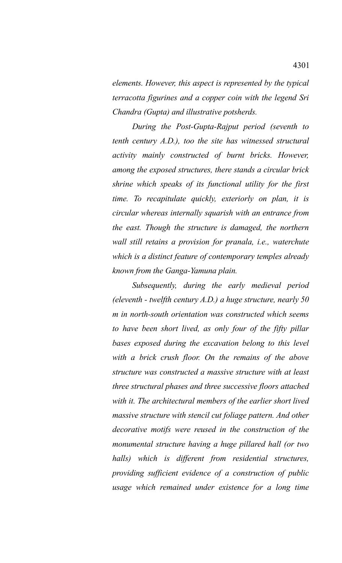*elements. However, this aspect is represented by the typical terracotta figurines and a copper coin with the legend Sri Chandra (Gupta) and illustrative potsherds.*

*During the Post-Gupta-Rajput period (seventh to tenth century A.D.), too the site has witnessed structural activity mainly constructed of burnt bricks. However, among the exposed structures, there stands a circular brick shrine which speaks of its functional utility for the first time. To recapitulate quickly, exteriorly on plan, it is circular whereas internally squarish with an entrance from the east. Though the structure is damaged, the northern wall still retains a provision for pranala, i.e., waterchute which is a distinct feature of contemporary temples already known from the Ganga-Yamuna plain.*

*Subsequently, during the early medieval period (eleventh - twelfth century A.D.) a huge structure, nearly 50 m in north-south orientation was constructed which seems to have been short lived, as only four of the fifty pillar bases exposed during the excavation belong to this level with a brick crush floor. On the remains of the above structure was constructed a massive structure with at least three structural phases and three successive floors attached with it. The architectural members of the earlier short lived massive structure with stencil cut foliage pattern. And other decorative motifs were reused in the construction of the monumental structure having a huge pillared hall (or two halls) which is different from residential structures, providing sufficient evidence of a construction of public usage which remained under existence for a long time*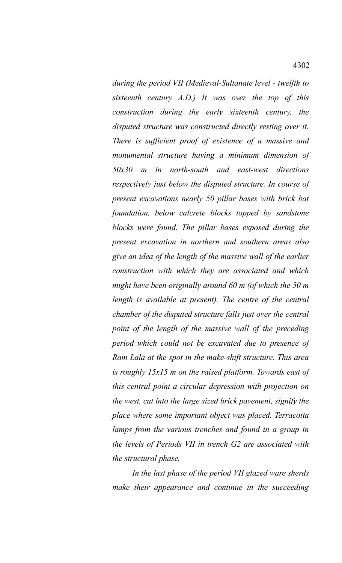*during the period VII (Medieval-Sultanate level - twelfth to sixteenth century A.D.) It was over the top of this construction during the early sixteenth century, the disputed structure was constructed directly resting over it. There is sufficient proof of existence of a massive and monumental structure having a minimum dimension of 50x30 m in north-south and east-west directions respectively just below the disputed structure. In course of present excavations nearly 50 pillar bases with brick bat foundation, below calcrete blocks topped by sandstone blocks were found. The pillar bases exposed during the present excavation in northern and southern areas also give an idea of the length of the massive wall of the earlier construction with which they are associated and which might have been originally around 60 m (of which the 50 m length is available at present). The centre of the central chamber of the disputed structure falls just over the central point of the length of the massive wall of the preceding period which could not be excavated due to presence of Ram Lala at the spot in the make-shift structure. This area is roughly 15x15 m on the raised platform. Towards east of this central point a circular depression with projection on the west, cut into the large sized brick pavement, signify the place where some important object was placed. Terracotta lamps from the various trenches and found in a group in the levels of Periods VII in trench G2 are associated with the structural phase.*

*In the last phase of the period VII glazed ware sherds make their appearance and continue in the succeeding*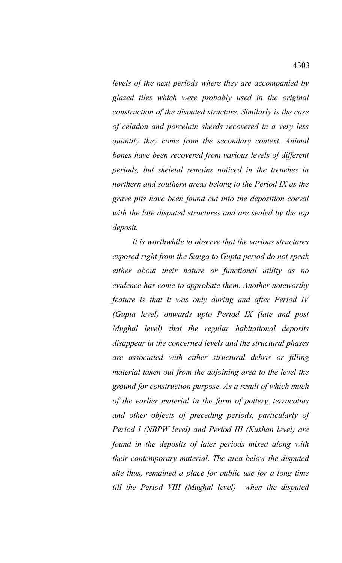*levels of the next periods where they are accompanied by glazed tiles which were probably used in the original construction of the disputed structure. Similarly is the case of celadon and porcelain sherds recovered in a very less quantity they come from the secondary context. Animal bones have been recovered from various levels of different periods, but skeletal remains noticed in the trenches in northern and southern areas belong to the Period IX as the grave pits have been found cut into the deposition coeval with the late disputed structures and are sealed by the top deposit.*

*It is worthwhile to observe that the various structures exposed right from the Sunga to Gupta period do not speak either about their nature or functional utility as no evidence has come to approbate them. Another noteworthy feature is that it was only during and after Period IV (Gupta level) onwards upto Period IX (late and post Mughal level) that the regular habitational deposits disappear in the concerned levels and the structural phases are associated with either structural debris or filling material taken out from the adjoining area to the level the ground for construction purpose. As a result of which much of the earlier material in the form of pottery, terracottas and other objects of preceding periods, particularly of Period I (NBPW level) and Period III (Kushan level) are found in the deposits of later periods mixed along with their contemporary material. The area below the disputed site thus, remained a place for public use for a long time till the Period VIII (Mughal level) when the disputed*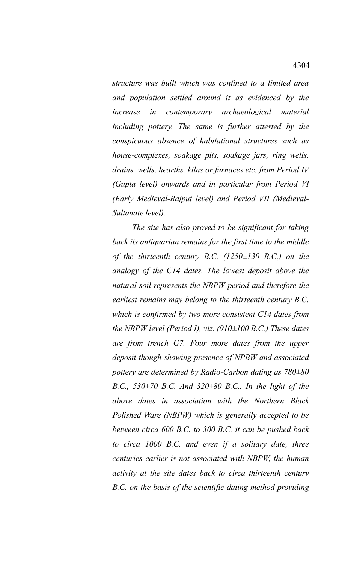*structure was built which was confined to a limited area and population settled around it as evidenced by the increase in contemporary archaeological material including pottery. The same is further attested by the conspicuous absence of habitational structures such as house-complexes, soakage pits, soakage jars, ring wells, drains, wells, hearths, kilns or furnaces etc. from Period IV (Gupta level) onwards and in particular from Period VI (Early Medieval-Rajput level) and Period VII (Medieval-Sultanate level).*

*The site has also proved to be significant for taking back its antiquarian remains for the first time to the middle of the thirteenth century B.C. (1250±130 B.C.) on the analogy of the C14 dates. The lowest deposit above the natural soil represents the NBPW period and therefore the earliest remains may belong to the thirteenth century B.C. which is confirmed by two more consistent C14 dates from the NBPW level (Period I), viz. (910±100 B.C.) These dates are from trench G7. Four more dates from the upper deposit though showing presence of NPBW and associated pottery are determined by Radio-Carbon dating as 780±80 B.C., 530±70 B.C. And 320±80 B.C.. In the light of the above dates in association with the Northern Black Polished Ware (NBPW) which is generally accepted to be between circa 600 B.C. to 300 B.C. it can be pushed back to circa 1000 B.C. and even if a solitary date, three centuries earlier is not associated with NBPW, the human activity at the site dates back to circa thirteenth century B.C. on the basis of the scientific dating method providing*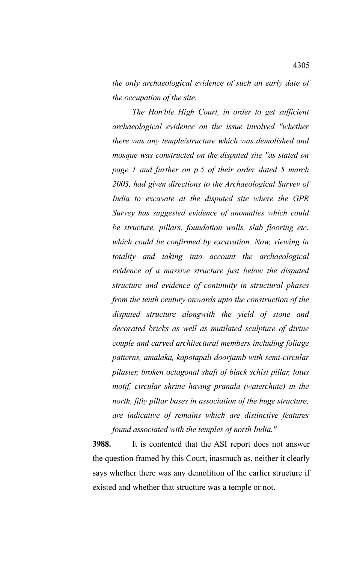*the only archaeological evidence of such an early date of the occupation of the site.*

*The Hon'ble High Court, in order to get sufficient archaeological evidence on the issue involved "whether there was any temple/structure which was demolished and mosque was constructed on the disputed site "as stated on page 1 and further on p.5 of their order dated 5 march 2003, had given directions to the Archaeological Survey of India to excavate at the disputed site where the GPR Survey has suggested evidence of anomalies which could be structure, pillars, foundation walls, slab flooring etc. which could be confirmed by excavation. Now, viewing in totality and taking into account the archaeological evidence of a massive structure just below the disputed structure and evidence of continuity in structural phases from the tenth century onwards upto the construction of the disputed structure alongwith the yield of stone and decorated bricks as well as mutilated sculpture of divine couple and carved architectural members including foliage patterns, amalaka, kapotapali doorjamb with semi-circular pilaster, broken octagonal shaft of black schist pillar, lotus motif, circular shrine having pranala (waterchute) in the north, fifty pillar bases in association of the huge structure, are indicative of remains which are distinctive features found associated with the temples of north India."*

**3988.** It is contented that the ASI report does not answer the question framed by this Court, inasmuch as, neither it clearly says whether there was any demolition of the earlier structure if existed and whether that structure was a temple or not.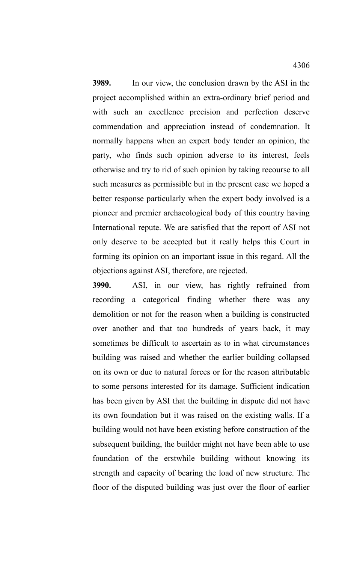**3989.** In our view, the conclusion drawn by the ASI in the project accomplished within an extra-ordinary brief period and with such an excellence precision and perfection deserve commendation and appreciation instead of condemnation. It normally happens when an expert body tender an opinion, the party, who finds such opinion adverse to its interest, feels otherwise and try to rid of such opinion by taking recourse to all such measures as permissible but in the present case we hoped a better response particularly when the expert body involved is a pioneer and premier archaeological body of this country having International repute. We are satisfied that the report of ASI not only deserve to be accepted but it really helps this Court in forming its opinion on an important issue in this regard. All the objections against ASI, therefore, are rejected.

**3990.** ASI, in our view, has rightly refrained from recording a categorical finding whether there was any demolition or not for the reason when a building is constructed over another and that too hundreds of years back, it may sometimes be difficult to ascertain as to in what circumstances building was raised and whether the earlier building collapsed on its own or due to natural forces or for the reason attributable to some persons interested for its damage. Sufficient indication has been given by ASI that the building in dispute did not have its own foundation but it was raised on the existing walls. If a building would not have been existing before construction of the subsequent building, the builder might not have been able to use foundation of the erstwhile building without knowing its strength and capacity of bearing the load of new structure. The floor of the disputed building was just over the floor of earlier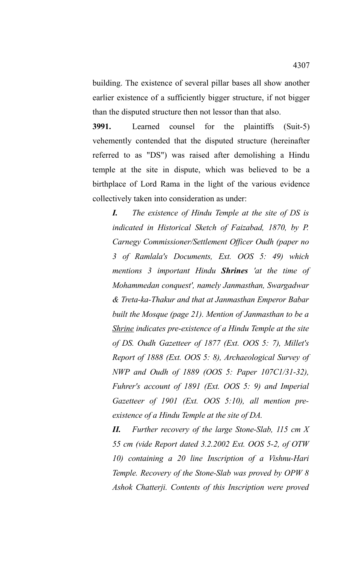building. The existence of several pillar bases all show another earlier existence of a sufficiently bigger structure, if not bigger than the disputed structure then not lessor than that also.

**3991.** Learned counsel for the plaintiffs (Suit-5) vehemently contended that the disputed structure (hereinafter referred to as "DS") was raised after demolishing a Hindu temple at the site in dispute, which was believed to be a birthplace of Lord Rama in the light of the various evidence collectively taken into consideration as under:

*I. The existence of Hindu Temple at the site of DS is indicated in Historical Sketch of Faizabad, 1870, by P. Carnegy Commissioner/Settlement Officer Oudh (paper no 3 of Ramlala's Documents, Ext. OOS 5: 49) which mentions 3 important Hindu Shrines 'at the time of Mohammedan conquest', namely Janmasthan, Swargadwar & Treta-ka-Thakur and that at Janmasthan Emperor Babar built the Mosque (page 21). Mention of Janmasthan to be a Shrine indicates pre-existence of a Hindu Temple at the site of DS. Oudh Gazetteer of 1877 (Ext. OOS 5: 7), Millet's Report of 1888 (Ext. OOS 5: 8), Archaeological Survey of NWP and Oudh of 1889 (OOS 5: Paper 107C1/31-32), Fuhrer's account of 1891 (Ext. OOS 5: 9) and Imperial Gazetteer of 1901 (Ext. OOS 5:10), all mention preexistence of a Hindu Temple at the site of DA.* 

*II. Further recovery of the large Stone-Slab, 115 cm X 55 cm (vide Report dated 3.2.2002 Ext. OOS 5-2, of OTW 10) containing a 20 line Inscription of a Vishnu-Hari Temple. Recovery of the Stone-Slab was proved by OPW 8 Ashok Chatterji. Contents of this Inscription were proved*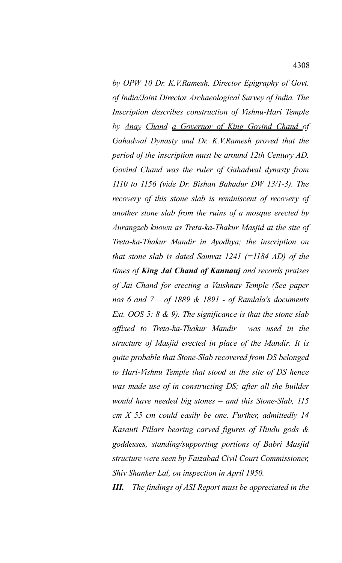*by OPW 10 Dr. K.V.Ramesh, Director Epigraphy of Govt. of India/Joint Director Archaeological Survey of India. The Inscription describes construction of Vishnu-Hari Temple by Anay Chand a Governor of King Govind Chand of Gahadwal Dynasty and Dr. K.V.Ramesh proved that the period of the inscription must be around 12th Century AD. Govind Chand was the ruler of Gahadwal dynasty from 1110 to 1156 (vide Dr. Bishan Bahadur DW 13/1-3). The recovery of this stone slab is reminiscent of recovery of another stone slab from the ruins of a mosque erected by Aurangzeb known as Treta-ka-Thakur Masjid at the site of Treta-ka-Thakur Mandir in Ayodhya; the inscription on that stone slab is dated Samvat 1241 (=1184 AD) of the times of King Jai Chand of Kannauj and records praises of Jai Chand for erecting a Vaishnav Temple (See paper nos 6 and 7 – of 1889 & 1891 - of Ramlala's documents Ext. OOS 5: 8 & 9). The significance is that the stone slab affixed to Treta-ka-Thakur Mandir was used in the structure of Masjid erected in place of the Mandir. It is quite probable that Stone-Slab recovered from DS belonged to Hari-Vishnu Temple that stood at the site of DS hence was made use of in constructing DS; after all the builder would have needed big stones – and this Stone-Slab, 115 cm X 55 cm could easily be one. Further, admittedly 14 Kasauti Pillars bearing carved figures of Hindu gods & goddesses, standing/supporting portions of Babri Masjid structure were seen by Faizabad Civil Court Commissioner, Shiv Shanker Lal, on inspection in April 1950.* 

*III. The findings of ASI Report must be appreciated in the*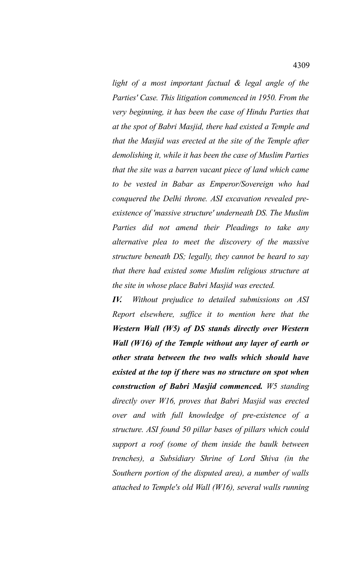*light of a most important factual & legal angle of the Parties' Case. This litigation commenced in 1950. From the very beginning, it has been the case of Hindu Parties that at the spot of Babri Masjid, there had existed a Temple and that the Masjid was erected at the site of the Temple after demolishing it, while it has been the case of Muslim Parties that the site was a barren vacant piece of land which came to be vested in Babar as Emperor/Sovereign who had conquered the Delhi throne. ASI excavation revealed preexistence of 'massive structure' underneath DS. The Muslim Parties did not amend their Pleadings to take any alternative plea to meet the discovery of the massive structure beneath DS; legally, they cannot be heard to say that there had existed some Muslim religious structure at the site in whose place Babri Masjid was erected.*

*IV. Without prejudice to detailed submissions on ASI Report elsewhere, suffice it to mention here that the Western Wall (W5) of DS stands directly over Western Wall (W16) of the Temple without any layer of earth or other strata between the two walls which should have existed at the top if there was no structure on spot when construction of Babri Masjid commenced. W5 standing directly over W16, proves that Babri Masjid was erected over and with full knowledge of pre-existence of a structure. ASI found 50 pillar bases of pillars which could support a roof (some of them inside the baulk between trenches), a Subsidiary Shrine of Lord Shiva (in the Southern portion of the disputed area), a number of walls attached to Temple's old Wall (W16), several walls running*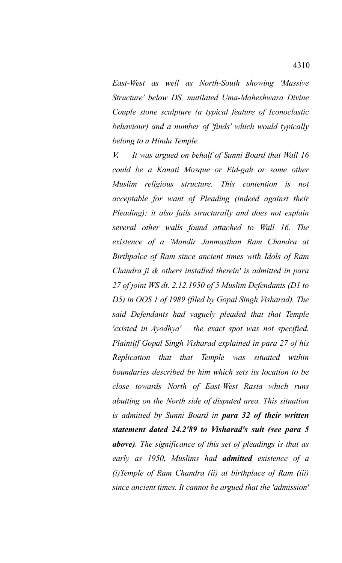*East-West as well as North-South showing 'Massive Structure' below DS, mutilated Uma-Maheshwara Divine Couple stone sculpture (a typical feature of Iconoclastic behaviour) and a number of 'finds' which would typically belong to a Hindu Temple.* 

*V. It was argued on behalf of Sunni Board that Wall 16 could be a Kanati Mosque or Eid-gah or some other Muslim religious structure. This contention is not acceptable for want of Pleading (indeed against their Pleading); it also fails structurally and does not explain several other walls found attached to Wall 16. The existence of a 'Mandir Janmasthan Ram Chandra at Birthpalce of Ram since ancient times with Idols of Ram Chandra ji & others installed therein' is admitted in para 27 of joint WS dt. 2.12.1950 of 5 Muslim Defendants (D1 to D5) in OOS 1 of 1989 (filed by Gopal Singh Visharad). The said Defendants had vaguely pleaded that that Temple 'existed in Ayodhya' – the exact spot was not specified. Plaintiff Gopal Singh Visharad explained in para 27 of his Replication that that Temple was situated within boundaries described by him which sets its location to be close towards North of East-West Rasta which runs abutting on the North side of disputed area. This situation is admitted by Sunni Board in para 32 of their written statement dated 24.2'89 to Visharad's suit (see para 5 above). The significance of this set of pleadings is that as early as 1950, Muslims had admitted existence of a (i)Temple of Ram Chandra (ii) at birthplace of Ram (iii) since ancient times. It cannot be argued that the 'admission'*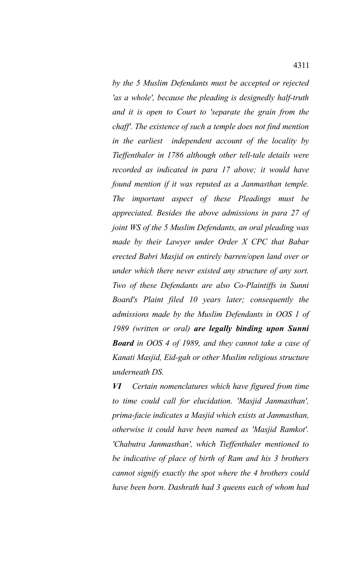*by the 5 Muslim Defendants must be accepted or rejected 'as a whole', because the pleading is designedly half-truth and it is open to Court to 'separate the grain from the chaff'. The existence of such a temple does not find mention in the earliest independent account of the locality by Tieffenthaler in 1786 although other tell-tale details were recorded as indicated in para 17 above; it would have found mention if it was reputed as a Janmasthan temple. The important aspect of these Pleadings must be appreciated. Besides the above admissions in para 27 of joint WS of the 5 Muslim Defendants, an oral pleading was made by their Lawyer under Order X CPC that Babar erected Babri Masjid on entirely barren/open land over or under which there never existed any structure of any sort. Two of these Defendants are also Co-Plaintiffs in Sunni Board's Plaint filed 10 years later; consequently the admissions made by the Muslim Defendants in OOS 1 of 1989 (written or oral) are legally binding upon Sunni Board in OOS 4 of 1989, and they cannot take a case of Kanati Masjid, Eid-gah or other Muslim religious structure underneath DS.*

*VI Certain nomenclatures which have figured from time to time could call for elucidation. 'Masjid Janmasthan', prima-facie indicates a Masjid which exists at Janmasthan, otherwise it could have been named as 'Masjid Ramkot'. 'Chabutra Janmasthan', which Tieffenthaler mentioned to be indicative of place of birth of Ram and his 3 brothers cannot signify exactly the spot where the 4 brothers could have been born. Dashrath had 3 queens each of whom had*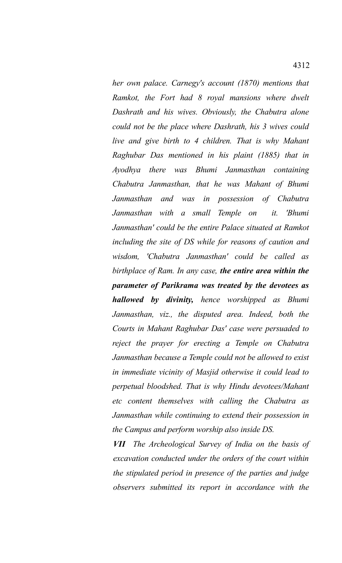*her own palace. Carnegy's account (1870) mentions that Ramkot, the Fort had 8 royal mansions where dwelt Dashrath and his wives. Obviously, the Chabutra alone could not be the place where Dashrath, his 3 wives could live and give birth to 4 children. That is why Mahant Raghubar Das mentioned in his plaint (1885) that in Ayodhya there was Bhumi Janmasthan containing Chabutra Janmasthan, that he was Mahant of Bhumi Janmasthan and was in possession of Chabutra Janmasthan with a small Temple on it. 'Bhumi Janmasthan' could be the entire Palace situated at Ramkot including the site of DS while for reasons of caution and wisdom, 'Chabutra Janmasthan' could be called as birthplace of Ram. In any case, the entire area within the parameter of Parikrama was treated by the devotees as hallowed by divinity, hence worshipped as Bhumi Janmasthan, viz., the disputed area. Indeed, both the Courts in Mahant Raghubar Das' case were persuaded to reject the prayer for erecting a Temple on Chabutra Janmasthan because a Temple could not be allowed to exist in immediate vicinity of Masjid otherwise it could lead to perpetual bloodshed. That is why Hindu devotees/Mahant etc content themselves with calling the Chabutra as Janmasthan while continuing to extend their possession in the Campus and perform worship also inside DS.*

*VII The Archeological Survey of India on the basis of excavation conducted under the orders of the court within the stipulated period in presence of the parties and judge observers submitted its report in accordance with the*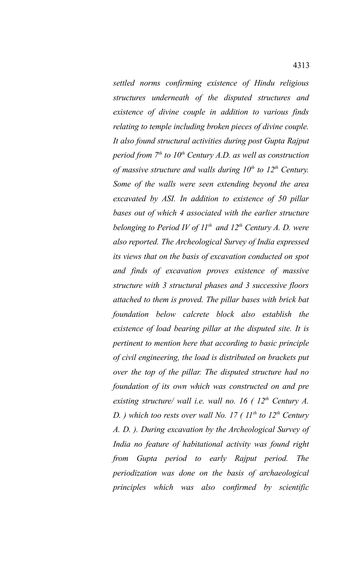*settled norms confirming existence of Hindu religious structures underneath of the disputed structures and existence of divine couple in addition to various finds relating to temple including broken pieces of divine couple. It also found structural activities during post Gupta Rajput period from 7th to 10th Century A.D. as well as construction of massive structure and walls during 10th to 12th Century. Some of the walls were seen extending beyond the area excavated by ASI. In addition to existence of 50 pillar bases out of which 4 associated with the earlier structure belonging to Period IV of 11th and 12th Century A. D. were also reported. The Archeological Survey of India expressed its views that on the basis of excavation conducted on spot and finds of excavation proves existence of massive structure with 3 structural phases and 3 successive floors attached to them is proved. The pillar bases with brick bat foundation below calcrete block also establish the existence of load bearing pillar at the disputed site. It is pertinent to mention here that according to basic principle of civil engineering, the load is distributed on brackets put over the top of the pillar. The disputed structure had no foundation of its own which was constructed on and pre existing structure/ wall i.e. wall no. 16 ( 12th Century A. D. ) which too rests over wall No. 17 ( 11th to 12th Century A. D. ). During excavation by the Archeological Survey of India no feature of habitational activity was found right from Gupta period to early Rajput period. The periodization was done on the basis of archaeological principles which was also confirmed by scientific*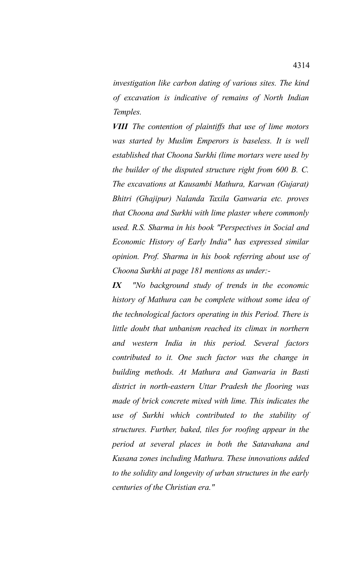*investigation like carbon dating of various sites. The kind of excavation is indicative of remains of North Indian Temples.* 

*VIII The contention of plaintiffs that use of lime motors was started by Muslim Emperors is baseless. It is well established that Choona Surkhi (lime mortars were used by the builder of the disputed structure right from 600 B. C. The excavations at Kausambi Mathura, Karwan (Gujarat) Bhitri (Ghajipur) Nalanda Taxila Ganwaria etc. proves that Choona and Surkhi with lime plaster where commonly used. R.S. Sharma in his book "Perspectives in Social and Economic History of Early India" has expressed similar opinion. Prof. Sharma in his book referring about use of Choona Surkhi at page 181 mentions as under:-*

*IX "No background study of trends in the economic history of Mathura can be complete without some idea of the technological factors operating in this Period. There is little doubt that unbanism reached its climax in northern and western India in this period. Several factors contributed to it. One such factor was the change in building methods. At Mathura and Ganwaria in Basti district in north-eastern Uttar Pradesh the flooring was made of brick concrete mixed with lime. This indicates the use of Surkhi which contributed to the stability of structures. Further, baked, tiles for roofing appear in the period at several places in both the Satavahana and Kusana zones including Mathura. These innovations added to the solidity and longevity of urban structures in the early centuries of the Christian era."*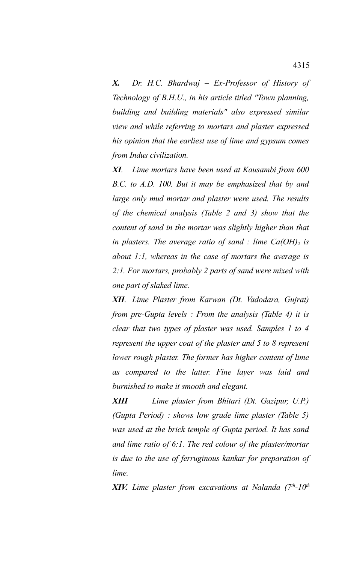*X. Dr. H.C. Bhardwaj – Ex-Professor of History of Technology of B.H.U., in his article titled "Town planning, building and building materials" also expressed similar view and while referring to mortars and plaster expressed his opinion that the earliest use of lime and gypsum comes from Indus civilization.* 

*XI. Lime mortars have been used at Kausambi from 600 B.C. to A.D. 100. But it may be emphasized that by and large only mud mortar and plaster were used. The results of the chemical analysis (Table 2 and 3) show that the content of sand in the mortar was slightly higher than that in plasters. The average ratio of sand : lime Ca(OH)2 is about 1:1, whereas in the case of mortars the average is 2:1. For mortars, probably 2 parts of sand were mixed with one part of slaked lime.*

*XII. Lime Plaster from Karwan (Dt. Vadodara, Gujrat) from pre-Gupta levels : From the analysis (Table 4) it is clear that two types of plaster was used. Samples 1 to 4 represent the upper coat of the plaster and 5 to 8 represent lower rough plaster. The former has higher content of lime as compared to the latter. Fine layer was laid and burnished to make it smooth and elegant.*

*XIII Lime plaster from Bhitari (Dt. Gazipur, U.P.) (Gupta Period) : shows low grade lime plaster (Table 5) was used at the brick temple of Gupta period. It has sand and lime ratio of 6:1. The red colour of the plaster/mortar is due to the use of ferruginous kankar for preparation of lime.*

*XIV. Lime plaster from excavations at Nalanda (7th-10th*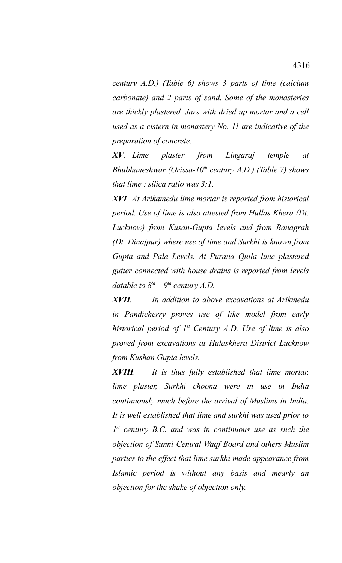*century A.D.) (Table 6) shows 3 parts of lime (calcium carbonate) and 2 parts of sand. Some of the monasteries are thickly plastered. Jars with dried up mortar and a cell used as a cistern in monastery No. 11 are indicative of the preparation of concrete.*

*XV. Lime plaster from Lingaraj temple at Bhubhaneshwar (Orissa-10th century A.D.) (Table 7) shows that lime : silica ratio was 3:1.*

*XVI At Arikamedu lime mortar is reported from historical period. Use of lime is also attested from Hullas Khera (Dt. Lucknow) from Kusan-Gupta levels and from Banagrah (Dt. Dinajpur) where use of time and Surkhi is known from Gupta and Pala Levels. At Purana Quila lime plastered gutter connected with house drains is reported from levels datable to*  $8^{th}$  –  $9^{th}$  *century A.D.* 

*XVII. In addition to above excavations at Arikmedu in Pandicherry proves use of like model from early historical period of 1st Century A.D. Use of lime is also proved from excavations at Hulaskhera District Lucknow from Kushan Gupta levels.* 

*XVIII. It is thus fully established that lime mortar, lime plaster, Surkhi choona were in use in India continuously much before the arrival of Muslims in India. It is well established that lime and surkhi was used prior to 1 st century B.C. and was in continuous use as such the objection of Sunni Central Waqf Board and others Muslim parties to the effect that lime surkhi made appearance from Islamic period is without any basis and mearly an objection for the shake of objection only.*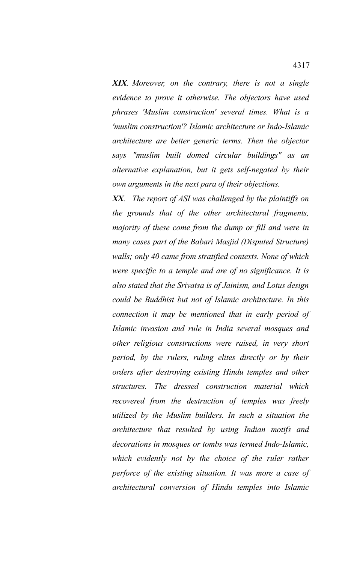*XIX. Moreover, on the contrary, there is not a single evidence to prove it otherwise. The objectors have used phrases 'Muslim construction' several times. What is a 'muslim construction'? Islamic architecture or Indo-Islamic architecture are better generic terms. Then the objector says "muslim built domed circular buildings" as an alternative explanation, but it gets self-negated by their own arguments in the next para of their objections.*

*XX. The report of ASI was challenged by the plaintiffs on the grounds that of the other architectural fragments, majority of these come from the dump or fill and were in many cases part of the Babari Masjid (Disputed Structure) walls; only 40 came from stratified contexts. None of which were specific to a temple and are of no significance. It is also stated that the Srivatsa is of Jainism, and Lotus design could be Buddhist but not of Islamic architecture. In this connection it may be mentioned that in early period of Islamic invasion and rule in India several mosques and other religious constructions were raised, in very short period, by the rulers, ruling elites directly or by their orders after destroying existing Hindu temples and other structures. The dressed construction material which recovered from the destruction of temples was freely utilized by the Muslim builders. In such a situation the architecture that resulted by using Indian motifs and decorations in mosques or tombs was termed Indo-Islamic, which evidently not by the choice of the ruler rather perforce of the existing situation. It was more a case of architectural conversion of Hindu temples into Islamic*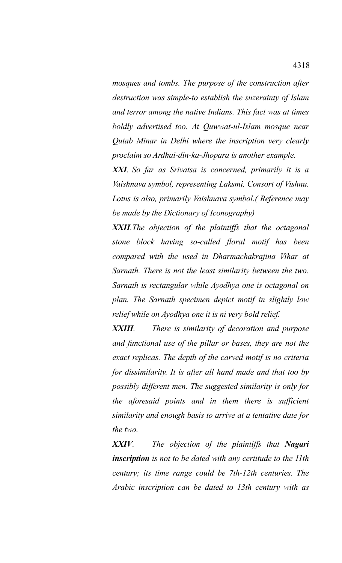*mosques and tombs. The purpose of the construction after destruction was simple-to establish the suzerainty of Islam and terror among the native Indians. This fact was at times boldly advertised too. At Quwwat-ul-Islam mosque near Qutab Minar in Delhi where the inscription very clearly proclaim so Ardhai-din-ka-Jhopara is another example.*

*XXI. So far as Srivatsa is concerned, primarily it is a Vaishnava symbol, representing Laksmi, Consort of Vishnu. Lotus is also, primarily Vaishnava symbol.( Reference may be made by the Dictionary of Iconography)*

*XXII.The objection of the plaintiffs that the octagonal stone block having so-called floral motif has been compared with the used in Dharmachakrajina Vihar at Sarnath. There is not the least similarity between the two. Sarnath is rectangular while Ayodhya one is octagonal on plan. The Sarnath specimen depict motif in slightly low relief while on Ayodhya one it is ni very bold relief.*

*XXIII. There is similarity of decoration and purpose and functional use of the pillar or bases, they are not the exact replicas. The depth of the carved motif is no criteria for dissimilarity. It is after all hand made and that too by possibly different men. The suggested similarity is only for the aforesaid points and in them there is sufficient similarity and enough basis to arrive at a tentative date for the two.*

*XXIV. The objection of the plaintiffs that Nagari inscription is not to be dated with any certitude to the 11th century; its time range could be 7th-12th centuries. The Arabic inscription can be dated to 13th century with as*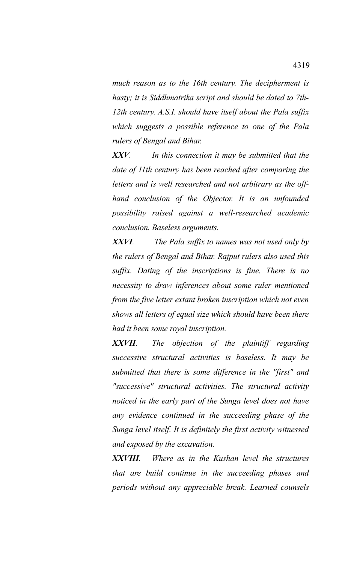*much reason as to the 16th century. The decipherment is hasty; it is Siddhmatrika script and should be dated to 7th-12th century. A.S.I. should have itself about the Pala suffix which suggests a possible reference to one of the Pala rulers of Bengal and Bihar.*

*XXV. In this connection it may be submitted that the date of 11th century has been reached after comparing the letters and is well researched and not arbitrary as the offhand conclusion of the Objector. It is an unfounded possibility raised against a well-researched academic conclusion. Baseless arguments.*

*XXVI. The Pala suffix to names was not used only by the rulers of Bengal and Bihar. Rajput rulers also used this suffix. Dating of the inscriptions is fine. There is no necessity to draw inferences about some ruler mentioned from the five letter extant broken inscription which not even shows all letters of equal size which should have been there had it been some royal inscription.*

*XXVII. The objection of the plaintiff regarding successive structural activities is baseless. It may be submitted that there is some difference in the "first" and "successive" structural activities. The structural activity noticed in the early part of the Sunga level does not have any evidence continued in the succeeding phase of the Sunga level itself. It is definitely the first activity witnessed and exposed by the excavation.*

*XXVIII. Where as in the Kushan level the structures that are build continue in the succeeding phases and periods without any appreciable break. Learned counsels*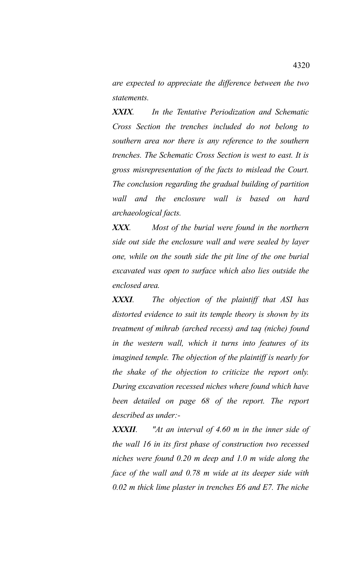*are expected to appreciate the difference between the two statements.*

*XXIX. In the Tentative Periodization and Schematic Cross Section the trenches included do not belong to southern area nor there is any reference to the southern trenches. The Schematic Cross Section is west to east. It is gross misrepresentation of the facts to mislead the Court. The conclusion regarding the gradual building of partition wall and the enclosure wall is based on hard archaeological facts.* 

*XXX. Most of the burial were found in the northern side out side the enclosure wall and were sealed by layer one, while on the south side the pit line of the one burial excavated was open to surface which also lies outside the enclosed area.*

*XXXI. The objection of the plaintiff that ASI has distorted evidence to suit its temple theory is shown by its treatment of mihrab (arched recess) and taq (niche) found in the western wall, which it turns into features of its imagined temple. The objection of the plaintiff is nearly for the shake of the objection to criticize the report only. During excavation recessed niches where found which have been detailed on page 68 of the report. The report described as under:-*

*XXXII. "At an interval of 4.60 m in the inner side of the wall 16 in its first phase of construction two recessed niches were found 0.20 m deep and 1.0 m wide along the face of the wall and 0.78 m wide at its deeper side with 0.02 m thick lime plaster in trenches E6 and E7. The niche*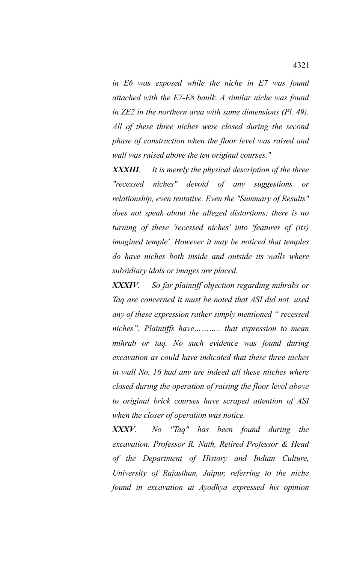*in E6 was exposed while the niche in E7 was found attached with the E7-E8 baulk. A similar niche was found in ZE2 in the northern area with same dimensions (Pl. 49). All of these three niches were closed during the second phase of construction when the floor level was raised and wall was raised above the ten original courses."*

*XXXIII. It is merely the physical description of the three "recessed niches" devoid of any suggestions or relationship, even tentative. Even the "Summary of Results" does not speak about the alleged distortions; there is no turning of these 'recessed niches' into 'features of (its) imagined temple'. However it may be noticed that temples do have niches both inside and outside its walls where subsidiary idols or images are placed.*

*XXXIV. So far plaintiff objection regarding mihrabs or Taq are concerned it must be noted that ASI did not used any of these expression rather simply mentioned " recessed niches". Plaintiffs have……….. that expression to mean mihrab or taq. No such evidence was found during excavation as could have indicated that these three niches in wall No. 16 had any are indeed all these nitches where closed during the operation of raising the floor level above to original brick courses have scraped attention of ASI when the closer of operation was notice.*

*XXXV. No "Taq" has been found during the excavation. Professor R. Nath, Retired Professor & Head of the Department of History and Indian Culture, University of Rajasthan, Jaipur, referring to the niche found in excavation at Ayodhya expressed his opinion*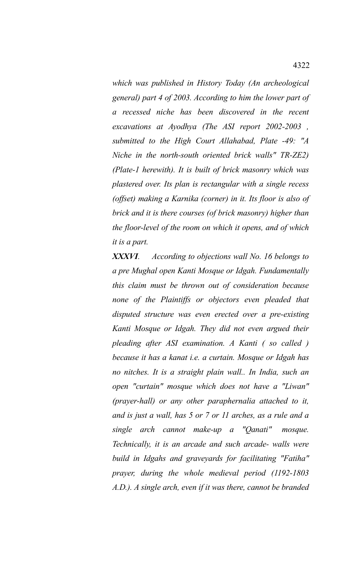*which was published in History Today (An archeological general) part 4 of 2003. According to him the lower part of a recessed niche has been discovered in the recent excavations at Ayodhya (The ASI report 2002-2003 , submitted to the High Court Allahabad, Plate -49: "A Niche in the north-south oriented brick walls" TR-ZE2) (Plate-1 herewith). It is built of brick masonry which was plastered over. Its plan is rectangular with a single recess (offset) making a Karnika (corner) in it. Its floor is also of brick and it is there courses (of brick masonry) higher than the floor-level of the room on which it opens, and of which it is a part.*

*XXXVI. According to objections wall No. 16 belongs to a pre Mughal open Kanti Mosque or Idgah. Fundamentally this claim must be thrown out of consideration because none of the Plaintiffs or objectors even pleaded that disputed structure was even erected over a pre-existing Kanti Mosque or Idgah. They did not even argued their pleading after ASI examination. A Kanti ( so called ) because it has a kanat i.e. a curtain. Mosque or Idgah has no nitches. It is a straight plain wall.. In India, such an open "curtain" mosque which does not have a "Liwan" (prayer-hall) or any other paraphernalia attached to it, and is just a wall, has 5 or 7 or 11 arches, as a rule and a single arch cannot make-up a "Qanati" mosque. Technically, it is an arcade and such arcade- walls were build in Idgahs and graveyards for facilitating "Fatiha" prayer, during the whole medieval period (1192-1803 A.D.). A single arch, even if it was there, cannot be branded*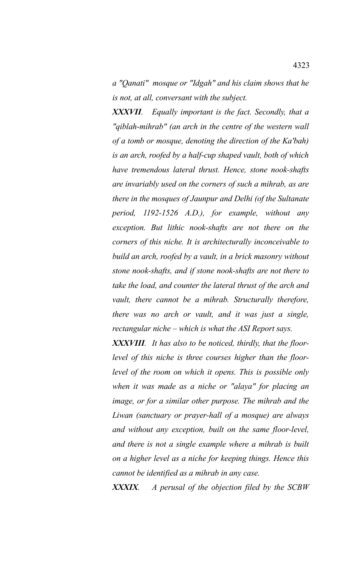*a "Qanati" mosque or "Idgah" and his claim shows that he is not, at all, conversant with the subject.*

*XXXVII. Equally important is the fact. Secondly, that a "qiblah-mihrab" (an arch in the centre of the western wall of a tomb or mosque, denoting the direction of the Ka'bah) is an arch, roofed by a half-cup shaped vault, both of which have tremendous lateral thrust. Hence, stone nook-shafts are invariably used on the corners of such a mihrab, as are there in the mosques of Jaunpur and Delhi (of the Sultanate period, 1192-1526 A.D.), for example, without any exception. But lithic nook-shafts are not there on the corners of this niche. It is architecturally inconceivable to build an arch, roofed by a vault, in a brick masonry without stone nook-shafts, and if stone nook-shafts are not there to take the load, and counter the lateral thrust of the arch and vault, there cannot be a mihrab. Structurally therefore, there was no arch or vault, and it was just a single, rectangular niche – which is what the ASI Report says.*

*XXXVIII. It has also to be noticed, thirdly, that the floorlevel of this niche is three courses higher than the floorlevel of the room on which it opens. This is possible only when it was made as a niche or "alaya" for placing an image, or for a similar other purpose. The mihrab and the Liwan (sanctuary or prayer-hall of a mosque) are always and without any exception, built on the same floor-level, and there is not a single example where a mihrab is built on a higher level as a niche for keeping things. Hence this cannot be identified as a mihrab in any case.* 

*XXXIX. A perusal of the objection filed by the SCBW*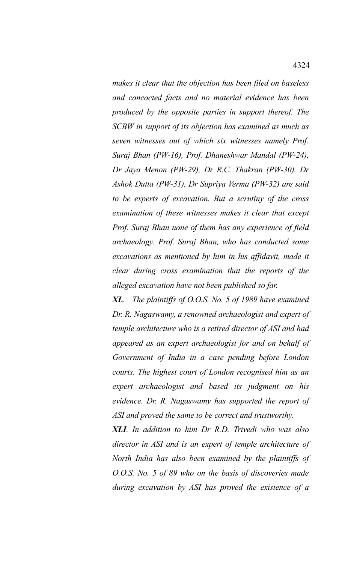*makes it clear that the objection has been filed on baseless and concocted facts and no material evidence has been produced by the opposite parties in support thereof. The SCBW in support of its objection has examined as much as seven witnesses out of which six witnesses namely Prof. Suraj Bhan (PW-16), Prof. Dhaneshwar Mandal (PW-24), Dr Jaya Menon (PW-29), Dr R.C. Thakran (PW-30), Dr Ashok Dutta (PW-31), Dr Supriya Verma (PW-32) are said to be experts of excavation. But a scrutiny of the cross examination of these witnesses makes it clear that except Prof. Suraj Bhan none of them has any experience of field archaeology. Prof. Suraj Bhan, who has conducted some excavations as mentioned by him in his affidavit, made it clear during cross examination that the reports of the alleged excavation have not been published so far.* 

*XL. The plaintiffs of O.O.S. No. 5 of 1989 have examined Dr. R. Nagaswamy, a renowned archaeologist and expert of temple architecture who is a retired director of ASI and had appeared as an expert archaeologist for and on behalf of Government of India in a case pending before London courts. The highest court of London recognised him as an expert archaeologist and based its judgment on his evidence. Dr. R. Nagaswamy has supported the report of ASI and proved the same to be correct and trustworthy.*

*XLI. In addition to him Dr R.D. Trivedi who was also director in ASI and is an expert of temple architecture of North India has also been examined by the plaintiffs of O.O.S. No. 5 of 89 who on the basis of discoveries made during excavation by ASI has proved the existence of a*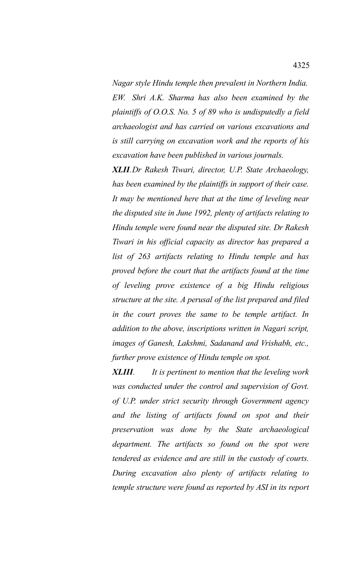*Nagar style Hindu temple then prevalent in Northern India. EW. Shri A.K. Sharma has also been examined by the plaintiffs of O.O.S. No. 5 of 89 who is undisputedly a field archaeologist and has carried on various excavations and is still carrying on excavation work and the reports of his excavation have been published in various journals.* 

*XLII.Dr Rakesh Tiwari, director, U.P. State Archaeology, has been examined by the plaintiffs in support of their case. It may be mentioned here that at the time of leveling near the disputed site in June 1992, plenty of artifacts relating to Hindu temple were found near the disputed site. Dr Rakesh Tiwari in his official capacity as director has prepared a list of 263 artifacts relating to Hindu temple and has proved before the court that the artifacts found at the time of leveling prove existence of a big Hindu religious structure at the site. A perusal of the list prepared and filed in the court proves the same to be temple artifact. In addition to the above, inscriptions written in Nagari script, images of Ganesh, Lakshmi, Sadanand and Vrishabh, etc., further prove existence of Hindu temple on spot.*

*XLIII. It is pertinent to mention that the leveling work was conducted under the control and supervision of Govt. of U.P. under strict security through Government agency and the listing of artifacts found on spot and their preservation was done by the State archaeological department. The artifacts so found on the spot were tendered as evidence and are still in the custody of courts. During excavation also plenty of artifacts relating to temple structure were found as reported by ASI in its report*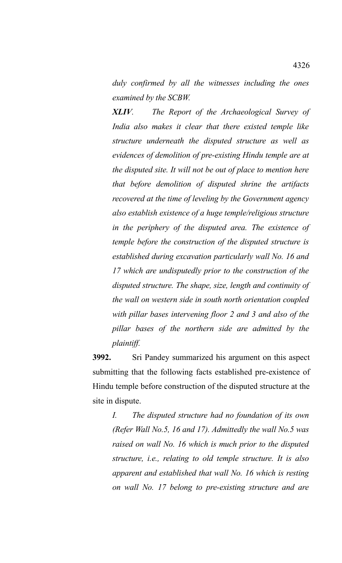*duly confirmed by all the witnesses including the ones examined by the SCBW.*

*XLIV. The Report of the Archaeological Survey of India also makes it clear that there existed temple like structure underneath the disputed structure as well as evidences of demolition of pre-existing Hindu temple are at the disputed site. It will not be out of place to mention here that before demolition of disputed shrine the artifacts recovered at the time of leveling by the Government agency also establish existence of a huge temple/religious structure in the periphery of the disputed area. The existence of temple before the construction of the disputed structure is established during excavation particularly wall No. 16 and 17 which are undisputedly prior to the construction of the disputed structure. The shape, size, length and continuity of the wall on western side in south north orientation coupled with pillar bases intervening floor 2 and 3 and also of the pillar bases of the northern side are admitted by the plaintiff.* 

**3992.** Sri Pandey summarized his argument on this aspect submitting that the following facts established pre-existence of Hindu temple before construction of the disputed structure at the site in dispute.

*I. The disputed structure had no foundation of its own (Refer Wall No.5, 16 and 17). Admittedly the wall No.5 was raised on wall No. 16 which is much prior to the disputed structure, i.e., relating to old temple structure. It is also apparent and established that wall No. 16 which is resting on wall No. 17 belong to pre-existing structure and are*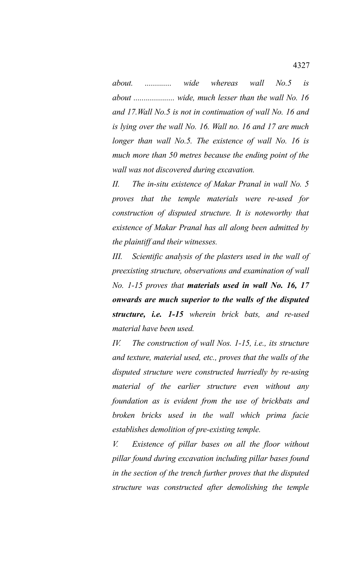*about. ............. wide whereas wall No.5 is about .................... wide, much lesser than the wall No. 16 and 17.Wall No.5 is not in continuation of wall No. 16 and is lying over the wall No. 16. Wall no. 16 and 17 are much longer than wall No.5. The existence of wall No. 16 is much more than 50 metres because the ending point of the wall was not discovered during excavation.* 

*II. The in-situ existence of Makar Pranal in wall No. 5 proves that the temple materials were re-used for construction of disputed structure. It is noteworthy that existence of Makar Pranal has all along been admitted by the plaintiff and their witnesses.* 

*III. Scientific analysis of the plasters used in the wall of preexisting structure, observations and examination of wall No. 1-15 proves that materials used in wall No. 16, 17 onwards are much superior to the walls of the disputed structure, i.e. 1-15 wherein brick bats, and re-used material have been used.* 

*IV. The construction of wall Nos. 1-15, i.e., its structure and texture, material used, etc., proves that the walls of the disputed structure were constructed hurriedly by re-using material of the earlier structure even without any foundation as is evident from the use of brickbats and broken bricks used in the wall which prima facie establishes demolition of pre-existing temple.* 

*V. Existence of pillar bases on all the floor without pillar found during excavation including pillar bases found in the section of the trench further proves that the disputed structure was constructed after demolishing the temple*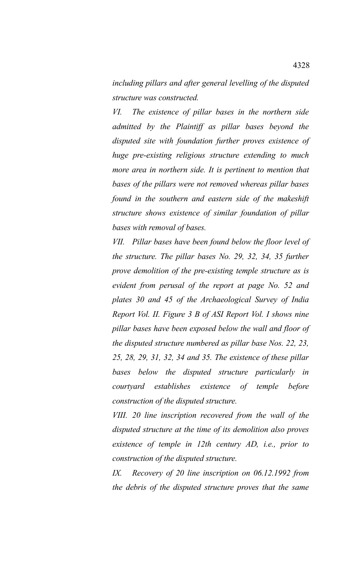*including pillars and after general levelling of the disputed structure was constructed.* 

*VI. The existence of pillar bases in the northern side admitted by the Plaintiff as pillar bases beyond the disputed site with foundation further proves existence of huge pre-existing religious structure extending to much more area in northern side. It is pertinent to mention that bases of the pillars were not removed whereas pillar bases found in the southern and eastern side of the makeshift structure shows existence of similar foundation of pillar bases with removal of bases.* 

*VII. Pillar bases have been found below the floor level of the structure. The pillar bases No. 29, 32, 34, 35 further prove demolition of the pre-existing temple structure as is evident from perusal of the report at page No. 52 and plates 30 and 45 of the Archaeological Survey of India Report Vol. II. Figure 3 B of ASI Report Vol. I shows nine pillar bases have been exposed below the wall and floor of the disputed structure numbered as pillar base Nos. 22, 23, 25, 28, 29, 31, 32, 34 and 35. The existence of these pillar bases below the disputed structure particularly in courtyard establishes existence of temple before construction of the disputed structure.*

*VIII. 20 line inscription recovered from the wall of the disputed structure at the time of its demolition also proves existence of temple in 12th century AD, i.e., prior to construction of the disputed structure.*

*IX. Recovery of 20 line inscription on 06.12.1992 from the debris of the disputed structure proves that the same*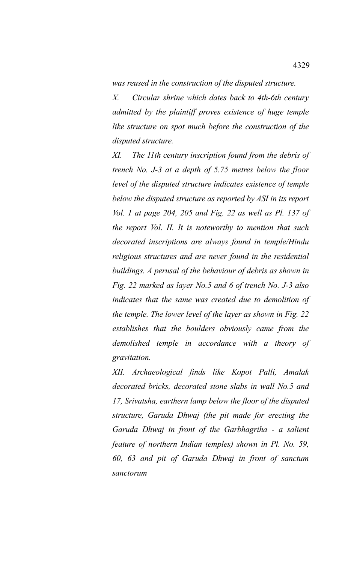*was reused in the construction of the disputed structure.* 

*X. Circular shrine which dates back to 4th-6th century admitted by the plaintiff proves existence of huge temple like structure on spot much before the construction of the disputed structure.*

*XI. The 11th century inscription found from the debris of trench No. J-3 at a depth of 5.75 metres below the floor level of the disputed structure indicates existence of temple below the disputed structure as reported by ASI in its report Vol. 1 at page 204, 205 and Fig. 22 as well as Pl. 137 of the report Vol. II. It is noteworthy to mention that such decorated inscriptions are always found in temple/Hindu religious structures and are never found in the residential buildings. A perusal of the behaviour of debris as shown in Fig. 22 marked as layer No.5 and 6 of trench No. J-3 also indicates that the same was created due to demolition of the temple. The lower level of the layer as shown in Fig. 22 establishes that the boulders obviously came from the demolished temple in accordance with a theory of gravitation.* 

*XII. Archaeological finds like Kopot Palli, Amalak decorated bricks, decorated stone slabs in wall No.5 and 17, Srivatsha, earthern lamp below the floor of the disputed structure, Garuda Dhwaj (the pit made for erecting the Garuda Dhwaj in front of the Garbhagriha - a salient feature of northern Indian temples) shown in Pl. No. 59, 60, 63 and pit of Garuda Dhwaj in front of sanctum sanctorum*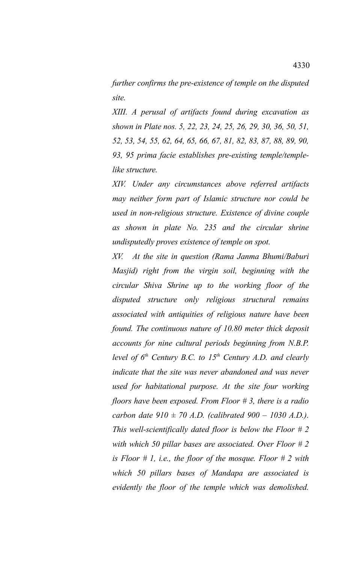*further confirms the pre-existence of temple on the disputed site.* 

*XIII. A perusal of artifacts found during excavation as shown in Plate nos. 5, 22, 23, 24, 25, 26, 29, 30, 36, 50, 51, 52, 53, 54, 55, 62, 64, 65, 66, 67, 81, 82, 83, 87, 88, 89, 90, 93, 95 prima facie establishes pre-existing temple/templelike structure.* 

*XIV. Under any circumstances above referred artifacts may neither form part of Islamic structure nor could be used in non-religious structure. Existence of divine couple as shown in plate No. 235 and the circular shrine undisputedly proves existence of temple on spot.* 

*XV. At the site in question (Rama Janma Bhumi/Baburi Masjid) right from the virgin soil, beginning with the circular Shiva Shrine up to the working floor of the disputed structure only religious structural remains associated with antiquities of religious nature have been found. The continuous nature of 10.80 meter thick deposit accounts for nine cultural periods beginning from N.B.P. level of 6th Century B.C. to 15th Century A.D. and clearly indicate that the site was never abandoned and was never used for habitational purpose. At the site four working floors have been exposed. From Floor # 3, there is a radio carbon date 910 ± 70 A.D. (calibrated 900 – 1030 A.D.). This well-scientifically dated floor is below the Floor # 2 with which 50 pillar bases are associated. Over Floor # 2 is Floor # 1, i.e., the floor of the mosque. Floor # 2 with which 50 pillars bases of Mandapa are associated is evidently the floor of the temple which was demolished.*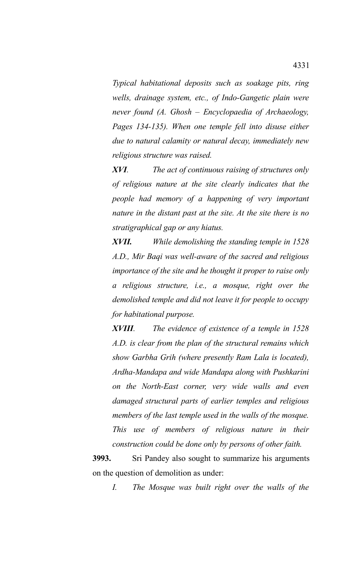*Typical habitational deposits such as soakage pits, ring wells, drainage system, etc., of Indo-Gangetic plain were never found (A. Ghosh – Encyclopaedia of Archaeology, Pages 134-135). When one temple fell into disuse either due to natural calamity or natural decay, immediately new religious structure was raised.*

*XVI. The act of continuous raising of structures only of religious nature at the site clearly indicates that the people had memory of a happening of very important nature in the distant past at the site. At the site there is no stratigraphical gap or any hiatus.* 

*XVII. While demolishing the standing temple in 1528 A.D., Mir Baqi was well-aware of the sacred and religious importance of the site and he thought it proper to raise only a religious structure, i.e., a mosque, right over the demolished temple and did not leave it for people to occupy for habitational purpose.*

*XVIII. The evidence of existence of a temple in 1528 A.D. is clear from the plan of the structural remains which show Garbha Grih (where presently Ram Lala is located), Ardha-Mandapa and wide Mandapa along with Pushkarini on the North-East corner, very wide walls and even damaged structural parts of earlier temples and religious members of the last temple used in the walls of the mosque. This use of members of religious nature in their construction could be done only by persons of other faith.* 

**3993.** Sri Pandey also sought to summarize his arguments on the question of demolition as under:

*I. The Mosque was built right over the walls of the*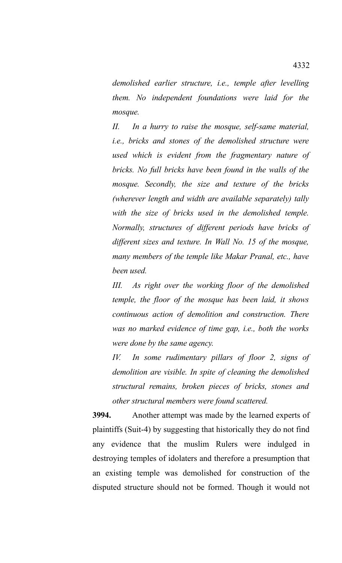*demolished earlier structure, i.e., temple after levelling them. No independent foundations were laid for the mosque.*

*II. In a hurry to raise the mosque, self-same material, i.e., bricks and stones of the demolished structure were used which is evident from the fragmentary nature of bricks. No full bricks have been found in the walls of the mosque. Secondly, the size and texture of the bricks (wherever length and width are available separately) tally with the size of bricks used in the demolished temple. Normally, structures of different periods have bricks of different sizes and texture. In Wall No. 15 of the mosque, many members of the temple like Makar Pranal, etc., have been used.*

*III. As right over the working floor of the demolished temple, the floor of the mosque has been laid, it shows continuous action of demolition and construction. There was no marked evidence of time gap, i.e., both the works were done by the same agency.*

*IV. In some rudimentary pillars of floor 2, signs of demolition are visible. In spite of cleaning the demolished structural remains, broken pieces of bricks, stones and other structural members were found scattered.*

**3994.** Another attempt was made by the learned experts of plaintiffs (Suit-4) by suggesting that historically they do not find any evidence that the muslim Rulers were indulged in destroying temples of idolaters and therefore a presumption that an existing temple was demolished for construction of the disputed structure should not be formed. Though it would not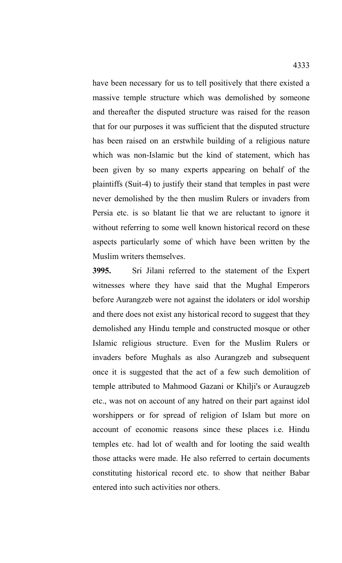have been necessary for us to tell positively that there existed a massive temple structure which was demolished by someone and thereafter the disputed structure was raised for the reason that for our purposes it was sufficient that the disputed structure has been raised on an erstwhile building of a religious nature which was non-Islamic but the kind of statement, which has been given by so many experts appearing on behalf of the plaintiffs (Suit-4) to justify their stand that temples in past were never demolished by the then muslim Rulers or invaders from Persia etc. is so blatant lie that we are reluctant to ignore it without referring to some well known historical record on these aspects particularly some of which have been written by the Muslim writers themselves.

**3995.** Sri Jilani referred to the statement of the Expert witnesses where they have said that the Mughal Emperors before Aurangzeb were not against the idolaters or idol worship and there does not exist any historical record to suggest that they demolished any Hindu temple and constructed mosque or other Islamic religious structure. Even for the Muslim Rulers or invaders before Mughals as also Aurangzeb and subsequent once it is suggested that the act of a few such demolition of temple attributed to Mahmood Gazani or Khilji's or Auraugzeb etc., was not on account of any hatred on their part against idol worshippers or for spread of religion of Islam but more on account of economic reasons since these places i.e. Hindu temples etc. had lot of wealth and for looting the said wealth those attacks were made. He also referred to certain documents constituting historical record etc. to show that neither Babar entered into such activities nor others.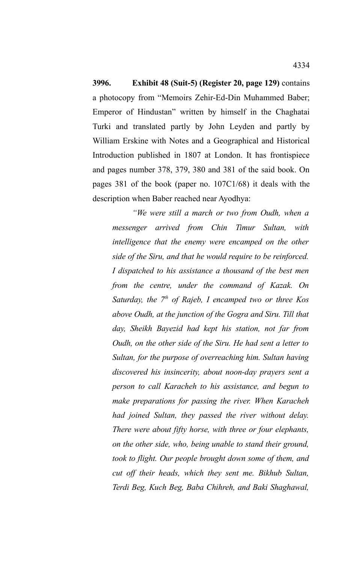**3996. Exhibit 48 (Suit-5) (Register 20, page 129)** contains a photocopy from "Memoirs Zehir-Ed-Din Muhammed Baber; Emperor of Hindustan" written by himself in the Chaghatai Turki and translated partly by John Leyden and partly by William Erskine with Notes and a Geographical and Historical Introduction published in 1807 at London. It has frontispiece and pages number 378, 379, 380 and 381 of the said book. On pages 381 of the book (paper no. 107C1/68) it deals with the description when Baber reached near Ayodhya:

*"We were still a march or two from Oudh, when a messenger arrived from Chin Timur Sultan, with intelligence that the enemy were encamped on the other side of the Siru, and that he would require to be reinforced. I dispatched to his assistance a thousand of the best men from the centre, under the command of Kazak. On Saturday, the 7th of Rajeb, I encamped two or three Kos above Oudh, at the junction of the Gogra and Siru. Till that day, Sheikh Bayezid had kept his station, not far from Oudh, on the other side of the Siru. He had sent a letter to Sultan, for the purpose of overreaching him. Sultan having discovered his insincerity, about noon-day prayers sent a person to call Karacheh to his assistance, and begun to make preparations for passing the river. When Karacheh had joined Sultan, they passed the river without delay. There were about fifty horse, with three or four elephants, on the other side, who, being unable to stand their ground, took to flight. Our people brought down some of them, and cut off their heads, which they sent me. Bikhub Sultan, Terdi Beg, Kuch Beg, Baba Chihreh, and Baki Shaghawal,*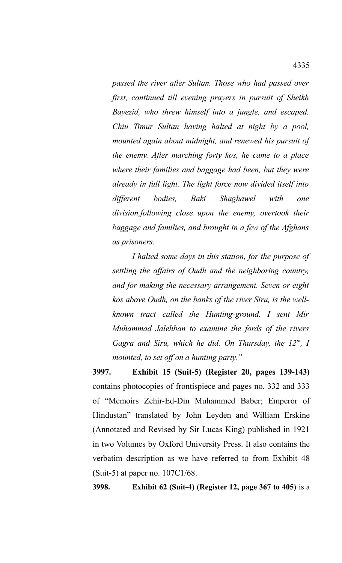*passed the river after Sultan. Those who had passed over first, continued till evening prayers in pursuit of Sheikh Bayezid, who threw himself into a jungle, and escaped. Chiu Timur Sultan having halted at night by a pool, mounted again about midnight, and renewed his pursuit of the enemy. After marching forty kos, he came to a place where their families and baggage had been, but they were already in full light. The light force now divided itself into different bodies, Baki Shaghawel with one division,following close upon the enemy, overtook their baggage and families, and brought in a few of the Afghans as prisoners.* 

*I halted some days in this station, for the purpose of settling the affairs of Oudh and the neighboring country, and for making the necessary arrangement. Seven or eight kos above Oudh, on the banks of the river Siru, is the wellknown tract called the Hunting-ground. I sent Mir Muhammad Jalehban to examine the fords of the rivers Gagra and Siru, which he did. On Thursday, the 12th, I mounted, to set off on a hunting party."*

**3997. Exhibit 15 (Suit-5) (Register 20, pages 139-143)** contains photocopies of frontispiece and pages no. 332 and 333 of "Memoirs Zehir-Ed-Din Muhammed Baber; Emperor of Hindustan" translated by John Leyden and William Erskine (Annotated and Revised by Sir Lucas King) published in 1921 in two Volumes by Oxford University Press. It also contains the verbatim description as we have referred to from Exhibit 48 (Suit-5) at paper no. 107C1/68.

**3998. Exhibit 62 (Suit-4) (Register 12, page 367 to 405)** is a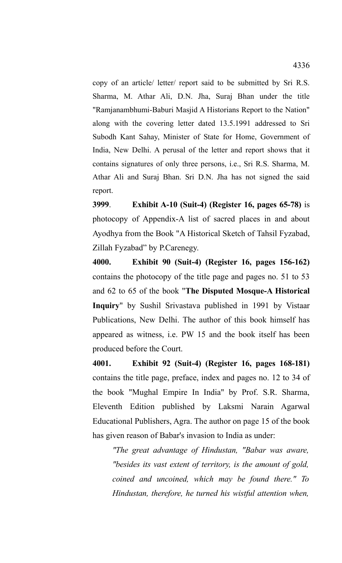copy of an article/ letter/ report said to be submitted by Sri R.S. Sharma, M. Athar Ali, D.N. Jha, Suraj Bhan under the title "Ramjanambhumi-Baburi Masjid A Historians Report to the Nation" along with the covering letter dated 13.5.1991 addressed to Sri Subodh Kant Sahay, Minister of State for Home, Government of India, New Delhi. A perusal of the letter and report shows that it contains signatures of only three persons, i.e., Sri R.S. Sharma, M. Athar Ali and Suraj Bhan. Sri D.N. Jha has not signed the said report.

**3999**. **Exhibit A-10 (Suit-4) (Register 16, pages 65-78)** is photocopy of Appendix-A list of sacred places in and about Ayodhya from the Book "A Historical Sketch of Tahsil Fyzabad, Zillah Fyzabad" by P.Carenegy.

**4000. Exhibit 90 (Suit-4) (Register 16, pages 156-162)** contains the photocopy of the title page and pages no. 51 to 53 and 62 to 65 of the book "**The Disputed Mosque-A Historical Inquiry**" by Sushil Srivastava published in 1991 by Vistaar Publications, New Delhi. The author of this book himself has appeared as witness, i.e. PW 15 and the book itself has been produced before the Court.

**4001. Exhibit 92 (Suit-4) (Register 16, pages 168-181)** contains the title page, preface, index and pages no. 12 to 34 of the book "Mughal Empire In India" by Prof. S.R. Sharma, Eleventh Edition published by Laksmi Narain Agarwal Educational Publishers, Agra. The author on page 15 of the book has given reason of Babar's invasion to India as under:

*"The great advantage of Hindustan, "Babar was aware, "besides its vast extent of territory, is the amount of gold, coined and uncoined, which may be found there." To Hindustan, therefore, he turned his wistful attention when,*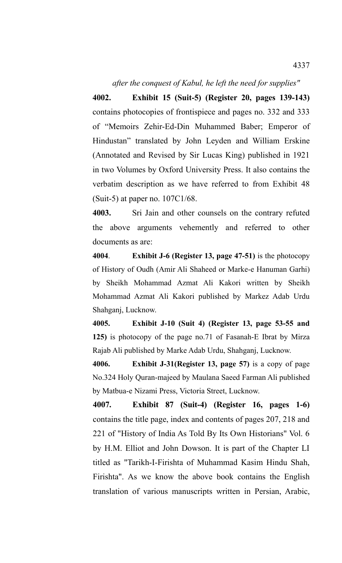*after the conquest of Kabul, he left the need for supplies"*

**4002. Exhibit 15 (Suit-5) (Register 20, pages 139-143)** contains photocopies of frontispiece and pages no. 332 and 333 of "Memoirs Zehir-Ed-Din Muhammed Baber; Emperor of Hindustan" translated by John Leyden and William Erskine (Annotated and Revised by Sir Lucas King) published in 1921 in two Volumes by Oxford University Press. It also contains the verbatim description as we have referred to from Exhibit 48 (Suit-5) at paper no. 107C1/68.

**4003.** Sri Jain and other counsels on the contrary refuted the above arguments vehemently and referred to other documents as are:

**4004**. **Exhibit J-6 (Register 13, page 47-51)** is the photocopy of History of Oudh (Amir Ali Shaheed or Marke-e Hanuman Garhi) by Sheikh Mohammad Azmat Ali Kakori written by Sheikh Mohammad Azmat Ali Kakori published by Markez Adab Urdu Shahganj, Lucknow.

**4005. Exhibit J-10 (Suit 4) (Register 13, page 53-55 and 125)** is photocopy of the page no.71 of Fasanah-E Ibrat by Mirza Rajab Ali published by Marke Adab Urdu, Shahganj, Lucknow.

**4006. Exhibit J-31(Register 13, page 57)** is a copy of page No.324 Holy Quran-majeed by Maulana Saeed Farman Ali published by Matbua-e Nizami Press, Victoria Street, Lucknow.

**4007. Exhibit 87 (Suit-4) (Register 16, pages 1-6)** contains the title page, index and contents of pages 207, 218 and 221 of "History of India As Told By Its Own Historians" Vol. 6 by H.M. Elliot and John Dowson. It is part of the Chapter LI titled as "Tarikh-I-Firishta of Muhammad Kasim Hindu Shah, Firishta". As we know the above book contains the English translation of various manuscripts written in Persian, Arabic,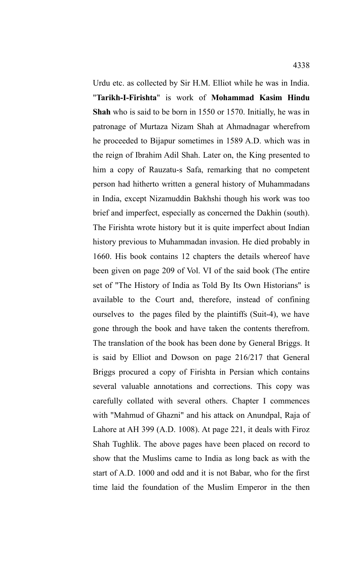Urdu etc. as collected by Sir H.M. Elliot while he was in India. "**Tarikh-I-Firishta**" is work of **Mohammad Kasim Hindu Shah** who is said to be born in 1550 or 1570. Initially, he was in patronage of Murtaza Nizam Shah at Ahmadnagar wherefrom he proceeded to Bijapur sometimes in 1589 A.D. which was in the reign of Ibrahim Adil Shah. Later on, the King presented to him a copy of Rauzatu-s Safa, remarking that no competent person had hitherto written a general history of Muhammadans in India, except Nizamuddin Bakhshi though his work was too brief and imperfect, especially as concerned the Dakhin (south). The Firishta wrote history but it is quite imperfect about Indian history previous to Muhammadan invasion. He died probably in 1660. His book contains 12 chapters the details whereof have been given on page 209 of Vol. VI of the said book (The entire set of "The History of India as Told By Its Own Historians" is available to the Court and, therefore, instead of confining ourselves to the pages filed by the plaintiffs (Suit-4), we have gone through the book and have taken the contents therefrom. The translation of the book has been done by General Briggs. It is said by Elliot and Dowson on page 216/217 that General Briggs procured a copy of Firishta in Persian which contains several valuable annotations and corrections. This copy was carefully collated with several others. Chapter I commences with "Mahmud of Ghazni" and his attack on Anundpal, Raja of Lahore at AH 399 (A.D. 1008). At page 221, it deals with Firoz Shah Tughlik. The above pages have been placed on record to show that the Muslims came to India as long back as with the start of A.D. 1000 and odd and it is not Babar, who for the first time laid the foundation of the Muslim Emperor in the then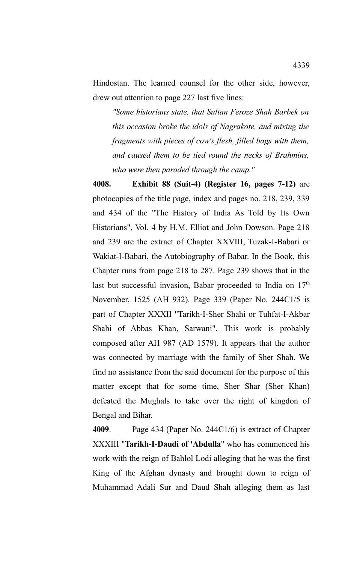Hindostan. The learned counsel for the other side, however, drew out attention to page 227 last five lines:

*"Some historians state, that Sultan Feroze Shah Barbek on this occasion broke the idols of Nagrakote, and mixing the fragments with pieces of cow's flesh, filled bags with them, and caused them to be tied round the necks of Brahmins, who were then paraded through the camp."*

**4008. Exhibit 88 (Suit-4) (Register 16, pages 7-12)** are photocopies of the title page, index and pages no. 218, 239, 339 and 434 of the "The History of India As Told by Its Own Historians", Vol. 4 by H.M. Elliot and John Dowson. Page 218 and 239 are the extract of Chapter XXVIII, Tuzak-I-Babari or Wakiat-I-Babari, the Autobiography of Babar. In the Book, this Chapter runs from page 218 to 287. Page 239 shows that in the last but successful invasion, Babar proceeded to India on  $17<sup>th</sup>$ November, 1525 (AH 932). Page 339 (Paper No. 244C1/5 is part of Chapter XXXII "Tarikh-I-Sher Shahi or Tuhfat-I-Akbar Shahi of Abbas Khan, Sarwani". This work is probably composed after AH 987 (AD 1579). It appears that the author was connected by marriage with the family of Sher Shah. We find no assistance from the said document for the purpose of this matter except that for some time, Sher Shar (Sher Khan) defeated the Mughals to take over the right of kingdon of Bengal and Bihar.

**4009**. Page 434 (Paper No. 244C1/6) is extract of Chapter XXXIII "**Tarikh-I-Daudi of 'Abdulla**" who has commenced his work with the reign of Bahlol Lodi alleging that he was the first King of the Afghan dynasty and brought down to reign of Muhammad Adali Sur and Daud Shah alleging them as last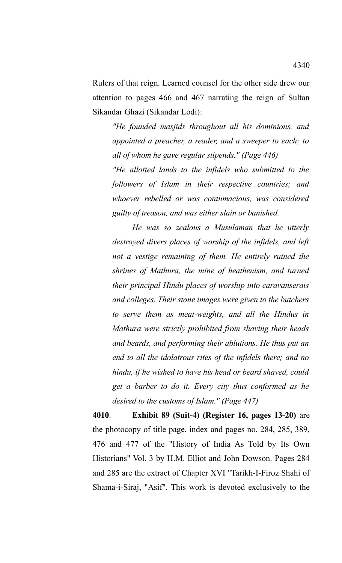Rulers of that reign. Learned counsel for the other side drew our attention to pages 466 and 467 narrating the reign of Sultan Sikandar Ghazi (Sikandar Lodi):

*"He founded masjids throughout all his dominions, and appointed a preacher, a reader, and a sweeper to each; to all of whom he gave regular stipends." (Page 446)*

*"He allotted lands to the infidels who submitted to the followers of Islam in their respective countries; and whoever rebelled or was contumacious, was considered guilty of treason, and was either slain or banished.*

*He was so zealous a Musulaman that he utterly destroyed divers places of worship of the infidels, and left not a vestige remaining of them. He entirely ruined the shrines of Mathura, the mine of heathenism, and turned their principal Hindu places of worship into caravanserais and colleges. Their stone images were given to the butchers to serve them as meat-weights, and all the Hindus in Mathura were strictly prohibited from shaving their heads and beards, and performing their ablutions. He thus put an end to all the idolatrous rites of the infidels there; and no hindu, if he wished to have his head or beard shaved, could get a barber to do it. Every city thus conformed as he desired to the customs of Islam." (Page 447)*

**4010**. **Exhibit 89 (Suit-4) (Register 16, pages 13-20)** are the photocopy of title page, index and pages no. 284, 285, 389, 476 and 477 of the "History of India As Told by Its Own Historians" Vol. 3 by H.M. Elliot and John Dowson. Pages 284 and 285 are the extract of Chapter XVI "Tarikh-I-Firoz Shahi of Shama-i-Siraj, "Asif". This work is devoted exclusively to the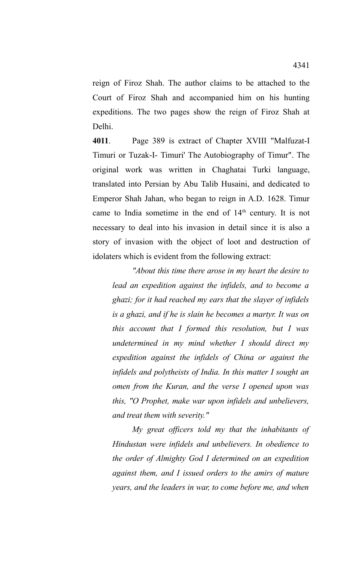reign of Firoz Shah. The author claims to be attached to the Court of Firoz Shah and accompanied him on his hunting expeditions. The two pages show the reign of Firoz Shah at Delhi.

**4011**. Page 389 is extract of Chapter XVIII "Malfuzat-I Timuri or Tuzak-I- Timuri' The Autobiography of Timur". The original work was written in Chaghatai Turki language, translated into Persian by Abu Talib Husaini, and dedicated to Emperor Shah Jahan, who began to reign in A.D. 1628. Timur came to India sometime in the end of  $14<sup>th</sup>$  century. It is not necessary to deal into his invasion in detail since it is also a story of invasion with the object of loot and destruction of idolaters which is evident from the following extract:

*"About this time there arose in my heart the desire to lead an expedition against the infidels, and to become a ghazi; for it had reached my ears that the slayer of infidels is a ghazi, and if he is slain he becomes a martyr. It was on this account that I formed this resolution, but I was undetermined in my mind whether I should direct my expedition against the infidels of China or against the infidels and polytheists of India. In this matter I sought an omen from the Kuran, and the verse I opened upon was this, "O Prophet, make war upon infidels and unbelievers, and treat them with severity."*

*My great officers told my that the inhabitants of Hindustan were infidels and unbelievers. In obedience to the order of Almighty God I determined on an expedition against them, and I issued orders to the amirs of mature years, and the leaders in war, to come before me, and when*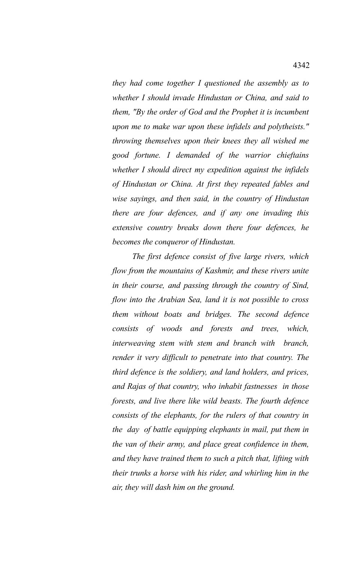*they had come together I questioned the assembly as to whether I should invade Hindustan or China, and said to them, "By the order of God and the Prophet it is incumbent upon me to make war upon these infidels and polytheists." throwing themselves upon their knees they all wished me good fortune. I demanded of the warrior chieftains whether I should direct my expedition against the infidels of Hindustan or China. At first they repeated fables and wise sayings, and then said, in the country of Hindustan there are four defences, and if any one invading this extensive country breaks down there four defences, he becomes the conqueror of Hindustan.*

*The first defence consist of five large rivers, which flow from the mountains of Kashmir, and these rivers unite in their course, and passing through the country of Sind, flow into the Arabian Sea, land it is not possible to cross them without boats and bridges. The second defence consists of woods and forests and trees, which, interweaving stem with stem and branch with branch, render it very difficult to penetrate into that country. The third defence is the soldiery, and land holders, and prices, and Rajas of that country, who inhabit fastnesses in those forests, and live there like wild beasts. The fourth defence consists of the elephants, for the rulers of that country in the day of battle equipping elephants in mail, put them in the van of their army, and place great confidence in them, and they have trained them to such a pitch that, lifting with their trunks a horse with his rider, and whirling him in the air, they will dash him on the ground.*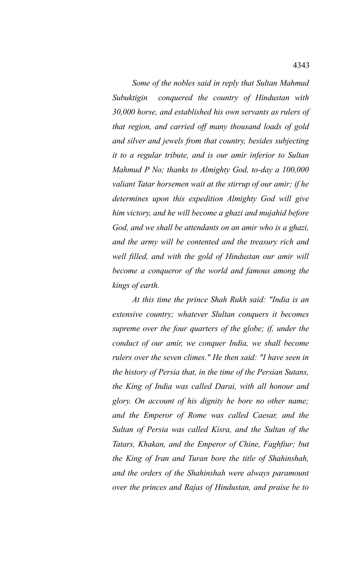*Some of the nobles said in reply that Sultan Mahmud Subuktigin conquered the country of Hindustan with 30,000 horse, and established his own servants as rulers of that region, and carried off many thousand loads of gold and silver and jewels from that country, besides subjecting it to a regular tribute, and is our amir inferior to Sultan Mahmud P No; thanks to Almighty God, to-day a 100,000 valiant Tatar horsemen wait at the stirrup of our amir; if he determines upon this expedition Almighty God will give him victory, and he will become a ghazi and mujahid before God, and we shall be attendants on an amir who is a ghazi, and the army will be contented and the treasury rich and well filled, and with the gold of Hindustan our amir will become a conqueror of the world and famous among the kings of earth.*

*At this time the prince Shah Rukh said: "India is an extensive country; whatever Slultan conquers it becomes supreme over the four quarters of the globe; if, under the conduct of our amir, we conquer India, we shall become rulers over the seven climes." He then said: "I have seen in the history of Persia that, in the time of the Persian Sutans, the King of India was called Darai, with all honour and glory. On account of his dignity he bore no other name; and the Emperor of Rome was called Caesar, and the Sultan of Persia was called Kisra, and the Sultan of the Tatars, Khakan, and the Emperor of Chine, Faghfiur; but the King of Iran and Turan bore the title of Shahinshah, and the orders of the Shahinshah were always paramount over the princes and Rajas of Hindustan, and praise be to*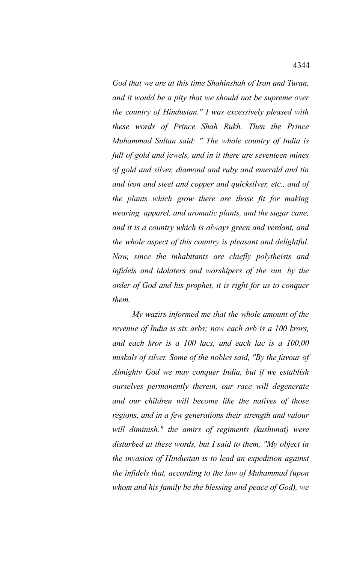*God that we are at this time Shahinshah of Iran and Turan, and it would be a pity that we should not be supreme over the country of Hindustan." I was excessively pleased with these words of Prince Shah Rukh. Then the Prince Muhammad Sultan said: " The whole country of India is full of gold and jewels, and in it there are seventeen mines of gold and silver, diamond and ruby and emerald and tin and iron and steel and copper and quicksilver, etc., and of the plants which grow there are those fit for making wearing apparel, and aromatic plants, and the sugar cane, and it is a country which is always green and verdant, and the whole aspect of this country is pleasant and delightful. Now, since the inhabitants are chiefly polytheists and infidels and idolaters and worshipers of the sun, by the order of God and his prophet, it is right for us to conquer them.*

*My wazirs informed me that the whole amount of the revenue of India is six arbs; now each arb is a 100 krors, and each kror is a 100 lacs, and each lac is a 100,00 miskals of silver. Some of the nobles said, "By the favour of Almighty God we may conquer India, but if we establish ourselves permanently therein, our race will degenerate and our children will become like the natives of those regions, and in a few generations their strength and valour will diminish." the amirs of regiments (kushunat) were disturbed at these words, but I said to them, "My object in the invasion of Hindustan is to lead an expedition against the infidels that, according to the law of Muhammad (upon whom and his family be the blessing and peace of God), we*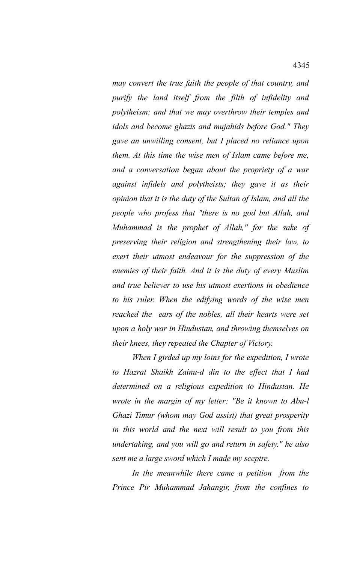*may convert the true faith the people of that country, and purify the land itself from the filth of infidelity and polytheism; and that we may overthrow their temples and idols and become ghazis and mujahids before God." They gave an unwilling consent, but I placed no reliance upon them. At this time the wise men of Islam came before me, and a conversation began about the propriety of a war against infidels and polytheists; they gave it as their opinion that it is the duty of the Sultan of Islam, and all the people who profess that "there is no god but Allah, and Muhammad is the prophet of Allah," for the sake of preserving their religion and strengthening their law, to exert their utmost endeavour for the suppression of the enemies of their faith. And it is the duty of every Muslim and true believer to use his utmost exertions in obedience to his ruler. When the edifying words of the wise men reached the ears of the nobles, all their hearts were set upon a holy war in Hindustan, and throwing themselves on their knees, they repeated the Chapter of Victory.*

*When I girded up my loins for the expedition, I wrote to Hazrat Shaikh Zainu-d din to the effect that I had determined on a religious expedition to Hindustan. He wrote in the margin of my letter: "Be it known to Abu-l Ghazi Timur (whom may God assist) that great prosperity in this world and the next will result to you from this undertaking, and you will go and return in safety." he also sent me a large sword which I made my sceptre.*

*In the meanwhile there came a petition from the Prince Pir Muhammad Jahangir, from the confines to*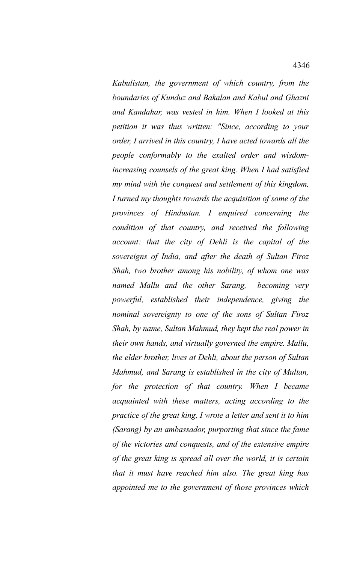*Kabulistan, the government of which country, from the boundaries of Kunduz and Bakalan and Kabul and Ghazni and Kandahar, was vested in him. When I looked at this petition it was thus written: "Since, according to your order, I arrived in this country, I have acted towards all the people conformably to the exalted order and wisdomincreasing counsels of the great king. When I had satisfied my mind with the conquest and settlement of this kingdom, I turned my thoughts towards the acquisition of some of the provinces of Hindustan. I enquired concerning the condition of that country, and received the following account: that the city of Dehli is the capital of the sovereigns of India, and after the death of Sultan Firoz Shah, two brother among his nobility, of whom one was named Mallu and the other Sarang, becoming very powerful, established their independence, giving the nominal sovereignty to one of the sons of Sultan Firoz Shah, by name, Sultan Mahmud, they kept the real power in their own hands, and virtually governed the empire. Mallu, the elder brother, lives at Dehli, about the person of Sultan Mahmud, and Sarang is established in the city of Multan, for the protection of that country. When I became acquainted with these matters, acting according to the practice of the great king, I wrote a letter and sent it to him (Sarang) by an ambassador, purporting that since the fame of the victories and conquests, and of the extensive empire of the great king is spread all over the world, it is certain that it must have reached him also. The great king has appointed me to the government of those provinces which*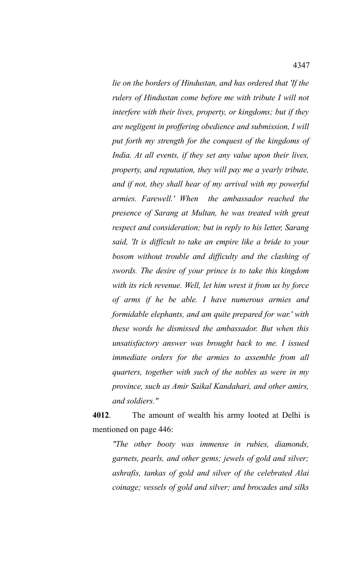*lie on the borders of Hindustan, and has ordered that 'If the rulers of Hindustan come before me with tribute I will not interfere with their lives, property, or kingdoms; but if they are negligent in proffering obedience and submission, I will put forth my strength for the conquest of the kingdoms of India. At all events, if they set any value upon their lives, property, and reputation, they will pay me a yearly tribute, and if not, they shall hear of my arrival with my powerful armies. Farewell.' When the ambassador reached the presence of Sarang at Multan, he was treated with great respect and consideration; but in reply to his letter, Sarang said, 'It is difficult to take an empire like a bride to your bosom without trouble and difficulty and the clashing of swords. The desire of your prince is to take this kingdom with its rich revenue. Well, let him wrest it from us by force of arms if he be able. I have numerous armies and formidable elephants, and am quite prepared for war.' with these words he dismissed the ambassador. But when this unsatisfactory answer was brought back to me. I issued immediate orders for the armies to assemble from all quarters, together with such of the nobles as were in my province, such as Amir Saikal Kandahari, and other amirs, and soldiers."*

**4012**. The amount of wealth his army looted at Delhi is mentioned on page 446:

*"The other booty was immense in rubies, diamonds, garnets, pearls, and other gems; jewels of gold and silver; ashrafis, tankas of gold and silver of the celebrated Alai coinage; vessels of gold and silver; and brocades and silks*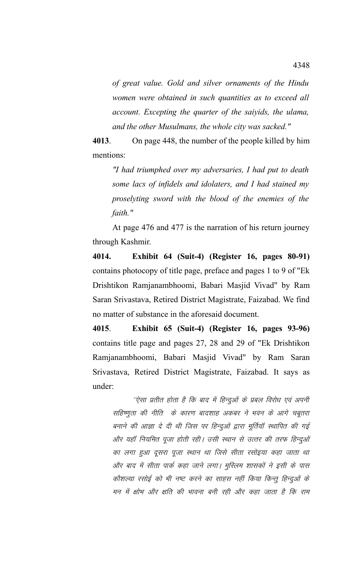*of great value. Gold and silver ornaments of the Hindu women were obtained in such quantities as to exceed all account. Excepting the quarter of the saiyids, the ulama, and the other Musulmans, the whole city was sacked."*

**4013**. On page 448, the number of the people killed by him mentions:

*"I had triumphed over my adversaries, I had put to death some lacs of infidels and idolaters, and I had stained my proselyting sword with the blood of the enemies of the faith."*

At page 476 and 477 is the narration of his return journey through Kashmir.

**4014. Exhibit 64 (Suit-4) (Register 16, pages 80-91)** contains photocopy of title page, preface and pages 1 to 9 of "Ek Drishtikon Ramjanambhoomi, Babari Masjid Vivad" by Ram Saran Srivastava, Retired District Magistrate, Faizabad. We find no matter of substance in the aforesaid document.

**4015**. **Exhibit 65 (Suit-4) (Register 16, pages 93-96)** contains title page and pages 27, 28 and 29 of "Ek Drishtikon Ramjanambhoomi, Babari Masjid Vivad" by Ram Saran Srivastava, Retired District Magistrate, Faizabad. It says as under:

''ऐसा प्रतीत होता है कि बाद में हिन्दुओं के प्रबल विरोध एवं अपनी सहिष्णुता की नीति के कारण बादशाह अकबर ने भवन के आगे चबुतरा बनाने की आज्ञा दे दी थी जिस पर हिन्दुओं द्वारा मूर्तियॉ स्थापित की गई ओर यहाँ नियमित पूजा होती रही। उसी स्थान से उत्तर की तरफ हिन्दुओं का लगा हुआ दुसरा पूजा स्थान था जिसे सीता रसोइया कहा जाता था ओर बाद में सीता पार्क कहा जाने लगा। मुस्लिम शासकों ने इसी के पास कौशल्या रसोई को भी नष्ट करने का साहस नहीं किया किन्तु हिन्दुओं के मन में क्षोभ और क्षति की भावना बनी रही और कहा जाता है कि राम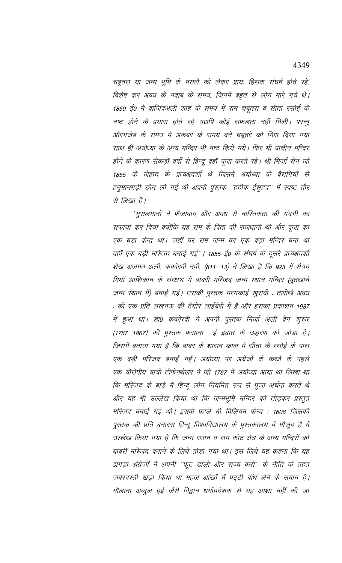चबूतरा या जन्म भूमि के मसले को लेकर प्रायः हिंसक संघर्ष होते रहे, विशेष कर अवध के नवाब के समय, जिनमें बहुत से लोग मारे गये थे। 1859 ई० में वाजिदअली शाह के समय में राम चबूतरा व सीता रसोई के नष्ट होने के प्रयास होते रहे यद्यपि कोई सफलता नहीं मिली। परन्तु औरंगजेब के समय में अकबर के समय बने चबूतरे को गिरा दिया गया साथ ही अयोध्या के अन्य मन्दिर भी नष्ट किये गये। फिर भी प्राचीन मन्दिर होने के कारण सैकड़ों वर्षों से हिन्दू वहाँ पूजा करते रहे। श्री मिर्जा सेन जो 1855 के जेहाद के प्रत्यक्षदर्शी थे जिसमें अयोध्या के वैरागियों से हनुमानगढ़ी छीन ली गई थी अपनी पुस्तक ''हदीक ईसुहद'' में स्पष्ट तौर से लिखा है।

''मुसलमानों ने फैंजाबाद और अवध से नास्तिकता की गंदगी का सफाया कर दिया क्योंकि यह राम के पिता की राजधानी थी और पूजा का एक बड़ा केन्द्र था। जहाँ पर राम जन्म का एक बड़ा मन्दिर बना था वहीं एक बड़ी मस्जिद बनाई गई''। 1855 ई0 के संघर्ष के दूसरे प्रत्यक्षदर्शी शेख अजमत अली, ककोरवी नवी, (811–13) ने लिखा है कि 923 में सैयद मियॉ आशिकान के संरक्षण में बाबरी मस्जिद जन्म स्थान मन्दिर (बृतखाने जन्म स्थान में) बनाई गई। उसकी पुस्तक मरगकाई खुरावी : तारीखे अवध ं की एक प्रति लखनऊ की टैगोर लाईब्रेरी में है और इसका प्रकाशन 1987 में हुआ था। डा0 ककोरवी ने अपनी पुस्तक मिर्जा अली वेग शुरूर (1787–1867) की पुस्तक फसाना –ई–इब्रात के उद्धरण को जोड़ा है। जिसमें बताया गया है कि बाबर के शासन काल में सीता के रसोई के पास एक बड़ी मस्जिद बनाई गई। अयोध्या पर अंग्रेजों के कब्जे के पहले एक योरोपीय यात्री टीफेनथेलर ने जो 1767 में अयोध्या आया था लिखा था कि मस्जिद के बाड़े में हिन्दू लोग नियमित रूप से पूजा अर्चना करते थे और यह भी उल्लेख किया था कि जन्मभूमि मन्दिर को तोड़कर प्रस्तुत मस्जिद बनाई गई थी। इसके पहले भी विलियम फ्रेन्च : 1608 जिसकी पुस्तक की प्रति बनारस हिन्दू विश्वविद्यालय के पुस्तकालय में मौजूद है में उल्लेख किया गया है कि जन्म स्थान व राम कोट क्षेत्र के अन्य मन्दिरों को बाबरी मस्जिद बनाने के लिये तोड़ा गया था। इस लिये यह कहना कि यह झगड़ा अंग्रेजों ने अपनी ''फूट डालो और राज्य करो'' के नीति के तहत जबरदस्ती खड़ा किया था महज ऑखों में पट्टी बॉध लेने के समान है। मौलाना अब्दुल हई जैसे विद्वान धर्मोपदेशक से यह आशा नहीं की जा

## 4349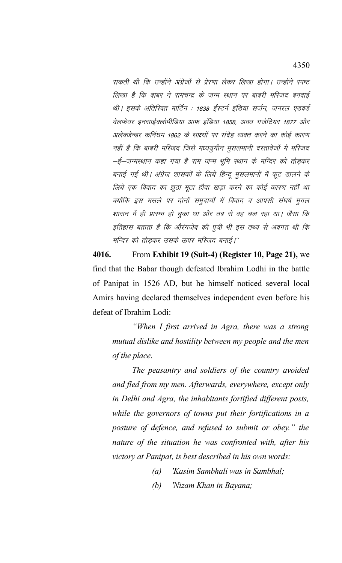सकती थी कि उन्होंने अंग्रेजों से प्रेरणा लेकर लिखा होगा। उन्होंने स्पष्ट लिखा है कि बाबर ने रामचन्द्र के जन्म स्थान पर बाबरी मस्जिद बनवाई थी। इसके अतिरिक्त मार्टिन : 1838 ईस्टर्न इंडिया सर्जन, जनरल एडवर्ड वेलफेयर इनसाईक्लोपीडिया आफ इंडिया 1858, अवध गजेटियर 1877 और अलेक्जेन्डर कनिंघम 1862 के साक्ष्यों पर संदेह व्यक्त करने का कोई कारण नहीं है कि बाबरी मस्जिद जिसे मध्ययुगीन मुसलमानी दस्तावेजों में मस्जिद -ई-जन्मस्थान कहा गया है राम जन्म भूमि स्थान के मन्दिर को तोड़कर बनाई गई थी। अंग्रेज शासकों के लिये हिन्दू मुसलमानों में फूट डालने के लिये एक विवाद का झुठा मुठा हौवा खड़ा करने का कोई कारण नहीं था क्योंकि इस मसले पर दोनों समुदायों में विवाद व आपसी संघर्ष मुगल शासन में ही प्रारम्भ हो चुका था और तब से वह चल रहा था। जैसा कि इतिहास बताता है कि औरंगजेब की पुत्री भी इस तथ्य से अवगत थी कि मन्दिर को तोडकर उसके ऊपर मस्जिद बनाई।''

4016. From Exhibit 19 (Suit-4) (Register 10, Page 21), we find that the Babar though defeated Ibrahim Lodhi in the battle of Panipat in 1526 AD, but he himself noticed several local Amirs having declared themselves independent even before his defeat of Ibrahim Lodi:

"When I first arrived in Agra, there was a strong mutual dislike and hostility between my people and the men of the place.

The peasantry and soldiers of the country avoided and fled from my men. Afterwards, everywhere, except only in Delhi and Agra, the inhabitants fortified different posts, while the governors of towns put their fortifications in a posture of defence, and refused to submit or obey." the nature of the situation he was confronted with, after his victory at Panipat, is best described in his own words:

- 'Kasim Sambhali was in Sambhal;  $(a)$
- 'Nizam Khan in Bayana; (b)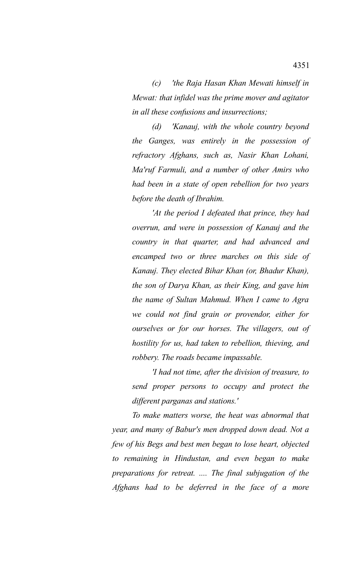*(c) 'the Raja Hasan Khan Mewati himself in Mewat: that infidel was the prime mover and agitator in all these confusions and insurrections;*

*(d) 'Kanauj, with the whole country beyond the Ganges, was entirely in the possession of refractory Afghans, such as, Nasir Khan Lohani, Ma'ruf Farmuli, and a number of other Amirs who had been in a state of open rebellion for two years before the death of Ibrahim.*

*'At the period I defeated that prince, they had overrun, and were in possession of Kanauj and the country in that quarter, and had advanced and encamped two or three marches on this side of Kanauj. They elected Bihar Khan (or, Bhadur Khan), the son of Darya Khan, as their King, and gave him the name of Sultan Mahmud. When I came to Agra we could not find grain or provendor, either for ourselves or for our horses. The villagers, out of hostility for us, had taken to rebellion, thieving, and robbery. The roads became impassable.*

*'I had not time, after the division of treasure, to send proper persons to occupy and protect the different parganas and stations.'*

*To make matters worse, the heat was abnormal that year, and many of Babur's men dropped down dead. Not a few of his Begs and best men began to lose heart, objected to remaining in Hindustan, and even began to make preparations for retreat. .... The final subjugation of the Afghans had to be deferred in the face of a more*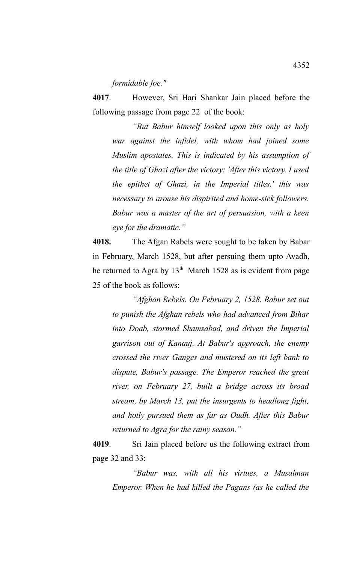*formidable foe."*

**4017**. However, Sri Hari Shankar Jain placed before the following passage from page 22 of the book:

*"But Babur himself looked upon this only as holy war against the infidel, with whom had joined some Muslim apostates. This is indicated by his assumption of the title of Ghazi after the victory: 'After this victory. I used the epithet of Ghazi, in the Imperial titles.' this was necessary to arouse his dispirited and home-sick followers. Babur was a master of the art of persuasion, with a keen eye for the dramatic."*

**4018.** The Afgan Rabels were sought to be taken by Babar in February, March 1528, but after persuing them upto Avadh, he returned to Agra by  $13<sup>th</sup>$  March 1528 as is evident from page 25 of the book as follows:

*"Afghan Rebels. On February 2, 1528. Babur set out to punish the Afghan rebels who had advanced from Bihar into Doab, stormed Shamsabad, and driven the Imperial garrison out of Kanauj. At Babur's approach, the enemy crossed the river Ganges and mustered on its left bank to dispute, Babur's passage. The Emperor reached the great river, on February 27, built a bridge across its broad stream, by March 13, put the insurgents to headlong fight, and hotly pursued them as far as Oudh. After this Babur returned to Agra for the rainy season."*

**4019**. Sri Jain placed before us the following extract from page 32 and 33:

*"Babur was, with all his virtues, a Musalman Emperor. When he had killed the Pagans (as he called the*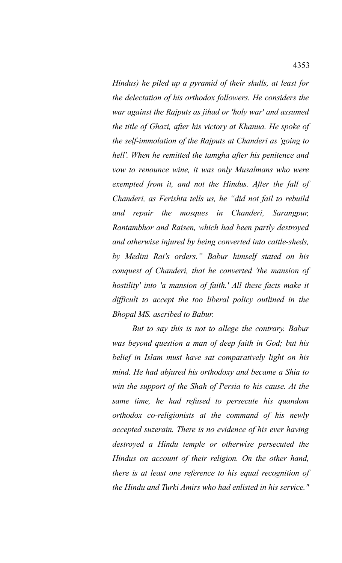*Hindus) he piled up a pyramid of their skulls, at least for the delectation of his orthodox followers. He considers the war against the Rajputs as jihad or 'holy war' and assumed the title of Ghazi, after his victory at Khanua. He spoke of the self-immolation of the Rajputs at Chanderi as 'going to hell'. When he remitted the tamgha after his penitence and vow to renounce wine, it was only Musalmans who were exempted from it, and not the Hindus. After the fall of Chanderi, as Ferishta tells us, he "did not fail to rebuild and repair the mosques in Chanderi, Sarangpur, Rantambhor and Raisen, which had been partly destroyed and otherwise injured by being converted into cattle-sheds, by Medini Rai's orders." Babur himself stated on his conquest of Chanderi, that he converted 'the mansion of hostility' into 'a mansion of faith.' All these facts make it difficult to accept the too liberal policy outlined in the Bhopal MS. ascribed to Babur.*

*But to say this is not to allege the contrary. Babur was beyond question a man of deep faith in God; but his belief in Islam must have sat comparatively light on his mind. He had abjured his orthodoxy and became a Shia to win the support of the Shah of Persia to his cause. At the same time, he had refused to persecute his quandom orthodox co-religionists at the command of his newly accepted suzerain. There is no evidence of his ever having destroyed a Hindu temple or otherwise persecuted the Hindus on account of their religion. On the other hand, there is at least one reference to his equal recognition of the Hindu and Turki Amirs who had enlisted in his service."*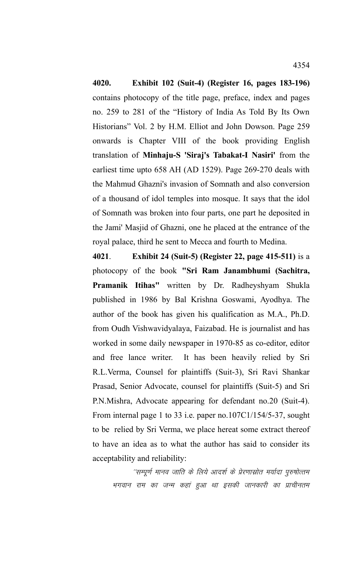**4020. Exhibit 102 (Suit-4) (Register 16, pages 183-196)** contains photocopy of the title page, preface, index and pages no. 259 to 281 of the "History of India As Told By Its Own Historians" Vol. 2 by H.M. Elliot and John Dowson. Page 259 onwards is Chapter VIII of the book providing English translation of **Minhaju-S 'Siraj's Tabakat-I Nasiri'** from the earliest time upto 658 AH (AD 1529). Page 269-270 deals with the Mahmud Ghazni's invasion of Somnath and also conversion of a thousand of idol temples into mosque. It says that the idol of Somnath was broken into four parts, one part he deposited in the Jami' Masjid of Ghazni, one he placed at the entrance of the royal palace, third he sent to Mecca and fourth to Medina.

**4021**. **Exhibit 24 (Suit-5) (Register 22, page 415-511)** is a photocopy of the book **"Sri Ram Janambhumi (Sachitra, Pramanik Itihas"** written by Dr. Radheyshyam Shukla published in 1986 by Bal Krishna Goswami, Ayodhya. The author of the book has given his qualification as M.A., Ph.D. from Oudh Vishwavidyalaya, Faizabad. He is journalist and has worked in some daily newspaper in 1970-85 as co-editor, editor and free lance writer. It has been heavily relied by Sri R.L.Verma, Counsel for plaintiffs (Suit-3), Sri Ravi Shankar Prasad, Senior Advocate, counsel for plaintiffs (Suit-5) and Sri P.N.Mishra, Advocate appearing for defendant no.20 (Suit-4). From internal page 1 to 33 i.e. paper no.107C1/154/5-37, sought to be relied by Sri Verma, we place hereat some extract thereof to have an idea as to what the author has said to consider its acceptability and reliability:

''सम्पूर्ण मानव जाति के लिये आदर्श के प्रेरणास्रोत मर्यादा पुरुषोत्तम भगवान राम का जन्म कहां हुआ था इसकी जानकारी का प्राचीनतम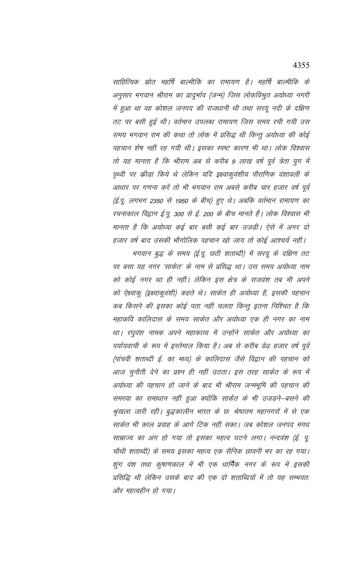साहित्यिक स्रोत महर्षि बाल्मीकि का रामायण है। महर्षि बाल्मीकि के अनुसार भगवान श्रीराम का प्रादुर्भाव (जन्म) जिस लोकविश्रुत अयोध्या नगरी में हुआ था वह कोशल जनपद की राजधानी थी तथा सरयू नदी के दक्षिण तट पर बसी हुई थी। वर्तमान उपलब्ध रामायण जिस समय रची गयी उस समय भगवान राम की कथा तो लोक में प्रसिद्ध थी किन्तु अयोध्या की कोई पहचान शेष नहीं रह गयी थी। इसका स्पष्ट कारण भी था। लोक विश्वास तो यह मानता है कि श्रीराम अब से करीब 9 लाख वर्ष पूर्व त्रेता युग में पृथ्वी पर क्रीड़ा किये थे लेकिन यदि इक्ष्वाकुवंशीय पौराणिक वंशावली के आधार पर गणना करें तो भी भगवान राम अबसे करीब चार हजार वर्ष पूर्व (ई.पू. लगभग 2350 से 1950 के बीच) हुए थे। अबकि वर्तमान रामायण का रचनाकाल विद्वान ई.पू. 300 से ई. 200 के बीच मानते हैं। लोक विश्वास भी मानता है कि अयोध्या कई बार बसी कई बार उजडी। ऐसे में अगर दो हजार वर्ष बाद उसकी भौगोलिक पहचान खो जाय तो कोई आश्चर्य नहीं।

भगवान बुद्ध के समय (ई.पू. छठी शताब्दी) में सरयू के दक्षिण तट पर बसा यह नगर 'साकेत' के नाम से प्रसिद्ध था। उस समय अयोध्या नाम को कोई नगर था ही नहीं। लेकिन इस क्षेत्र के राजवंश तब भी अपने को ऐक्ष्वाकु (इक्ष्वाकुवंशी) कहते थे। साकेत ही अयोध्या है, इसकी पहचान कब किसने की इसका कोई पता नहीं चलता किन्तु इतना निश्चित है कि महाकवि कालिदास के समय साकेत और अयोध्या एक ही नगर का नाम था। रघुवंश नामक अपने महाकाव्य में उन्होंने साकेत और अयोध्या का पर्यायवाची के रूप में इस्तेमाल किया है। अब से करीब डेढ़ हजार वर्ष पूर्व (पांचवी शताब्दी ई. का मध्य) के कालिदास जैसे विद्वान की पहचान को आज चुनौती देने का प्रश्न ही नहीं उठता। इस तरह साकेत के रूप में अयोध्या की पहचान हो जाने के बाद भी श्रीराम जन्मभूमि की पहचान की समस्या का समाधान नहीं हुआ क्योंकि साकेत के भी उजड़ने–बसने की श्रृंखला जारी रही। बुद्धकालीन भारत के छः श्रेष्ठतम महानगरों में से एक साकेत भी काल प्रवाह के आगे टिक नहीं सका। जब कोशल जनपद मगध साम्राज्य का अंग हो गया तो इसका महत्व घटने लगा। नन्दवंश (ई. पू. चौथी शताब्दी) के समय इसका महत्व एक सैनिक छावनी भर का रह गया। शूंग वंश तथा कुषाणकाल में भी एक धार्मिक नगर के रूप में इसकी प्रसिद्धि थी लेकिन उसके बाद की एक दो शताब्दियों में तो यह सम्भवतः और महत्वहीन हो गया।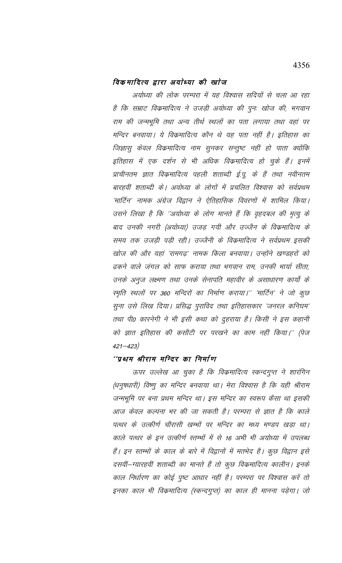## विक मादित्य द्वारा अयोध्या की खोज

अयोध्या की लोक परम्परा में यह विश्वास सदियों से चला आ रहा है कि सम्राट विक्रमादित्य ने उजड़ी अयोध्या की पुनः खोज की, भगवान राम की जन्मभूमि तथा अन्य तीर्थ स्थलों का पता लगाया तथा वहां पर मन्दिर बनवाया। ये विक्रमादित्य कौन थे यह पता नहीं है। इतिहास का जिज्ञासु केवल विक्रमादित्य नाम सुनकर सन्तुष्ट नहीं हो पाता क्योंकि इतिहास में एक दर्शन से भी अधिक विक्रमादित्य हो चुके हैं। इनमें प्राचीनतम ज्ञात विक्रमादित्य पहली शताब्दी ई.पू. के हैं तथा नवीनतम बारहवीं शताब्दी के। अयोध्या के लोगों में प्रचलित विश्वास को सर्वप्रथम 'मार्टिन' नामक अंग्रेज विद्वान ने ऐतिहासिक विवरणों में शामिल किया। उसने लिखा है कि ''अयोध्या के लोग मानते हैं कि वृहदबल की मृत्यू के बाद उनकी नगरी (अयोध्या) उजड़ गयी और उज्जैन के विक्रमादित्य के समय तक उजड़ी पड़ी रही। उज्जैनी के विक्रमादित्य ने सर्वप्रथम इसकी खोज की और यहां 'रामगढ' नामक किला बनवाया। उन्होंने खण्डहरों को ढकने वाले जंगल को साफ कराया तथा भगवान राम, उनकी भार्या सीता, उनके अनूज लक्ष्मण तथा उनके सेनापति महावीर के असाधारण कार्यो के स्मृति स्थलों पर 360 मन्दिरों का निर्माण कराया।'' 'मार्टिन' ने जो कुछ सुना उसे लिख दिया। प्रसिद्ध पुराविद तथा इतिहासकार 'जनरल कनिघम' तथा पी0 कारनेगी ने भी इसी कथा को दुहराया है। किसी ने इस कहानी को ज्ञात इतिहास की कसौटी पर परखने का काम नहीं किया।'' (पेज  $421 - 423$ 

## ''प्रथम श्रीराम मन्दिर का निर्माण

ऊपर उल्लेख आ चुका है कि विक्रमादित्य स्कन्दगुप्त ने शारंगिन (धनुषधारी) विष्णू का मन्दिर बनवाया था। मेरा विश्वास है कि यही श्रीराम जन्मभूमि पर बना प्रथम मन्दिर था। इस मन्दिर का स्वरूप कैसा था इसकी आज केवल कल्पना भर की जा सकती है। परम्परा से ज्ञात है कि काले पत्थर के उत्कीर्ण चौरासी खम्भों पर मन्दिर का मध्य मण्डप खड़ा था। काले पत्थर के इन उत्कीर्ण स्तम्भों में से 16 अभी भी अयोध्या में उपलब्ध हैं। इन स्तम्भों के काल के बारे में विद्वानों में मतभेद है। कुछ विद्वान इसे दसवीं–ग्यारहवीं शताब्दी का मानते हैं तो कुछ विक्रमादित्य कालीन। इनके काल निर्धारण का कोई पुष्ट आधार नहीं है। परम्परा पर विश्वास करें तो इनका काल भी विक्रमादित्य (स्कन्दगुप्त) का काल ही मानना पड़ेगा। जो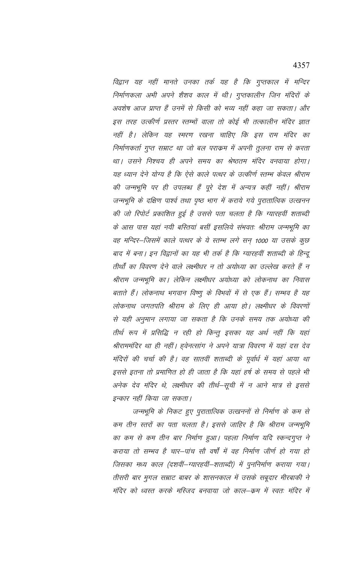विद्वान यह नहीं मानते उनका तर्क यह है कि गुप्तकाल में मन्दिर निर्माणकला अभी अपने शैशव काल में थी। गुप्तकालीन जिन मंदिरों के अवशेष आज प्राप्त हैं उनमें से किसी को भव्य नहीं कहा जा सकता। और इस तरह उत्कीर्ण प्रस्तर स्तम्भों वाला तो कोई भी तत्कालीन मंदिर ज्ञात नहीं है। लेकिन यह स्मरण रखना चाहिए कि इस राम मंदिर का निर्माणकर्ता गुप्त सम्राट था जो बल पराकम में अपनी तुलना राम से करता था। उसने निश्चय ही अपने समय का श्रेष्ठतम मंदिर वनवाया होगा। यह ध्यान देने योग्य है कि ऐसे काले पत्थर के उत्कीर्ण स्तम्भ केवल श्रीराम की जन्मभूमि पर ही उपलब्ध हैं पूरे देश में अन्यत्र कहीं नहीं। श्रीराम जन्मभूमि के दक्षिण पार्श्व तथा पृष्ठ भाग में कराये गये पुरातात्विक उत्खनन की जो रिपोर्ट प्रकाशित हुई है उससे पता चलता है कि ग्यारहवीं शताब्दी के आस पास यहां नयी बरितयां बसीं इसलिये संभवतः श्रीराम जन्मभूमि का वह मन्दिर–जिसमें काले पत्थर के ये स्तम्भ लगे सन् 1000 या उसके कुछ बाद में बना। इन विद्वानों का यह भी तर्क है कि ग्यारहवीं शताब्दी के हिन्दू तीर्थों का विवरण देने वाले लक्ष्मीधर न तो अयोध्या का उल्लेख करते हैं न श्रीराम जन्मभूमि का। लेकिन लक्ष्मीधर अयोध्या को लोकनाथ का निवास बताते हैं। लोकनाथ भगवान विष्णु के विभवों में से एक हैं। सम्भव है यह लोकनाथ जगतपति श्रीराम के लिए ही आया हो। लक्ष्मीधर के विवरणों से यही अनुमान लगाया जा सकता है कि उनके समय तक अयोध्या की तीर्थ रूप में प्रसिद्धि न रही हो किन्तु इसका यह अर्थ नहीं कि यहां श्रीराममंदिर था ही नहीं। हवेनत्सांग ने अपने यात्रा विवरण में यहां दस देव मंदिरों की चर्चा की है। वह सातवीं शताब्दी के पूर्वार्ध में यहां आया था इससे इतना तो प्रमाणित हो ही जाता है कि यहां हर्ष के समय से पहले भी अनेक देव मंदिर थे, लक्ष्मीधर की तीर्थ—सूची में न आने मात्र से इससे इन्कार नहीं किया जा सकता।

जन्मभूमि के निकट हुए पुरातात्विक उत्खननों से निर्माण के कम से कम तीन स्तरों का पता चलता है। इससे जाहिर है कि श्रीराम जन्मभूमि का कम से कम तीन बार निर्माण हुआ। पहला निर्माण यदि स्कन्दगुप्त ने कराया तो सम्भव है चार–पांच सौ वर्षों में वह निर्माण जीर्ण हो गया हो जिसका मध्य काल (दशवीं—ग्यारहवीं—शताब्दी) में पुननिर्माण कराया गया। तीसरी बार मुगल सम्राट बाबर के शासनकाल में उसके सबूदार मीरबाकी ने मंदिर को ध्वस्त करके मस्जिद बनवाया जो काल–कम में स्वतः मंदिर में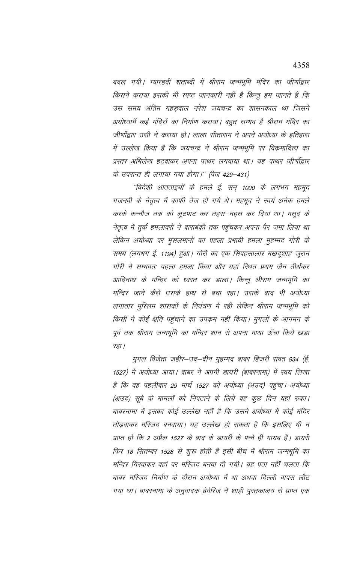बदल गयी। ग्यारहवीं शताब्दी में श्रीराम जन्मभूमि मंदिर का जीर्णोद्वार किसने कराया इसकी भी स्पष्ट जानकारी नहीं है किन्तु हम जानते है कि उस समय अंतिम गहड़वाल नरेश जयचन्द्र का शासनकाल था जिसने अयोध्यामें कई मंदिरों का निर्माण कराया। बहुत सम्भव है श्रीराम मंदिर का जीर्णोद्वार उसी ने कराया हो। लाला सीताराम ने अपने अयोध्या के इतिहास में उल्लेख किया है कि जयचन्द्र ने श्रीराम जन्मभूमि पर विक्रमादित्य का प्रस्तर अभिलेख हटवाकर अपना पत्थर लगवाया था। यह पत्थर जीर्णोद्वार के उपरान्त ही लगाया गया होगा।'' (पेज 429–431)

''विदेशी आतताइयों के हमले ई. सन् 1000 के लगभग महमूद गजनवी के नेतृत्व में काफी तेज हो गये थे। महमूद ने स्वयं अनेक हमले करके कन्नौज तक को लूटपाट कर तहस–नहस कर दिया था। मसूद के नेतृत्व में तुर्क हमलावरों ने बाराबंकी तक पहुंचकर अपना पैर जमा लिया था लेकिन अयोध्या पर मुसलमानों का पहला प्रभावी हमला मुहम्मद गोरी के समय (लगभग ई. 1194) हुआ। गोरी का एक सिपहसालार मखदूशाह जूरान गोरी ने सम्भवतः पहला हमला किया और यहां स्थित प्रथम जैन तीर्थंकर आदिनाथ के मन्दिर को ध्वस्त कर डाला। किन्तु श्रीराम जन्मभूमि का मन्दिर जाने कैसे उसके हाथ से बचा रहा। उसके बाद भी अयोध्या लगातार मुस्लिम शासकों के नियंत्रण में रही लेकिन श्रीराम जन्मभूमि को किसी ने कोई क्षति पहुंचाने का उपक्रम नहीं किया। मुगलों के आगमन के पूर्व तक श्रीराम जन्मभूमि का मन्दिर शान से अपना माथा ऊँचा किये खड़ा रहा |

मुगल विजेता जहीर–उद्–दीन मुहम्मद बाबर हिजरी संवत 934 (ई. 1527) में अयोध्या आया। बाबर ने अपनी डायरी (बाबरनामा) में स्वयं लिखा है कि वह पहलीबार 29 मार्च 1527 को अयोध्या (अउद) पहुंचा। अयोध्या (अउद) सूबे के मामलों को निपटाने के लिये वह कुछ दिन यहां रुका। बाबरनामा में इसका कोई उल्लेख नहीं है कि उसने अयोध्या में कोई मंदिर तोड़वाकर मस्जिद बनवाया। यह उल्लेख हो सकता है कि इसलिए भी न प्राप्त हो कि 2 अप्रैल 1527 के बाद के डायरी के पन्ने ही गायब हैं। डायरी फिर 18 सितम्बर 1528 से शुरू होती है इसी बीच में श्रीराम जन्मभूमि का मन्दिर गिरवाकर वहां पर मस्जिद बनवा दी गयी। यह पता नहीं चलता कि बाबर मस्जिद निर्माण के दौरान अयोध्या में था अथवा दिल्ली वापस लौट गया था। बाबरनामा के अनुवादक ब्रेवेरिज़ ने शाही पुस्तकालय से प्राप्त एक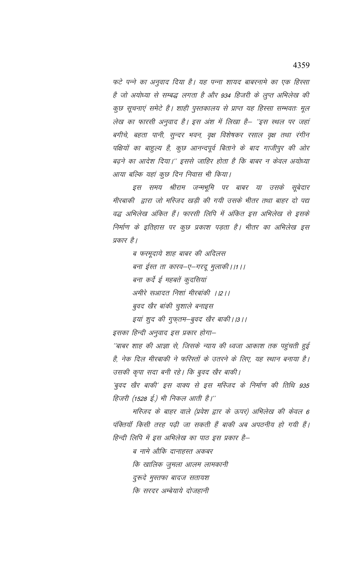फटे पन्ने का अनुवाद दिया है। यह पन्ना शायद बाबरनामे का एक हिस्सा है जो अयोध्या से सम्बद्ध लगता है और 934 हिजरी के लुप्त अभिलेख की कुछ सूचनाएं समेटे है। शाही पुस्तकालय से प्राप्त यह हिस्सा सम्भवतः मूल लेख का फारसी अनुवाद है। इस अंश में लिखा है– ''इस स्थल पर जहां बगीचे, बहता पानी, सुन्दर भवन, वृक्ष विशेषकर रसाल वृक्ष तथा रंगीन पक्षियों का बाहुल्य है, कुछ आनन्दपूर्व बिताने के बाद गाजीपुर की ओर बढ़ने का आदेश दिया।'' इससे जाहिर होता है कि बाबर न केवल अयोध्या आया बल्कि यहां कुछ दिन निवास भी किया।

इस समय श्रीराम जन्मभूमि पर बाबर या उसके सूबेदार मीरबाकी द्वारा जो मस्जिद खड़ी की गयी उसके भीतर तथा बाहर दो पद्य वद्ध अभिलेख अंकित हैं। फारसी लिपि में अंकित इस अभिलेख से इसके निर्माण के इतिहास पर कुछ प्रकाश पड़ता है। भीतर का अभिलेख इस प्रकार है।

ब फरमूदाये शाह बाबर की अदिलस बना ईस्त ता कारव–ए–गरदू मुलाकी।।1।। बना कर्दे ई महबतें कुदसियां अमीरे सआदत निशां मीरबांकी ।।2।। बुवद खैर बांकी चुशाले बनाइस इयां शुद की गुफ्तम-बुवद खैर बाकी। 13।।

इसका हिन्दी अनुवाद इस प्रकार होगा—

''बाबर शाह की आज्ञा से, जिसके न्याय की ध्वजा आकाश तक पहुंचती हुई है, नेक दिल मीरबाकी ने फरिस्तों के उतरने के लिए, यह स्थान बनाया है। उसकी कृपा सदा बनी रहे। कि बुवद खैर बाकी।

'बुवद खैर बाकी' इस वाक्य से इस मस्जिद के निर्माण की तिथि 935 हिजरी (1528 ई.) भी निकल आती है।''

मस्जिद के बाहर वाले (प्रवेश द्वार के ऊपर) अभिलेख की केवल 6 पंक्तियॉ किसी तरह पढ़ी जा सकती हैं बाकी अब अपठनीय हो गयी हैं। हिन्दी लिपि में इस अभिलेख का पाठ इस प्रकार है—

ब नामे औकि दानाहस्त अकबर कि खालिक जुमला आलम लामकानी दुरूदे मुस्तफा बादज सतायश कि सरदर अम्बेयाये दोजहानी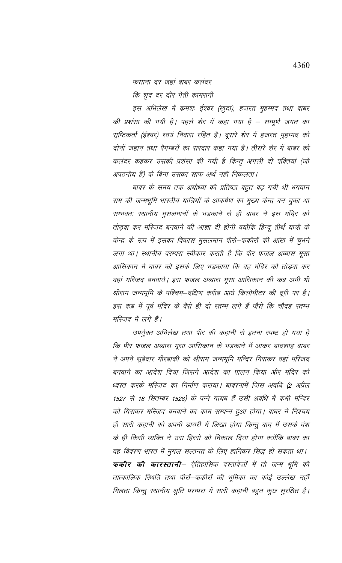फसाना दर जहां बाबर कलंदर

कि शुद दर दौर गेती कामरानी

इस अभिलेख में क्रमशः ईश्वर (खुदा), हजरत मुहम्मद तथा बाबर की प्रशंसा की गयी है। पहले शेर में कहा गया है – सम्पूर्ण जगत का सृष्टिकर्ता (ईश्वर) स्वयं निवास रहित है। दूसरे शेर में हजरत मुहम्मद को दोनों जहान तथा पैगम्बरों का सरदार कहा गया है। तीसरे शेर में बाबर को कलंदर कहकर उसकी प्रशंसा की गयी है किन्तु अगली दो पंक्तियां (जो अपठनीय हैं) के बिना उसका साफ अर्थ नहीं निकलता।

बाबर के समय तक अयोध्या की प्रतिष्ठा बहुत बढ़ गयी थी भगवान राम की जन्मभूमि भारतीय यात्रियों के आकर्षण का मुख्य केन्द्र बन चुका था सम्भवतः स्थानीय मुसलमानों के भड़काने से ही बाबर ने इस मंदिर को तोड़वा कर मस्जिद बनवाने की आज्ञा दी होगी क्योंकि हिन्दू तीर्थ यात्री के केन्द्र के रूप में इसका विकास मुसलमान पीरो–फकीरों की आंख में चुभने लगा था। स्थानीय परम्परा स्वीकार करती है कि पीर फजल अब्बास मूसा आसिकान ने बाबर को इसके लिए भड़काया कि वह मंदिर को तोड़वा कर वहां मस्जिद बनवाये। इस फजल अब्बास मूसा आसिकान की कब्र अभी भी श्रीराम जन्मभूमि के पश्चिम–दक्षिण करीब आधे किलोमीटर की दूरी पर है। इस कब्र में पूर्व मंदिर के वैसे ही दो स्तम्भ लगे हैं जैसे कि चौदह स्तम्भ मस्जिद में लगे हैं।

उपर्युक्त अभिलेख तथा पीर की कहानी से इतना स्पष्ट हो गया है कि पीर फजल अब्बास मूसा आसिकान के भड़काने में आकर बादशाह बाबर ने अपने सूबेदार मीरबाकी को श्रीराम जन्मभूमि मन्दिर गिराकर वहां मस्जिद बनवाने का आदेश दिया जिसने आदेश का पालन किया और मंदिर को ध्वस्त करके मस्जिद का निर्माण कराया। बाबरनामें जिस अवधि (2 अप्रैल 1527 से 18 सितम्बर 1528) के पन्ने गायब हैं उसी अवधि में कभी मन्दिर को गिराकर मस्जिद बनवाने का काम सम्पन्न हुआ होगा। बाबर ने निश्चय ही सारी कहानी को अपनी डायरी में लिखा होगा किन्तु बाद में उसके वंश के ही किसी व्यक्ति ने उस हिस्से को निकाल दिया होगा क्योंकि बाबर का वह विवरण भारत में मुगल सल्तनत के लिए हानिकर सिद्ध हो सकता था। फकीर की कारस्तानी– ऐतिहासिक दस्तावेजों में तो जन्म भूमि की तात्कालिक स्थिति तथा पीरों–फकीरों की भूमिका का कोई उल्लेख नहीं मिलता किन्तु स्थानीय श्रुति परम्परा में सारी कहानी बहुत कुछ सुरक्षित है।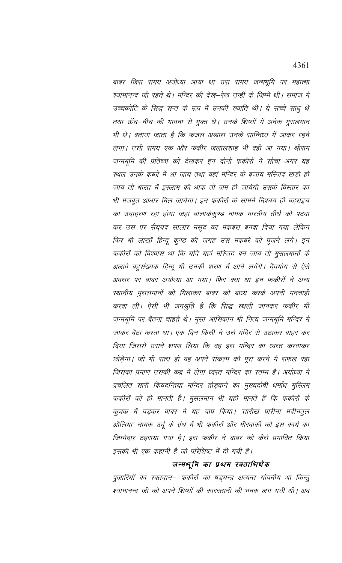बाबर जिस समय अयोध्या आया था उस समय जन्मभूमि पर महात्मा श्यामानन्द जी रहते थे। मन्दिर की देख—रेख उन्हीं के जिम्मे थी। समाज में उच्चकोटि के सिद्ध सन्त के रूप में उनकी ख्याति थी। ये सच्चे साधु थे तथा ऊँच–नीच की भावना से मुक्त थे। उनके शिष्यों में अनेक मुसलमान भी थे। बताया जाता है कि फजल अब्बास उनके सान्निध्य में आकर रहने लगा। उसी समय एक और फकीर जलालशाह भी वहीं आ गया। श्रीराम जन्मभूमि की प्रतिष्ठा को देखकर इन दोनों फकीरों ने सोचा अगर यह स्थल उनके कब्जे मे आ जाय तथा यहां मन्दिर के बजाय मस्जिद खड़ी हो जाय तो भारत में इस्लाम की धाक तो जम ही जायेगी उसके विस्तार का भी मजबूत आधार मिल जायेगा। इन फकीरों के सामने निश्चय ही बहराइच का उदाहरण रहा होगा जहां बालार्ककुण्ड नामक भारतीय तीर्थ को पटवा कर उस पर सैय़यद सालार मसूद का मकबरा बनवा दिया गया लेकिन फिर भी लाखों हिन्दू कुण्ड की जगह उस मकबरे को पूजने लगे। इन फकीरों को विश्वास था कि यदि यहां मस्जिद बन जाय तो मुसलमानों के अलावे बहुसंख्यक हिन्दू भी उनकी शरण में आने लगेंगे। दैवयोग से ऐसे अवसर पर बाबर अयोध्या आ गया। फिर क्या था इन फकीरों ने अन्य स्थानीय मुसलमानों को मिलाकर बाबर को बाध्य करके अपनी मनचाही करवा ली। ऐसी भी जनश्रुति है कि सिद्ध स्थली जानकर फकीर भी जन्मभूमि पर बैठना चाहते थे। मूसा आसिकान भी नित्य जन्मभूमि मन्दिर में जाकर बैठा करता था। एक दिन किसी ने उसे मंदिर से उठाकर बाहर कर दिया जिससे उसने शपथ लिया कि वह इस मन्दिर का ध्वस्त करवाकर छोड़ेगा। जो भी सत्य हो वह अपने संकल्प को पूरा करने में सफल रहा जिसका प्रमाण उसकी कब्र में लेगा ध्वस्त मन्दिर का स्तम्भ है। अयोध्या में प्रचलित सारी किंवदन्तियां मन्दिर तोड़वाने का मुख्यदोषी धर्मांध मुस्लिम फकीरों को ही मानती है। मुसलमान भी यही मानते हैं कि फकीरों के कुचक में पड़कर बाबर ने यह पाप किया। 'तारीख पारीना मदीनतुल औलिया' नामक उर्दू के ग्रंथ में भी फकीरों और मीरबाकी को इस कार्य का जिम्मेदार ठहराया गया है। इस फकीर ने बाबर को कैसे प्रभावित किया इसकी भी एक कहानी है जो परिशिष्ट में दी गयी है।

## जन्मभूमि का प्रथम रक्ताभिषेक

पुजारियों का रक्तदान– फकीरों का षड्यन्त्र अत्यन्त गोपनीय था किन्तु श्यामानन्द जी को अपने शिष्यों की कारस्तानी की भनक लग गयी थी। अब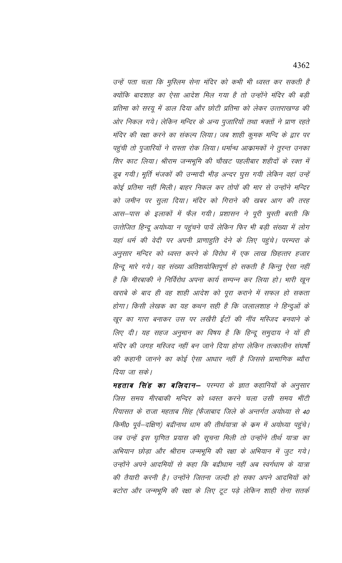उन्हें पता चला कि मुस्लिम सेना मंदिर को कभी भी ध्वस्त कर सकती है क्योंकि बादशाह का ऐसा आदेश मिल गया है तो उन्होंने मंदिर की बड़ी प्रतिमा को सरयू में डाल दिया और छोटी प्रतिमा को लेकर उत्तराखण्ड की ओर निकल गये। लेकिन मन्दिर के अन्य पुजारियों तथा भक्तों ने प्राण रहते मंदिर की रक्षा करने का संकल्प लिया। जब शाही कुमक मन्दि के द्वार पर पहुंची तो पुजारियों ने रास्ता रोक लिया। धर्मान्ध आक्रामकों ने तुरन्त उनका शिर काट लिया। श्रीराम जन्मभूमि की चौखट पहलीबार शहीदों के रक्त में डूब गयी। मूर्ति भंजकों की उन्मादी भीड़ अन्दर घुस गयी लेकिन वहां उन्हें कोई प्रतिमा नहीं मिली। बाहर निकल कर तोपों की मार से उन्होंने मन्दिर को जमीन पर सुला दिया। मंदिर को गिराने की खबर आग की तरह आस–पास के इलाकों में फैल गयी। प्रशासन ने पूरी चुस्ती बरती कि उत्तेजित हिन्दू अयोध्या न पहुंचने पायें लेकिन फिर भी बड़ी संख्या में लोग यहां धर्म की वेदी पर अपनी प्राणाहुति देने के लिए पहुंचे। परम्परा के अनुसार मन्दिर को ध्वस्त करने के विरोध में एक लाख छिहत्तर हजार हिन्दू मारे गये। यह संख्या अतिशयोक्तिपूर्ण हो सकती है किन्तु ऐसा नहीं है कि मीरबाकी ने निर्विरोध अपना कार्य सम्पन्न कर लिया हो। भारी खून खराबे के बाद ही वह शाही आदेश को पूरा कराने में सफल हो सकता होगा। किसी लेखक का यह कथन सही है कि जलालशाह ने हिन्दुओं के खूर का गारा बनाकर उस पर लखैरी ईंटों की नींव मस्जिद बनवाने के लिए दी। यह सहज अनुमान का विषय है कि हिन्दू समुदाय ने यों ही मंदिर की जगह मस्जिद नहीं बन जाने दिया होगा लेकिन तत्कालीन संघर्षों की कहानी जानने का कोई ऐसा आधार नहीं है जिससे प्रामाणिक ब्यौरा दिया जा सके।

महताब सिंह का बलिदान– परम्परा के ज्ञात कहानियों के अनुसार जिस समय मीरबाकी मन्दिर को ध्वस्त करने चला उसी समय भींटी रियासत के राजा महताब सिंह (फैजाबाद जिले के अन्तर्गत अयोध्या से 40 किमी0 पूर्व-दक्षिण) बद्रीनाथ धाम की तीर्थयात्रा के कम में अयोध्या पहुंचे। जब उन्हें इस घृणित प्रयास की सूचना मिली तो उन्होंने तीर्थ यात्रा का अभियान छोड़ा और श्रीराम जन्मभूमि की रक्षा के अभियान में जुट गये। उन्होंने अपने आदमियों से कहा कि बद्रीधाम नहीं अब स्वर्गधाम के यात्रा की तैयारी करनी है। उन्होंने जितना जल्दी हो सका अपने आदमियों को बटोरा और जन्मभूमि की रक्षा के लिए टूट पड़े लेकिन शाही सेना सतर्क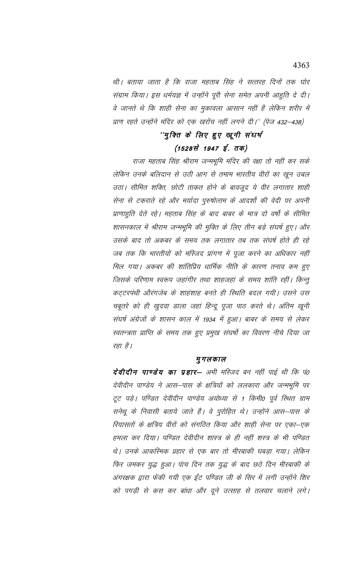थी। बताया जाता है कि राजा महताब सिंह ने सत्तरह दिनों तक घोर संग्राम किया। इस धर्मयज्ञ में उन्होंने पूरी सेना समेत अपनी आहुति दे दी। वे जानते थे कि शाही सेना का मुकावला आसान नहीं है लेकिन शरीर में प्राण रहते उन्होंने मंदिर को एक खरोंच नहीं लगने दी।'' (पेज 432–438)

# ''मुक्ति के लिए हुए खूनी संघर्ष

## (1528से 1947 ई. तक)

राजा महताब सिंह श्रीराम जन्मभूमि मंदिर की रक्षा तो नहीं कर सके लेकिन उनके बलिदान से उठी आग से तमाम भारतीय वीरों का खून उबल उठा। सीमित शक्ति, छोटी ताकत होने के बावजूद ये वीर लगातार शाही सेना से टकराते रहे और मर्यादा पुरुषोत्तम के आदर्शो की वेदी पर अपनी प्राणाहुति देते रहे। महताब सिंह के बाद बाबर के मात्र दो वर्षो के सीमित शासनकाल में श्रीराम जन्मभूमि की मुक्ति के लिए तीन बड़े संघर्ष हुए। और उसके बाद तो अकबर के समय तक लगातार तब तक संघर्ष होते ही रहे जब तक कि भारतीयों को मस्जिद प्रांगण में पूजा करने का अधिकार नहीं मिल गया। अकबर की शांतिप्रिय धार्मिक नीति के कारण तनाव कम हुए जिसके परिणाम स्वरूप जहांगीर तथा शाहजहां के समय शांति रहीं। किन्तू कट्टरपंथी औरंगजेब के शाहंशाह बनते ही स्थिति बदल गयी। उसने उस चबूतरे को ही खुदवा डाला जहां हिन्दू पूजा पाठ करते थे। अंतिम खूनी संघर्ष अंग्रेजों के शासन काल में 1934 में हुआ। बाबर के समय से लेकर स्वतन्त्रता प्राप्ति के समय तक हुए प्रमुख संघर्षो का विवरण नीचे दिया जा रहा है।

#### मुगलकाल

देवीदीन पाण्डेय का प्रहार— अभी मस्जिद बन नहीं पाई थी कि पं0 देवीदीन पाण्डेय ने आस–पास के क्षत्रियों को ललकारा और जन्मभूमि पर टूट पड़े। पण्डित देवीदीन पाण्डेय अयोध्या से 1 किमी0 पूर्व स्थित ग्राम सनेथू के निवासी बताये जाते हैं। वे पुरोहित थे। उन्होंने आस–पास के रियासतों के क्षत्रिय वीरों को संगठित किया और शाही सेना पर एका–एक हमला कर दिया। पण्डित देवीदीन शास्त्र के ही नहीं शस्त्र के भी पण्डित थे। उनके आकस्मिक प्रहार से एक बार तो मीरबाकी घबड़ा गया। लेकिन फिर जमकर युद्ध हुआ। पांच दिन तक युद्ध के बाद छठे दिन मीरबाकी के अंगरक्षक द्वारा फेंकी गयी एक ईंट पण्डित जी के सिर में लगी उन्होंने शिर को पगड़ी से कस कर बांधा और दूने उत्साह से तलवार चलाने लगे।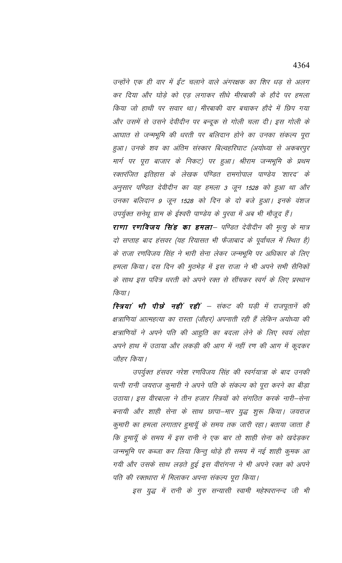उन्होंने एक ही वार में ईंट चलाने वाले अंगरक्षक का शिर धड़ से अलग कर दिया और घोड़े को एड़ लगाकर सीधे मीरबाकी के हौदे पर हमला किया जो हाथी पर सवार था। मीरबाकी वार बचाकर होंदे में छिप गया और उसमें से उसने देवीदीन पर बन्दूक से गोली चला दी। इस गोली के आघात से जन्मभूमि की धरती पर बलिदान होने का उनका संकल्प पूरा हुआ। उनके शव का अंतिम संस्कार बिल्वहरिघाट (अयोध्या से अकबरपुर मार्ग पर पूरा बाजार के निकट) पर हुआ। श्रीराम जन्मभूमि के प्रथम रक्तरंजित इतिहास के लेखक पंण्डित रामगोपाल पाण्डेय 'शारद' के अनुसार पण्डित देवीदीन का यह हमला 3 जून 1528 को हुआ था और उनका बलिदान 9 जून 1528 को दिन के दो बजे हुआ। इनके वंशज उपर्युक्त सनेथू ग्राम के ईश्वरी पाण्डेय के पुरवा में अब भी मौजूद हैं।

राणा रणविजय सिंह का हमला– पण्डित देवीदीन की मृत्यु के मात्र दो सप्ताह बाद हंसवर (यह रियासत भी फैजाबाद के पूर्वांचल में स्थित है) के राजा रणविजय सिंह ने भारी सेना लेकर जन्मभूमि पर अधिकार के लिए हमला किया। दस दिन की मुठभेड़ में इस राजा ने भी अपने सभी सैनिकों के साथ इस पवित्र धरती को अपने रक्त से सींचकर स्वर्ग के लिए प्रस्थान किया।

**स्त्रियां भी पीछे नहीं रहीं** – संकट की घड़ी में राजपूतानें की क्षत्राणियां आत्महत्या का रास्ता (जौहर) अपनाती रही हैं लेकिन अयोध्या की क्षत्राणियों ने अपने पति की आहुति का बदला लेने के लिए स्वयं लोहा अपने हाथ में उठाया और लकड़ी की आग में नहीं रण की आग में कूदकर जौहर किया।

उपर्युक्त हंसवर नरेश रणविजय सिंह की स्वर्गयात्रा के बाद उनकी पत्नी रानी जयराज कुमारी ने अपने पति के संकल्प को पूरा करने का बीड़ा उठाया। इस वीरबाला ने तीन हजार स्त्रियों को संगठित करके नारी–सेना बनायी और शाही सेना के साथ छापा–मार युद्ध शुरू किया। जयराज कुमारी का हमला लगातार हुमायूँ के समय तक जारी रहा। बताया जाता है कि हुमायूँ के समय में इस रानी ने एक बार तो शाही सेना को खदेड़कर जन्मभूमि पर कब्जा कर लिया किन्तु थोड़े ही समय में नई शाही कुमक आ गयी और उसके साथ लड़ते हुई इस वीरांगना ने भी अपने रक्त को अपने पति की रक्तधारा में मिलाकर अपना संकल्प पूरा किया।

इस युद्ध में रानी के गुरु सन्यासी स्वामी महेश्वरानन्द जी भी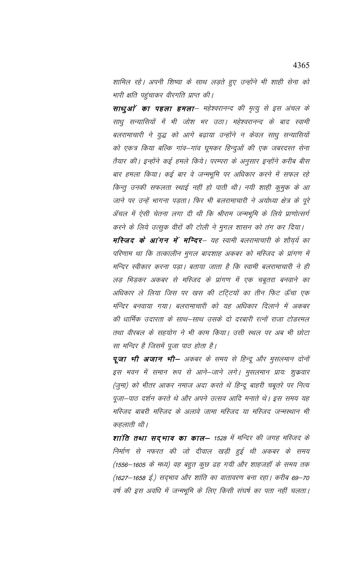शामिल रहे। अपनी शिष्या के साथ लड़ते हुए उन्होंने भी शाही सेना को भारी क्षति पहुंचाकर वीरगति प्राप्त की।

साधुओं का पहला हमला— महेश्वरानन्द की मृत्यु से इस अंचल के साधु सन्यासियों में भी जोश भर उठा। महेश्वरानन्द के बाद स्वामी बलरामाचारी ने युद्ध को आगे बढ़ाया उन्होंने न केवल साधु सन्यासियों को एकत्र किया बल्कि गांव–गांव घूमकर हिन्दुओं की एक जबरदस्त सेना तैयार की। इन्होंने कई हमले किये। परम्परा के अनुसार इन्होंने करीब बीस बार हमला किया। कई बार वे जन्मभूमि पर अधिकार करने में सफल रहे किन्तु उनकी सफलता स्थाई नहीं हो पाती थी। नयी शाही कुमुक के आ जाने पर उन्हें भागना पड़ता। फिर भी बलरामाचारी ने अयोध्या क्षेत्र के पूरे ॲंचल में ऐसी चेतना लगा दी थी कि श्रीराम जन्मभूमि के लिये प्राणोत्सर्ग करने के लिये उत्सुक वीरों की टोली ने मुगल शासन को तंग कर दिया। मस्जिद के आंगन में मन्दिर– यह स्वामी बलरामाचारी के शौयूर्य का परिणाम था कि तत्कालीन मुगल बादशाह अकबर को मस्जिद के प्रांगण में मन्दिर स्वीकार करना पड़ा। बताया जाता है कि स्वामी बलरामाचारी ने ही लड़ भिड़कर अकबर से मस्जिद के प्रांगण में एक चबूतरा बनवाने का अधिकार ले लिया जिस पर खस की टटि्टयों का तीन फिट ऊँचा एक मंन्दिर बनवाया गया। बलरामाचारी को यह अधिकार दिलाने में अकबर की धार्मिक उदारता के साथ–साथ उसके दो दरबारी रत्नों राजा टोडरमल

तथा वीरबल के सहयोग ने भी काम किया। उसी स्थल पर अब भी छोटा सा मन्दिर है जिसमें पूजा पाठ होता है।

**पूजा भी अजान भी–** अकबर के समय से हिन्दू और मुसलमान दोनों इस भवन में समान रूप से आने–जाने लगे। मुसलमान प्रायः शुक्रवार (जुमा) को भीतर आकर नमाज अदा करते थें हिन्दू बाहरी चबूतरे पर नित्य पूजा—पाठ दर्शन करते थे और अपने उत्सव आदि मनाते थे। इस समय यह मस्जिद बाबरी मस्जिद के अलावे जामा मस्जिद या मस्जिद जन्मस्थान भी कहलाती थी।

**शांति तथा सद्भाव का काल—** 1528 में मन्दिर की जगह मस्जिद के निर्माण से नफरत की जो दीवाल खड़ी हुई थी अकबर के समय (1556—1605 के मध्य) वह बहुत कुछ ढह गयी और शाहजहाँ के समय तक (1627—1658 ई.) सद्भाव और शांति का वातावरण बना रहा। करीब 69—70 वर्ष की इस अवधि में जन्मभूमि के लिए किसी संघर्ष का पता नहीं चलता।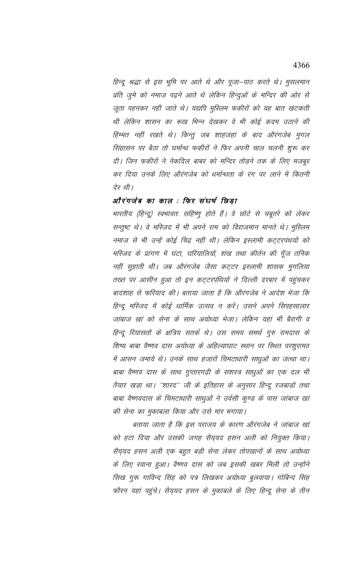हिन्दू श्रद्धा से इस भूमि पर आते थे और पूजा—पाठ करते थे। मुसलमान प्रति जुमे को नमाज पढ़ने आते थे लेकिन हिन्दुओं के मन्दिर की ओर से जूता पहनकर नहीं जाते थे। यद्यपि मुस्लिम फकीरों को यह बात खटकती थी लेकिन शासन का रूख भिन्न देखकर वे भी कोई कदम उठाने की हिम्मत नहीं रखते थे। किन्तु जब शाहजहां के बाद औरंगजेब मुगल सिंहासन पर बैठा तो घर्मान्ध फकीरों ने फिर अपनी चाल चलनी शुरू कर दी। जिन फकीरों ने नेकदिल बाबर को मन्दिर तोड़ने तक के लिए मजबूर कर दिया उनके लिए औरंगजेब को धर्मान्धता के रंग पर लाने में कितनी देर थी।

#### औरंगजेब का काल : फिर संघर्ष छिड़ा

भारतीय (हिन्दू) स्वभावतः सहिष्णु होते हैं। वे छोटे से चबूतरे को लेकर सन्तुष्ट थे। वे मस्जिद में भी अपने राम को विराजमान मानते थे। मुस्लिम नमाज से भी उन्हें कोई चिढ़ नहीं थी। लेकिन इस्लामी कट्टरपंथयों को मस्जिद के प्रांगण में घंटा, घरियालियों, शंख तथा कीर्तन की गूँज तनिक नहीं सुहाती थी। जब औरंगजेब जैसा कट्टर इस्लामी शासक मुगलिया तख्त पर आसीन हुआ तो इन कट्टरपंथियों ने दिल्ली दरबार में पहुंचकर बादशाह से फरियाद की। बताया जाता है कि औरंगजेब ने आदेश भेजा कि हिन्दू मस्जिद में कोई धार्मिक उत्सव न करें। उसने अपने सिपहसालार जांबाज खां को सेना के साथ अयोध्या भेजा। लेकिन यहां भी बैरागी व हिन्दू रियासतों के क्षत्रिय सतर्क थे। उस समय समर्थ गुरु रामदास के शिष्य बाबा वैष्णव दास अयोध्या के अहिल्याघाट स्थान पर स्थित परशुरामठ में आसन जमाये थे। उनके साथ हजारों चिमटाधारी साधुओं का जत्था था। बाबा वैष्णव दास के साथ गुप्तारगढ़ी के सशस्त्र साधुओं का एक दल भी तैयार खड़ा था। ''शारद'' जी के इतिहास के अनुसार हिन्दू रजबाड़ों तथा बाबा वैष्णवदास के चिमटाधारी साधुओं ने उर्वसी कुण्ड के पास जांबाज खां की सेना का मुकाबला किया और उसे मार भगाया।

बताया जाता है कि इस पराजय के कारण औरंगजेब ने जांबाज खां को हटा दिया और उसकी जगह सैयुयद हसन अली को नियुक्त किया। सैयुयद हसन अली एक बहुत बड़ी सेना लेकर तोपखानों के साथ अयोध्या के लिए रवाना हुआ। वैष्णव दास को जब इसकी खबर मिली तो उन्होंने सिख गुरू गाविन्द सिंह को पत्र लिखकर अयोध्या बुलवाया। गोबिन्द सिंह फौरन यहां पहुंचे। सैय्यद हसन के मुकाबले के लिए हिन्दू सेना के तीन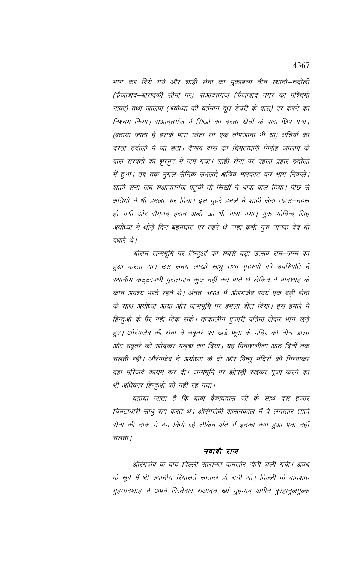भाग कर दिये गये और शाही सेना का मुकाबला तीन स्थानों–रुदौली (फेंजाबाद–बाराबंकी सीमा पर), सआदतगंज (फेंजाबाद नगर का पश्चिमी नाका) तथा जालपा (अयोध्या की वर्तमान दूध डेयरी के पास) पर करने का निश्चय किया। सआदतगंज में सिखों का दस्ता खेतों के पास छिप गया। (बताया जाता है इसके पास छोटा सा एक तोपखाना भी था) क्षत्रियों का दस्ता रुदौली में जा डटा। वैष्णव दास का चिमटाधारी गिरोह जालपा के पास सरपतों की झुरमुट में जम गया। शाही सेना पर पहला प्रहार रुदौली में हुआ। तब तक मुगल सैनिक संभलते क्षत्रिय मारकाट कर भाग निकले। शाही सेना जब सआदतगंज पहुंची तो सिखों ने धावा बोल दिया। पीछे से क्षत्रियों ने भी हमला कर दिया। इस दुहरे हमले में शाही सेना तहस—नहस हो गयी और सैय्यद हसन अली खां भी मारा गया। गुरू गोविन्द सिंह अयोध्या में थोड़े दिन ब्रह्मघाट पर ठहरे थे जहां कभी गुरु नानक देव भी पधारे थे।

श्रीराम जन्मभूमि पर हिन्दुओं का सबसे बड़ा उत्सव राम–जन्म का हुआ करता था। उस समय लाखों साधु तथा गृहस्थों की उपस्थिति में स्थानीय कट्टरपंथी मुसलमान कुछ नहीं कर पाते थे लेकिन वे बादशाह के कान अवश्य भरते रहते थे। अंततः 1664 में औरंगजेब स्वयं एक बड़ी सेना के साथ अयोध्या आया और जन्मभूमि पर हमला बोल दिया। इस हमले में हिन्दुओं के पैर नहीं टिक सके। तत्कालीन पुजारी प्रतिमा लेकर भाग खड़े हुए। औरंगजेब की सेना ने चबूतरे पर खड़े फूस के मंदिर को नोच डाला और चबूतरे को खोदकर गड्ढा कर दिया। यह विनाशलीला आठ दिनों तक चलती रही। औरंगजेब ने अयोध्या के दो और विष्णु मंदिरों को गिरवाकर वहां मस्जिदें कायम कर दी। जन्मभूमि पर झोपड़ी रखकर पूजा करने का भी अधिकार हिन्दुओं को नहीं रह गया।

बताया जाता है कि बाबा वैष्णवदास जी के साथ दस हजार चिमटाधारी साधु रहा करते थे। औरंगजेबी शासनकाल में वे लगातार शाही सेना की नाक मे दम किये रहे लेकिन अंत में इनका क्या हुआ पता नहीं चलता |

#### नवाबी राज

औरंगजेब के बाद दिल्ली सल्तनत कमजोर होती चली गयी। अवध के सूबे में भी स्थानीय रियासतें स्वतन्त्र हो गयी थी। दिल्ली के बादशाह मुहम्मदशाह ने अपने रिस्तेदार सआदत खां मुहम्मद अमीन बुरहानुलमुल्क

#### 4367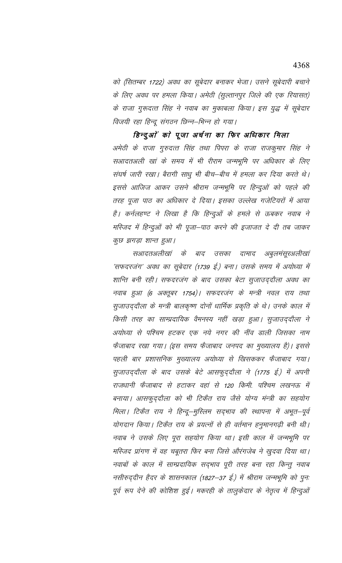को (सितम्बर 1722) अवध का सूबेदार बनाकर भेजा। उसने सूबेदारी बचाने के लिए अवध पर हमला किया। अमेठी (सुल्तानपुर जिले की एक रियासत) के राजा गुरूदत्त सिंह ने नवाब का मुकाबला किया। इस युद्ध में सूबेदार विजयी रहा हिन्दू संगठन छिन्न–भिन्न हो गया।

हिन्दुओं को पूजा अर्चना का फिर अधिकार मिला अमेठी के राजा गुरुदत्त सिंह तथा पिपरा के राजा राजकुमार सिंह ने सआदतअली खां के समय में भी रीराम जन्मभूमि पर अधिकार के लिए संघर्ष जारी रखा। बैरागी साधु भी बीच—बीच में हमला कर दिया करते थे। इससे आजिज आकर उसने श्रीराम जन्मभूमि पर हिन्दुओं को पहले की तरह पूजा पाठ का अधिकार दे दिया। इसका उल्लेख गजेटियरों में आया है। कर्नलहण्ट ने लिखा है कि हिन्दुओं के हमले से ऊबकर नवाब ने मस्जिद में हिन्दुओं को भी पूजा—पाठ करने की इजाजत दे दी तब जाकर कुछ झगड़ा शान्त हुआ।

सआदतअलीखां के बाद उसका दामाद अबुलमंसूरअलीखां 'सफदरजंग' अवध का सूबेदार (1739 ई.) बना। उसके समय में अयोध्या में शान्ति बनी रही। सफदरजंग के बाद उसका बेटा सुजाउद्दौला अवध का नवाब हुआ (6 अक्तूबर 1754)। सफदरजंग के मन्त्री नवल राय तथा सुजाउद्दौला के मन्त्री बालकृष्ण दोनों धार्मिक प्रकृति के थे। उनके काल में किसी तरह का साम्प्रदायिक वैमनस्य नहीं खड़ा हुआ। सुजाउद्दौला ने अयोध्या से पश्चिम हटकर एक नये नगर की नींव डाली जिसका नाम फैजाबाद रखा गया। (इस समय फैजाबाद जनपद का मुख्यालय है)। इससे पहली बार प्रशासनिक मुख्यालय अयोध्या से खिसककर फैजाबाद गया। सुजाउद्दौला के बाद उसके बेटे आसफुद्दौला ने (1775 ई.) में अपनी राजधानी फैजाबाद से हटाकर वहां से 120 किमी. पश्चिम लखनऊ में बनाया। आसफुद्दौला को भी टिकैत राय जैसे योग्य मंन्त्री का सहयोग मिला। टिकैत राय ने हिन्दू–मुस्लिम सद्भाव की स्थापना में अभूत–पूर्व योगदान किया। टिकैत राय के प्रयत्नों से ही वर्तमान हनुमानगढ़ी बनी थी। नवाब ने उसके लिए पूरा सहयोग किया था। इसी काल में जन्मभूमि पर मस्जिद प्रांगण में वह चबूतरा फिर बना जिसे औरंगजेब ने खुदवा दिया था। नवाबों के काल में साम्प्रदायिक सद्भाव पूरी तरह बना रहा किन्तु नवाब नसीरुद्दीन हैदर के शासनकाल (1827—37 ई.) में श्रीराम जन्मभूमि को पुनः पूर्व रूप देने की कोशिश हुई। मकरही के तालुकेदार के नेतृत्व में हिन्दुओं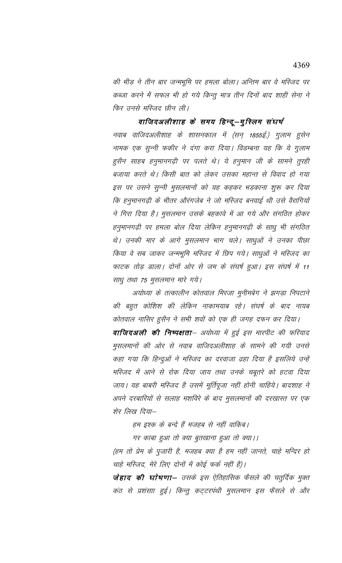की भीड़ ने तीन बार जन्मभूमि पर हमला बोला। अन्तिम बार वे मस्जिद पर कब्जा करने में सफल भी हो गये किन्तु मात्र तीन दिनों बाद शाही सेना ने फिर उनसे मस्जिद छीन ली।

वाजिदअलीशाह के समय हिन्दू-मुस्लिम संघर्ष नवाब वाजिदअलीशाह के शासनकाल में (सन् 1855ई.) गुलाम हुसेन नामक एक सुन्नी फकीर ने दंगा करा दिया। विडम्बना यह कि ये गुलाम हुसैन साहब हनुमानगढ़ी पर पलते थे। ये हनुमान जी के सामने तुरही बजाया करते थे। किसी बात को लेकर उसका महान्त से विवाद हो गया इस पर उसने सुन्नी मुसलमानों को यह कहकर भड़काना शुरू कर दिया कि हनुमानगढ़ी के भीतर औरंगजेब ने जो मस्जिद बनवाई थी उसे वैरागियों ने गिरा दिया है। मुसलमान उसके बहकावे में आ गये और संगठित होकर हनुमानगढ़ी पर हमला बोल दिया लेकिन हनुमानगढ़ी के साधु भी संगठित थे। उनकी मार के आगे मुसलमान भाग चले। साधुओं ने उनका पीछा किया वे सब जाकर जन्मभूमि मस्जिद में छिप गये। साधुओं ने मस्जिद का फाटक तोड़ डाला। दोनों ओर से जम के संघर्ष हुआ। इस संघर्ष में 11 साधु तथा 75 मुसलमान मारे गये।

अयोध्या के तत्कालीन कोतवाल मिरजा मुनीमबेग ने झगड़ा निपटाने की बहुत कोशिश की लेकिन नाकामयाब रहे। संघर्ष के बाद नायब कोतवाल नासिर हुसैन ने सभी शवों को एक ही जगह दफन कर दिया। वाजिदअली की निष्पक्षता– अयोध्या में हुई इस मारपीट की फरियाद मुसलमानों की ओर से नवाब वाजिदअलीशाह के सामने की गयी उनसे कहा गया कि हिन्दुओं ने मस्जिद का दरवाजा ढहा दिया है इसलिये उन्हें मस्जिद में आने से रोक दिया जाय तथा उनके चबूतरे को हटवा दिया जाय । यह बाबरी मस्जिद है उसमें मूर्तिपूजा नहीं होनी चाहिये । बादशाह ने अपने दरबारियों से सलाह मशविरे के बाद मुसलमानों की दरखास्त पर एक शेर लिख दिया—

हम इश्क के बन्दे हैं मजहब से नहीं वाकिब।

गर काबा हुआ तो क्या बुतखाना हुआ तो क्या।।

(हम तो प्रेम के पुजारी है, मजहब क्या है हम नहीं जानते, चाहे मन्दिर हो चाहे मस्जिद, मेरे लिए दोनों में कोई फर्क नहीं है)।

**जेहाद की घाेषणा—** उसके इस ऐतिहासिक फैसले की चतुर्दिक मुक्त कंठ से प्रशंसाा हुई। किन्तु कट्टरपंथी मुसलमान इस फैसले से और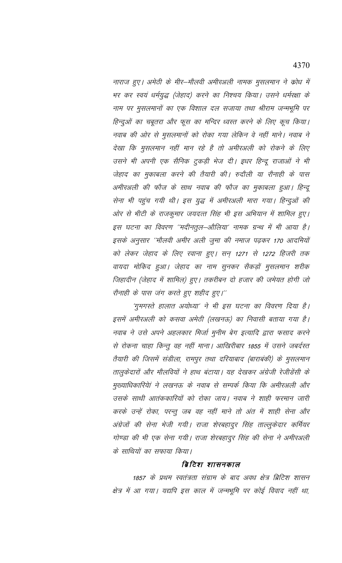नाराज हुए। अमेठी के मीर–मौलवी अमीरअली नामक मुसलमान ने कोध में भर कर स्वयं धर्मयुद्ध (जेहाद) करने का निश्चय किया। उसने धर्मरक्षा के नाम पर मुसलमानों का एक विशाल दल सजाया तथा श्रीराम जन्मभूमि पर हिन्दुओं का चबूतरा और फूस का मन्दिर ध्वस्त करने के लिए कूच किया। नवाब की ओर से मुसलमानों को रोका गया लेकिन वे नहीं माने। नवाब ने देखा कि मुसलमान नहीं मान रहे है तो अमीरअली को रोकने के लिए उसने भी अपनी एक सैनिक टुकड़ी भेज दी। इधर हिन्दू राजाओं ने भी जेहाद का मुकाबला करने की तैयारी की। रुदौली या रौनाही के पास अमीरअली की फौज के साथ नवाब की फौज का मुकाबला हुआ। हिन्दू सेना भी पहुंच गयी थी। इस युद्ध में अमीरअली मारा गया। हिन्दुओं की ओर से भीटी के राजकुमार जयदत्त सिंह भी इस अभियान में शामिल हुए। इस घटना का विवरण ''मदीनतुल—औलिया' नामक ग्रन्थ में भी आया है। इसके अनुसार ''मौलवी अमीर अली जुमा की नमाज पढ़कर 170 आदमियों को लेकर जेहाद के लिए रवाना हुए। सन् 1271 से 1272 हिजरी तक वायदा मोकिद हुआ। जेहाद का नाम सुनकर सैकड़ों मुसलमान शरीक जिहादीन (जेहाद में शामिल) हुए। तकरीबन दो हजार की जमेयत होगी जो रौनाही के पास जंग करते हुए शहीद हुए।''

'गुमगस्ते हालात अयोध्या' ने भी इस घटना का विवरण दिया है। इसमें अमीरअली को कसवा अमेठी (लखनऊ) का निवासी बताया गया है। नवाब ने उसे अपने अहलकार मिर्जा मुनीम बेग इत्यादि द्वारा फसाद करने से रोकना चाहा किन्तु वह नहीं माना। आखिरीबार 1855 में उसने जबर्दस्त तैयारी की जिसमें संडीला, रामपुर तथा दरियाबाद (बाराबंकी) के मुसलमान तालुकेदारों और मौलवियों ने हाथ बंटाया। यह देखकर अंग्रेजी रेजीडेंसी के मुख्याधिकारियेां ने लखनऊ के नवाब से सम्पर्क किया कि अमीरअली और उसके साथी आतंककारियों को रोका जाय। नवाब ने शाही फरमान जारी करके उन्हें रोका, परन्तु जब वह नहीं माने तो अंत में शाही सेना और अंग्रेजों की सेना भेजी गयी। राजा शेरबहादुर सिंह ताल्लुकेदार कर्मियर गोण्डा की भी एक सेना गयी। राजा शेरबहादुर सिंह की सेना ने अमीरअली के साथियों का सफाया किया।

#### ब्रिटिश शासनकाल

1857 के प्रथम स्वतंत्रता संग्राम के बाद अवध क्षेत्र ब्रिटिश शासन क्षेत्र में आ गया। यद्यपि इस काल में जन्मभूमि पर कोई विवाद नहीं था,

#### 4370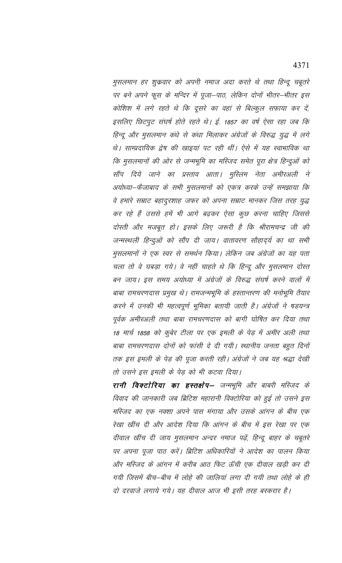मुसलमान हर शुक्रवार को अपनी नमाज अदा करते थे तथा हिन्दू चबूतरे पर बने अपने फूस के मन्दिर में पूजा—पाठ, लेकिन दोनों भीतर—भीतर इस कोशिश में लगे रहते थे कि दूसरे का वहां से बिल्कुल सफाया कर दें, इसलिए छिटपुट संघर्ष होते रहते थे। ई. 1857 का वर्ष ऐसा रहा जब कि हिन्दू और मुसलमान कंधे से कंधा मिलाकर अंग्रेजों के विरुद्ध युद्ध में लगे थे। साम्प्रदायिक द्वेष की खाइयां पट रही थीं। ऐसे में यह स्वाभाविक था कि मुसलमानों की ओर से जन्मभूमि का मस्जिद समेत पूरा क्षेत्र हिन्दुओं को सौंप दिये जाने का प्रस्ताव आता। मुस्लिम नेता अमीरअली ने अयोध्या—फैजाबाद के सभी मुसलमानों को एकत्र करके उन्हें समझाया कि वे हमारे सम्राट बहादुरशाह जफर को अपना सम्राट मानकर जिस तरह युद्ध कर रहे हैं उससे हमें भी आगे बढ़कर ऐसा कुछ करना चाहिए जिससे दोस्ती और मजबूत हो। इसके लिए जरूरी है कि श्रीरामचन्द्र जी की जन्मस्थली हिन्दुओं को सौंप दी जाय। वातावरण सौहाद्र्य का था सभी मुसलमानों ने एक स्वर से समर्थन किया। लेकिन जब अंग्रेजों का यह पता चला तो वे घबड़ा गये। वे नहीं चाहते थे कि हिन्दू और मुसलमान दोस्त बन जाय। इस समय अयोध्या में अंग्रेजों के विरुद्ध संघर्ष करने वालों में बाबा रामचरणदास प्रमुख थे। रामजन्मभूमि के हस्तान्तरण की मनोभूमि तैयार करने में उनकी भी महत्वपूर्ण भूमिका बतायी जाती है। अंग्रेजों ने षडयन्त्र पूर्वक अमीरअली तथा बाबा रामचरणदास को बागी घोषित कर दिया तथा 18 मार्च 1858 को कुबेर टीला पर एक इमली के पेड़ में अमीर अली तथा बाबा रामचरणदास दोनों को फांसी दे दी गयी। स्थानीय जनता बहुत दिनों तक इस इमली के पेड़ की पूजा करती रही। अंग्रेजों ने जब यह श्रद्धा देखी तो उसने इस इमली के पेड़ को भी कटवा दिया।

**रानी विक्टोरिया का हस्तक्षेप–** जन्मभूमि और बाबरी मस्जिद के विवाद की जानकारी जब ब्रिटिश महारानी विक्टोरिया को हुई तो उसने इस मस्जिद का एक नक्शा अपने पास मंगाया और उसके आंगन के बीच एक रेखा खींच दी और आदेश दिया कि आंगन के बीच में इस रेखा पर एक दीवाल खींच दी जाय मुसलमान अन्दर नमाज पढ़ें, हिन्दू बाहर के चबूतरे पर अपना पूजा पाठ करें। ब्रिटिश अधिकारियों ने आदेश का पालन किया और मस्जिद के आंगन में करीब आठ फिट ऊँची एक दीवाल खड़ी कर दी गयी जिसमें बीच–बीच में लोहे की जालियां लगा दी गयी तथा लोहे के ही दो दरवाजे लगाये गये। यह दीवाल आज भी इसी तरह बरकरार है।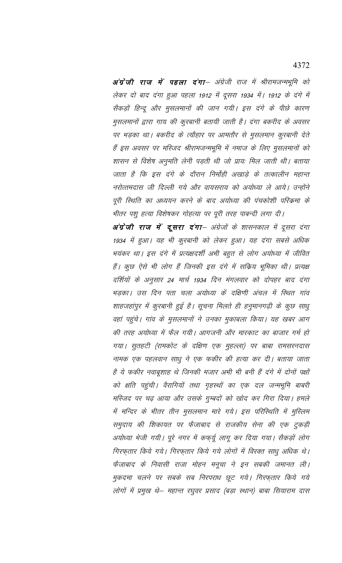अंग्रेजी राज में पहला दंगा– अंग्रेजी राज में श्रीरामजन्मभूमि को लेकर दो बाद दंगा हुआ पहला 1912 में दूसरा 1934 में। 1912 के दंगे में सैकड़ों हिन्दू और मुसलमानों की जान गयी। इस दंगे के पीछे कारण मुसलमानों द्वारा गाय की कुरबानी बतायी जाती है। दंगा बकरीद के अवसर पर भड़का था। बकरीद के त्यौहार पर आमतौर से मुसलमान कुरबानी देते हैं इस अवसर पर मस्जिद श्रीरामजन्मभूमि में नमाज के लिए मुसलमानों को शासन से विशेष अनुमति लेनी पड़ती थी जो प्रायः मिल जाती थी। बताया जाता है कि इस दंगे के दौरान निर्मोही अखाड़े के तत्कालीन महान्त नरोत्तमदास जी दिल्ली गये और वायसराय को अयोध्या ले आये। उन्होंने पूरी स्थिति का अध्ययन करने के बाद अयोध्या की पंचकोशी परिक्रमा के भीतर पशु हत्या विशेषकर गोहत्या पर पूरी तरह पाबन्दी लगा दी।

**अंग्रेजी राज में दूसरा दंगा**— अंग्रेजों के शासनकाल में दूसरा दंगा 1934 में हुआ। यह भी कुरबानी को लेकर हुआ। यह दंगा सबसे अधिक भयंकर था। इस दंगे में प्रत्यक्षदर्शी अभी बहुत से लोग अयोध्या में जीवित हैं। कुछ ऐसे भी लोग हैं जिनकी इस दंगे में सक्रिय भूमिका थी। प्रत्यक्ष दर्शियों के अनुसार 24 मार्च 1934 दिन मंगलवार को दोपहर बाद दंगा भड़का। उस दिन पता चला अयोध्या कें दक्षिणी अंचल में स्थित गांव शाहजहांपुर में कुरबानी हुई है। सूचना मिलते ही हनुमानगढ़ी के कुछ साधु वहां पहुंचे। गांव के मुसलमानों ने उनका मुकाबला किया। यह खबर आग की तरह अयोध्या में फैल गयी। आगजनी और मारकाट का बाजार गर्म हो गया। सुतहटी (रामकोट के दक्षिण एक मुहल्ला) पर बाबा रामसरनदास नामक एक पहलवान साधु ने एक फकीर की हत्या कर दी। बताया जाता है ये फकीर नवाबूशाह थे जिनकी मजार अभी भी बनी हैं दंगे में दोनों पक्षों को क्षति पहुंची। वैरागियों तथा गृहस्थों का एक दल जन्मभूमि बाबरी मस्जिद पर चढ़ आया और उसके गुम्बदों को खोद कर गिरा दिया। हमले में मन्दिर के भीतर तीन मुसलमान मारे गये। इस परिस्थिति में मुस्लिम समुदाय की शिकायत पर फैजाबाद से राजकीय सेना की एक टुकड़ी अयोध्या भेजी गयी। पूरे नगर में कफ़र्यू लागू कर दिया गया। सैकड़ों लोग गिरफ़्तार किये गये। गिरफ़्तार किये गये लोगों में विरक्त साधु अधिक थे। फैजाबाद के निवासी राजा मोहन मनूचा ने इन सबकी जमानत ली। मुकदमा चलने पर सबके सब निरपराध छूट गये। गिरफ्तार किये गये लोगों में प्रमुख थे— महान्त रघुवर प्रसाद (बड़ा स्थान) बाबा सियाराम दास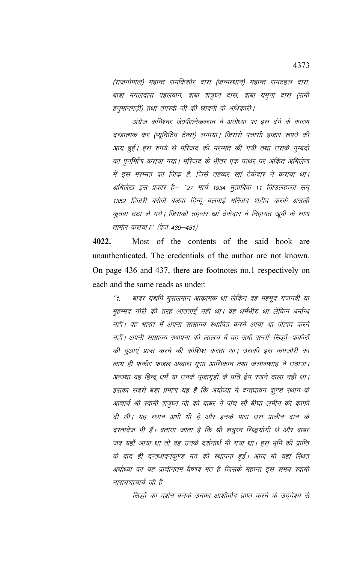(राजगोपाल) महान्त रामकिशोर दास (जन्मस्थान) महान्त रामटहल दास, बाबा मंगलदास पहलवान, बाबा शत्रुघ्न दास, बाबा यमुना दास (सभी हनुमानगढ़ी) तथा तपस्वी जी की छावनी के अधिकारी।

अंग्रेज कमिश्नर जे0पी0नेकल्सन ने अयोध्या पर इस दंगे के कारण दन्डात्मक कर (प्यूनिटिव टैक्स) लगाया। जिससे पचासी हजार रूपये की आय हुई। इस रुपये से मस्जिद की मरम्मत की गयी तथा उसके गुम्बदों का पुनर्मिाण कराया गया। मस्जिद के भीतर एक पत्थर पर अंकित अभिलेख में इस मरम्मत का जिक्र है, जिसे तहव्वर खां ठेकेदार ने कराया था। अभिलेख इस प्रकार है— ''27 मार्च 1934 मुताबिक 11 जिउलहज्ज सन् 1352 हिजरी बरोजे बलवा हिन्दू बलवाई मस्जिद शहीद करके असली कुतबा उठा ले गये। जिसको तहव्वर खां ठेकेदार ने निहायत खूबी के साथ तामीर कराया।'' (पेज 439–451)

4022. Most of the contents of the said book are unauthenticated. The credentials of the author are not known. On page 436 and 437, there are footnotes no.1 respectively on each and the same reads as under:

 $\mathcal{L}_{1}$ बाबर यद्यपि मुसलमान आक्रामक था लेकिन वह महमूद गजनवी या मुहम्मद गोरी की तरह आतताई नहीं था। वह धर्मभीरु था लेकिन धर्मान्ध नहीं। वह भारत में अपना साम्राज्य स्थापित करने आया था जेहाद करने नहीं। अपनी साम्राज्य स्थापना की लालच में वह सभी सन्तों–सिद्धों–फकीरों की दुआएं प्राप्त करने की कोशिश करता था। उसकी इस कमजोरी का लाभ ही फकीर फजल अब्बास मूसा आसिकान तथा जलालशाह ने उठाया। अन्यथा वह हिन्दू धर्म या उनके पूजागृहों के प्रति द्वेष रखने वाला नहीं था। इसका सबसे बड़ा प्रमाण यह है कि अयोध्या में दन्तधावन कुण्ड स्थान के आचार्य श्री स्वामी शत्रुघ्न जी को बाबर ने पांच सौ बीघा लमीन की काफी दी थी। यह स्थान अभी भी है और इनके पास उस प्राचीन दान के दस्तावेज भी हैं। बताया जाता है कि श्री शत्रुघ्न सिद्धयोगी थे और बाबर जब यहाँ आया था तो वह उनके दर्शनार्थ भी गया था। इस भूमि की प्राप्ति के बाद ही दन्तधावनकुण्ड मठ की स्थापना हुई। आज भी यहां स्थित अयोध्या का यह प्राचीनतम वैष्णव मठ है जिसके महान्त इस समय स्वामी नारायणाचार्य जी हैं

सिद्धों का दर्शन करके उनका आशीर्वाद प्राप्त करने के उद्देश्य से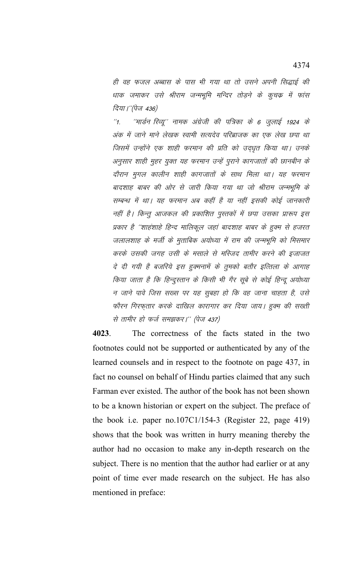ही वह फजल अब्बास के पास भी गया था तो उसने अपनी सिद्धाई की धाक जमाकर उसे श्रीराम जन्मभूमि मन्दिर तोड़ने के कुचक में फांस दिया।''(पेज 436)

''मार्डन रिव्यू'' नामक अंग्रेजी की पत्रिका के 6 जुलाई 1924 के  $\gamma$ अंक में जाने माने लेखक स्वामी सत्यदेव परिब्राजक का एक लेख छपा था जिसमें उन्होंने एक शाही फरमान की प्रति को उदधृत किया था। उनके अनुसार शाही मुहर युक्त यह फरमान उन्हें पुराने कागजातों की छानबीन के दौरान मुगल कालीन शाही कागजातों के साथ मिला था। यह फरमान बादशाह बाबर की ओर से जारी किया गया था जो श्रीराम जन्मभूमि के सम्बन्ध में था। यह फरमान अब कहीं है या नहीं इसकी कोई जानकारी नहीं है। किन्तु आजकल की प्रकाशित पुस्तकों में छपा उसका प्रारूप इस प्रकार है ''शाहंशाहे हिन्द मालिकूल जहां बादशाह बाबर के हुक्म से हजरत जलालशाह के मर्जी के मुताबिक अयोध्या में राम की जन्मभूमि को मिसमार करके उसकी जगह उसी के मसाले से मस्जिद तामीर करने की इजाजत दे दी गयी है बजरिये इस हुक्मनामें के तुमको बतौर इत्तिला के आगाह किया जाता है कि हिन्दुस्तान के किसी भी गैर सूबे से कोई हिन्दू अयोध्या न जाने पावे जिस सख्स पर यह सुबहा हो कि वह जाना चाहता है, उसे फौरन गिरफ़तार करके दाखिल कारागार कर दिया जाय। हुक्म की सख्ती से तामीर हो फर्ज समझकर।'' (पेज 437)

4023. The correctness of the facts stated in the two footnotes could not be supported or authenticated by any of the learned counsels and in respect to the footnote on page 437, in fact no counsel on behalf of Hindu parties claimed that any such Farman ever existed. The author of the book has not been shown to be a known historian or expert on the subject. The preface of the book i.e. paper no.107C1/154-3 (Register 22, page 419) shows that the book was written in hurry meaning thereby the author had no occasion to make any in-depth research on the subject. There is no mention that the author had earlier or at any point of time ever made research on the subject. He has also mentioned in preface: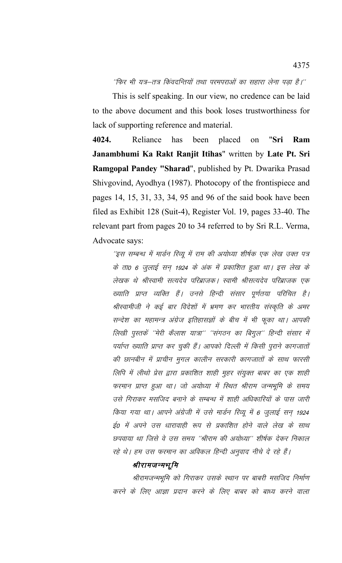''फिर भी यत्र–तत्र किंवदन्तियों तथा परमपराओं का सहारा लेना पड़ा है।''

This is self speaking. In our view, no credence can be laid to the above document and this book loses trustworthiness for lack of supporting reference and material.

4024. Reliance has been placed "Sri Ram on Janambhumi Ka Rakt Ranjit Itihas" written by Late Pt. Sri Ramgopal Pandey "Sharad", published by Pt. Dwarika Prasad Shivgovind, Ayodhya (1987). Photocopy of the frontispiece and pages 14, 15, 31, 33, 34, 95 and 96 of the said book have been filed as Exhibit 128 (Suit-4), Register Vol. 19, pages 33-40. The relevant part from pages 20 to 34 referred to by Sri R.L. Verma, Advocate says:

'इस सम्बन्ध में मार्डन रिव्यू में राम की अयोध्या शीर्षक एक लेख उक्त पत्र के ता0 6 जुलाई सन् 1924 के अंक में प्रकाशित हुआ था। इस लेख के लेखक थे श्रीस्वामी सत्यदेव परिब्राजक। स्वामी श्रीसत्यदेव परिब्राजक एक ख्याति प्राप्त व्यक्ति हैं। उनसे हिन्दी संसार पूर्णतया परिचित है। श्रीस्वामीजी ने कई बार विदेशों में भ्रमण कर भारतीय संस्कृति के अमर सन्देश का महामन्त्र अंग्रेज इतिहासज्ञों के बीच में भी फूका था। आपकी लिखी पुस्तकें ''मेरी कैलाश यात्रा'' ''संगठन का बिगुल'' हिन्दी संसार में पर्याप्त ख्याति प्राप्त कर चुकी हैं। आपको दिल्ली में किसी पुराने कागजातों की छानबीन में प्राचीन मुगल कालीन सरकारी कागजातों के साथ फारसी लिपि में लीथो प्रेस द्वारा प्रकाशित शाही मुहर संयुक्त बाबर का एक शाही फरमान प्राप्त हुआ था। जो अयोध्या में स्थित श्रीराम जन्मभूमि के समय उसे गिराकर मसजिद बनाने के सम्बन्ध में शाही अधिकारियों के पास जारी किया गया था। आपने अंग्रेजी में उसे मार्डन रिव्यू में 6 जुलाई सन् 1924 ई0 में अपने उस धारावाही रूप से प्रकाशित होने वाले लेख के साथ छपवाया था जिसे वे उस समय ''श्रीराम की अयोध्या'' शीर्षक देकर निकाल रहे थे। हम उस फरमान का अविकल हिन्दी अनुवाद नीचे दे रहे हैं।

## श्रीरामजन्मभूमि

श्रीरामजन्मभूमि को गिराकर उसके स्थान पर बाबरी मसजिद निर्माण करने के लिए आज्ञा प्रदान करने के लिए बाबर को बाध्य करने वाला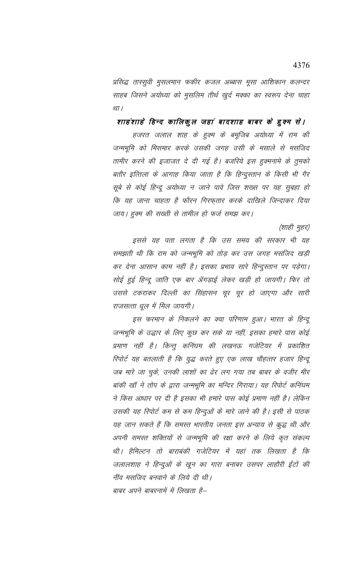प्रसिद्ध तास्सुवी मुसलमान फकीर कजल अब्बास मूसा आशिकान कलन्दर साहब जिसने अयोध्या को मुसलिम तीर्थ खुर्द मक्का का स्वरूप देना चाहा था ।

शाहंशाहे हिन्द कालिकुल जहां बादशाह बाबर के हुक्म से।

हजरत जलाल शाह के हुक्म के बमूजिब अयोध्या में राम की जन्मभूमि को मिसमार करके उसकी जगह उसी के मसाले से मसजिद तामीर करने की इजाजत दे दी गई है। बजरिये इस हुक्मनामे के तुमको बतौर इत्तिला के आगाह किया जाता है कि हिन्दुस्तान के किसी भी गैर सूबे से कोई हिन्दू अयोध्या न जाने पावे जिस शख्स पर यह सुबहा हो कि यह जाना चाहता है फौरन गिरफ्तार करके दाखिले जिन्दाकर दिया जाय। हुक्म की सख्ती से तामील हो फर्ज समझ कर।

(शाही मुहर) इससे यह पता लगता है कि उस समय की सरकार भी यह समझती थी कि राम को जन्मभूमि को तोड़ कर उस जगह मसजिद खड़ी कर देना आसान काम नहीं है। इसका प्रभाव सारे हिन्दुस्तान पर पड़ेगा। सोई हुई हिन्दू जाति एक बार ॲंगड़ाई लेकर खड़ी हो जायगी। फिर तो उससे टकराकर दिल्ली का सिंहासन चूर चूर हो जाएगा और सारी राजसत्ता धूल में मिल जायगी।

इस फरमान के निकलने का क्या परिणाम हुआ। भारत के हिन्दू जन्मभूमि के उद्धार के लिए कुछ कर सके या नहीं, इसका हमारे पास कोई प्रमाण नहीं है। किन्तु कनिंघम की लखनऊ गजेटियर में प्रकाशित रिपोर्ट यह बतलाती है कि युद्ध करते हुए एक लाख चौहत्तर हजार हिन्दू जब मारे जा चुके, उनकी लाशों का ढेर लग गया तब बाबर के वजीर मीर बांकी खॉ ने तोप के द्वारा जन्मभूमि का मन्दिर गिराया। यह रिपोर्ट कनिंघम ने किस आधार पर दी है इसका भी हमारे पास कोई प्रमाण नहीं है। लेकिन उसकी यह रिपोर्ट कम से कम हिन्दुओं के मारे जाने की है। इसी से पाठक यह जान सकते हैं कि समस्त भारतीय जनता इस अन्याय से कुद्ध थी और अपनी समस्त शक्तियों से जन्मभूमि की रक्षा करने के लिये कृत संकल्प थी। हैमिल्टन तो बाराबंकी गजेटियर में यहां तक लिखता है कि जलालशाह ने हिन्दुओं के खून का गारा बनाबर उसपर लाहौरी ईंटों की नींव मसजिद बनवाने के लिये दी थी। बाबर अपने बाबरनामें में लिखता है—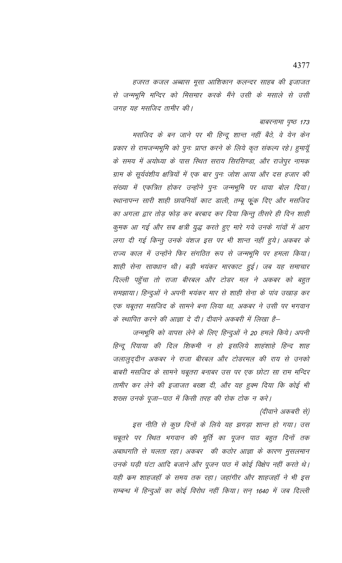हजरत कजल अब्बास मूसा आशिकान कलन्दर साहब की इजाजत से जन्मभूमि मन्दिर को मिसमार करके मैंने उसी के मसाले से उसी जगह यह मसजिद तामीर की।

बाबरनामा पृष्ठ 173

मसजिद के बन जाने पर भी हिन्दू शान्त नहीं बैठे, वे येन केन प्रकार से रामजन्मभूमि को पुनः प्राप्त करने के लिये कृत संकल्प रहे। हुमायूँ के समय में अयोध्या के पास स्थित सराय सिरसिण्डा, और राजेपुर नामक ग्राम के सूर्यवंशीय क्षत्रियों में एक बार पुनः जोश आया और दस हजार की संख्या में एकत्रित होकर उन्होंने पुनः जन्मभूमि पर धावा बोल दिया। स्थानापन्न सारी शाही छावनियाँ काट डाली, तम्बू फूंक दिए और मसजिद का अगला द्वार तोड़ फोड़ कर बरबाद कर दिया किन्तू तीसरे ही दिन शाही कुमक आ गई और सब क्षत्री युद्ध करते हुए मारे गये उनके गांवों में आग लगा दी गई किन्तु उनके वंशज इस पर भी शान्त नहीं हुये। अकबर के राज्य काल में उन्होंने फिर संगठित रूप से जन्मभूमि पर हमला किया। शाही सेना सावधान थी। बड़ी भयंकर मारकाट हुई। जब यह समाचार दिल्ली पहुँचा तो राजा बीरबल और टोडर मल ने अकबर को बहुत समझाया। हिन्दुओं ने अपनी भयंकर मार से शाही सेना के पांव उखाड़ कर एक चबूतरा मसजिद के सामने बना लिया था, अकबर ने उसी पर भगवान के स्थापित करने की आज्ञा दे दी। दीवाने अकबरी में लिखा है–

जन्मभूमि को वापस लेने के लिए हिन्दुओं ने 20 हमले किये। अपनी हिन्दू रियाया की दिल शिकमी न हो इसलिये शाहंशाहे हिन्द शाह जलालुद्दीन अकबर ने राजा बीरबल और टोडरमल की राय से उनको बाबरी मसजिद के सामने चबूतरा बनाबर उस पर एक छोटा सा राम मन्दिर तामीर कर लेने की इजाजत बख्श दी, और यह हुक्म दिया कि कोई भी शख्स उनके पूजा–पाठ में किसी तरह की रोक टोक न करे।

(दीवाने अकबरी से)

इस नीति से कुछ दिनों के लिये यह झगड़ा शान्त हो गया। उस चबूतरे पर स्थित भगवान की मूर्ति का पूजन पाठ बहुत दिनों तक अबाधगति से चलता रहा। अकबर की कठोर आज्ञा के कारण मुसलमान उनके घड़ी घंटा आदि बजाने और पूजन पाठ में कोई विक्षेप नहीं करते थे। यही कम शाहजहॉ के समय तक रहा। जहांगीर और शाहजहॉ ने भी इस सम्बन्ध में हिन्दुओं का कोई विरोध नहीं किया। सन् 1640 में जब दिल्ली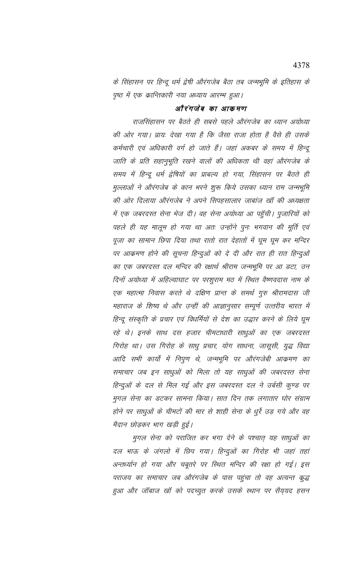के सिंहासन पर हिन्दू धर्म द्वेषी औरंगजेब बैठा तब जन्मभूमि के इतिहास के पृष्ठ में एक कान्तिकारी नया अध्याय आरम्भ हुआ।

## औरंगजेब का आकमण

राजसिंहासन पर बैठते ही सबसे पहले औरंगजेब का ध्यान अयोध्या की ओर गया। प्रायः देखा गया है कि जैसा राजा होता है वैसे ही उसके कर्मचारी एवं अधिकारी वर्ग हो जाते हैं। जहां अकबर के समय में हिन्दू जाति के प्रति सहानुभूति रखने वालों की अधिकता थी वहां औरंगजेब के समय में हिन्दू धर्म द्वेषियों का प्राबल्य हो गया, सिंहासन पर बैठते ही मुल्लाओं ने औरंगजेब के कान भरने शुरू किये उसका ध्यान राम जन्मभूमि की ओर दिलाया औरंगजेब ने अपने सिपहसालार जाबांज खॉ की अध्यक्षता में एक जबरदस्त सेना भेज दी। वह सेना अयोध्या आ पहुँची। पुजारियों को पहले ही यह मालूम हो गया था अतः उन्होंने पुनः भगवान की मूर्ति एवं पूजा का सामान छिपा दिया तथा रातो रात देहातों में घूम घूम कर मन्दिर पर आक्रमण होने की सूचना हिन्दुओं को दे दी और रात ही रात हिन्दुओं का एक जबरदस्त दल मन्दिर की रक्षार्थ श्रीराम जन्मभूमि पर आ डटा, उन दिनों अयोध्या में अहिल्याघाट पर परशुराम मठ में स्थित वैष्णवदास नाम के एक महात्मा निवास करते थे दक्षिण प्रान्त के समर्थ गुरु श्रीरामदास जी महाराज के शिष्य थे और उन्हीं की आज्ञानुसार सम्पूर्ण उत्तरीय भारत में हिन्दू संस्कृति के प्रचार एवं विधर्मियों से देश का उद्धार करने के लिये घूम रहे थे। इनके साथ दस हजार चीमटाधारी साधुओं का एक जबरदस्त गिरोह था। उस गिरोह के साधु प्रचार, योग साधना, जासूसी, युद्ध विद्या आदि सभी कार्यो में निपुण थे, जन्मभूमि पर औरंगजेबी आक्रमण का समाचार जब इन साधुओं को मिला तो यह साधुओं की जबरदस्त सेना हिन्दुओं के दल से मिल गई और इस जबरदस्त दल ने उर्बसी कुण्ड पर मुगल सेना का डटकर सामना किया। सात दिन तक लगातार घोर संग्राम होने पर साधुओं के चीमटों की मार से शाही सेना के धुर्रे उड़ गये और वह मैदान छोड़कर भाग खड़ी हुई।

मुगल सेना को पराजित कर भगा देने के पश्चात् यह साधुओं का दल भाऊ के जंगलो में छिप गया। हिन्दुओं का गिरोह भी जहां तहां अन्तर्ध्यान हो गया और चबूतरे पर स्थित मन्दिर की रक्षा हो गई। इस पराजय का समाचार जब औरंगजेब के पास पहुंचा तो वह अत्यन्त कुद्ध हुआ और जॉबाज खॉ को पदच्युत करके उसके स्थान पर सैय्यद हसन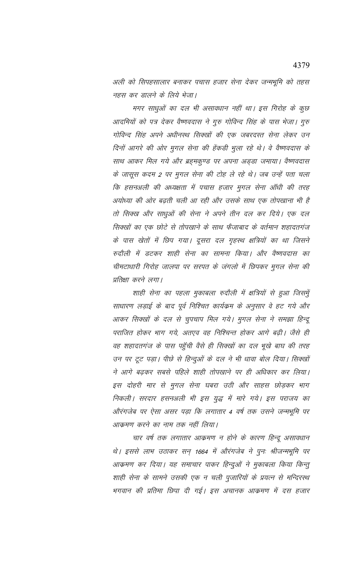अली को सिपहसालार बनाकर पचास हजार सेना देकर जन्मभूमि को तहस नहस कर डालने के लिये भेजा।

मगर साधुओं का दल भी असावधान नहीं था। इस गिरोह के कुछ आदमियों को पत्र देकर वैष्णवदास ने गुरु गोविन्द सिंह के पास भेजा। गुरु गोविन्द सिंह अपने अधीनस्थ सिक्खों की एक जबरदस्त सेना लेकर उन दिनों आगरे की ओर मुगल सेना की हेंकडी भुला रहे थे। वे वैष्णवदास के साथ आकर मिल गये और ब्रह्मकुण्ड पर अपना अड्डा जमाया। वैष्णवदास के जासूस कदम 2 पर मुगल सेना की टोह ले रहे थे। जब उन्हें पता चला कि हसनअली की अध्यक्षता में पचास हजार मुगल सेना ऑधी की तरह अयोध्या की ओर बढ़ती चली आ रही और उसके साथ एक तोपखाना भी है तो सिक्ख और साधुओं की सेना ने अपने तीन दल कर दिये। एक दल सिक्खों का एक छोटे से तोपखाने के साथ फैजाबाद के वर्तमान शहादतगंज के पास खेतों में छिप गया। दूसरा दल गृहस्थ क्षत्रियों का था जिसने रुदौली में डटकर शाही सेना का सामना किया। और वैष्णवदास का चीमटाधारी गिरोह जालपा पर सरपत के जंगलो में छिपकर मुगल सेना की प्रतिक्षा करने लगा।

शाही सेना का पहला मुकाबला रुदौली में क्षत्रियों से हुआ जिसमुें साधारण लड़ाई के बाद पूर्व निश्चित कार्यक्रम के अनुसार वे हट गये और आकर सिक्खों के दल से चुपचाप मिल गये। मुगल सेना ने समझा हिन्दू पराजित होकर भाग गये, अतएव वह निश्चिन्त होकर आगे बढ़ी। जैसे ही वह शहादतगंज के पास पहुँची वैसे ही सिक्खों का दल भूखे बाघ की तरह उन पर टूट पड़ा। पीछे से हिन्दुओं के दल ने भी धावा बोल दिया। सिक्खों ने आगे बढ़कर सबसे पहिले शाही तोपखाने पर ही अधिकार कर लिया। इस दोहरी मार से मुगल सेना घबरा उठी और साहस छोड़कर भाग निकली। सरदार हसनअली भी इस युद्ध में मारे गये। इस पराजय का औरंगजेब पर ऐसा असर पड़ा कि लगातार 4 वर्ष तक उसने जन्मभूमि पर आक्रमण करने का नाम तक नहीं लिया।

चार वर्ष तक लगातार आक्रमण न होने के कारण हिन्दू असावधान थे। इससे लाभ उठाकर सन् 1664 में औरंगजेब ने पुनः श्रीजन्मभूमि पर आक्रमण कर दिया। यह समाचार पाकर हिन्दुओं ने मुकाबला किया किन्तु शाही सेना के सामने उसकी एक न चली पुजारियों के प्रयत्न से मन्दिरस्थ भगवान की प्रतिमा छिपा दी गई। इस अचानक आक्रमण में दस हजार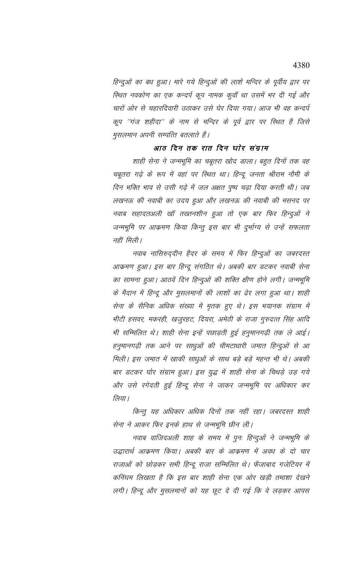हिन्दुओं का बध हुआ। मारे गये हिन्दुओं की लाशें मन्दिर के पूर्वीय द्वार पर स्थित नवकोण का एक कन्दर्प कूप नामक कुवॉ था उसमें भर दी गई और चारों ओर से चहारदिवारी उठाकर उसे घेर दिया गया। आज भी वह कन्दर्प कूप ''गंज शहीदा'' के नाम से मन्दिर के पूर्व द्वार पर स्थित है जिसे मुसलमान अपनी सम्पत्ति बतलाते हैं।

#### आठ दिन तक रात दिन घोर संग्राम

शाही सेना ने जन्मभूमि का चबूतरा खोद डाला। बहुत दिनों तक वह चबूतरा गढ़े के रूप में वहां पर स्थित था। हिन्दू जनता श्रीराम नौमी के दिन भक्ति भाव से उसी गढ़े में जल अक्षत पुष्प चढ़ा दिया करती थी। जब लखनऊ की नवाबी का उदय हुआ और लखनऊ की नवाबी की मसनद पर नवाब सहादतअली खॉ तख्तनशीन हुआ तो एक बार फिर हिन्दुओं ने जन्मभूमि पर आक्रमण किया किन्तु इस बार भी दुर्भाग्य से उन्हें सफलता नहीं मिली।

नवाब नासिरुद्दीन हैदर के समय में फिर हिन्दुओं का जबरदस्त आक्रमण हुआ। इस बार हिन्दू संगठित थे। अबकी बार डटकर नवाबी सेना का सामना हुआ। आठवें दिन हिन्दुओं की शक्ति क्षीण होने लगी। जन्मभूमि के मैदान में हिन्दू और मुसलमानों की लाशों का ढेर लगा हुआ था। शाही सेना के सैनिक अधिक संख्या में मृतक हुए थे। इस भयानक संग्राम में भीटी हसवर, मकरही, खजुरहट, दियरा, अमेठी के राजा गुरुदत्त सिंह आदि भी सम्मिलित थे। शाही सेना इन्हें पछाड़ती हुई हनुमानगढ़ी तक ले आई। हनुमानगढ़ी तक आने पर साधुओं की चीमटाधारी जमात हिन्दुओं से आ मिली। इस जमात में खाकी साधुओं के साथ बड़े बड़े महन्त भी थे। अबकी बार डटकर घोर संग्राम हुआ। इस युद्ध में शाही सेना के चिथड़े उड़ गये और उसे रगेदती हुई हिन्दू सेना ने जाकर जन्मभूमि पर अधिकार कर लिया।

किन्तु यह अधिकार अधिक दिनों तक नहीं रहा। जबरदस्त शाही सेना ने आकर फिर इनके हाथ से जन्मभूमि छीन ली।

नवाब वाजिदअली शाह के समय में पुनः हिन्दुओं ने जन्मभूमि के उद्धारार्थ आक्रमण किया। अबकी बार के आक्रमण में अवध के दो चार राजाओं को छोड़कर सभी हिन्दू राजा सम्मिलित थे। फैजाबाद गजेटियर में कनिंघम लिखता है कि इस बार शाही सेना एक ओर खड़ी तमाशा देखने लगी। हिन्दू और मुसलमानों को यह छूट दे दी गई कि वे लड़कर आपस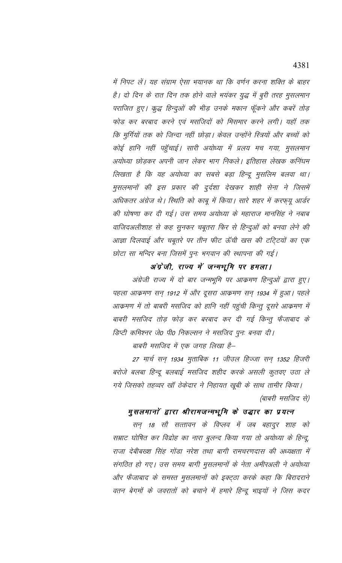में निपट लें। यह संग्राम ऐसा भयानक था कि वर्णन करना शक्ति के बाहर है। दो दिन के रात दिन तक होने वाले भयंकर युद्ध में बुरी तरह मुसलमान पराजित हुए। कुद्ध हिन्दुओं की भीड़ उनके मकान फूँकने और कबरें तोड़ फोड कर बरबाद करने एवं मसजिदों को मिसमार करने लगी। यहाँ तक कि मुर्गियों तक को जिन्दा नहीं छोड़ा। केवल उन्होंने स्त्रियों और बच्चों को कोई हानि नहीं पहुँचाई। सारी अयोध्या में प्रलय मच गया, मुसलमान अयोध्या छोड़कर अपनी जान लेकर भाग निकले। इतिहास लेखक कनिंघम लिखता है कि यह अयोध्या का सबसे बड़ा हिन्दू मुसलिम बलवा था। मुसलमानों की इस प्रकार की दुर्दशा देखकर शाही सेना ने जिसमें अधिकतर अंग्रेज थे। स्थिति को काबू में किया। सारे शहर में करफ़यू आर्डर की घोषणा कर दी गई। उस समय अयोध्या के महाराज मानसिंह ने नबाब वाजिदअलीशाह से कह सुनकर चबूतरा फिर से हिन्दुओं को बनवा लेने की आज्ञा दिलवाई और चबूतरे पर तीन फीट ऊँची खस की टटि्टयों का एक छोटा सा मन्दिर बना जिसमें पुनः भगवान की स्थापना की गई।

## अंग्रेजी, राज्य में जन्मभूमि पर हमला।

अंग्रेजी राज्य में दो बार जन्मभूमि पर आक्रमण हिन्दुओं द्वारा हुए। पहला आक्रमण सन् 1912 में और दूसरा आक्रमण सन् 1934 में हुआ। पहले आक्रमण में तो बाबरी मसजिद को हानि नहीं पहुंची किन्तु दूसरे आक्रमण में बाबरी मसजिद तोड़ फोड़ कर बरबाद कर दी गई किन्तु फैजाबाद के डिप्टी कमिश्नर जे0 पी0 निकल्सन ने मसजिद पुनः बनवा दी।

बाबरी मसजिद में एक जगह लिखा है–

27 मार्च सन् 1934 मुताबिक 11 जीउल हिज्जा सन् 1352 हिजरी बरोजे बलबा हिन्दू बलबाई मसजिद शहीद करके असली कुतवए उठा ले गये जिसको तहव्वर खाँ ठेकेदार ने निहायत खूबी के साथ तामीर किया। (बाबरी मसजिद से)

# मुसलमानों द्वारा श्रीरामजन्मभूमि के उद्धार का प्रयत्न

सन् 18 सौ सत्तावन के विप्लव में जब बहादुर शाह को सम्राट घोषित कर विद्रोह का नारा बुलन्द किया गया तो अयोध्या के हिन्दू राजा देबीबख्श सिंह गोंडा नरेश तथा बागी रामचरणदास की अध्यक्षता में संगठित हो गए। उस समय बागी मुसलमानों के नेता अमीरअली ने अयोध्या और फैजाबाद के समस्त मुसलमानों को इक्ट्ठा करके कहा कि बिरादराने वतन बेगमों के जवरातों को बचाने में हमारे हिन्दू भाइयों ने जिस कदर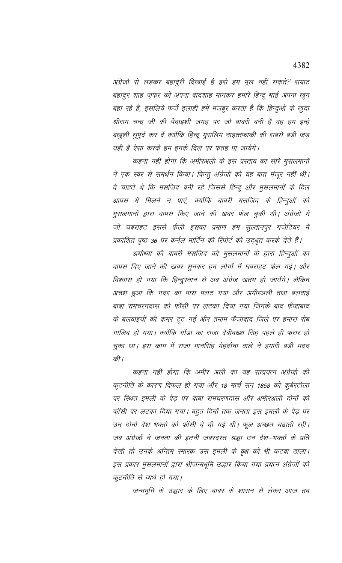अंग्रेजो से लड़कर बहादुरी दिखाई है इसे हम भूल नहीं सकते? सम्राट बहादुर शाह ज़फर को अपना बादशाह मानकर हमारे हिन्दू भाई अपना खून बहा रहे हैं, इसलिये फर्जे इलाही हमें मजबूर करता है कि हिन्दुओं के खुदा श्रीराम चन्द्र जी की पैदाइशी जगह पर जो बाबरी बनी है वह हम इन्हे बखुशी सुपुर्द कर दें क्योंकि हिन्दू मुसलिम नाइत्तफाकी की सबसे बड़ी जड़ यही है ऐसा करके हम इनके दिल पर फतह पा जायेंगे।

कहना नहीं होगा कि अमीरअली के इस प्रस्ताव का सारे मुसलमानों ने एक स्वर से समर्थन किया। किन्तु अंग्रेजों को यह बात मंजूर नहीं थी। वे चाहते थे कि मसजिद बनी रहे जिससे हिन्दू और मुसलमानों के दिल आपस में मिलने न पाएँ, क्योंकि बाबरी मसजिद के हिन्दुओं को मुसलमानों द्वारा वापस किए जाने की खबर फेल चुकी थी। अंग्रेजो में जो घबराहट इससे फैली इसका प्रमाण हम सुल्तानपुर गजेटियर में प्रकाशित पृष्ठ 36 पर कर्नल मार्टिन की रिपोर्ट को उद्धृत करके देते हैं।

अयोध्या की बाबरी मसजिद को मुसलमानों के द्वारा हिन्दुओं का वापस दिए जाने की खबर सुनकर हम लोगों में घबराहट फेल गई। और विश्वास हो गया कि हिन्दुस्तान से अब अंग्रेज खतम हो जायेंगे। लेकिन अच्छा हुआ कि गदर का पास पलट गया और अमीरअली तथा बलवाई बाबा रामचरनदास को फॉसी पर लटका दिया गया जिनके बाद फैजाबाद के बलवाइयों की कमर टूट गई और तमाम फैजाबाद जिले पर हमारा रोब गालिब हो गया। क्योंकि गोंडा का राजा देबीबख्श सिंह पहले ही फरार हो चुका था। इस काम में राजा मानसिंह मेहदौना वाले ने हमारी बड़ी मदद की ।

कहना नहीं होगा कि अमीर अली का यह सत्प्रयत्न अंग्रेजों की कूटनीति के कारण विफल हो गया और 18 मार्च सन् 1858 को कुबेरटीला पर स्थित इमली के पेड़ पर बाबा रामचरणदास और अमीरअली दोनों को फॉसी पर लटका दिया गया। बहुत दिनों तक जनता इस इमली के पेड़ पर उन दोनो देश भक्तो को फॉसी दे दी गई थी। फूल अच्छत चढ़ाती रही। जब अंग्रेजों ने जनता की इतनी जबरदस्त श्रद्धा उन देश–भक्तों के प्रति देखी तो उनके अन्तिम स्मारक उस इमली के वृक्ष को भी कटवा डाला। इस प्रकार मुसलमानों द्वारा श्रीजन्मभूमि उद्धार किया गया प्रयत्न अंग्रेजों की कूटनीति से व्यर्थ हो गया।

जन्मभूमि के उद्धार के लिए बाबर के शासन से लेकर आज तब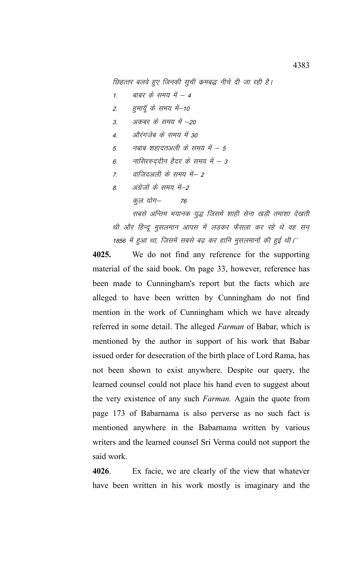क्षिहत्तर बलवे हुए जिनकी सुची कुमबद्ध नीचे दी जा रही है।

- 1. बाबर के समय में  $-$  4
- 2. हुमायूँ के समय में–10
- 3. अकबर के समय में –20
- 4. औरंगजेब के समय में 30
- 5- uckc 'kgknrvyh ds le; esa & 5
- 6. नासिररुद्दीन हैदर के समय में  $-$  3
- 7. वाजिदअली के समय में– 2
- 8. अंग्रेजों के समय में–2
	- dqy ;ksx& 76

सबसे अन्तिम भयानक युद्ध जिसमें शाही सेना खड़ी तमाशा देखती थी और हिन्दू मुसलमान आपस में लड़कर फैसला कर रहे थे वह सन् 1856 में हुआ था, जिसमें सबसे बढ़ कर हानि मुसलमानों की हुई थी।''

**4025.** We do not find any reference for the supporting material of the said book. On page 33, however, reference has been made to Cunningham's report but the facts which are alleged to have been written by Cunningham do not find mention in the work of Cunningham which we have already referred in some detail. The alleged *Farman* of Babar, which is mentioned by the author in support of his work that Babar issued order for desecration of the birth place of Lord Rama, has not been shown to exist anywhere. Despite our query, the learned counsel could not place his hand even to suggest about the very existence of any such *Farman.* Again the quote from page 173 of Babarnama is also perverse as no such fact is mentioned anywhere in the Babarnama written by various writers and the learned counsel Sri Verma could not support the said work.

**4026**. Ex facie, we are clearly of the view that whatever have been written in his work mostly is imaginary and the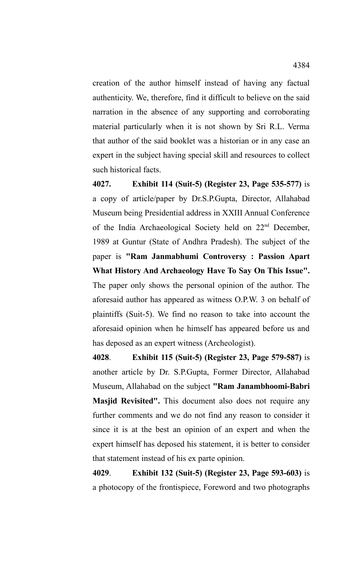creation of the author himself instead of having any factual authenticity. We, therefore, find it difficult to believe on the said narration in the absence of any supporting and corroborating material particularly when it is not shown by Sri R.L. Verma that author of the said booklet was a historian or in any case an expert in the subject having special skill and resources to collect such historical facts.

**4027. Exhibit 114 (Suit-5) (Register 23, Page 535-577)** is a copy of article/paper by Dr.S.P.Gupta, Director, Allahabad Museum being Presidential address in XXIII Annual Conference of the India Archaeological Society held on 22nd December, 1989 at Guntur (State of Andhra Pradesh). The subject of the paper is **"Ram Janmabhumi Controversy : Passion Apart What History And Archaeology Have To Say On This Issue".** The paper only shows the personal opinion of the author. The aforesaid author has appeared as witness O.P.W. 3 on behalf of plaintiffs (Suit-5). We find no reason to take into account the aforesaid opinion when he himself has appeared before us and has deposed as an expert witness (Archeologist).

**4028**. **Exhibit 115 (Suit-5) (Register 23, Page 579-587)** is another article by Dr. S.P.Gupta, Former Director, Allahabad Museum, Allahabad on the subject **"Ram Janambhoomi-Babri Masjid Revisited".** This document also does not require any further comments and we do not find any reason to consider it since it is at the best an opinion of an expert and when the expert himself has deposed his statement, it is better to consider that statement instead of his ex parte opinion.

**4029**. **Exhibit 132 (Suit-5) (Register 23, Page 593-603)** is a photocopy of the frontispiece, Foreword and two photographs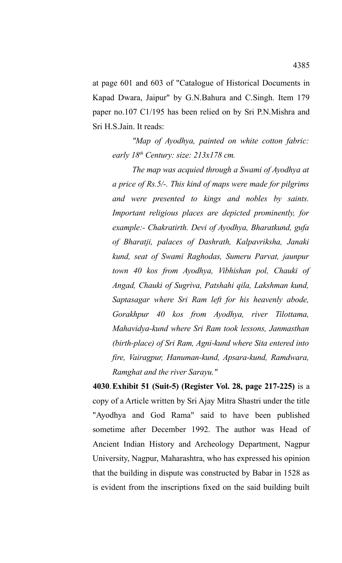at page 601 and 603 of "Catalogue of Historical Documents in Kapad Dwara, Jaipur" by G.N.Bahura and C.Singh. Item 179 paper no.107 C1/195 has been relied on by Sri P.N.Mishra and Sri H.S.Jain. It reads:

*"Map of Ayodhya, painted on white cotton fabric: early 18th Century: size: 213x178 cm.*

*The map was acquied through a Swami of Ayodhya at a price of Rs.5/-. This kind of maps were made for pilgrims and were presented to kings and nobles by saints. Important religious places are depicted prominently, for example:- Chakratirth. Devi of Ayodhya, Bharatkund, gufa of Bharatji, palaces of Dashrath, Kalpavriksha, Janaki kund, seat of Swami Raghodas, Sumeru Parvat, jaunpur town 40 kos from Ayodhya, Vibhishan pol, Chauki of Angad, Chauki of Sugriva, Patshahi qila, Lakshman kund, Saptasagar where Sri Ram left for his heavenly abode, Gorakhpur 40 kos from Ayodhya, river Tilottama, Mahavidya-kund where Sri Ram took lessons, Janmasthan (birth-place) of Sri Ram, Agni-kund where Sita entered into fire, Vairagpur, Hanuman-kund, Apsara-kund, Ramdwara, Ramghat and the river Sarayu."*

**4030**.**Exhibit 51 (Suit-5) (Register Vol. 28, page 217-225)** is a copy of a Article written by Sri Ajay Mitra Shastri under the title "Ayodhya and God Rama" said to have been published sometime after December 1992. The author was Head of Ancient Indian History and Archeology Department, Nagpur University, Nagpur, Maharashtra, who has expressed his opinion that the building in dispute was constructed by Babar in 1528 as is evident from the inscriptions fixed on the said building built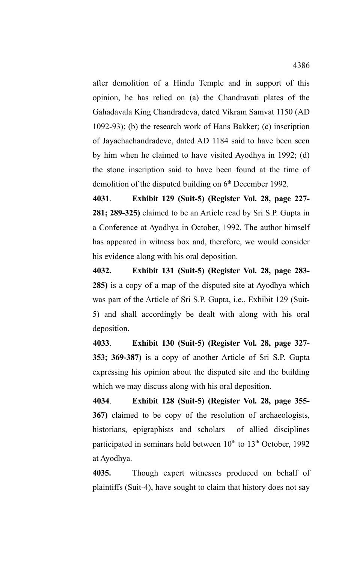after demolition of a Hindu Temple and in support of this opinion, he has relied on (a) the Chandravati plates of the Gahadavala King Chandradeva, dated Vikram Samvat 1150 (AD 1092-93); (b) the research work of Hans Bakker; (c) inscription of Jayachachandradeve, dated AD 1184 said to have been seen by him when he claimed to have visited Ayodhya in 1992; (d) the stone inscription said to have been found at the time of demolition of the disputed building on  $6<sup>th</sup>$  December 1992.

**4031**. **Exhibit 129 (Suit-5) (Register Vol. 28, page 227- 281; 289-325)** claimed to be an Article read by Sri S.P. Gupta in a Conference at Ayodhya in October, 1992. The author himself has appeared in witness box and, therefore, we would consider his evidence along with his oral deposition.

**4032. Exhibit 131 (Suit-5) (Register Vol. 28, page 283- 285)** is a copy of a map of the disputed site at Ayodhya which was part of the Article of Sri S.P. Gupta, i.e., Exhibit 129 (Suit-5) and shall accordingly be dealt with along with his oral deposition.

**4033**. **Exhibit 130 (Suit-5) (Register Vol. 28, page 327- 353; 369-387)** is a copy of another Article of Sri S.P. Gupta expressing his opinion about the disputed site and the building which we may discuss along with his oral deposition.

**4034**. **Exhibit 128 (Suit-5) (Register Vol. 28, page 355- 367)** claimed to be copy of the resolution of archaeologists, historians, epigraphists and scholars of allied disciplines participated in seminars held between  $10<sup>th</sup>$  to  $13<sup>th</sup>$  October, 1992 at Ayodhya.

**4035.** Though expert witnesses produced on behalf of plaintiffs (Suit-4), have sought to claim that history does not say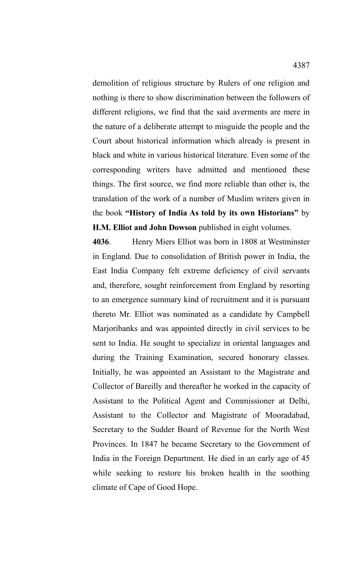demolition of religious structure by Rulers of one religion and nothing is there to show discrimination between the followers of different religions, we find that the said averments are mere in the nature of a deliberate attempt to misguide the people and the Court about historical information which already is present in black and white in various historical literature. Even some of the corresponding writers have admitted and mentioned these things. The first source, we find more reliable than other is, the translation of the work of a number of Muslim writers given in the book **"History of India As told by its own Historians"** by **H.M. Elliot and John Dowson** published in eight volumes.

**4036**. Henry Miers Elliot was born in 1808 at Westminster in England. Due to consolidation of British power in India, the East India Company felt extreme deficiency of civil servants and, therefore, sought reinforcement from England by resorting to an emergence summary kind of recruitment and it is pursuant thereto Mr. Elliot was nominated as a candidate by Campbell Marjoribanks and was appointed directly in civil services to be sent to India. He sought to specialize in oriental languages and during the Training Examination, secured honorary classes. Initially, he was appointed an Assistant to the Magistrate and Collector of Bareilly and thereafter he worked in the capacity of Assistant to the Political Agent and Commissioner at Delhi, Assistant to the Collector and Magistrate of Mooradabad, Secretary to the Sudder Board of Revenue for the North West Provinces. In 1847 he became Secretary to the Government of India in the Foreign Department. He died in an early age of 45 while seeking to restore his broken health in the soothing climate of Cape of Good Hope.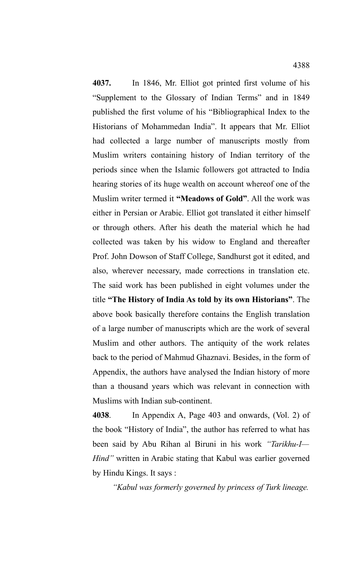**4037.** In 1846, Mr. Elliot got printed first volume of his "Supplement to the Glossary of Indian Terms" and in 1849 published the first volume of his "Bibliographical Index to the Historians of Mohammedan India". It appears that Mr. Elliot had collected a large number of manuscripts mostly from Muslim writers containing history of Indian territory of the periods since when the Islamic followers got attracted to India hearing stories of its huge wealth on account whereof one of the Muslim writer termed it **"Meadows of Gold"**. All the work was either in Persian or Arabic. Elliot got translated it either himself or through others. After his death the material which he had collected was taken by his widow to England and thereafter Prof. John Dowson of Staff College, Sandhurst got it edited, and also, wherever necessary, made corrections in translation etc. The said work has been published in eight volumes under the title **"The History of India As told by its own Historians"**. The above book basically therefore contains the English translation of a large number of manuscripts which are the work of several Muslim and other authors. The antiquity of the work relates back to the period of Mahmud Ghaznavi. Besides, in the form of Appendix, the authors have analysed the Indian history of more than a thousand years which was relevant in connection with Muslims with Indian sub-continent.

**4038**. In Appendix A, Page 403 and onwards, (Vol. 2) of the book "History of India", the author has referred to what has been said by Abu Rihan al Biruni in his work *"Tarikhu-I— Hind"* written in Arabic stating that Kabul was earlier governed by Hindu Kings. It says :

*"Kabul was formerly governed by princess of Turk lineage.*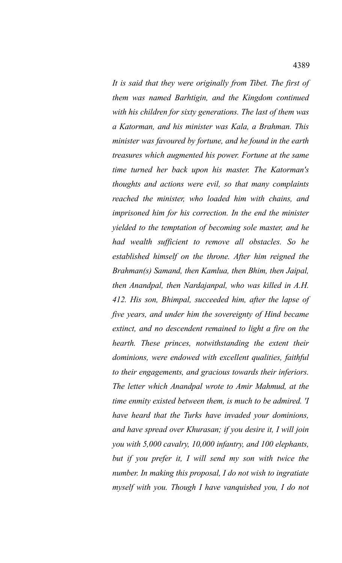*It is said that they were originally from Tibet. The first of them was named Barhtigin, and the Kingdom continued with his children for sixty generations. The last of them was a Katorman, and his minister was Kala, a Brahman. This minister was favoured by fortune, and he found in the earth treasures which augmented his power. Fortune at the same time turned her back upon his master. The Katorman's thoughts and actions were evil, so that many complaints reached the minister, who loaded him with chains, and imprisoned him for his correction. In the end the minister yielded to the temptation of becoming sole master, and he had wealth sufficient to remove all obstacles. So he established himself on the throne. After him reigned the Brahman(s) Samand, then Kamlua, then Bhim, then Jaipal, then Anandpal, then Nardajanpal, who was killed in A.H. 412. His son, Bhimpal, succeeded him, after the lapse of five years, and under him the sovereignty of Hind became extinct, and no descendent remained to light a fire on the hearth. These princes, notwithstanding the extent their dominions, were endowed with excellent qualities, faithful to their engagements, and gracious towards their inferiors. The letter which Anandpal wrote to Amir Mahmud, at the time enmity existed between them, is much to be admired. 'I have heard that the Turks have invaded your dominions, and have spread over Khurasan; if you desire it, I will join you with 5,000 cavalry, 10,000 infantry, and 100 elephants, but if you prefer it, I will send my son with twice the number. In making this proposal, I do not wish to ingratiate myself with you. Though I have vanquished you, I do not*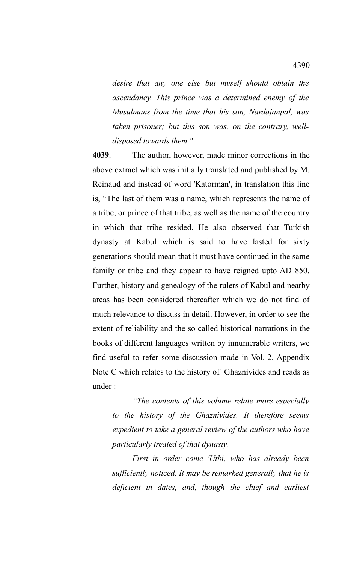*desire that any one else but myself should obtain the ascendancy. This prince was a determined enemy of the Musulmans from the time that his son, Nardajanpal, was taken prisoner; but this son was, on the contrary, welldisposed towards them."*

**4039**. The author, however, made minor corrections in the above extract which was initially translated and published by M. Reinaud and instead of word 'Katorman', in translation this line is, "The last of them was a name, which represents the name of a tribe, or prince of that tribe, as well as the name of the country in which that tribe resided. He also observed that Turkish dynasty at Kabul which is said to have lasted for sixty generations should mean that it must have continued in the same family or tribe and they appear to have reigned upto AD 850. Further, history and genealogy of the rulers of Kabul and nearby areas has been considered thereafter which we do not find of much relevance to discuss in detail. However, in order to see the extent of reliability and the so called historical narrations in the books of different languages written by innumerable writers, we find useful to refer some discussion made in Vol.-2, Appendix Note C which relates to the history of Ghaznivides and reads as under :

*"The contents of this volume relate more especially to the history of the Ghaznivides. It therefore seems expedient to take a general review of the authors who have particularly treated of that dynasty.* 

*First in order come 'Utbi, who has already been sufficiently noticed. It may be remarked generally that he is deficient in dates, and, though the chief and earliest*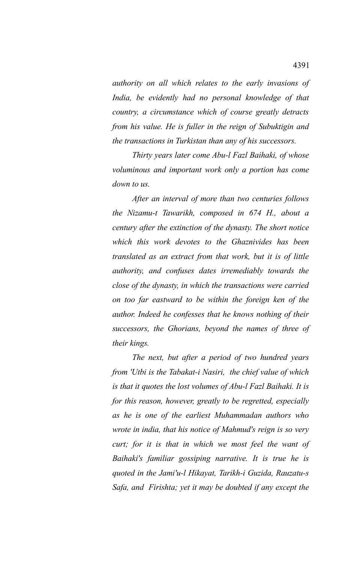*authority on all which relates to the early invasions of India, be evidently had no personal knowledge of that country, a circumstance which of course greatly detracts from his value. He is fuller in the reign of Subuktigin and the transactions in Turkistan than any of his successors.*

*Thirty years later come Abu-l Fazl Baihaki, of whose voluminous and important work only a portion has come down to us.*

*After an interval of more than two centuries follows the Nizamu-t Tawarikh, composed in 674 H., about a century after the extinction of the dynasty. The short notice which this work devotes to the Ghaznivides has been translated as an extract from that work, but it is of little authority, and confuses dates irremediably towards the close of the dynasty, in which the transactions were carried on too far eastward to be within the foreign ken of the author. Indeed he confesses that he knows nothing of their successors, the Ghorians, beyond the names of three of their kings.*

*The next, but after a period of two hundred years from 'Utbi is the Tabakat-i Nasiri, the chief value of which is that it quotes the lost volumes of Abu-l Fazl Baihaki. It is for this reason, however, greatly to be regretted, especially as he is one of the earliest Muhammadan authors who wrote in india, that his notice of Mahmud's reign is so very curt; for it is that in which we most feel the want of Baihaki's familiar gossiping narrative. It is true he is quoted in the Jami'u-l Hikayat, Tarikh-i Guzida, Rauzatu-s Safa, and Firishta; yet it may be doubted if any except the*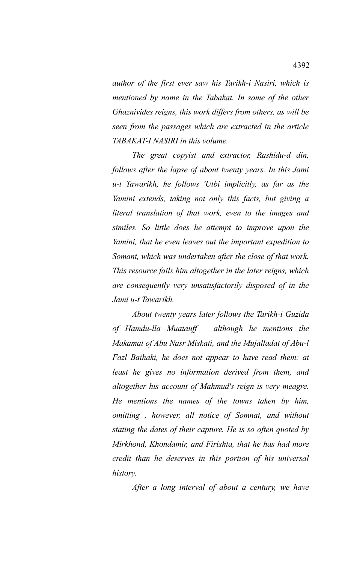*author of the first ever saw his Tarikh-i Nasiri, which is mentioned by name in the Tabakat. In some of the other Ghaznivides reigns, this work differs from others, as will be seen from the passages which are extracted in the article TABAKAT-I NASIRI in this volume.*

*The great copyist and extractor, Rashidu-d din, follows after the lapse of about twenty years. In this Jami u-t Tawarikh, he follows 'Utbi implicitly, as far as the Yamini extends, taking not only this facts, but giving a literal translation of that work, even to the images and similes. So little does he attempt to improve upon the Yamini, that he even leaves out the important expedition to Somant, which was undertaken after the close of that work. This resource fails him altogether in the later reigns, which are consequently very unsatisfactorily disposed of in the Jami u-t Tawarikh.* 

*About twenty years later follows the Tarikh-i Guzida of Hamdu-lla Muatauff – although he mentions the Makamat of Abu Nasr Miskati, and the Mujalladat of Abu-l Fazl Baihaki, he does not appear to have read them: at least he gives no information derived from them, and altogether his account of Mahmud's reign is very meagre. He mentions the names of the towns taken by him, omitting , however, all notice of Somnat, and without stating the dates of their capture. He is so often quoted by Mirkhond, Khondamir, and Firishta, that he has had more credit than he deserves in this portion of his universal history.*

*After a long interval of about a century, we have*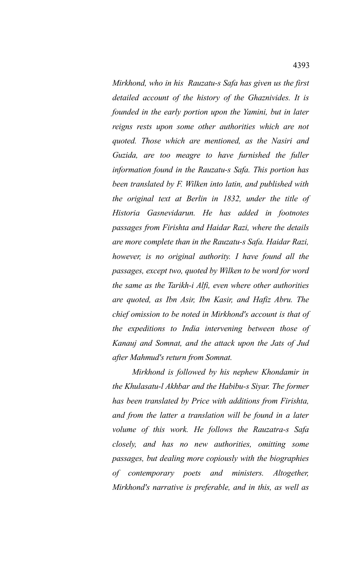*Mirkhond, who in his Rauzatu-s Safa has given us the first detailed account of the history of the Ghaznivides. It is founded in the early portion upon the Yamini, but in later reigns rests upon some other authorities which are not quoted. Those which are mentioned, as the Nasiri and Guzida, are too meagre to have furnished the fuller information found in the Rauzatu-s Safa. This portion has been translated by F. Wilken into latin, and published with the original text at Berlin in 1832, under the title of Historia Gasnevidarun. He has added in footnotes passages from Firishta and Haidar Razi, where the details are more complete than in the Rauzatu-s Safa. Haidar Razi, however, is no original authority. I have found all the passages, except two, quoted by Wilken to be word for word the same as the Tarikh-i Alfi, even where other authorities are quoted, as Ibn Asir, Ibn Kasir, and Hafiz Abru. The chief omission to be noted in Mirkhond's account is that of the expeditions to India intervening between those of Kanauj and Somnat, and the attack upon the Jats of Jud after Mahmud's return from Somnat.*

*Mirkhond is followed by his nephew Khondamir in the Khulasatu-l Akhbar and the Habibu-s Siyar. The former has been translated by Price with additions from Firishta, and from the latter a translation will be found in a later volume of this work. He follows the Rauzatra-s Safa closely, and has no new authorities, omitting some passages, but dealing more copiously with the biographies of contemporary poets and ministers. Altogether, Mirkhond's narrative is preferable, and in this, as well as*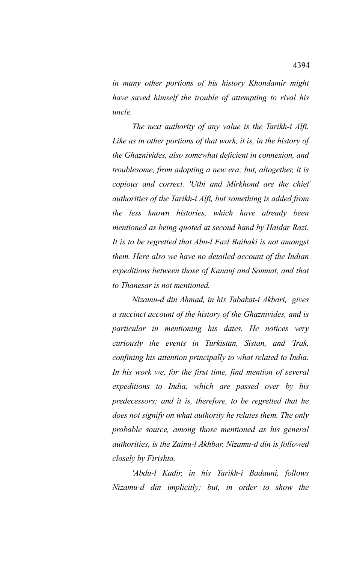*in many other portions of his history Khondamir might have saved himself the trouble of attempting to rival his uncle.*

*The next authority of any value is the Tarikh-i Alfi. Like as in other portions of that work, it is, in the history of the Ghaznivides, also somewhat deficient in connexion, and troublesome, from adopting a new era; but, altogether, it is copious and correct. 'Utbi and Mirkhond are the chief authorities of the Tarikh-i Alfi, but something is added from the less known histories, which have already been mentioned as being quoted at second hand by Haidar Razi. It is to be regretted that Abu-l Fazl Baihaki is not amongst them. Here also we have no detailed account of the Indian expeditions between those of Kanauj and Somnat, and that to Thanesar is not mentioned.*

*Nizamu-d din Ahmad, in his Tabakat-i Akbari, gives a succinct account of the history of the Ghaznivides, and is particular in mentioning his dates. He notices very curiously the events in Turkistan, Sistan, and 'Irak, confining his attention principally to what related to India. In his work we, for the first time, find mention of several expeditions to India, which are passed over by his predecessors; and it is, therefore, to be regretted that he does not signify on what authority he relates them. The only probable source, among those mentioned as his general authorities, is the Zainu-l Akhbar. Nizamu-d din is followed closely by Firishta.*

*'Abdu-l Kadir, in his Tarikh-i Badauni, follows Nizamu-d din implicitly; but, in order to show the*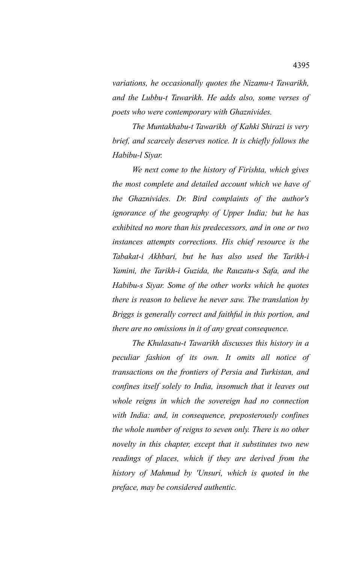*variations, he occasionally quotes the Nizamu-t Tawarikh, and the Lubbu-t Tawarikh. He adds also, some verses of poets who were contemporary with Ghaznivides.*

*The Muntakhabu-t Tawarikh of Kahki Shirazi is very brief, and scarcely deserves notice. It is chiefly follows the Habibu-l Siyar.*

*We next come to the history of Firishta, which gives the most complete and detailed account which we have of the Ghaznivides. Dr. Bird complaints of the author's ignorance of the geography of Upper India; but he has exhibited no more than his predecessors, and in one or two instances attempts corrections. His chief resource is the Tabakat-i Akhbari, but he has also used the Tarikh-i Yamini, the Tarikh-i Guzida, the Rauzatu-s Safa, and the Habibu-s Siyar. Some of the other works which he quotes there is reason to believe he never saw. The translation by Briggs is generally correct and faithful in this portion, and there are no omissions in it of any great consequence.* 

*The Khulasatu-t Tawarikh discusses this history in a peculiar fashion of its own. It omits all notice of transactions on the frontiers of Persia and Turkistan, and confines itself solely to India, insomuch that it leaves out whole reigns in which the sovereign had no connection with India: and, in consequence, preposterously confines the whole number of reigns to seven only. There is no other novelty in this chapter, except that it substitutes two new readings of places, which if they are derived from the history of Mahmud by 'Unsuri, which is quoted in the preface, may be considered authentic.*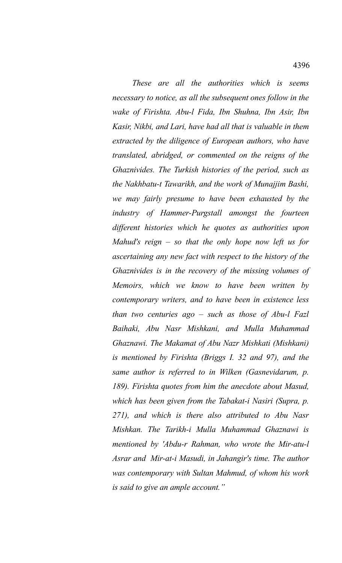*These are all the authorities which is seems necessary to notice, as all the subsequent ones follow in the wake of Firishta. Abu-l Fida, Ibn Shuhna, Ibn Asir, Ibn Kasir, Nikbi, and Lari, have had all that is valuable in them extracted by the diligence of European authors, who have translated, abridged, or commented on the reigns of the Ghaznivides. The Turkish histories of the period, such as the Nakhbatu-t Tawarikh, and the work of Munajjim Bashi, we may fairly presume to have been exhausted by the industry of Hammer-Purgstall amongst the fourteen different histories which he quotes as authorities upon Mahud's reign – so that the only hope now left us for ascertaining any new fact with respect to the history of the Ghaznivides is in the recovery of the missing volumes of Memoirs, which we know to have been written by contemporary writers, and to have been in existence less than two centuries ago – such as those of Abu-l Fazl Baihaki, Abu Nasr Mishkani, and Mulla Muhammad Ghaznawi. The Makamat of Abu Nazr Mishkati (Mishkani) is mentioned by Firishta (Briggs I. 32 and 97), and the same author is referred to in Wilken (Gasnevidarum, p. 189). Firishta quotes from him the anecdote about Masud, which has been given from the Tabakat-i Nasiri (Supra, p. 271), and which is there also attributed to Abu Nasr Mishkan. The Tarikh-i Mulla Muhammad Ghaznawi is mentioned by 'Abdu-r Rahman, who wrote the Mir-atu-l Asrar and Mir-at-i Masudi, in Jahangir's time. The author was contemporary with Sultan Mahmud, of whom his work is said to give an ample account."*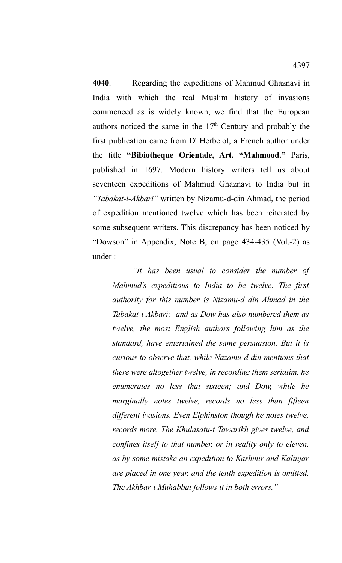**4040**. Regarding the expeditions of Mahmud Ghaznavi in India with which the real Muslim history of invasions commenced as is widely known, we find that the European authors noticed the same in the  $17<sup>th</sup>$  Century and probably the first publication came from D' Herbelot, a French author under the title **"Bibiotheque Orientale, Art. "Mahmood."** Paris, published in 1697. Modern history writers tell us about seventeen expeditions of Mahmud Ghaznavi to India but in *"Tabakat-i-Akbari"* written by Nizamu-d-din Ahmad, the period of expedition mentioned twelve which has been reiterated by some subsequent writers. This discrepancy has been noticed by "Dowson" in Appendix, Note B, on page 434-435 (Vol.-2) as under :

*"It has been usual to consider the number of Mahmud's expeditious to India to be twelve. The first authority for this number is Nizamu-d din Ahmad in the Tabakat-i Akbari; and as Dow has also numbered them as twelve, the most English authors following him as the standard, have entertained the same persuasion. But it is curious to observe that, while Nazamu-d din mentions that there were altogether twelve, in recording them seriatim, he enumerates no less that sixteen; and Dow, while he marginally notes twelve, records no less than fifteen different ivasions. Even Elphinston though he notes twelve, records more. The Khulasatu-t Tawarikh gives twelve, and confines itself to that number, or in reality only to eleven, as by some mistake an expedition to Kashmir and Kalinjar are placed in one year, and the tenth expedition is omitted. The Akhbar-i Muhabbat follows it in both errors."*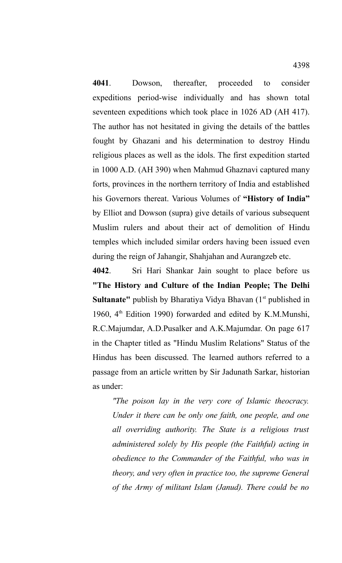**4041**. Dowson, thereafter, proceeded to consider expeditions period-wise individually and has shown total seventeen expeditions which took place in 1026 AD (AH 417). The author has not hesitated in giving the details of the battles fought by Ghazani and his determination to destroy Hindu religious places as well as the idols. The first expedition started in 1000 A.D. (AH 390) when Mahmud Ghaznavi captured many forts, provinces in the northern territory of India and established his Governors thereat. Various Volumes of **"History of India"** by Elliot and Dowson (supra) give details of various subsequent Muslim rulers and about their act of demolition of Hindu temples which included similar orders having been issued even during the reign of Jahangir, Shahjahan and Aurangzeb etc.

**4042**. Sri Hari Shankar Jain sought to place before us **"The History and Culture of the Indian People; The Delhi Sultanate"** publish by Bharatiya Vidya Bhavan (1<sup>st</sup> published in 1960, 4<sup>th</sup> Edition 1990) forwarded and edited by K.M.Munshi, R.C.Majumdar, A.D.Pusalker and A.K.Majumdar. On page 617 in the Chapter titled as "Hindu Muslim Relations" Status of the Hindus has been discussed. The learned authors referred to a passage from an article written by Sir Jadunath Sarkar, historian as under:

*"The poison lay in the very core of Islamic theocracy. Under it there can be only one faith, one people, and one all overriding authority. The State is a religious trust administered solely by His people (the Faithful) acting in obedience to the Commander of the Faithful, who was in theory, and very often in practice too, the supreme General of the Army of militant Islam (Janud). There could be no*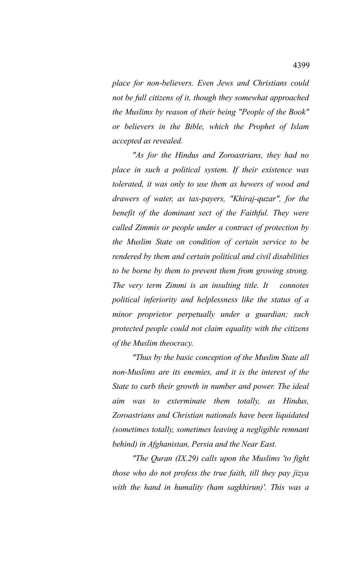*place for non-believers. Even Jews and Christians could not be full citizens of it, though they somewhat approached the Muslims by reason of their being "People of the Book" or believers in the Bible, which the Prophet of Islam accepted as revealed.*

*"As for the Hindus and Zoroastrians, they had no place in such a political system. If their existence was tolerated, it was only to use them as hewers of wood and drawers of water, as tax-payers, "Khiraj-quzar", for the benefit of the dominant sect of the Faithful. They were called Zimmis or people under a contract of protection by the Muslim State on condition of certain service to be rendered by them and certain political and civil disabilities to be borne by them to prevent them from growing strong. The very term Zimmi is an insulting title. It connotes political inferiority and helplessness like the status of a minor proprietor perpetually under a guardian; such protected people could not claim equality with the citizens of the Muslim theocracy.*

*"Thus by the basic conception of the Muslim State all non-Muslims are its enemies, and it is the interest of the State to curb their growth in number and power. The ideal aim was to exterminate them totally, as Hindus, Zoroastrians and Christian nationals have been liquidated (sometimes totally, sometimes leaving a negligible remnant behind) in Afghanistan, Persia and the Near East.*

*"The Quran (IX.29) calls upon the Muslims 'to fight those who do not profess the true faith, till they pay jizya with the hand in humality (ham sagkhirun)'. This was a*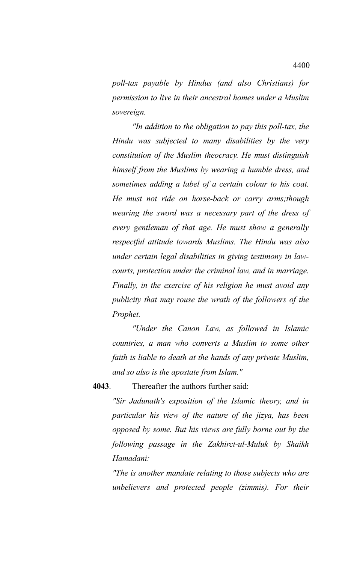*poll-tax payable by Hindus (and also Christians) for permission to live in their ancestral homes under a Muslim sovereign.*

*"In addition to the obligation to pay this poll-tax, the Hindu was subjected to many disabilities by the very constitution of the Muslim theocracy. He must distinguish himself from the Muslims by wearing a humble dress, and sometimes adding a label of a certain colour to his coat. He must not ride on horse-back or carry arms;though wearing the sword was a necessary part of the dress of every gentleman of that age. He must show a generally respectful attitude towards Muslims. The Hindu was also under certain legal disabilities in giving testimony in lawcourts, protection under the criminal law, and in marriage. Finally, in the exercise of his religion he must avoid any publicity that may rouse the wrath of the followers of the Prophet.*

*"Under the Canon Law, as followed in Islamic countries, a man who converts a Muslim to some other faith is liable to death at the hands of any private Muslim, and so also is the apostate from Islam."*

**4043**. Thereafter the authors further said:

*"Sir Jadunath's exposition of the Islamic theory, and in particular his view of the nature of the jizya, has been opposed by some. But his views are fully borne out by the following passage in the Zakhirct-ul-Muluk by Shaikh Hamadani:*

*"The is another mandate relating to those subjects who are unbelievers and protected people (zimmis). For their*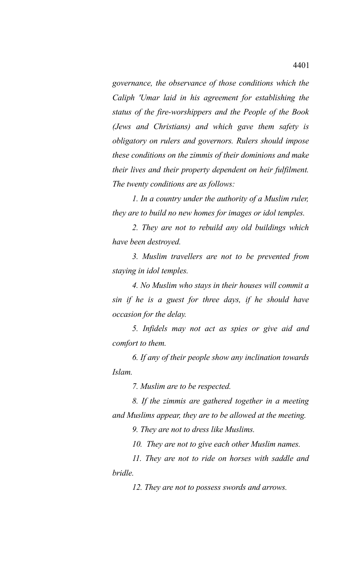*governance, the observance of those conditions which the Caliph 'Umar laid in his agreement for establishing the status of the fire-worshippers and the People of the Book (Jews and Christians) and which gave them safety is obligatory on rulers and governors. Rulers should impose these conditions on the zimmis of their dominions and make their lives and their property dependent on heir fulfilment. The twenty conditions are as follows:*

*1. In a country under the authority of a Muslim ruler, they are to build no new homes for images or idol temples.*

*2. They are not to rebuild any old buildings which have been destroyed.*

*3. Muslim travellers are not to be prevented from staying in idol temples.*

*4. No Muslim who stays in their houses will commit a sin if he is a guest for three days, if he should have occasion for the delay.* 

*5. Infidels may not act as spies or give aid and comfort to them.*

*6. If any of their people show any inclination towards Islam.*

*7. Muslim are to be respected.*

*8. If the zimmis are gathered together in a meeting and Muslims appear, they are to be allowed at the meeting.*

*9. They are not to dress like Muslims.*

*10. They are not to give each other Muslim names.*

*11. They are not to ride on horses with saddle and bridle.*

*12. They are not to possess swords and arrows.*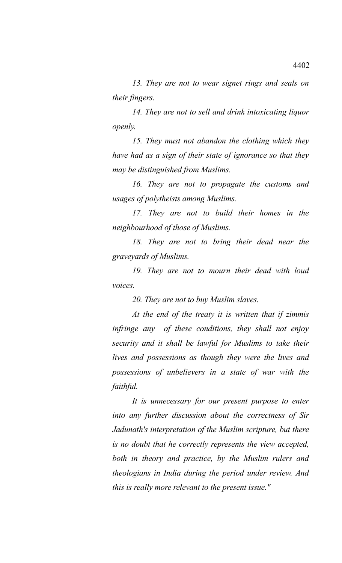*13. They are not to wear signet rings and seals on their fingers.*

*14. They are not to sell and drink intoxicating liquor openly.*

*15. They must not abandon the clothing which they have had as a sign of their state of ignorance so that they may be distinguished from Muslims.*

*16. They are not to propagate the customs and usages of polytheists among Muslims.*

*17. They are not to build their homes in the neighbourhood of those of Muslims.*

*18. They are not to bring their dead near the graveyards of Muslims.*

*19. They are not to mourn their dead with loud voices.*

*20. They are not to buy Muslim slaves.*

*At the end of the treaty it is written that if zimmis infringe any of these conditions, they shall not enjoy security and it shall be lawful for Muslims to take their lives and possessions as though they were the lives and possessions of unbelievers in a state of war with the faithful.*

*It is unnecessary for our present purpose to enter into any further discussion about the correctness of Sir Jadunath's interpretation of the Muslim scripture, but there is no doubt that he correctly represents the view accepted, both in theory and practice, by the Muslim rulers and theologians in India during the period under review. And this is really more relevant to the present issue."*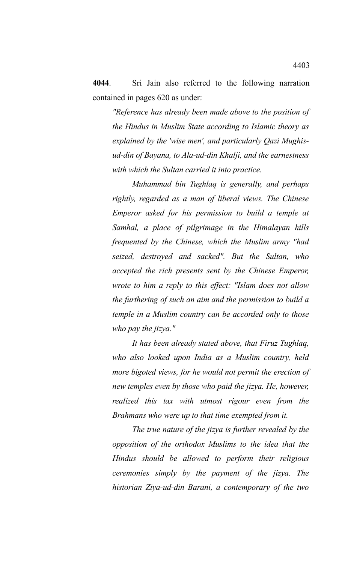**4044**. Sri Jain also referred to the following narration contained in pages 620 as under:

*"Reference has already been made above to the position of the Hindus in Muslim State according to Islamic theory as explained by the 'wise men', and particularly Qazi Mughisud-din of Bayana, to Ala-ud-din Khalji, and the earnestness with which the Sultan carried it into practice.*

*Muhammad bin Tughlaq is generally, and perhaps rightly, regarded as a man of liberal views. The Chinese Emperor asked for his permission to build a temple at Samhal, a place of pilgrimage in the Himalayan hills frequented by the Chinese, which the Muslim army "had seized, destroyed and sacked". But the Sultan, who accepted the rich presents sent by the Chinese Emperor, wrote to him a reply to this effect: "Islam does not allow the furthering of such an aim and the permission to build a temple in a Muslim country can be accorded only to those who pay the jizya."*

*It has been already stated above, that Firuz Tughlaq, who also looked upon India as a Muslim country, held more bigoted views, for he would not permit the erection of new temples even by those who paid the jizya. He, however, realized this tax with utmost rigour even from the Brahmans who were up to that time exempted from it.*

*The true nature of the jizya is further revealed by the opposition of the orthodox Muslims to the idea that the Hindus should be allowed to perform their religious ceremonies simply by the payment of the jizya. The historian Ziya-ud-din Barani, a contemporary of the two*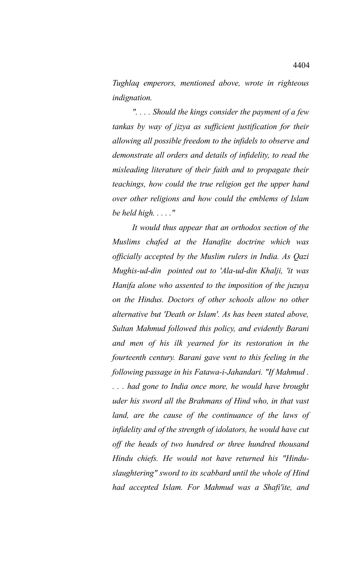*Tughlaq emperors, mentioned above, wrote in righteous indignation.*

*". . . . Should the kings consider the payment of a few tankas by way of jizya as sufficient justification for their allowing all possible freedom to the infidels to observe and demonstrate all orders and details of infidelity, to read the misleading literature of their faith and to propagate their teachings, how could the true religion get the upper hand over other religions and how could the emblems of Islam be held high. . . . ."*

*It would thus appear that an orthodox section of the Muslims chafed at the Hanafite doctrine which was officially accepted by the Muslim rulers in India. As Qazi Mughis-ud-din pointed out to 'Ala-ud-din Khalji, 'it was Hanifa alone who assented to the imposition of the juzuya on the Hindus. Doctors of other schools allow no other alternative but 'Death or Islam'. As has been stated above, Sultan Mahmud followed this policy, and evidently Barani and men of his ilk yearned for its restoration in the fourteenth century. Barani gave vent to this feeling in the following passage in his Fatawa-i-Jahandari. "If Mahmud . . . . had gone to India once more, he would have brought uder his sword all the Brahmans of Hind who, in that vast land, are the cause of the continuance of the laws of infidelity and of the strength of idolators, he would have cut off the heads of two hundred or three hundred thousand Hindu chiefs. He would not have returned his "Hinduslaughtering" sword to its scabbard until the whole of Hind had accepted Islam. For Mahmud was a Shafi'ite, and*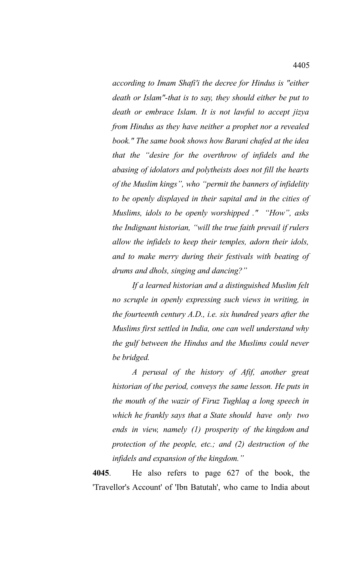*according to Imam Shafi'i the decree for Hindus is "either death or Islam"-that is to say, they should either be put to death or embrace Islam. It is not lawful to accept jizya from Hindus as they have neither a prophet nor a revealed book." The same book shows how Barani chafed at the idea that the "desire for the overthrow of infidels and the abasing of idolators and polytheists does not fill the hearts of the Muslim kings", who "permit the banners of infidelity to be openly displayed in their sapital and in the cities of Muslims, idols to be openly worshipped ." "How", asks the Indignant historian, "will the true faith prevail if rulers allow the infidels to keep their temples, adorn their idols, and to make merry during their festivals with beating of drums and dhols, singing and dancing?"*

*If a learned historian and a distinguished Muslim felt no scruple in openly expressing such views in writing, in the fourteenth century A.D., i.e. six hundred years after the Muslims first settled in India, one can well understand why the gulf between the Hindus and the Muslims could never be bridged.*

*A perusal of the history of Afif, another great historian of the period, conveys the same lesson. He puts in the mouth of the wazir of Firuz Tughlaq a long speech in which he frankly says that a State should have only two ends in view, namely (1) prosperity of the kingdom and protection of the people, etc.; and (2) destruction of the infidels and expansion of the kingdom."*

**4045**. He also refers to page 627 of the book, the 'Travellor's Account' of 'Ibn Batutah', who came to India about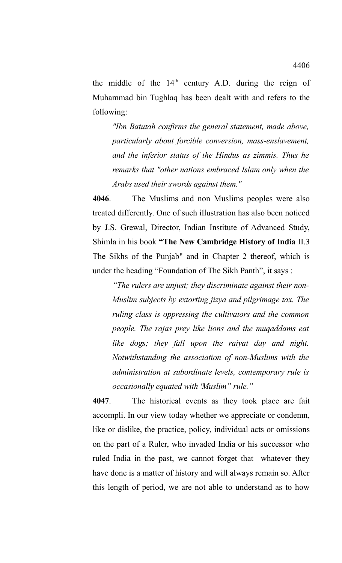the middle of the  $14<sup>th</sup>$  century A.D. during the reign of Muhammad bin Tughlaq has been dealt with and refers to the following:

*"Ibn Batutah confirms the general statement, made above, particularly about forcible conversion, mass-enslavement, and the inferior status of the Hindus as zimmis. Thus he remarks that "other nations embraced Islam only when the Arabs used their swords against them."*

**4046**. The Muslims and non Muslims peoples were also treated differently. One of such illustration has also been noticed by J.S. Grewal, Director, Indian Institute of Advanced Study, Shimla in his book **"The New Cambridge History of India** II.3 The Sikhs of the Punjab" and in Chapter 2 thereof, which is under the heading "Foundation of The Sikh Panth", it says :

*"The rulers are unjust; they discriminate against their non-Muslim subjects by extorting jizya and pilgrimage tax. The ruling class is oppressing the cultivators and the common people. The rajas prey like lions and the muqaddams eat like dogs; they fall upon the raiyat day and night. Notwithstanding the association of non-Muslims with the administration at subordinate levels, contemporary rule is occasionally equated with 'Muslim" rule."*

**4047**. The historical events as they took place are fait accompli. In our view today whether we appreciate or condemn, like or dislike, the practice, policy, individual acts or omissions on the part of a Ruler, who invaded India or his successor who ruled India in the past, we cannot forget that whatever they have done is a matter of history and will always remain so. After this length of period, we are not able to understand as to how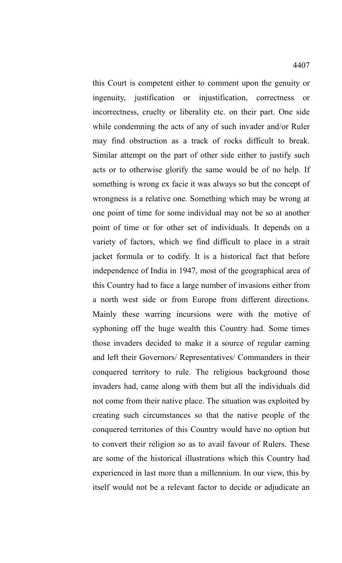this Court is competent either to comment upon the genuity or ingenuity, justification or injustification, correctness or incorrectness, cruelty or liberality etc. on their part. One side while condemning the acts of any of such invader and/or Ruler may find obstruction as a track of rocks difficult to break. Similar attempt on the part of other side either to justify such acts or to otherwise glorify the same would be of no help. If something is wrong ex facie it was always so but the concept of wrongness is a relative one. Something which may be wrong at one point of time for some individual may not be so at another point of time or for other set of individuals. It depends on a variety of factors, which we find difficult to place in a strait jacket formula or to codify. It is a historical fact that before independence of India in 1947, most of the geographical area of this Country had to face a large number of invasions either from a north west side or from Europe from different directions. Mainly these warring incursions were with the motive of syphoning off the huge wealth this Country had. Some times those invaders decided to make it a source of regular earning and left their Governors/ Representatives/ Commanders in their conquered territory to rule. The religious background those invaders had, came along with them but all the individuals did not come from their native place. The situation was exploited by creating such circumstances so that the native people of the conquered territories of this Country would have no option but to convert their religion so as to avail favour of Rulers. These are some of the historical illustrations which this Country had experienced in last more than a millennium. In our view, this by itself would not be a relevant factor to decide or adjudicate an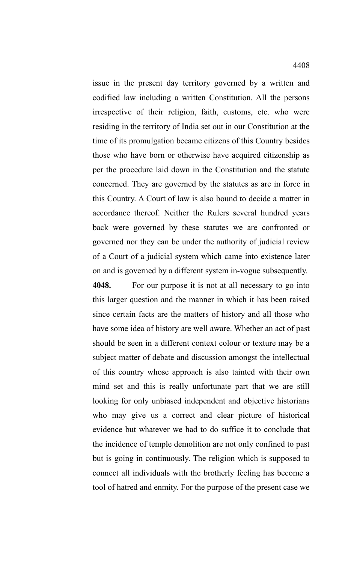issue in the present day territory governed by a written and codified law including a written Constitution. All the persons irrespective of their religion, faith, customs, etc. who were residing in the territory of India set out in our Constitution at the time of its promulgation became citizens of this Country besides those who have born or otherwise have acquired citizenship as per the procedure laid down in the Constitution and the statute concerned. They are governed by the statutes as are in force in this Country. A Court of law is also bound to decide a matter in accordance thereof. Neither the Rulers several hundred years back were governed by these statutes we are confronted or governed nor they can be under the authority of judicial review of a Court of a judicial system which came into existence later on and is governed by a different system in-vogue subsequently.

**4048.** For our purpose it is not at all necessary to go into this larger question and the manner in which it has been raised since certain facts are the matters of history and all those who have some idea of history are well aware. Whether an act of past should be seen in a different context colour or texture may be a subject matter of debate and discussion amongst the intellectual of this country whose approach is also tainted with their own mind set and this is really unfortunate part that we are still looking for only unbiased independent and objective historians who may give us a correct and clear picture of historical evidence but whatever we had to do suffice it to conclude that the incidence of temple demolition are not only confined to past but is going in continuously. The religion which is supposed to connect all individuals with the brotherly feeling has become a tool of hatred and enmity. For the purpose of the present case we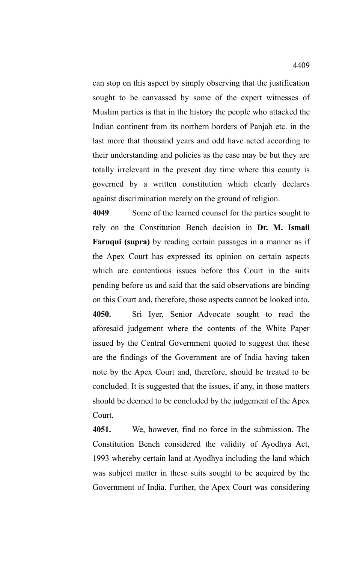can stop on this aspect by simply observing that the justification sought to be canvassed by some of the expert witnesses of Muslim parties is that in the history the people who attacked the Indian continent from its northern borders of Panjab etc. in the last more that thousand years and odd have acted according to their understanding and policies as the case may be but they are totally irrelevant in the present day time where this county is governed by a written constitution which clearly declares against discrimination merely on the ground of religion.

**4049**. Some of the learned counsel for the parties sought to rely on the Constitution Bench decision in **Dr. M. Ismail Faruqui (supra)** by reading certain passages in a manner as if the Apex Court has expressed its opinion on certain aspects which are contentious issues before this Court in the suits pending before us and said that the said observations are binding on this Court and, therefore, those aspects cannot be looked into. **4050.** Sri Iyer, Senior Advocate sought to read the aforesaid judgement where the contents of the White Paper issued by the Central Government quoted to suggest that these are the findings of the Government are of India having taken note by the Apex Court and, therefore, should be treated to be concluded. It is suggested that the issues, if any, in those matters should be deemed to be concluded by the judgement of the Apex Court.

**4051.** We, however, find no force in the submission. The Constitution Bench considered the validity of Ayodhya Act, 1993 whereby certain land at Ayodhya including the land which was subject matter in these suits sought to be acquired by the Government of India. Further, the Apex Court was considering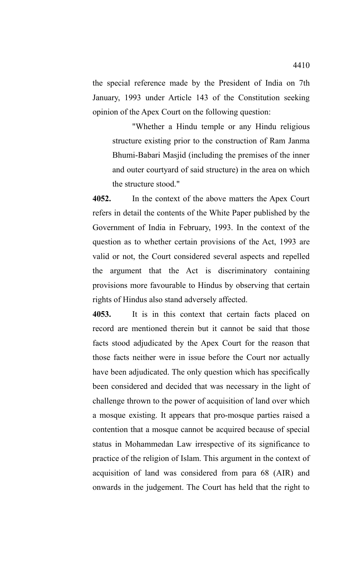the special reference made by the President of India on 7th January, 1993 under Article 143 of the Constitution seeking opinion of the Apex Court on the following question:

"Whether a Hindu temple or any Hindu religious structure existing prior to the construction of Ram Janma Bhumi-Babari Masjid (including the premises of the inner and outer courtyard of said structure) in the area on which the structure stood."

**4052.** In the context of the above matters the Apex Court refers in detail the contents of the White Paper published by the Government of India in February, 1993. In the context of the question as to whether certain provisions of the Act, 1993 are valid or not, the Court considered several aspects and repelled the argument that the Act is discriminatory containing provisions more favourable to Hindus by observing that certain rights of Hindus also stand adversely affected.

**4053.** It is in this context that certain facts placed on record are mentioned therein but it cannot be said that those facts stood adjudicated by the Apex Court for the reason that those facts neither were in issue before the Court nor actually have been adjudicated. The only question which has specifically been considered and decided that was necessary in the light of challenge thrown to the power of acquisition of land over which a mosque existing. It appears that pro-mosque parties raised a contention that a mosque cannot be acquired because of special status in Mohammedan Law irrespective of its significance to practice of the religion of Islam. This argument in the context of acquisition of land was considered from para 68 (AIR) and onwards in the judgement. The Court has held that the right to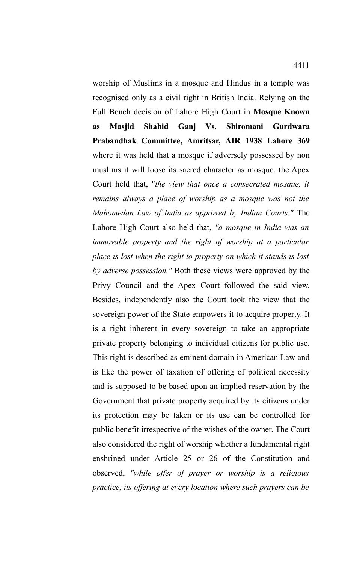worship of Muslims in a mosque and Hindus in a temple was recognised only as a civil right in British India. Relying on the Full Bench decision of Lahore High Court in **Mosque Known as Masjid Shahid Ganj Vs. Shiromani Gurdwara Prabandhak Committee, Amritsar, AIR 1938 Lahore 369** where it was held that a mosque if adversely possessed by non muslims it will loose its sacred character as mosque, the Apex Court held that, "*the view that once a consecrated mosque, it remains always a place of worship as a mosque was not the Mahomedan Law of India as approved by Indian Courts."* The Lahore High Court also held that, *"a mosque in India was an immovable property and the right of worship at a particular place is lost when the right to property on which it stands is lost by adverse possession."* Both these views were approved by the Privy Council and the Apex Court followed the said view. Besides, independently also the Court took the view that the sovereign power of the State empowers it to acquire property. It is a right inherent in every sovereign to take an appropriate private property belonging to individual citizens for public use. This right is described as eminent domain in American Law and is like the power of taxation of offering of political necessity and is supposed to be based upon an implied reservation by the Government that private property acquired by its citizens under its protection may be taken or its use can be controlled for public benefit irrespective of the wishes of the owner. The Court also considered the right of worship whether a fundamental right enshrined under Article 25 or 26 of the Constitution and observed, *"while offer of prayer or worship is a religious practice, its offering at every location where such prayers can be*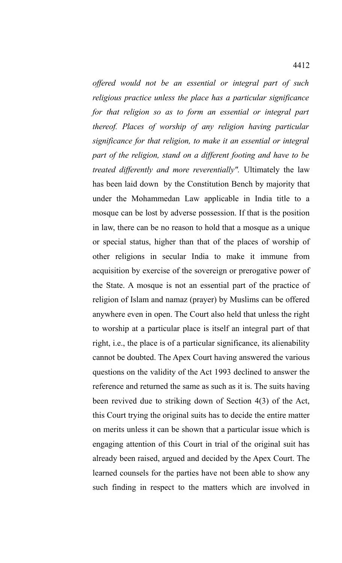*offered would not be an essential or integral part of such religious practice unless the place has a particular significance for that religion so as to form an essential or integral part thereof. Places of worship of any religion having particular significance for that religion, to make it an essential or integral part of the religion, stand on a different footing and have to be treated differently and more reverentially".* Ultimately the law has been laid down by the Constitution Bench by majority that under the Mohammedan Law applicable in India title to a mosque can be lost by adverse possession. If that is the position in law, there can be no reason to hold that a mosque as a unique or special status, higher than that of the places of worship of other religions in secular India to make it immune from acquisition by exercise of the sovereign or prerogative power of the State. A mosque is not an essential part of the practice of religion of Islam and namaz (prayer) by Muslims can be offered anywhere even in open. The Court also held that unless the right to worship at a particular place is itself an integral part of that right, i.e., the place is of a particular significance, its alienability cannot be doubted. The Apex Court having answered the various questions on the validity of the Act 1993 declined to answer the reference and returned the same as such as it is. The suits having been revived due to striking down of Section 4(3) of the Act, this Court trying the original suits has to decide the entire matter on merits unless it can be shown that a particular issue which is engaging attention of this Court in trial of the original suit has already been raised, argued and decided by the Apex Court. The learned counsels for the parties have not been able to show any such finding in respect to the matters which are involved in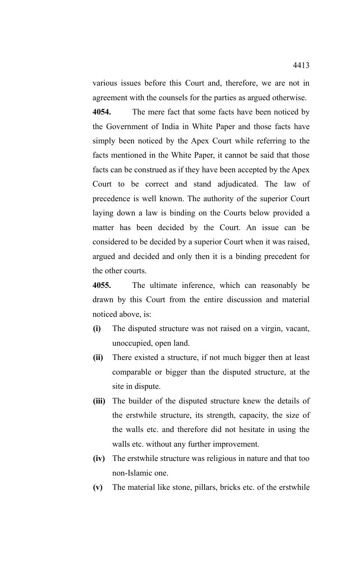various issues before this Court and, therefore, we are not in agreement with the counsels for the parties as argued otherwise.

**4054.** The mere fact that some facts have been noticed by the Government of India in White Paper and those facts have simply been noticed by the Apex Court while referring to the facts mentioned in the White Paper, it cannot be said that those facts can be construed as if they have been accepted by the Apex Court to be correct and stand adjudicated. The law of precedence is well known. The authority of the superior Court laying down a law is binding on the Courts below provided a matter has been decided by the Court. An issue can be considered to be decided by a superior Court when it was raised, argued and decided and only then it is a binding precedent for the other courts.

**4055.** The ultimate inference, which can reasonably be drawn by this Court from the entire discussion and material noticed above, is:

- **(i)** The disputed structure was not raised on a virgin, vacant, unoccupied, open land.
- **(ii)** There existed a structure, if not much bigger then at least comparable or bigger than the disputed structure, at the site in dispute.
- **(iii)** The builder of the disputed structure knew the details of the erstwhile structure, its strength, capacity, the size of the walls etc. and therefore did not hesitate in using the walls etc. without any further improvement.
- **(iv)** The erstwhile structure was religious in nature and that too non-Islamic one.
- **(v)** The material like stone, pillars, bricks etc. of the erstwhile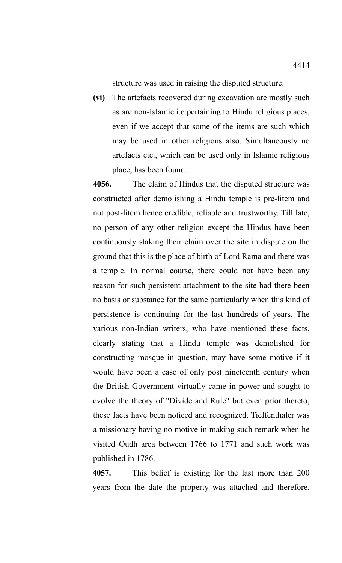structure was used in raising the disputed structure.

**(vi)** The artefacts recovered during excavation are mostly such as are non-Islamic i.e pertaining to Hindu religious places, even if we accept that some of the items are such which may be used in other religions also. Simultaneously no artefacts etc., which can be used only in Islamic religious place, has been found.

**4056.** The claim of Hindus that the disputed structure was constructed after demolishing a Hindu temple is pre-litem and not post-litem hence credible, reliable and trustworthy. Till late, no person of any other religion except the Hindus have been continuously staking their claim over the site in dispute on the ground that this is the place of birth of Lord Rama and there was a temple. In normal course, there could not have been any reason for such persistent attachment to the site had there been no basis or substance for the same particularly when this kind of persistence is continuing for the last hundreds of years. The various non-Indian writers, who have mentioned these facts, clearly stating that a Hindu temple was demolished for constructing mosque in question, may have some motive if it would have been a case of only post nineteenth century when the British Government virtually came in power and sought to evolve the theory of "Divide and Rule" but even prior thereto, these facts have been noticed and recognized. Tieffenthaler was a missionary having no motive in making such remark when he visited Oudh area between 1766 to 1771 and such work was published in 1786.

**4057.** This belief is existing for the last more than 200 years from the date the property was attached and therefore,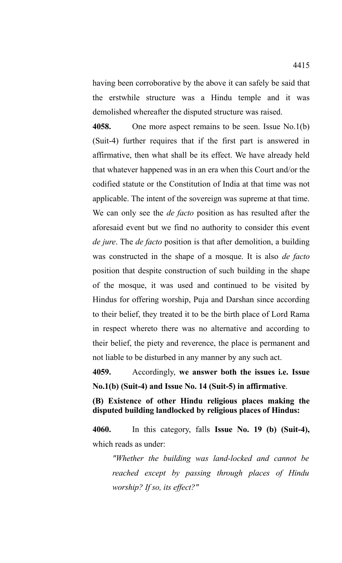having been corroborative by the above it can safely be said that the erstwhile structure was a Hindu temple and it was demolished whereafter the disputed structure was raised.

**4058.** One more aspect remains to be seen. Issue No.1(b) (Suit-4) further requires that if the first part is answered in affirmative, then what shall be its effect. We have already held that whatever happened was in an era when this Court and/or the codified statute or the Constitution of India at that time was not applicable. The intent of the sovereign was supreme at that time. We can only see the *de facto* position as has resulted after the aforesaid event but we find no authority to consider this event *de jure*. The *de facto* position is that after demolition, a building was constructed in the shape of a mosque. It is also *de facto* position that despite construction of such building in the shape of the mosque, it was used and continued to be visited by Hindus for offering worship, Puja and Darshan since according to their belief, they treated it to be the birth place of Lord Rama in respect whereto there was no alternative and according to their belief, the piety and reverence, the place is permanent and not liable to be disturbed in any manner by any such act.

**4059.** Accordingly, **we answer both the issues i.e. Issue No.1(b) (Suit-4) and Issue No. 14 (Suit-5) in affirmative**.

**(B) Existence of other Hindu religious places making the disputed building landlocked by religious places of Hindus:** 

**4060.** In this category, falls **Issue No. 19 (b) (Suit-4),** which reads as under:

*"Whether the building was land-locked and cannot be reached except by passing through places of Hindu worship? If so, its effect?"*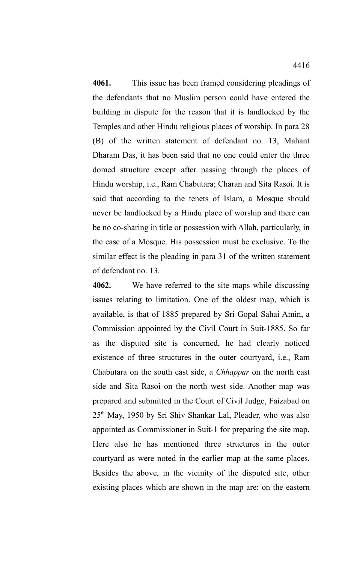**4061.** This issue has been framed considering pleadings of the defendants that no Muslim person could have entered the building in dispute for the reason that it is landlocked by the Temples and other Hindu religious places of worship. In para 28 (B) of the written statement of defendant no. 13, Mahant Dharam Das, it has been said that no one could enter the three domed structure except after passing through the places of Hindu worship, i.e., Ram Chabutara; Charan and Sita Rasoi. It is said that according to the tenets of Islam, a Mosque should never be landlocked by a Hindu place of worship and there can be no co-sharing in title or possession with Allah, particularly, in the case of a Mosque. His possession must be exclusive. To the similar effect is the pleading in para 31 of the written statement of defendant no. 13.

**4062.** We have referred to the site maps while discussing issues relating to limitation. One of the oldest map, which is available, is that of 1885 prepared by Sri Gopal Sahai Amin, a Commission appointed by the Civil Court in Suit-1885. So far as the disputed site is concerned, he had clearly noticed existence of three structures in the outer courtyard, i.e., Ram Chabutara on the south east side, a *Chhappar* on the north east side and Sita Rasoi on the north west side. Another map was prepared and submitted in the Court of Civil Judge, Faizabad on 25th May, 1950 by Sri Shiv Shankar Lal, Pleader, who was also appointed as Commissioner in Suit-1 for preparing the site map. Here also he has mentioned three structures in the outer courtyard as were noted in the earlier map at the same places. Besides the above, in the vicinity of the disputed site, other existing places which are shown in the map are: on the eastern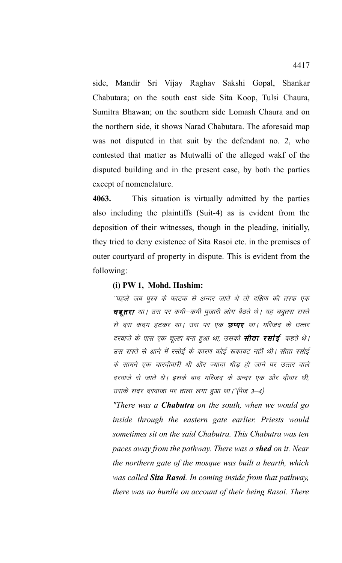side, Mandir Sri Vijay Raghav Sakshi Gopal, Shankar Chabutara; on the south east side Sita Koop, Tulsi Chaura, Sumitra Bhawan; on the southern side Lomash Chaura and on the northern side, it shows Narad Chabutara. The aforesaid map was not disputed in that suit by the defendant no. 2, who contested that matter as Mutwalli of the alleged wakf of the disputed building and in the present case, by both the parties except of nomenclature.

**4063.** This situation is virtually admitted by the parties also including the plaintiffs (Suit-4) as is evident from the deposition of their witnesses, though in the pleading, initially, they tried to deny existence of Sita Rasoi etc. in the premises of outer courtyard of property in dispute. This is evident from the following:

#### **(i) PW 1, Mohd. Hashim:**

''पहले जब पुरब के फाटक से अन्दर जाते थे तो दक्षिण की तरफ एक **चबूतरा** था। उस पर कभी—कभी पुजारी लोग बैठते थे। यह चबुतरा रास्ते से दस कदम हटकर था। उस पर एक **छप्पर** था। मस्जिद के उत्तर दरवाजे के पास एक चूल्हा बना हुआ था, उसको **सीता रसोई** कहते थे। उस रास्ते से आने में रसोई के कारण कोई रूकावट नहीं थी। सीता रसोई के सामने एक चारदीवारी थी और ज्यादा भीड़ हो जाने पर उत्तर वाले दरवाजे से जाते थे। इसके बाद मस्जिद के अन्दर एक और दीवार थी, उसके सदर दरवाजा पर ताला लगा हुआ था।''(पेज 3–4)

*"There was a Chabutra on the south, when we would go inside through the eastern gate earlier. Priests would sometimes sit on the said Chabutra. This Chabutra was ten paces away from the pathway. There was a shed on it. Near the northern gate of the mosque was built a hearth, which was called Sita Rasoi. In coming inside from that pathway, there was no hurdle on account of their being Rasoi. There*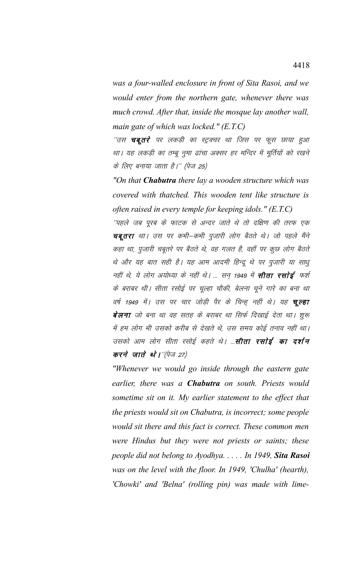*was a four-walled enclosure in front of Sita Rasoi, and we would enter from the northern gate, whenever there was much crowd. After that, inside the mosque lay another wall, main gate of which was locked." (E.T.C)*

´उस **चबूतरे** पर लकड़ी का स्ट्रक्चर था जिस पर फूस छाया हुआ था। यह लकड़ी का तम्बू नुमा ढांचा अक्सर हर मन्दिर में मूर्तियों को रखने के लिए बनाया जाता है।'' (पेज 25)

*"On that Chabutra there lay a wooden structure which was covered with thatched. This wooden tent like structure is often raised in every temple for keeping idols." (E.T.C)*

''पहले जब पुरब के फाटक से अन्दर जाते थे तो दक्षिण की तरफ एक चबूतरा था। उस पर कभी–कभी पूजारी लोग बैठते थे। जो पहले मैंने कहा था, पुजारी चबूतरे पर बैठते थे, वह गलत है, वहाँ पर कुछ लोग बैठते थे और यह बात सही है। यह आम आदमी हिन्द थे पर पूजारी या साध् नहीं थे, ये लोग अयोध्या के नहीं थे। ... सन् 1949 में **सीता रसोई** फर्श के बराबर थी। सीता रसोई पर चूल्हा चौकी, बेलना चूने गारे का बना था वर्ष 1949 में। उस पर चार जोड़ी पैर के चिन्ह नहीं थे। यह **चूल्हा बेलना** जो बना था वह सतह के बराबर था सिर्फ दिखाई देता था। शुरू में हम लोग भी उसको करीब से देखते थे, उस समय कोई तनाव नहीं था। उसको आम लोग सीता रसोई कहते थे। ...**सीता रसोई का दर्शन** करने जाते थो।"(पेज 27)

*"Whenever we would go inside through the eastern gate earlier, there was a Chabutra on south. Priests would sometime sit on it. My earlier statement to the effect that the priests would sit on Chabutra, is incorrect; some people would sit there and this fact is correct. These common men were Hindus but they were not priests or saints; these people did not belong to Ayodhya. . . . . In 1949, Sita Rasoi was on the level with the floor. In 1949, 'Chulha' (hearth), 'Chowki' and 'Belna' (rolling pin) was made with lime-*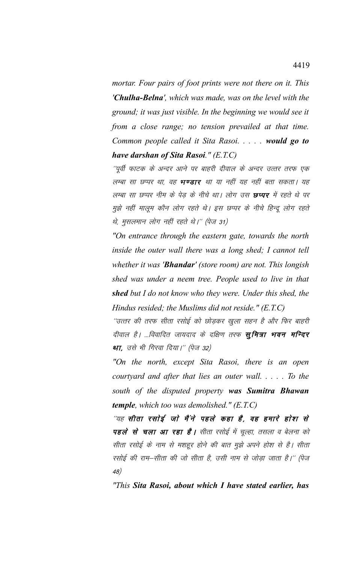*mortar. Four pairs of foot prints were not there on it. This 'Chulha-Belna', which was made, was on the level with the ground; it was just visible. In the beginning we would see it from a close range; no tension prevailed at that time. Common people called it Sita Rasoi. . . . . would go to have darshan of Sita Rasoi." (E.T.C)*

''पूर्वी फाटक के अन्दर आने पर बाहरी दीवाल के अन्दर उत्तर तरफ एक लम्बा सा छप्पर था, वह **भण्डार** था या नहीं यह नहीं बता सकता। यह लम्बा सा छप्पर नीम के पेड के नीचे था। लोग उस **छप्पर** में रहते थे पर मुझे नहीं मालूम कौन लोग रहते थे। इस छप्पर के नीचे हिन्दू लोग रहते थे, मुसलमान लोग नहीं रहते थे।" (पेज 31)

*"On entrance through the eastern gate, towards the north inside the outer wall there was a long shed; I cannot tell whether it was 'Bhandar' (store room) are not. This longish shed was under a neem tree. People used to live in that shed but I do not know who they were. Under this shed, the Hindus resided; the Muslims did not reside." (E.T.C)*

''उत्तर की तरफ सीता रसोई को छोड़कर खुला सहन है और फिर बाहरी दीवाल है। ...विवादित जायदाद के दक्षिण तरफ **सूमित्रा भवन मन्दिर** था, उसे भी गिरवा दिया।'' (पेज 32)

*"On the north, except Sita Rasoi, there is an open courtyard and after that lies an outer wall. . . . . To the south of the disputed property was Sumitra Bhawan temple, which too was demolished." (E.T.C)*

´´यह सीता रसोई जो मैंने पहले कहा है, वह हमारे होश से **पहले से चला आ रहा है।** सीता रसोई में चूल्हा, तसला व बेलना को सीता रसोई के नाम से मशहूर होने की बात मुझे अपने होश से है। सीता रसोई की राम–सीता की जो सीता है, उसी नाम से जोड़ा जाता है।'' (पेज 48½

*"This Sita Rasoi, about which I have stated earlier, has*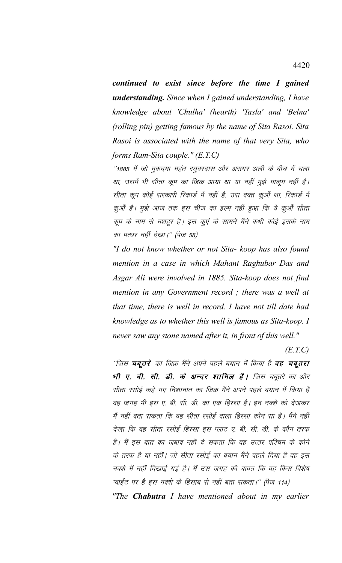*continued to exist since before the time I gained understanding. Since when I gained understanding, I have knowledge about 'Chulha' (hearth) 'Tasla' and 'Belna' (rolling pin) getting famous by the name of Sita Rasoi. Sita Rasoi is associated with the name of that very Sita, who forms Ram-Sita couple." (E.T.C)*

''1885 में जो मुकदमा महंत रघुवरदास और असगर अली के बीच में चला था, उसमें भी सीता कूप का जिक्र आया था या नहीं मुझे मालूम नहीं है। सीता कूप कोई सरकारी रिकार्ड में नहीं है, उस वक्त कुआँ था, रिकार्ड में कुआँ है। मुझे आज तक इस चीज का इल्म नहीं हुआ कि ये कुआँ सीता कूप के नाम से मशहूर है। इस कुएं के सामने मैंने कभी कोई इसके नाम का पत्थर नहीं देखा।'' (पेज 58)

*"I do not know whether or not Sita- koop has also found mention in a case in which Mahant Raghubar Das and Asgar Ali were involved in 1885. Sita-koop does not find mention in any Government record ; there was a well at that time, there is well in record. I have not till date had knowledge as to whether this well is famous as Sita-koop. I never saw any stone named after it, in front of this well."*

*(E.T.C)*

''जिस **चबूतरे** का जिक्र मैंने अपने पहले बयान में किया है **वह चबूतरा** भी ए. बी. सी. डी. के अन्दर शामिल है। जिस चबूतरे का और सीता रसोई कहे गए निशानात का जिक्र मैंने अपने पहले बयान में किया है वह जगह भी इस ए. बी. सी. डी. का एक हिस्सा है। इन नक्शे को देखकर मैं नहीं बता सकता कि वह सीता रसोई वाला हिस्सा कौन सा है। मैंने नहीं देखा कि वह सीता रसोई हिस्सा इस प्लाट ए. बी. सी. डी. के कौन तरफ है। मैं इस बात का जबाव नहीं दे सकता कि वह उत्तर पश्चिम के कोने के तरफ है या नहीं। जो सीता रसोई का बयान मैंने पहले दिया है वह इस नक्शे में नहीं दिखाई गई है। मैं उस जगह की बावत कि वह किस विशेष प्वाईंट पर है इस नक्शे के हिसाब से नहीं बता सकता।'' (पेज 114) *"The Chabutra I have mentioned about in my earlier*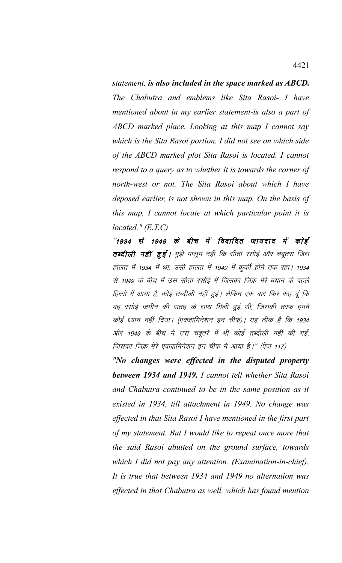# *statement, is also included in the space marked as ABCD. The Chabutra and emblems like Sita Rasoi- I have mentioned about in my earlier statement-is also a part of ABCD marked place. Looking at this map I cannot say which is the Sita Rasoi portion. I did not see on which side of the ABCD marked plot Sita Rasoi is located. I cannot respond to a query as to whether it is towards the corner of north-west or not. The Sita Rasoi about which I have deposed earlier, is not shown in this map. On the basis of this map, I cannot locate at which particular point it is located." (E.T.C)*

 $^{\prime\prime}$ 1934 से 1949 के बीच में विवादित जायदाद में कोई तब्दीली नहीं हुई। मुझे मालूम नहीं कि सीता रसोई और चबूतरा जिस हालत में 1934 में था, उसी हालत में 1949 में कुर्की होने तक रहा। 1934 से 1949 के बीच में उस सीता रसोई में जिसका जिक्र मेरे बयान के पहले हिस्से में आया है, कोई तब्दीली नहीं हुई। लेकिन एक बार फिर कह दूं कि वह रसोई जमीन की सतह के साथ मिली हुई थी, जिसकी तरफ हमने कोई ध्यान नहीं दिया। (एक्जामिनेशन इन चीफ)। यह ठीक है कि 1934 और 1949 के बीच में उस चबूतरे में भी कोई तब्दीली नहीं की गई, जिसका जिक्र मेरे एक्जामिनेशन इन चीफ में आया है।'' (पेज 117)

*"No changes were effected in the disputed property between 1934 and 1949. I cannot tell whether Sita Rasoi and Chabutra continued to be in the same position as it existed in 1934, till attachment in 1949. No change was effected in that Sita Rasoi I have mentioned in the first part of my statement. But I would like to repeat once more that the said Rasoi abutted on the ground surface, towards which I did not pay any attention. (Examination-in-chief). It is true that between 1934 and 1949 no alternation was effected in that Chabutra as well, which has found mention*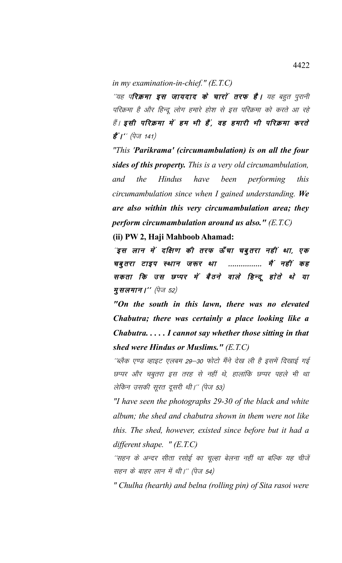*in my examination-in-chief." (E.T.C)*

''यह प**रिक्रमा इस जायदाद के चारो' तरफ है।** यह बहुत पुरानी परिक्रमा है और हिन्दू लोग हमारे होश से इस परिक्रमा को करते आ रहे हैं। इसी परिक्रमा में हम भी हैं, वह हमारी भी परिक्रमा करते  $\overrightarrow{g}$ '/'' (ਧੇਯ 141)

*"This 'Parikrama' (circumambulation) is on all the four sides of this property. This is a very old circumambulation, and the Hindus have been performing this circumambulation since when I gained understanding. We are also within this very circumambulation area; they perform circumambulation around us also." (E.T.C)*

**(ii) PW 2, Haji Mahboob Ahamad:**

"इस लान में दक्षिण की तरफ ऊँचा चबुतरा नहीं था, एक चबुतरा टाइप स्थान जरूर था ................. मैं नहीं कह सकता कि उस छप्पर में बैठने वाले हिन्दू होते थे या **मुसलमान।''** (पेज 52)

*"On the south in this lawn, there was no elevated Chabutra; there was certainly a place looking like a Chabutra. . . . . I cannot say whether those sitting in that shed were Hindus or Muslims." (E.T.C)*

''ब्लैक एण्ड व्हाइट एलबम 29–30 फोटो मैंने देख ली है इसमें दिखाई गई छप्पर और चबुतरा इस तरह से नहीं थे, हालांकि छप्पर पहले भी था लेकिन उसकी सूरत दूसरी थी।'' (पेज 53)

*"I have seen the photographs 29-30 of the black and white album; the shed and chabutra shown in them were not like this. The shed, however, existed since before but it had a different shape. " (E.T.C)*

''सहन के अन्दर सीता रसोई का चूल्हा बेलना नहीं था बल्कि यह चीजें सहन के बाहर लान में थी।'' (पेज 54)

*" Chulha (hearth) and belna (rolling pin) of Sita rasoi were*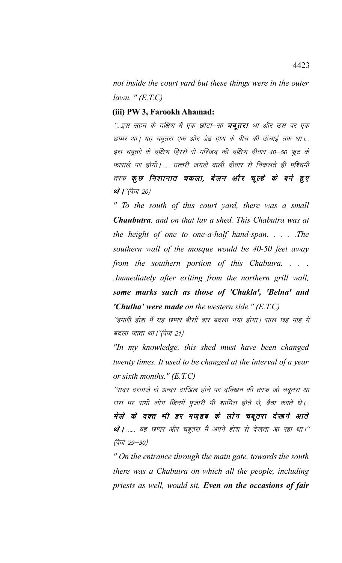*not inside the court yard but these things were in the outer lawn. " (E.T.C)*

#### **(iii) PW 3, Farookh Ahamad:**

''...इस सहन के दक्षिण में एक छोटा—सा **चबूतरा** था और उस पर एक छप्पर था। यह चबूतरा एक और डेढ़ हाथ के बीच की ऊँचाई तक था।... इस चबूतरे के दक्षिण हिस्से से मस्जिद की दक्षिण दीवार 40–50 फूट के फासले पर होगी। ... उत्तरी जंगले वाली दीवार से निकलते ही पश्चिमी तरफ कूछ निशानात चकला, बेलन और चूल्हे के बने हुए थे । ''(पेज 20)

*" To the south of this court yard, there was a small Chaubutra, and on that lay a shed. This Chabutra was at the height of one to one-a-half hand-span. . . . .The southern wall of the mosque would be 40-50 feet away from the southern portion of this Chabutra. . . . .Immediately after exiting from the northern grill wall, some marks such as those of 'Chakla', 'Belna' and 'Chulha' were made on the western side." (E.T.C)*

''हमारी होश में यह छप्पर बीसों बार बदला गया होगा। साल छह माह में बदला जाता था।''(पेज 21)

*"In my knowledge, this shed must have been changed twenty times. It used to be changed at the interval of a year or sixth months." (E.T.C)*

''सदर दरवाज़े से अन्दर दाखिल होने पर दक्खिन की तरफ जो चबूतरा था उस पर सभी लोग जिनमें पूजारी भी शामिल होते थे, बैठा करते थे।... मेले के वक्त भी हर मज़हब के लोग चबूतरा देखाने आते थे | ..... वह छप्पर और चबूतरा मैं अपने होश से देखता आ रहा था।''  $(\vec{q}$ ज 29–30)

*" On the entrance through the main gate, towards the south there was a Chabutra on which all the people, including priests as well, would sit. Even on the occasions of fair*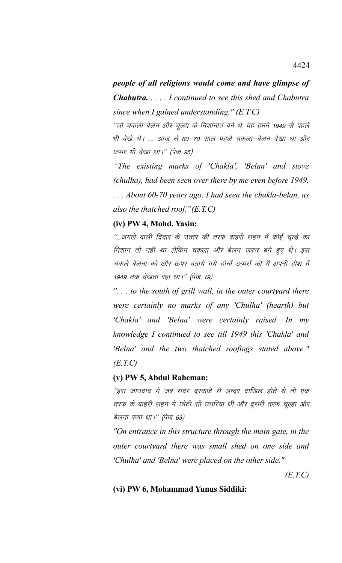## *people of all religions would come and have glimpse of Chabutra. . . . . I continued to see this shed and Chabutra since when I gained understanding." (E.T.C)*

''जो चकला बेलन और चूल्हा के निशानात बने थे, वह हमने 1949 से पहले भी देखे थे। .... आज से 60–70 साल पहले चकला–बेलन देखा था और छप्पर भी देखा था।'' (पेज 95)

*"The existing marks of 'Chakla', 'Belan' and stove (chulha), had been seen over there by me even before 1949. . . . About 60-70 years ago, I had seen the chakla-belan, as also the thatched roof."(E.T.C)* 

#### **(iv) PW 4, Mohd. Yasin:**

''...जंगले वाली दिवार के उत्तर की तरफ बाहरी सहन में कोई चूल्हे का निशान तो नहीं था लेकिन चकला और बेलन जरूर बने हुए थे। इस चकले बेलना को और ऊपर बताये गये दोनों छप्परों को मैं अपनी होश में 1949 तक देखता रहा था।'' (पेज 19)

*". . . to the south of grill wall, in the outer courtyard there were certainly no marks of any 'Chulha' (hearth) but 'Chakla' and 'Belna' were certainly raised. In my knowledge I continued to see till 1949 this 'Chakla' and 'Belna' and the two thatched roofings stated above." (E.T.C)*

#### **(v) PW 5, Abdul Raheman:**

´´इस जायदाद में जब सदर दरवाजे से अन्दर दाखिल होते थे तो एक तरफ के बाहरी सहन में छोटी सी छपरिया थी और दूसरी तरफ चूल्हा और बेलना रखा था।'' (पेज 63)

*"On entrance in this structure through the main gate, in the outer courtyard there was small shed on one side and 'Chulha' and 'Belna' were placed on the other side."*

*(E.T.C)*

#### **(vi) PW 6, Mohammad Yunus Siddiki:**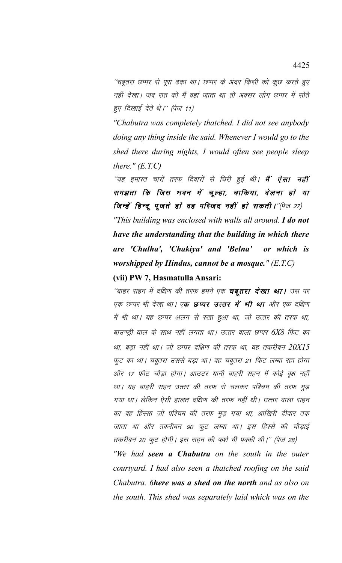''चबुतरा छप्पर से पूरा ढका था। छप्पर के अंदर किसी को कूछ करते हुए नहीं देखा। जब रात को मैं वहां जाता था तो अक्सर लोग छप्पर में सोते हुए दिखाई देते थे।" (पेज 11)

*"Chabutra was completely thatched. I did not see anybody doing any thing inside the said. Whenever I would go to the shed there during nights, I would often see people sleep there." (E.T.C)*

''यह इमारत चारों तरफ दिवारों से घिरी हुई थी। **मैं ऐसा नहीं** समझता कि जिस भवन में चूल्हा, चाकिया, बेलना हो या जिन्हें हिन्दू पूजते हो वह मस्जिद नहीं हो सकती ।"(पेज 27)

*"This building was enclosed with walls all around. I do not have the understanding that the building in which there are 'Chulha', 'Chakiya' and 'Belna' or which is worshipped by Hindus, cannot be a mosque." (E.T.C)*

**(vii) PW 7, Hasmatulla Ansari:**

''बाहर सहन में दक्षिण की तरफ हमने एक **चबूतरा देखा था।** उस पर एक छप्पर भी देखा था। ए**क छप्पर उत्तर में भी था** और एक दक्षिण में भी था। यह छप्पर अलग से रखा हुआ था, जो उत्तर की तरफ था, बाउण्ड्री वाल के साथ नहीं लगता था। उत्तर वाला छप्पर 6X8 फिट का था, बड़ा नहीं था। जो छप्पर दक्षिण की तरफ था, वह तकरीबन 20X15 फुट का था। चबूतरा उससे बड़ा था। वह चबूतरा 21 फिट लम्बा रहा होगा ओर 17 फीट चौड़ा होगा। आउटर यानी बाहरी सहन में कोई वृक्ष नहीं था। यह बाहरी सहन उत्तर की तरफ से चलकर पश्चिम की तरफ मुड गया था। लेकिन ऐसी हालत दक्षिण की तरफ नहीं थी। उत्तर वाला सहन का वह हिस्सा जो पश्चिम की तरफ मुड़ गया था, आखिरी दीवार तक जाता था और तकरीबन 90 फुट लम्बा था। इस हिस्से की चौड़ाई तकरीबन 20 फुट होगी। इस सहन की फर्श भी पक्की थी।'' (पेज 28)

*"We had seen a Chabutra on the south in the outer courtyard. I had also seen a thatched roofing on the said Chabutra. 6here was a shed on the north and as also on the south. This shed was separately laid which was on the*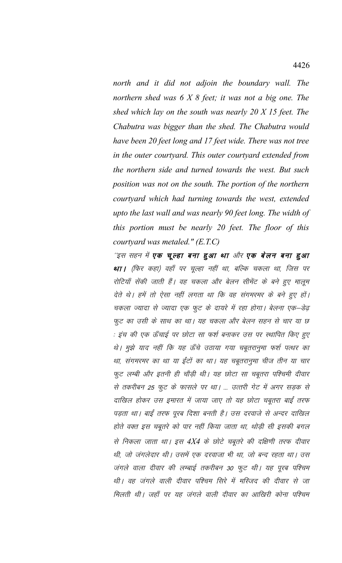*north and it did not adjoin the boundary wall. The northern shed was 6 X 8 feet; it was not a big one. The shed which lay on the south was nearly 20 X 15 feet. The Chabutra was bigger than the shed. The Chabutra would have been 20 feet long and 17 feet wide. There was not tree in the outer courtyard. This outer courtyard extended from the northern side and turned towards the west. But such position was not on the south. The portion of the northern courtyard which had turning towards the west, extended upto the last wall and was nearly 90 feet long. The width of this portion must be nearly 20 feet. The floor of this courtyard was metaled." (E.T.C)*

''इस सहन में **एक चूल्हा बना हुआ था** और **एक बेलन बना हुआ** था। (फिर कहा) वहाँ पर चुल्हा नहीं था, बल्कि चकला था, जिस पर रोटियाँ सेंकी जाती हैं। वह चकला और बेलन सीमेंट के बने हुए मालुम देते थे। हमें तो ऐसा नहीं लगता था कि वह संगमरमर के बने हुए हों। चकला ज्यादा से ज्यादा एक फुट के दायरे में रहा होगा। बेलना एक–डेढ़ फट का उसी के साथ का था। यह चकला और बेलन सहन से चार या छ : इंच की एक ऊँचाई पर छोटा सा फर्श बनाकर उस पर स्थापित किए हुए थे। मुझे याद नहीं कि यह ऊँचे उठाया गया चबूतरानुमा फर्श पत्थर का था, संगमरमर का था या ईंटों का था। यह चबूतरानुमा चीज तीन या चार फूट लम्बी और इतनी ही चौड़ी थी। यह छोटा सा चबूतरा पश्चिमी दीवार से तकरीबन 25 फूट के फासले पर था। ... उत्तरी गेट में अगर सड़क से दाखिल होकर उस इमारत में जाया जाए तो यह छोटा चबूतरा बाईं तरफ पड़ता था। बाईं तरफ पूरब दिशा बनती है। उस दरवाजे से अन्दर दाखिल होते वक्त इस चबूतरे को पार नहीं किया जाता था, थोड़ी सी इसकी बगल से निकला जाता था। इस 4X4 के छोटे चबूतरे की दक्षिणी तरफ दीवार थी, जो जंगलेदार थी। उसमें एक दरवाजा भी था, जो बन्द रहता था। उस जंगले वाला दीवार की लम्बाई तकरीबन 30 फूट थी। यह पूरब पश्चिम थी। वह जंगले वाली दीवार पश्चिम सिरे में मस्जिद की दीवार से जा मिलती थी। जहाँ पर यह जंगले वाली दीवार का आखिरी कोना पश्चिम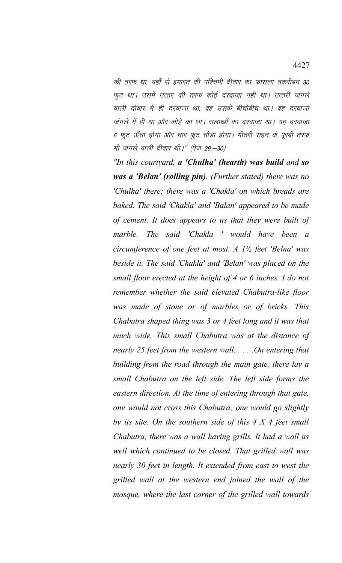की तरफ था, वहाँ से इमारत की पश्चिमी दीवार का फासला तकरीबन 30 फुट था। उसमें उत्तर की तरफ कोई दरवाजा नहीं था। उत्तरी जंगले वाली दीवार में ही दरवाजा था, वह उसके बीचोबीच था। वह दरवाजा जंगले में ही था और लोहे का था। सलाखों का दरवाजा था। यह दरवाजा 6 फूट ऊँचा होगा और चार फूट चौड़ा होगा। भीतरी सहन के पूरबी तरफ भी जंगले वाली दीवार थी।" (पेज 29.–30)

*"In this courtyard, a 'Chulha' (hearth) was build and so was a 'Belan' (rolling pin). (Further stated) there was no 'Chulha' there; there was a 'Chakla' on which breads are baked. The said 'Chakla' and 'Balan' appeared to be made of cement. It does appears to us that they were built of marble. The said 'Chakla ' would have been a circumference of one feet at most. A 1½ feet 'Belna' was beside it. The said 'Chakla' and 'Belan' was placed on the small floor erected at the height of 4 or 6 inches. I do not remember whether the said elevated Chabutra-like floor was made of stone or of marbles or of bricks. This Chabutra shaped thing was 3 or 4 feet long and it was that much wide. This small Chabutra was at the distance of nearly 25 feet from the western wall. . . . .On entering that building from the road through the main gate, there lay a small Chabutra on the left side. The left side forms the eastern direction. At the time of entering through that gate, one would not cross this Chabutra; one would go slightly by its site. On the southern side of this 4 X 4 feet small Chabutra, there was a wall having grills. It had a wall as well which continued to be closed. That grilled wall was nearly 30 feet in length. It extended from east to west the grilled wall at the western end joined the wall of the mosque, where the last corner of the grilled wall towards*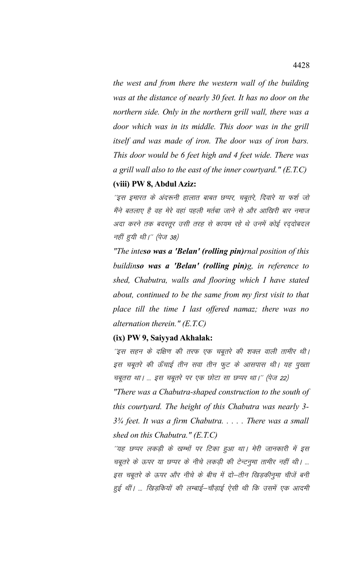*the west and from there the western wall of the building was at the distance of nearly 30 feet. It has no door on the northern side. Only in the northern grill wall, there was a door which was in its middle. This door was in the grill itself and was made of iron. The door was of iron bars. This door would be 6 feet high and 4 feet wide. There was a grill wall also to the east of the inner courtyard." (E.T.C)*

### **(viii) PW 8, Abdul Aziz:**

''इस इमारत के अंदरूनी हालात बाबत छप्पर, चबूतरे, दिवारे या फर्श जो मैंने बतलाए है वह मेरे वहां पहली मर्तबा जाने से और आखिरी बार नमाज अदा करने तक बदस्तूर उसी तरह से कायम रहे थे उनमें कोई रद्दोबदल नहीं हूयी थी।'' (पेज 38)

*"The inteso was a 'Belan' (rolling pin)rnal position of this buildinso was a 'Belan' (rolling pin)g, in reference to shed, Chabutra, walls and flooring which I have stated about, continued to be the same from my first visit to that place till the time I last offered namaz; there was no alternation therein." (E.T.C)*

#### **(ix) PW 9, Saiyyad Akhalak:**

''इस सहन के दक्षिण की तरफ एक चबूतरे की शक्ल वाली तामीर थी। इस चबूतरे की ऊँचाई तीन सवा तीन फुट के आसपास थी। यह पुख्ता चबूतरा था। ... इस चबूतरे पर एक छोटा सा छप्पर था।'' (पेज 22)

*"There was a Chabutra-shaped construction to the south of this courtyard. The height of this Chabutra was nearly 3- 3¾ feet. It was a firm Chabutra. . . . . There was a small shed on this Chabutra." (E.T.C)*

"यह छप्पर लकड़ी के खम्भों पर टिका हुआ था। मेरी जानकारी में इस चबूतरे के ऊपर या छप्पर के नीचे लकड़ी की टेन्टनुमा तामीर नहीं थी। ... इस चबूतरे के ऊपर और नीचे के बीच में दो–तीन खिड़कीनुमा चीजें बनी हुई थीं। ... खिड़कियों की लम्बाई–चौड़ाई ऐसी थी कि उसमें एक आदमी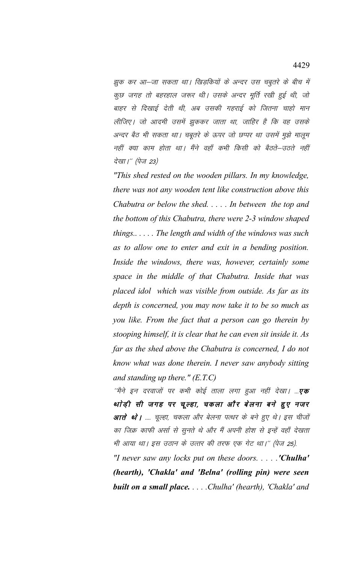झुक कर आ–जा सकता था। खिडकियों के अन्दर उस चबुतरे के बीच में कुछ जगह तो बहरहाल जरूर थी। उसके अन्दर मूर्ति रखी हुई थी, जो बाहर से दिखाई देती थी, अब उसकी गहराई को जितना चाहो मान लीजिए। जो आदमी उसमें झुककर जाता था, जाहिर है कि वह उसके अन्दर बैठ भी सकता था। चबूतरे के ऊपर जो छप्पर था उसमें मुझे मालूम नहीं क्या काम होता था। मैंने वहाँ कभी किसी को बैठते–उठते नहीं देखा।'' (पेज 23)

*"This shed rested on the wooden pillars. In my knowledge, there was not any wooden tent like construction above this Chabutra or below the shed. . . . . In between the top and the bottom of this Chabutra, there were 2-3 window shaped things.. . . . . The length and width of the windows was such as to allow one to enter and exit in a bending position. Inside the windows, there was, however, certainly some space in the middle of that Chabutra. Inside that was placed idol which was visible from outside. As far as its depth is concerned, you may now take it to be so much as you like. From the fact that a person can go therein by stooping himself, it is clear that he can even sit inside it. As far as the shed above the Chabutra is concerned, I do not know what was done therein. I never saw anybody sitting and standing up there." (E.T.C)*

''मैने इन दरवाजों पर कभी कोई ताला लगा हुआ नहीं देखा। ...**एक** थाेड़ी सी जगह पर चूल्हा, चकला और बेलना बने हुए नजर आते थे। .... चुल्हा, चकला और बेलना पत्थर के बने हुए थे। इस चीजों का जिक्र काफी अर्सा से सुनते थे और मैं अपनी होश से इन्हें वहाँ देखता भी आया था। इस उठान के उत्तर की तरफ एक गेट था।'' (पेज 25).

*"I never saw any locks put on these doors. . . . .'Chulha' (hearth), 'Chakla' and 'Belna' (rolling pin) were seen built on a small place. . . . .Chulha' (hearth), 'Chakla' and*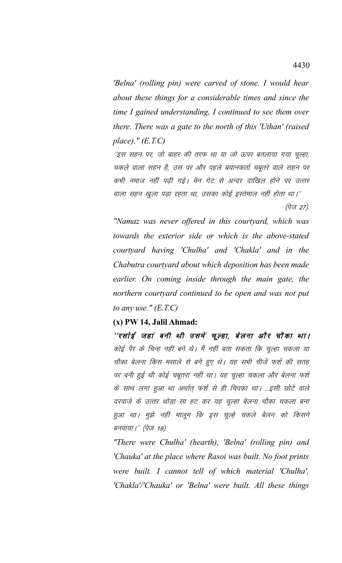*'Belna' (rolling pin) were carved of stone. I would hear about these things for a considerable times and since the time I gained understanding, I continued to see them over there. There was a gate to the north of this 'Uthan' (raised place)." (E.T.C)*

''इस सहन पर, जो बाहर की तरफ था या जो ऊपर बतलाया गया चूल्हा, चकले वाला सहन है, उस पर और पहले बयानकर्ता चबुतरे वाले सहन पर कभी नमाज नहीं पढ़ी गई। मेन गेट से अन्दर दाखिल होने पर उत्तर वाला सहन खुला पड़ा रहता था, उसका कोई इस्तेमाल नहीं होता था।''

(पेज 27). *"Namaz was never offered in this courtyard, which was*

*towards the exterior side or which is the above-stated courtyard having 'Chulha' and 'Chakla' and in the Chabutra courtyard about which deposition has been made earlier. On coming inside through the main gate, the northern courtyard continued to be open and was not put to any use." (E.T.C)*

#### **(x) PW 14, Jalil Ahmad:**

''रसोई जहां बनी थी उसमें चूल्हा, बेलना और चौका था। कोई पैर के चिन्ह नहीं बने थे। मैं नहीं बता सकता कि चूल्हा चकला या चौका बेलना किस मसाले से बने हुए थे। यह सभी चीजें फर्श की सतह पर बनी हुई थी कोई चबूतरा नहीं था। यह चूल्हा चकला और बेलना फर्श के साथ लगा हुआ था अर्थात् फर्श से ही चिपका था। ...इसी छोटे वाले दरवाजे के उत्तर थोड़ा सा हट कर यह चूल्हा बेलना चौका चकला बना हुआ था। मुझे नहीं मालूम कि इस चूल्हे चकले बेलन को किसने बनवाया।'' (पेज 19).

*"There were Chulha' (hearth), 'Belna' (rolling pin) and 'Chauka' at the place where Rasoi was built. No foot prints were built. I cannot tell of which material 'Chulha', 'Chakla'/'Chauka' or 'Belna' were built. All these things*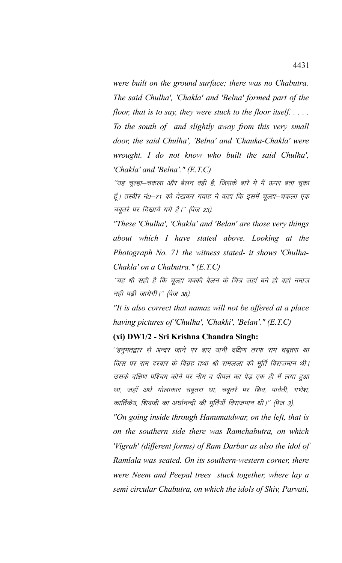*were built on the ground surface; there was no Chabutra. The said Chulha', 'Chakla' and 'Belna' formed part of the floor, that is to say, they were stuck to the floor itself. . . . . To the south of and slightly away from this very small door, the said Chulha', 'Belna' and 'Chauka-Chakla' were wrought. I do not know who built the said Chulha', 'Chakla' and 'Belna'." (E.T.C)*

''यह चुल्हा—चकला और बेलन वही है, जिसके बारे मे मैं ऊपर बता चुका हूँ। तस्वीर नं0–71 को देखकर गवाह ने कहा कि इसमें चूल्हा–चकला एक चबूतरे पर दिखाये गये है।'' (पेज 23).

*"These 'Chulha', 'Chakla' and 'Belan' are those very things about which I have stated above. Looking at the Photograph No. 71 the witness stated- it shows 'Chulha-Chakla' on a Chabutra." (E.T.C)*

''यह भी सही है कि चूल्हा चक्की बेलन के चित्र जहां बने हो वहां नमाज नही पढी जायेगी।'' (पेज 38).

*"It is also correct that namaz will not be offered at a place having pictures of 'Chulha', 'Chakki', 'Belan'." (E.T.C)*

### **(xi) DW1/2 - Sri Krishna Chandra Singh:**

''हनुमतद्वार से अन्दर जाने पर बाएं यानी दक्षिण तरफ राम चबूतरा था जिस पर राम दरबार के विग्रह तथा श्री रामलला की मूर्ति विराजमान थी। उसके दक्षिण पश्चिम कोने पर नीम व पीपल का पेड़ एक ही में लगा हुआ था, जहाँ अर्ध गोलाकार चबूतरा था, चबूतरे पर शिव, पार्वती, गणेश, कार्तिकेय, शिवजी का अर्घानन्दी की मूर्तियाँ विराजमान थी।'' (पेज 3).

*"On going inside through Hanumatdwar, on the left, that is on the southern side there was Ramchabutra, on which 'Vigrah' (different forms) of Ram Darbar as also the idol of Ramlala was seated. On its southern-western corner, there were Neem and Peepal trees stuck together, where lay a semi circular Chabutra, on which the idols of Shiv, Parvati,*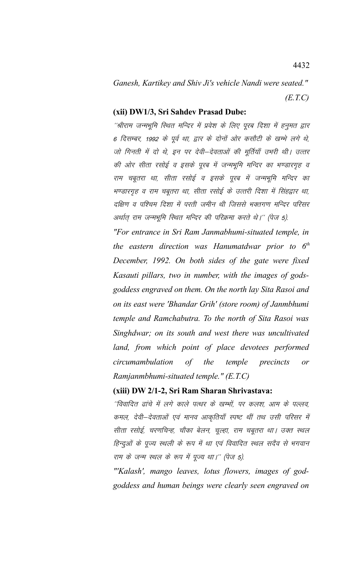*Ganesh, Kartikey and Shiv Ji's vehicle Nandi were seated." (E.T.C)*

## **(xii) DW1/3, Sri Sahdev Prasad Dube:**

''श्रीराम जन्मभूमि स्थित मन्दिर में प्रवेश के लिए पूरब दिशा में हनुमत द्वार 6 दिसम्बर, 1992 के पूर्व था, द्वार के दोनों ओर कसौटी के खम्भे लगे थे, जो गिनती में दो थे, इन पर देवी–देवताओं की मूर्तियाँ उभरी थी। उत्तर की ओर सीता रसोई व इसके पूरब में जन्मभूमि मन्दिर का भण्डारगृह व राम चबूतरा था, सीता रसोई व इसके पूरब में जन्मभूमि मन्दिर का भण्डारगृह व राम चबुतरा था, सीता रसोई के उत्तरी दिशा में सिंहद्वार था, दक्षिण व पश्चिम दिशा में परती जमीन थी जिससे भक्तगण मन्दिर परिसर अर्थात राम जन्मभूमि स्थित मन्दिर की परिक्रमा करते थे।'' (पेज 5).

*"For entrance in Sri Ram Janmabhumi-situated temple, in the eastern direction was Hanumatdwar prior to 6th December, 1992. On both sides of the gate were fixed Kasauti pillars, two in number, with the images of godsgoddess engraved on them. On the north lay Sita Rasoi and on its east were 'Bhandar Grih' (store room) of Janmbhumi temple and Ramchabutra. To the north of Sita Rasoi was Singhdwar; on its south and west there was uncultivated land, from which point of place devotees performed circumambulation of the temple precincts or Ramjanmbhumi-situated temple." (E.T.C)*

## **(xiii) DW 2/1-2, Sri Ram Sharan Shrivastava:**

''विवादित ढांचे में लगे काले पत्थर के खम्भों, पर कलश, आम के पल्लव, कमल, देवी–देवताओं एवं मानव आकृतियाँ स्पष्ट थीं तथ उसी परिसर में सीता रसोई, चरणचिन्ह, चौका बेलन, चूल्हा, राम चबूतरा था। उक्त स्थल हिन्दुओं के पूज्य स्थली के रूप में था एवं विवादित स्थल सदैव से भगवान राम के जन्म स्थल के रूप में पूज्य था।" (पेज 5).

*"'Kalash', mango leaves, lotus flowers, images of godgoddess and human beings were clearly seen engraved on*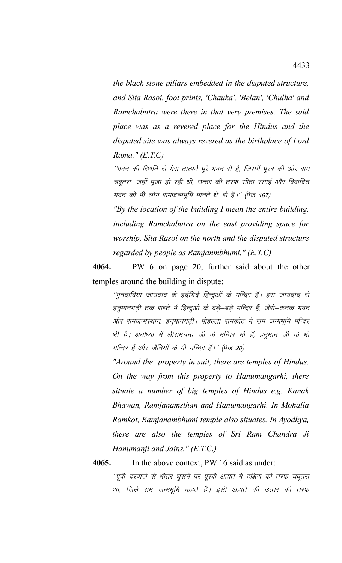*the black stone pillars embedded in the disputed structure, and Sita Rasoi, foot prints, 'Chauka', 'Belan', 'Chulha' and Ramchabutra were there in that very premises. The said place was as a revered place for the Hindus and the disputed site was always revered as the birthplace of Lord Rama." (E.T.C)*

''भवन की रिथति से मेरा तात्पर्य पूरे भवन से है, जिसमें पूरब की ओर राम चबूतरा, जहाँ पूजा हो रही थी, उत्तर की तरफ सीता रसाई और विवादित भवन को भी लोग रामजन्मभूमि मानते थे, से है।'' (पेज 167).

*"By the location of the building I mean the entire building, including Ramchabutra on the east providing space for worship, Sita Rasoi on the north and the disputed structure regarded by people as Ramjanmbhumi." (E.T.C)*

**4064.** PW 6 on page 20, further said about the other temples around the building in dispute:

''मुतदाविया जायदाद के इर्दगिर्द हिन्दुओं के मन्दिर हैं। इस जायदाद से हनुमानगढ़ी तक रास्ते में हिन्दुओं के बड़े–बड़े मंन्दिर हैं, जैसे–कनक भवन ओर रामजन्मस्थान, हनुमानगढ़ी। मोहल्ला रामकोट में राम जन्मभूमि मन्दिर भी है। अयोध्या में श्रीरामचन्द्र जी के मन्दिर भी हैं, हनुमान जी के भी मन्दिर हैं और जैनियों के भी मन्दिर हैं।'' (पेज 20)

*"Around the property in suit, there are temples of Hindus. On the way from this property to Hanumangarhi, there situate a number of big temples of Hindus e.g. Kanak Bhawan, Ramjanamsthan and Hanumangarhi. In Mohalla Ramkot, Ramjanambhumi temple also situates. In Ayodhya, there are also the temples of Sri Ram Chandra Ji Hanumanji and Jains." (E.T.C.)*

**4065.** In the above context, PW 16 said as under: ''पूर्वी दरवाजे से भीतर घुसने पर पूरबी अहाते में दक्षिण की तरफ चबूतरा था, जिसे राम जन्मभूमि कहते हैं। इसी अहाते की उत्तर की तरफ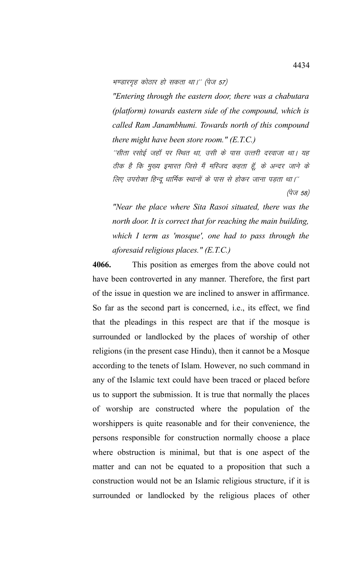भण्डारगृह कोठार हो सकता था।'' (पेज 57)

*"Entering through the eastern door, there was a chabutara (platform) towards eastern side of the compound, which is called Ram Janambhumi. Towards north of this compound there might have been store room." (E.T.C.)*

''सीता रसोई जहॉ पर स्थित था, उसी के पास उत्तरी दरवाजा था। यह ठीक है कि मुख्य इमारत जिसे मैं मस्जिद कहता हूँ, के अन्दर जाने के लिए उपरोक्त हिन्दू धार्मिक स्थानों के पास से होकर जाना पड़ता था।''

(पेज 58)

*"Near the place where Sita Rasoi situated, there was the north door. It is correct that for reaching the main building, which I term as 'mosque', one had to pass through the aforesaid religious places." (E.T.C.)*

**4066.** This position as emerges from the above could not have been controverted in any manner. Therefore, the first part of the issue in question we are inclined to answer in affirmance. So far as the second part is concerned, i.e., its effect, we find that the pleadings in this respect are that if the mosque is surrounded or landlocked by the places of worship of other religions (in the present case Hindu), then it cannot be a Mosque according to the tenets of Islam. However, no such command in any of the Islamic text could have been traced or placed before us to support the submission. It is true that normally the places of worship are constructed where the population of the worshippers is quite reasonable and for their convenience, the persons responsible for construction normally choose a place where obstruction is minimal, but that is one aspect of the matter and can not be equated to a proposition that such a construction would not be an Islamic religious structure, if it is surrounded or landlocked by the religious places of other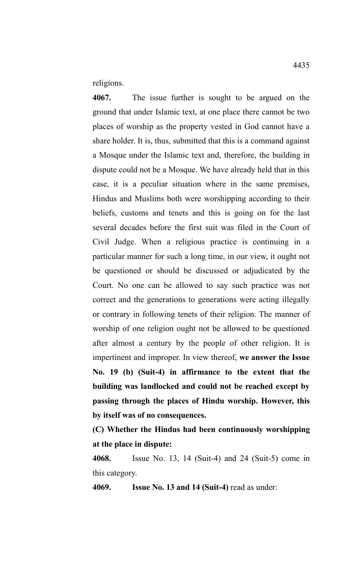religions.

**4067.** The issue further is sought to be argued on the ground that under Islamic text, at one place there cannot be two places of worship as the property vested in God cannot have a share holder. It is, thus, submitted that this is a command against a Mosque under the Islamic text and, therefore, the building in dispute could not be a Mosque. We have already held that in this case, it is a peculiar situation where in the same premises, Hindus and Muslims both were worshipping according to their beliefs, customs and tenets and this is going on for the last several decades before the first suit was filed in the Court of Civil Judge. When a religious practice is continuing in a particular manner for such a long time, in our view, it ought not be questioned or should be discussed or adjudicated by the Court. No one can be allowed to say such practice was not correct and the generations to generations were acting illegally or contrary in following tenets of their religion. The manner of worship of one religion ought not be allowed to be questioned after almost a century by the people of other religion. It is impertinent and improper. In view thereof, **we answer the Issue No. 19 (b) (Suit-4) in affirmance to the extent that the building was landlocked and could not be reached except by passing through the places of Hindu worship. However, this by itself was of no consequences.** 

**(C) Whether the Hindus had been continuously worshipping at the place in dispute:**

**4068.** Issue No. 13, 14 (Suit-4) and 24 (Suit-5) come in this category.

**4069. Issue No. 13 and 14 (Suit-4)** read as under: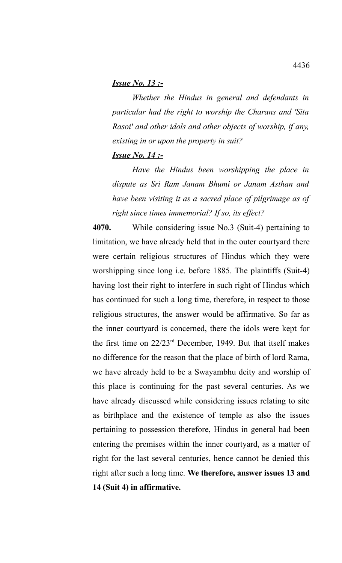#### *Issue No. 13 :-*

*Whether the Hindus in general and defendants in particular had the right to worship the Charans and 'Sita Rasoi' and other idols and other objects of worship, if any, existing in or upon the property in suit?* 

## *Issue No. 14 :-*

*Have the Hindus been worshipping the place in dispute as Sri Ram Janam Bhumi or Janam Asthan and have been visiting it as a sacred place of pilgrimage as of right since times immemorial? If so, its effect?*

**4070.** While considering issue No.3 (Suit-4) pertaining to limitation, we have already held that in the outer courtyard there were certain religious structures of Hindus which they were worshipping since long i.e. before 1885. The plaintiffs (Suit-4) having lost their right to interfere in such right of Hindus which has continued for such a long time, therefore, in respect to those religious structures, the answer would be affirmative. So far as the inner courtyard is concerned, there the idols were kept for the first time on 22/23rd December, 1949. But that itself makes no difference for the reason that the place of birth of lord Rama, we have already held to be a Swayambhu deity and worship of this place is continuing for the past several centuries. As we have already discussed while considering issues relating to site as birthplace and the existence of temple as also the issues pertaining to possession therefore, Hindus in general had been entering the premises within the inner courtyard, as a matter of right for the last several centuries, hence cannot be denied this right after such a long time. **We therefore, answer issues 13 and 14 (Suit 4) in affirmative.**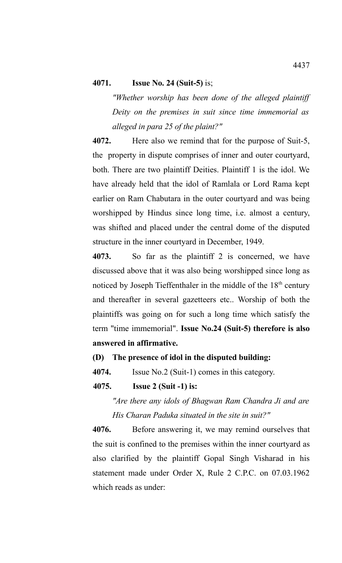#### **4071. Issue No. 24 (Suit-5)** is;

*"Whether worship has been done of the alleged plaintiff Deity on the premises in suit since time immemorial as alleged in para 25 of the plaint?"*

**4072.** Here also we remind that for the purpose of Suit-5, the property in dispute comprises of inner and outer courtyard, both. There are two plaintiff Deities. Plaintiff 1 is the idol. We have already held that the idol of Ramlala or Lord Rama kept earlier on Ram Chabutara in the outer courtyard and was being worshipped by Hindus since long time, i.e. almost a century, was shifted and placed under the central dome of the disputed structure in the inner courtyard in December, 1949.

**4073.** So far as the plaintiff 2 is concerned, we have discussed above that it was also being worshipped since long as noticed by Joseph Tieffenthaler in the middle of the  $18<sup>th</sup>$  century and thereafter in several gazetteers etc.. Worship of both the plaintiffs was going on for such a long time which satisfy the term "time immemorial". **Issue No.24 (Suit-5) therefore is also answered in affirmative.**

#### **(D) The presence of idol in the disputed building:**

**4074.** Issue No.2 (Suit-1) comes in this category.

### **4075. Issue 2 (Suit -1) is:**

*"Are there any idols of Bhagwan Ram Chandra Ji and are His Charan Paduka situated in the site in suit?"*

**4076.** Before answering it, we may remind ourselves that the suit is confined to the premises within the inner courtyard as also clarified by the plaintiff Gopal Singh Visharad in his statement made under Order X, Rule 2 C.P.C. on 07.03.1962 which reads as under: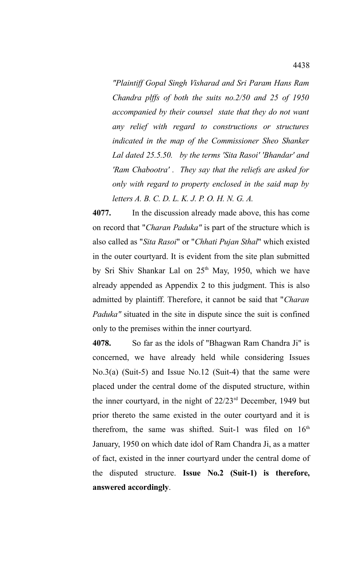*"Plaintiff Gopal Singh Visharad and Sri Param Hans Ram Chandra plffs of both the suits no.2/50 and 25 of 1950 accompanied by their counsel state that they do not want any relief with regard to constructions or structures indicated in the map of the Commissioner Sheo Shanker Lal dated 25.5.50. by the terms 'Sita Rasoi' 'Bhandar' and 'Ram Chabootra' . They say that the reliefs are asked for only with regard to property enclosed in the said map by letters A. B. C. D. L. K. J. P. O. H. N. G. A.*

**4077.** In the discussion already made above, this has come on record that "*Charan Paduka"* is part of the structure which is also called as "*Sita Rasoi*" or "*Chhati Pujan Sthal*" which existed in the outer courtyard. It is evident from the site plan submitted by Sri Shiv Shankar Lal on 25<sup>th</sup> May, 1950, which we have already appended as Appendix 2 to this judgment. This is also admitted by plaintiff. Therefore, it cannot be said that "*Charan Paduka"* situated in the site in dispute since the suit is confined only to the premises within the inner courtyard.

**4078.** So far as the idols of "Bhagwan Ram Chandra Ji" is concerned, we have already held while considering Issues No.3(a) (Suit-5) and Issue No.12 (Suit-4) that the same were placed under the central dome of the disputed structure, within the inner courtyard, in the night of 22/23rd December, 1949 but prior thereto the same existed in the outer courtyard and it is therefrom, the same was shifted. Suit-1 was filed on  $16<sup>th</sup>$ January, 1950 on which date idol of Ram Chandra Ji, as a matter of fact, existed in the inner courtyard under the central dome of the disputed structure. **Issue No.2 (Suit-1) is therefore, answered accordingly**.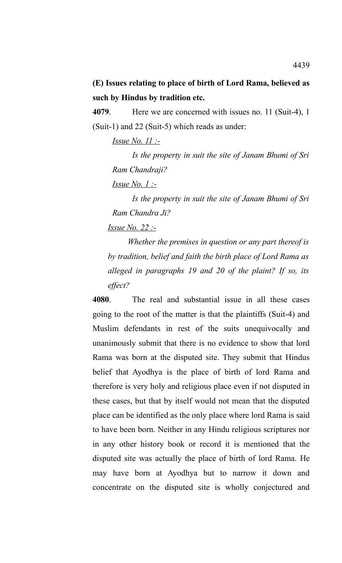# **(E) Issues relating to place of birth of Lord Rama, believed as such by Hindus by tradition etc.**

**4079**. Here we are concerned with issues no. 11 (Suit-4), 1 (Suit-1) and 22 (Suit-5) which reads as under:

*Issue No. 11 :-*

*Is the property in suit the site of Janam Bhumi of Sri Ram Chandraji?*

*Issue No. 1 :-*

*Is the property in suit the site of Janam Bhumi of Sri Ram Chandra Ji?*

*Issue No. 22 :-*

*Whether the premises in question or any part thereof is by tradition, belief and faith the birth place of Lord Rama as alleged in paragraphs 19 and 20 of the plaint? If so, its effect?*

**4080**. The real and substantial issue in all these cases going to the root of the matter is that the plaintiffs (Suit-4) and Muslim defendants in rest of the suits unequivocally and unanimously submit that there is no evidence to show that lord Rama was born at the disputed site. They submit that Hindus belief that Ayodhya is the place of birth of lord Rama and therefore is very holy and religious place even if not disputed in these cases, but that by itself would not mean that the disputed place can be identified as the only place where lord Rama is said to have been born. Neither in any Hindu religious scriptures nor in any other history book or record it is mentioned that the disputed site was actually the place of birth of lord Rama. He may have born at Ayodhya but to narrow it down and concentrate on the disputed site is wholly conjectured and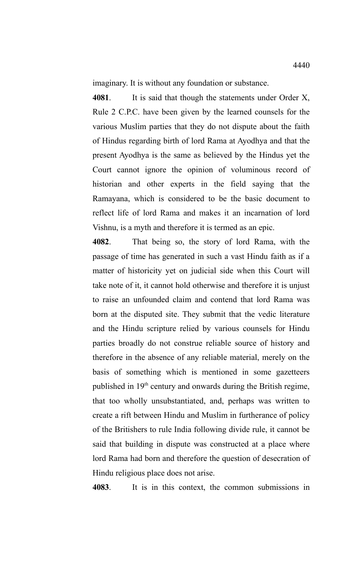imaginary. It is without any foundation or substance.

**4081**. It is said that though the statements under Order X, Rule 2 C.P.C. have been given by the learned counsels for the various Muslim parties that they do not dispute about the faith of Hindus regarding birth of lord Rama at Ayodhya and that the present Ayodhya is the same as believed by the Hindus yet the Court cannot ignore the opinion of voluminous record of historian and other experts in the field saying that the Ramayana, which is considered to be the basic document to reflect life of lord Rama and makes it an incarnation of lord Vishnu, is a myth and therefore it is termed as an epic.

**4082**. That being so, the story of lord Rama, with the passage of time has generated in such a vast Hindu faith as if a matter of historicity yet on judicial side when this Court will take note of it, it cannot hold otherwise and therefore it is unjust to raise an unfounded claim and contend that lord Rama was born at the disputed site. They submit that the vedic literature and the Hindu scripture relied by various counsels for Hindu parties broadly do not construe reliable source of history and therefore in the absence of any reliable material, merely on the basis of something which is mentioned in some gazetteers published in 19th century and onwards during the British regime, that too wholly unsubstantiated, and, perhaps was written to create a rift between Hindu and Muslim in furtherance of policy of the Britishers to rule India following divide rule, it cannot be said that building in dispute was constructed at a place where lord Rama had born and therefore the question of desecration of Hindu religious place does not arise.

**4083**. It is in this context, the common submissions in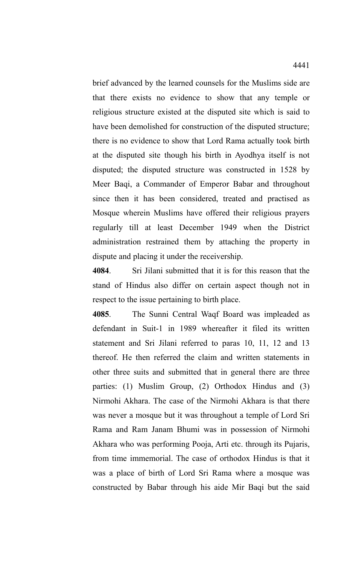brief advanced by the learned counsels for the Muslims side are that there exists no evidence to show that any temple or religious structure existed at the disputed site which is said to have been demolished for construction of the disputed structure; there is no evidence to show that Lord Rama actually took birth at the disputed site though his birth in Ayodhya itself is not disputed; the disputed structure was constructed in 1528 by Meer Baqi, a Commander of Emperor Babar and throughout since then it has been considered, treated and practised as Mosque wherein Muslims have offered their religious prayers regularly till at least December 1949 when the District administration restrained them by attaching the property in dispute and placing it under the receivership.

**4084**. Sri Jilani submitted that it is for this reason that the stand of Hindus also differ on certain aspect though not in respect to the issue pertaining to birth place.

**4085**. The Sunni Central Waqf Board was impleaded as defendant in Suit-1 in 1989 whereafter it filed its written statement and Sri Jilani referred to paras 10, 11, 12 and 13 thereof. He then referred the claim and written statements in other three suits and submitted that in general there are three parties: (1) Muslim Group, (2) Orthodox Hindus and (3) Nirmohi Akhara. The case of the Nirmohi Akhara is that there was never a mosque but it was throughout a temple of Lord Sri Rama and Ram Janam Bhumi was in possession of Nirmohi Akhara who was performing Pooja, Arti etc. through its Pujaris, from time immemorial. The case of orthodox Hindus is that it was a place of birth of Lord Sri Rama where a mosque was constructed by Babar through his aide Mir Baqi but the said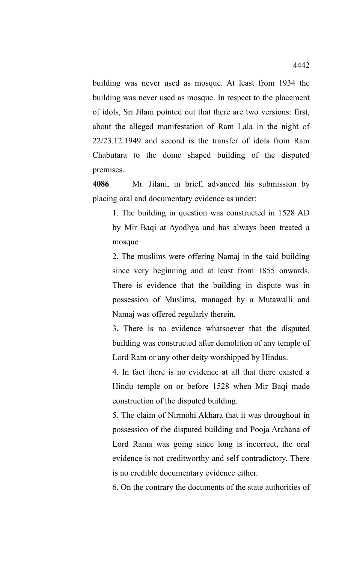building was never used as mosque. At least from 1934 the building was never used as mosque. In respect to the placement of idols, Sri Jilani pointed out that there are two versions: first, about the alleged manifestation of Ram Lala in the night of 22/23.12.1949 and second is the transfer of idols from Ram Chabutara to the dome shaped building of the disputed premises.

**4086**. Mr. Jilani, in brief, advanced his submission by placing oral and documentary evidence as under:

1. The building in question was constructed in 1528 AD by Mir Baqi at Ayodhya and has always been treated a mosque

2. The muslims were offering Namaj in the said building since very beginning and at least from 1855 onwards. There is evidence that the building in dispute was in possession of Muslims, managed by a Mutawalli and Namaj was offered regularly therein.

3. There is no evidence whatsoever that the disputed building was constructed after demolition of any temple of Lord Ram or any other deity worshipped by Hindus.

4. In fact there is no evidence at all that there existed a Hindu temple on or before 1528 when Mir Baqi made construction of the disputed building.

5. The claim of Nirmohi Akhara that it was throughout in possession of the disputed building and Pooja Archana of Lord Rama was going since long is incorrect, the oral evidence is not creditworthy and self contradictory. There is no credible documentary evidence either.

6. On the contrary the documents of the state authorities of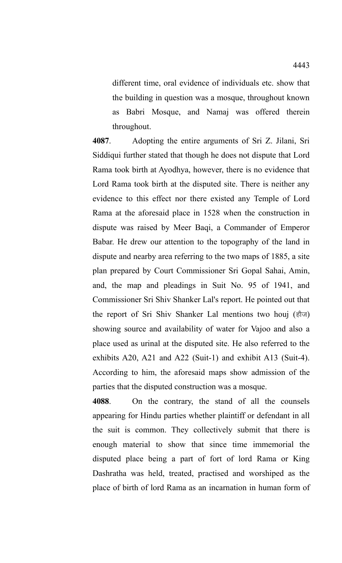different time, oral evidence of individuals etc. show that the building in question was a mosque, throughout known as Babri Mosque, and Namaj was offered therein throughout.

**4087**. Adopting the entire arguments of Sri Z. Jilani, Sri Siddiqui further stated that though he does not dispute that Lord Rama took birth at Ayodhya, however, there is no evidence that Lord Rama took birth at the disputed site. There is neither any evidence to this effect nor there existed any Temple of Lord Rama at the aforesaid place in 1528 when the construction in dispute was raised by Meer Baqi, a Commander of Emperor Babar. He drew our attention to the topography of the land in dispute and nearby area referring to the two maps of 1885, a site plan prepared by Court Commissioner Sri Gopal Sahai, Amin, and, the map and pleadings in Suit No. 95 of 1941, and Commissioner Sri Shiv Shanker Lal's report. He pointed out that the report of Sri Shiv Shanker Lal mentions two houj  $(\vec{s})$ showing source and availability of water for Vajoo and also a place used as urinal at the disputed site. He also referred to the exhibits A20, A21 and A22 (Suit-1) and exhibit A13 (Suit-4). According to him, the aforesaid maps show admission of the parties that the disputed construction was a mosque.

**4088**. On the contrary, the stand of all the counsels appearing for Hindu parties whether plaintiff or defendant in all the suit is common. They collectively submit that there is enough material to show that since time immemorial the disputed place being a part of fort of lord Rama or King Dashratha was held, treated, practised and worshiped as the place of birth of lord Rama as an incarnation in human form of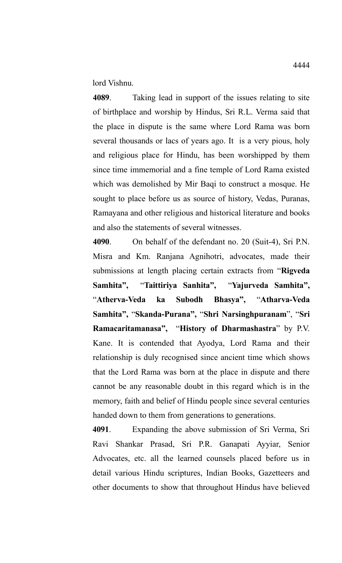lord Vishnu.

**4089**. Taking lead in support of the issues relating to site of birthplace and worship by Hindus, Sri R.L. Verma said that the place in dispute is the same where Lord Rama was born several thousands or lacs of years ago. It is a very pious, holy and religious place for Hindu, has been worshipped by them since time immemorial and a fine temple of Lord Rama existed which was demolished by Mir Baqi to construct a mosque. He sought to place before us as source of history, Vedas, Puranas, Ramayana and other religious and historical literature and books and also the statements of several witnesses.

**4090**. On behalf of the defendant no. 20 (Suit-4), Sri P.N. Misra and Km. Ranjana Agnihotri, advocates, made their submissions at length placing certain extracts from "**Rigveda Samhita",** "**Taittiriya Sanhita",** "**Yajurveda Samhita",** "**Atherva-Veda ka Subodh Bhasya",** "**Atharva-Veda Samhita",** "**Skanda-Purana",** "**Shri Narsinghpuranam**", "**Sri Ramacaritamanasa",** "**History of Dharmashastra**" by P.V. Kane. It is contended that Ayodya, Lord Rama and their relationship is duly recognised since ancient time which shows that the Lord Rama was born at the place in dispute and there cannot be any reasonable doubt in this regard which is in the memory, faith and belief of Hindu people since several centuries handed down to them from generations to generations.

**4091**. Expanding the above submission of Sri Verma, Sri Ravi Shankar Prasad, Sri P.R. Ganapati Ayyiar, Senior Advocates, etc. all the learned counsels placed before us in detail various Hindu scriptures, Indian Books, Gazetteers and other documents to show that throughout Hindus have believed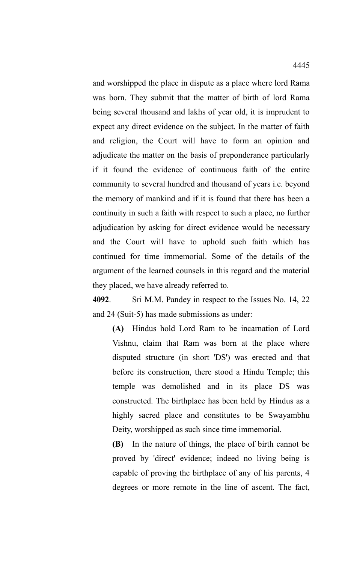and worshipped the place in dispute as a place where lord Rama was born. They submit that the matter of birth of lord Rama being several thousand and lakhs of year old, it is imprudent to expect any direct evidence on the subject. In the matter of faith and religion, the Court will have to form an opinion and adjudicate the matter on the basis of preponderance particularly if it found the evidence of continuous faith of the entire community to several hundred and thousand of years i.e. beyond the memory of mankind and if it is found that there has been a continuity in such a faith with respect to such a place, no further adjudication by asking for direct evidence would be necessary and the Court will have to uphold such faith which has continued for time immemorial. Some of the details of the argument of the learned counsels in this regard and the material they placed, we have already referred to.

**4092**. Sri M.M. Pandey in respect to the Issues No. 14, 22 and 24 (Suit-5) has made submissions as under:

**(A)** Hindus hold Lord Ram to be incarnation of Lord Vishnu, claim that Ram was born at the place where disputed structure (in short 'DS') was erected and that before its construction, there stood a Hindu Temple; this temple was demolished and in its place DS was constructed. The birthplace has been held by Hindus as a highly sacred place and constitutes to be Swayambhu Deity, worshipped as such since time immemorial.

**(B)** In the nature of things, the place of birth cannot be proved by 'direct' evidence; indeed no living being is capable of proving the birthplace of any of his parents, 4 degrees or more remote in the line of ascent. The fact,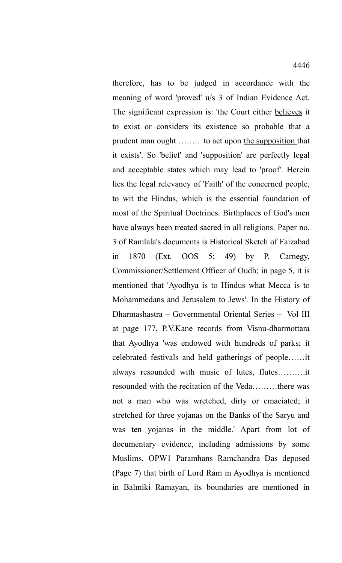therefore, has to be judged in accordance with the meaning of word 'proved' u/s 3 of Indian Evidence Act. The significant expression is: 'the Court either believes it to exist or considers its existence so probable that a prudent man ought …….. to act upon the supposition that it exists'. So 'belief' and 'supposition' are perfectly legal and acceptable states which may lead to 'proof'. Herein lies the legal relevancy of 'Faith' of the concerned people, to wit the Hindus, which is the essential foundation of most of the Spiritual Doctrines. Birthplaces of God's men have always been treated sacred in all religions. Paper no. 3 of Ramlala's documents is Historical Sketch of Faizabad in 1870 (Ext. OOS 5: 49) by P. Carnegy, Commissioner/Settlement Officer of Oudh; in page 5, it is mentioned that 'Ayodhya is to Hindus what Mecca is to Mohammedans and Jerusalem to Jews'. In the History of Dharmashastra – Governmental Oriental Series – Vol III at page 177, P.V.Kane records from Visnu-dharmottara that Ayodhya 'was endowed with hundreds of parks; it celebrated festivals and held gatherings of people……it always resounded with music of lutes, flutes……….it resounded with the recitation of the Veda………there was not a man who was wretched, dirty or emaciated; it stretched for three yojanas on the Banks of the Saryu and was ten yojanas in the middle.' Apart from lot of documentary evidence, including admissions by some Muslims, OPW1 Paramhans Ramchandra Das deposed (Page 7) that birth of Lord Ram in Ayodhya is mentioned in Balmiki Ramayan, its boundaries are mentioned in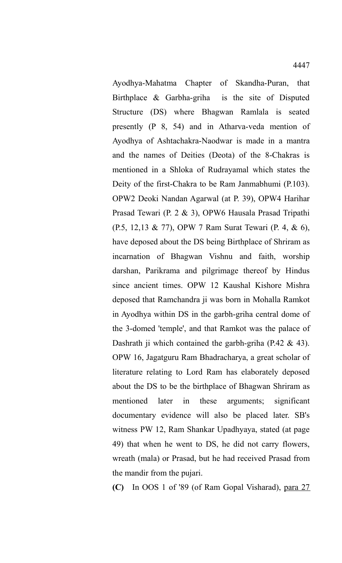Ayodhya-Mahatma Chapter of Skandha-Puran, that Birthplace & Garbha-griha is the site of Disputed Structure (DS) where Bhagwan Ramlala is seated presently (P 8, 54) and in Atharva-veda mention of Ayodhya of Ashtachakra-Naodwar is made in a mantra and the names of Deities (Deota) of the 8-Chakras is mentioned in a Shloka of Rudrayamal which states the Deity of the first-Chakra to be Ram Janmabhumi (P.103). OPW2 Deoki Nandan Agarwal (at P. 39), OPW4 Harihar Prasad Tewari (P. 2 & 3), OPW6 Hausala Prasad Tripathi (P.5, 12,13 & 77), OPW 7 Ram Surat Tewari (P. 4, & 6), have deposed about the DS being Birthplace of Shriram as incarnation of Bhagwan Vishnu and faith, worship darshan, Parikrama and pilgrimage thereof by Hindus since ancient times. OPW 12 Kaushal Kishore Mishra deposed that Ramchandra ji was born in Mohalla Ramkot in Ayodhya within DS in the garbh-griha central dome of the 3-domed 'temple', and that Ramkot was the palace of Dashrath ji which contained the garbh-griha  $(P.42 \& 43)$ . OPW 16, Jagatguru Ram Bhadracharya, a great scholar of literature relating to Lord Ram has elaborately deposed about the DS to be the birthplace of Bhagwan Shriram as mentioned later in these arguments; significant documentary evidence will also be placed later. SB's witness PW 12, Ram Shankar Upadhyaya, stated (at page 49) that when he went to DS, he did not carry flowers, wreath (mala) or Prasad, but he had received Prasad from the mandir from the pujari.

**(C)** In OOS 1 of '89 (of Ram Gopal Visharad), para 27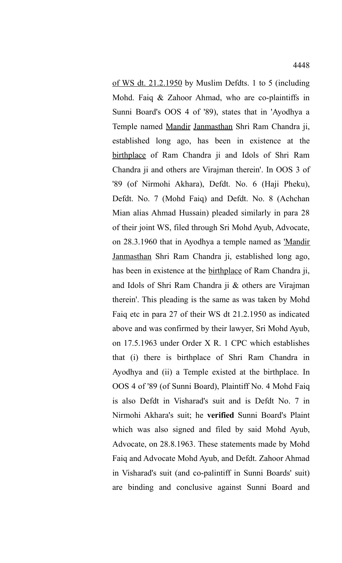of WS dt. 21.2.1950 by Muslim Defdts. 1 to 5 (including Mohd. Faiq & Zahoor Ahmad, who are co-plaintiffs in Sunni Board's OOS 4 of '89), states that in 'Ayodhya a Temple named Mandir Janmasthan Shri Ram Chandra ji, established long ago, has been in existence at the birthplace of Ram Chandra ji and Idols of Shri Ram Chandra ji and others are Virajman therein'. In OOS 3 of '89 (of Nirmohi Akhara), Defdt. No. 6 (Haji Pheku), Defdt. No. 7 (Mohd Faiq) and Defdt. No. 8 (Achchan Mian alias Ahmad Hussain) pleaded similarly in para 28 of their joint WS, filed through Sri Mohd Ayub, Advocate, on 28.3.1960 that in Ayodhya a temple named as 'Mandir Janmasthan Shri Ram Chandra ji, established long ago, has been in existence at the birthplace of Ram Chandra ji, and Idols of Shri Ram Chandra ji & others are Virajman therein'. This pleading is the same as was taken by Mohd Faiq etc in para 27 of their WS dt 21.2.1950 as indicated above and was confirmed by their lawyer, Sri Mohd Ayub, on 17.5.1963 under Order X R. 1 CPC which establishes that (i) there is birthplace of Shri Ram Chandra in Ayodhya and (ii) a Temple existed at the birthplace. In OOS 4 of '89 (of Sunni Board), Plaintiff No. 4 Mohd Faiq is also Defdt in Visharad's suit and is Defdt No. 7 in Nirmohi Akhara's suit; he **verified** Sunni Board's Plaint which was also signed and filed by said Mohd Ayub, Advocate, on 28.8.1963. These statements made by Mohd Faiq and Advocate Mohd Ayub, and Defdt. Zahoor Ahmad in Visharad's suit (and co-palintiff in Sunni Boards' suit) are binding and conclusive against Sunni Board and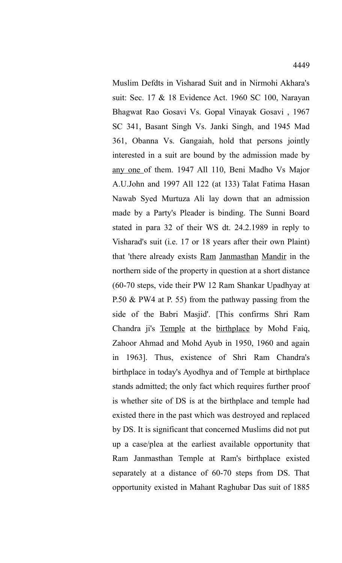Muslim Defdts in Visharad Suit and in Nirmohi Akhara's suit: Sec. 17 & 18 Evidence Act. 1960 SC 100, Narayan Bhagwat Rao Gosavi Vs. Gopal Vinayak Gosavi , 1967 SC 341, Basant Singh Vs. Janki Singh, and 1945 Mad 361, Obanna Vs. Gangaiah, hold that persons jointly interested in a suit are bound by the admission made by any one of them. 1947 All 110, Beni Madho Vs Major A.U.John and 1997 All 122 (at 133) Talat Fatima Hasan Nawab Syed Murtuza Ali lay down that an admission made by a Party's Pleader is binding. The Sunni Board stated in para 32 of their WS dt. 24.2.1989 in reply to Visharad's suit (i.e. 17 or 18 years after their own Plaint) that 'there already exists Ram Janmasthan Mandir in the northern side of the property in question at a short distance (60-70 steps, vide their PW 12 Ram Shankar Upadhyay at P.50 & PW4 at P. 55) from the pathway passing from the side of the Babri Masjid'. [This confirms Shri Ram Chandra ji's Temple at the birthplace by Mohd Faiq, Zahoor Ahmad and Mohd Ayub in 1950, 1960 and again in 1963]. Thus, existence of Shri Ram Chandra's birthplace in today's Ayodhya and of Temple at birthplace stands admitted; the only fact which requires further proof is whether site of DS is at the birthplace and temple had existed there in the past which was destroyed and replaced by DS. It is significant that concerned Muslims did not put up a case/plea at the earliest available opportunity that Ram Janmasthan Temple at Ram's birthplace existed separately at a distance of 60-70 steps from DS. That opportunity existed in Mahant Raghubar Das suit of 1885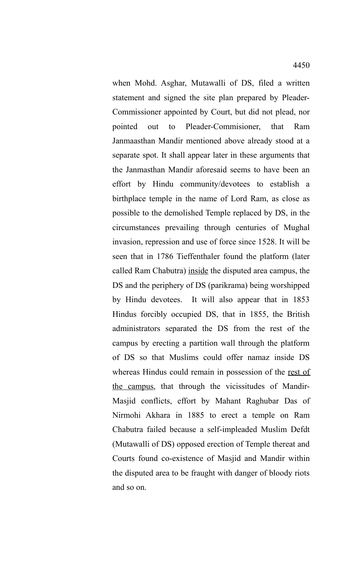when Mohd. Asghar, Mutawalli of DS, filed a written statement and signed the site plan prepared by Pleader-Commissioner appointed by Court, but did not plead, nor pointed out to Pleader-Commisioner, that Ram Janmaasthan Mandir mentioned above already stood at a separate spot. It shall appear later in these arguments that the Janmasthan Mandir aforesaid seems to have been an effort by Hindu community/devotees to establish a birthplace temple in the name of Lord Ram, as close as possible to the demolished Temple replaced by DS, in the circumstances prevailing through centuries of Mughal invasion, repression and use of force since 1528. It will be seen that in 1786 Tieffenthaler found the platform (later called Ram Chabutra) inside the disputed area campus, the DS and the periphery of DS (parikrama) being worshipped by Hindu devotees. It will also appear that in 1853 Hindus forcibly occupied DS, that in 1855, the British administrators separated the DS from the rest of the campus by erecting a partition wall through the platform of DS so that Muslims could offer namaz inside DS whereas Hindus could remain in possession of the rest of the campus, that through the vicissitudes of Mandir-Masjid conflicts, effort by Mahant Raghubar Das of Nirmohi Akhara in 1885 to erect a temple on Ram Chabutra failed because a self-impleaded Muslim Defdt (Mutawalli of DS) opposed erection of Temple thereat and Courts found co-existence of Masjid and Mandir within the disputed area to be fraught with danger of bloody riots and so on.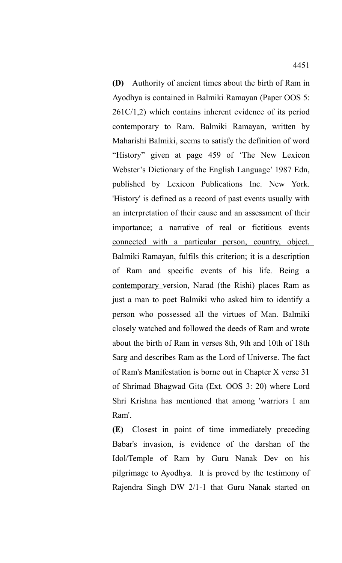**(D)** Authority of ancient times about the birth of Ram in Ayodhya is contained in Balmiki Ramayan (Paper OOS 5: 261C/1,2) which contains inherent evidence of its period contemporary to Ram. Balmiki Ramayan, written by Maharishi Balmiki, seems to satisfy the definition of word "History" given at page 459 of 'The New Lexicon Webster's Dictionary of the English Language' 1987 Edn, published by Lexicon Publications Inc. New York. 'History' is defined as a record of past events usually with an interpretation of their cause and an assessment of their importance; a narrative of real or fictitious events connected with a particular person, country, object.

Balmiki Ramayan, fulfils this criterion; it is a description of Ram and specific events of his life. Being a contemporary version, Narad (the Rishi) places Ram as just a man to poet Balmiki who asked him to identify a person who possessed all the virtues of Man. Balmiki closely watched and followed the deeds of Ram and wrote about the birth of Ram in verses 8th, 9th and 10th of 18th Sarg and describes Ram as the Lord of Universe. The fact of Ram's Manifestation is borne out in Chapter X verse 31 of Shrimad Bhagwad Gita (Ext. OOS 3: 20) where Lord Shri Krishna has mentioned that among 'warriors I am Ram'.

**(E)** Closest in point of time immediately preceding Babar's invasion, is evidence of the darshan of the Idol/Temple of Ram by Guru Nanak Dev on his pilgrimage to Ayodhya. It is proved by the testimony of Rajendra Singh DW 2/1-1 that Guru Nanak started on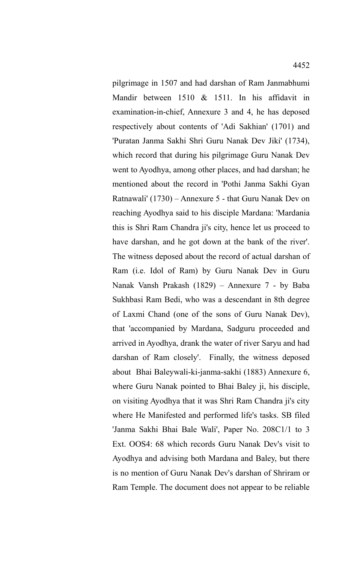pilgrimage in 1507 and had darshan of Ram Janmabhumi Mandir between 1510 & 1511. In his affidavit in examination-in-chief, Annexure 3 and 4, he has deposed respectively about contents of 'Adi Sakhian' (1701) and 'Puratan Janma Sakhi Shri Guru Nanak Dev Jiki' (1734), which record that during his pilgrimage Guru Nanak Dev went to Ayodhya, among other places, and had darshan; he mentioned about the record in 'Pothi Janma Sakhi Gyan Ratnawali' (1730) – Annexure 5 - that Guru Nanak Dev on reaching Ayodhya said to his disciple Mardana: 'Mardania this is Shri Ram Chandra ji's city, hence let us proceed to have darshan, and he got down at the bank of the river'. The witness deposed about the record of actual darshan of Ram (i.e. Idol of Ram) by Guru Nanak Dev in Guru Nanak Vansh Prakash (1829) – Annexure 7 - by Baba Sukhbasi Ram Bedi, who was a descendant in 8th degree of Laxmi Chand (one of the sons of Guru Nanak Dev), that 'accompanied by Mardana, Sadguru proceeded and arrived in Ayodhya, drank the water of river Saryu and had darshan of Ram closely'. Finally, the witness deposed about Bhai Baleywali-ki-janma-sakhi (1883) Annexure 6, where Guru Nanak pointed to Bhai Baley ji, his disciple, on visiting Ayodhya that it was Shri Ram Chandra ji's city where He Manifested and performed life's tasks. SB filed 'Janma Sakhi Bhai Bale Wali', Paper No. 208C1/1 to 3 Ext. OOS4: 68 which records Guru Nanak Dev's visit to Ayodhya and advising both Mardana and Baley, but there is no mention of Guru Nanak Dev's darshan of Shriram or Ram Temple. The document does not appear to be reliable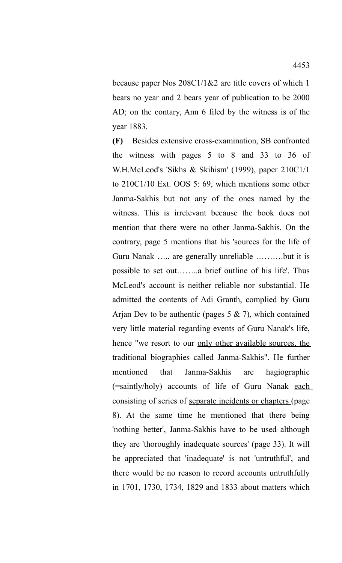because paper Nos 208C1/1&2 are title covers of which 1 bears no year and 2 bears year of publication to be 2000 AD; on the contary, Ann 6 filed by the witness is of the year 1883.

**(F)** Besides extensive cross-examination, SB confronted the witness with pages 5 to 8 and 33 to 36 of W.H.McLeod's 'Sikhs & Skihism' (1999), paper 210C1/1 to 210C1/10 Ext. OOS 5: 69, which mentions some other Janma-Sakhis but not any of the ones named by the witness. This is irrelevant because the book does not mention that there were no other Janma-Sakhis. On the contrary, page 5 mentions that his 'sources for the life of Guru Nanak ….. are generally unreliable ……….but it is possible to set out……..a brief outline of his life'. Thus McLeod's account is neither reliable nor substantial. He admitted the contents of Adi Granth, complied by Guru Arjan Dev to be authentic (pages  $5 & 7$ ), which contained very little material regarding events of Guru Nanak's life, hence "we resort to our only other available sources, the traditional biographies called Janma-Sakhis". He further mentioned that Janma-Sakhis are hagiographic (=saintly/holy) accounts of life of Guru Nanak each consisting of series of separate incidents or chapters (page 8). At the same time he mentioned that there being 'nothing better', Janma-Sakhis have to be used although they are 'thoroughly inadequate sources' (page 33). It will be appreciated that 'inadequate' is not 'untruthful', and there would be no reason to record accounts untruthfully in 1701, 1730, 1734, 1829 and 1833 about matters which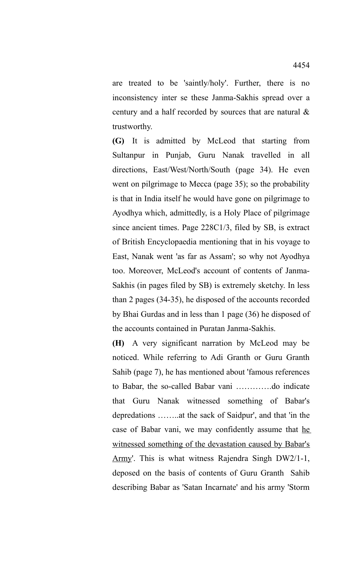are treated to be 'saintly/holy'. Further, there is no inconsistency inter se these Janma-Sakhis spread over a century and a half recorded by sources that are natural & trustworthy.

**(G)** It is admitted by McLeod that starting from Sultanpur in Punjab, Guru Nanak travelled in all directions, East/West/North/South (page 34). He even went on pilgrimage to Mecca (page 35); so the probability is that in India itself he would have gone on pilgrimage to Ayodhya which, admittedly, is a Holy Place of pilgrimage since ancient times. Page 228C1/3, filed by SB, is extract of British Encyclopaedia mentioning that in his voyage to East, Nanak went 'as far as Assam'; so why not Ayodhya too. Moreover, McLeod's account of contents of Janma-Sakhis (in pages filed by SB) is extremely sketchy. In less than 2 pages (34-35), he disposed of the accounts recorded by Bhai Gurdas and in less than 1 page (36) he disposed of the accounts contained in Puratan Janma-Sakhis.

**(H)** A very significant narration by McLeod may be noticed. While referring to Adi Granth or Guru Granth Sahib (page 7), he has mentioned about 'famous references to Babar, the so-called Babar vani ………….do indicate that Guru Nanak witnessed something of Babar's depredations ……..at the sack of Saidpur', and that 'in the case of Babar vani, we may confidently assume that he witnessed something of the devastation caused by Babar's Army'. This is what witness Rajendra Singh DW2/1-1, deposed on the basis of contents of Guru Granth Sahib describing Babar as 'Satan Incarnate' and his army 'Storm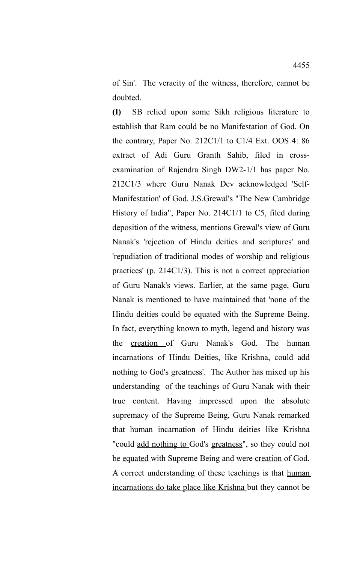of Sin'. The veracity of the witness, therefore, cannot be doubted.

**(I)** SB relied upon some Sikh religious literature to establish that Ram could be no Manifestation of God. On the contrary, Paper No. 212C1/1 to C1/4 Ext. OOS 4: 86 extract of Adi Guru Granth Sahib, filed in crossexamination of Rajendra Singh DW2-1/1 has paper No. 212C1/3 where Guru Nanak Dev acknowledged 'Self-Manifestation' of God. J.S.Grewal's "The New Cambridge History of India", Paper No. 214C1/1 to C5, filed during deposition of the witness, mentions Grewal's view of Guru Nanak's 'rejection of Hindu deities and scriptures' and 'repudiation of traditional modes of worship and religious practices' (p. 214C1/3). This is not a correct appreciation of Guru Nanak's views. Earlier, at the same page, Guru Nanak is mentioned to have maintained that 'none of the Hindu deities could be equated with the Supreme Being. In fact, everything known to myth, legend and history was the creation of Guru Nanak's God. The human incarnations of Hindu Deities, like Krishna, could add nothing to God's greatness'. The Author has mixed up his understanding of the teachings of Guru Nanak with their true content. Having impressed upon the absolute supremacy of the Supreme Being, Guru Nanak remarked that human incarnation of Hindu deities like Krishna "could add nothing to God's greatness", so they could not be equated with Supreme Being and were creation of God. A correct understanding of these teachings is that human incarnations do take place like Krishna but they cannot be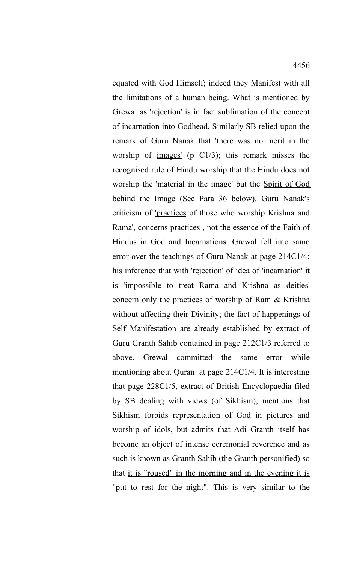equated with God Himself; indeed they Manifest with all the limitations of a human being. What is mentioned by Grewal as 'rejection' is in fact sublimation of the concept of incarnation into Godhead. Similarly SB relied upon the remark of Guru Nanak that 'there was no merit in the worship of images' (p C1/3); this remark misses the recognised rule of Hindu worship that the Hindu does not worship the 'material in the image' but the Spirit of God behind the Image (See Para 36 below). Guru Nanak's criticism of 'practices of those who worship Krishna and Rama', concerns practices , not the essence of the Faith of Hindus in God and Incarnations. Grewal fell into same error over the teachings of Guru Nanak at page 214C1/4; his inference that with 'rejection' of idea of 'incarnation' it is 'impossible to treat Rama and Krishna as deities' concern only the practices of worship of Ram & Krishna without affecting their Divinity; the fact of happenings of Self Manifestation are already established by extract of Guru Granth Sahib contained in page 212C1/3 referred to above. Grewal committed the same error while mentioning about Quran at page 214C1/4. It is interesting that page 228C1/5, extract of British Encyclopaedia filed by SB dealing with views (of Sikhism), mentions that Sikhism forbids representation of God in pictures and worship of idols, but admits that Adi Granth itself has become an object of intense ceremonial reverence and as such is known as Granth Sahib (the Granth personified) so that it is "roused" in the morning and in the evening it is "put to rest for the night". This is very similar to the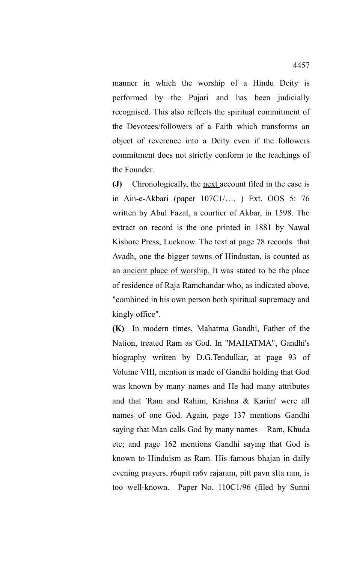manner in which the worship of a Hindu Deity is performed by the Pujari and has been judicially recognised. This also reflects the spiritual commitment of the Devotees/followers of a Faith which transforms an object of reverence into a Deity even if the followers commitment does not strictly conform to the teachings of the Founder.

**(J)** Chronologically, the next account filed in the case is in Ain-e-Akbari (paper 107C1/…. ) Ext. OOS 5: 76 written by Abul Fazal, a courtier of Akbar, in 1598. The extract on record is the one printed in 1881 by Nawal Kishore Press, Lucknow. The text at page 78 records that Avadh, one the bigger towns of Hindustan, is counted as an ancient place of worship. It was stated to be the place of residence of Raja Ramchandar who, as indicated above, "combined in his own person both spiritual supremacy and kingly office".

**(K)** In modern times, Mahatma Gandhi, Father of the Nation, treated Ram as God. In "MAHATMA", Gandhi's biography written by D.G.Tendulkar, at page 93 of Volume VIII, mention is made of Gandhi holding that God was known by many names and He had many attributes and that 'Ram and Rahim, Krishna & Karim' were all names of one God. Again, page 137 mentions Gandhi saying that Man calls God by many names – Ram, Khuda etc; and page 162 mentions Gandhi saying that God is known to Hinduism as Ram. His famous bhajan in daily evening prayers, r6upit ra6v rajaram, pitt pavn sIta ram, is too well-known. Paper No. 110C1/96 (filed by Sunni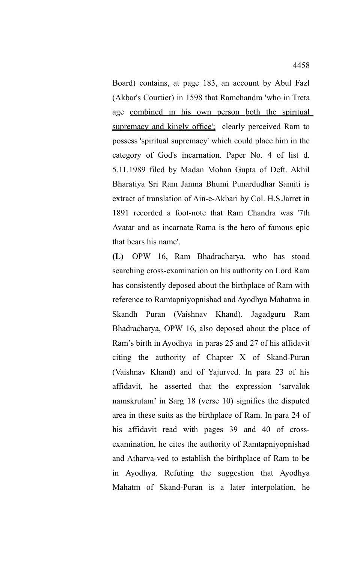Board) contains, at page 183, an account by Abul Fazl (Akbar's Courtier) in 1598 that Ramchandra 'who in Treta age combined in his own person both the spiritual supremacy and kingly office'; clearly perceived Ram to possess 'spiritual supremacy' which could place him in the category of God's incarnation. Paper No. 4 of list d. 5.11.1989 filed by Madan Mohan Gupta of Deft. Akhil Bharatiya Sri Ram Janma Bhumi Punardudhar Samiti is extract of translation of Ain-e-Akbari by Col. H.S.Jarret in 1891 recorded a foot-note that Ram Chandra was '7th Avatar and as incarnate Rama is the hero of famous epic that bears his name'.

**(L)** OPW 16, Ram Bhadracharya, who has stood searching cross-examination on his authority on Lord Ram has consistently deposed about the birthplace of Ram with reference to Ramtapniyopnishad and Ayodhya Mahatma in Skandh Puran (Vaishnav Khand). Jagadguru Ram Bhadracharya, OPW 16, also deposed about the place of Ram's birth in Ayodhya in paras 25 and 27 of his affidavit citing the authority of Chapter X of Skand-Puran (Vaishnav Khand) and of Yajurved. In para 23 of his affidavit, he asserted that the expression 'sarvalok namskrutam' in Sarg 18 (verse 10) signifies the disputed area in these suits as the birthplace of Ram. In para 24 of his affidavit read with pages 39 and 40 of crossexamination, he cites the authority of Ramtapniyopnishad and Atharva-ved to establish the birthplace of Ram to be in Ayodhya. Refuting the suggestion that Ayodhya Mahatm of Skand-Puran is a later interpolation, he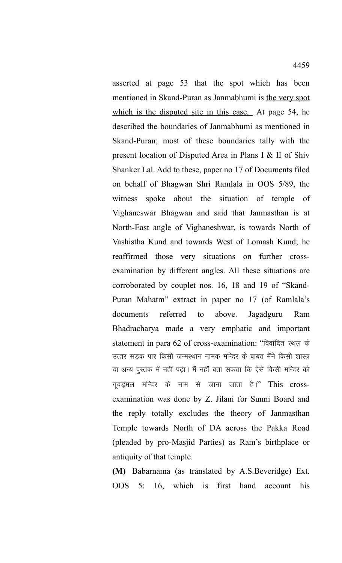asserted at page 53 that the spot which has been mentioned in Skand-Puran as Janmabhumi is the very spot which is the disputed site in this case. At page 54, he described the boundaries of Janmabhumi as mentioned in Skand-Puran; most of these boundaries tally with the present location of Disputed Area in Plans I & II of Shiv Shanker Lal. Add to these, paper no 17 of Documents filed on behalf of Bhagwan Shri Ramlala in OOS 5/89, the witness spoke about the situation of temple of Vighaneswar Bhagwan and said that Janmasthan is at North-East angle of Vighaneshwar, is towards North of Vashistha Kund and towards West of Lomash Kund; he reaffirmed those very situations on further crossexamination by different angles. All these situations are corroborated by couplet nos. 16, 18 and 19 of "Skand-Puran Mahatm" extract in paper no 17 (of Ramlala's documents referred to above. Jagadguru Ram Bhadracharya made a very emphatic and important statement in para 62 of cross-examination: "विवादित स्थल के उत्तर सडक पार किसी जन्मस्थान नामक मन्दिर के बाबत मैंने किसी शास्त्र या अन्य पुस्तक में नहीं पढ़ा। मैं नहीं बता सकता कि ऐसे किसी मन्दिर को गूदड़मल मन्दिर के नाम से जाना जाता है।" This crossexamination was done by Z. Jilani for Sunni Board and the reply totally excludes the theory of Janmasthan Temple towards North of DA across the Pakka Road (pleaded by pro-Masjid Parties) as Ram's birthplace or antiquity of that temple.

**(M)** Babarnama (as translated by A.S.Beveridge) Ext. OOS 5: 16, which is first hand account his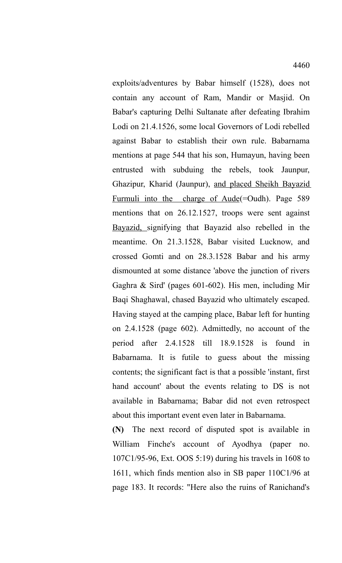exploits/adventures by Babar himself (1528), does not contain any account of Ram, Mandir or Masjid. On Babar's capturing Delhi Sultanate after defeating Ibrahim Lodi on 21.4.1526, some local Governors of Lodi rebelled against Babar to establish their own rule. Babarnama mentions at page 544 that his son, Humayun, having been entrusted with subduing the rebels, took Jaunpur, Ghazipur, Kharid (Jaunpur), and placed Sheikh Bayazid Furmuli into the charge of Aude(=Oudh). Page 589 mentions that on 26.12.1527, troops were sent against Bayazid, signifying that Bayazid also rebelled in the meantime. On 21.3.1528, Babar visited Lucknow, and crossed Gomti and on 28.3.1528 Babar and his army dismounted at some distance 'above the junction of rivers Gaghra & Sird' (pages 601-602). His men, including Mir Baqi Shaghawal, chased Bayazid who ultimately escaped. Having stayed at the camping place, Babar left for hunting on 2.4.1528 (page 602). Admittedly, no account of the period after 2.4.1528 till 18.9.1528 is found in Babarnama. It is futile to guess about the missing contents; the significant fact is that a possible 'instant, first hand account' about the events relating to DS is not available in Babarnama; Babar did not even retrospect about this important event even later in Babarnama.

**(N)** The next record of disputed spot is available in William Finche's account of Ayodhya (paper no. 107C1/95-96, Ext. OOS 5:19) during his travels in 1608 to 1611, which finds mention also in SB paper 110C1/96 at page 183. It records: "Here also the ruins of Ranichand's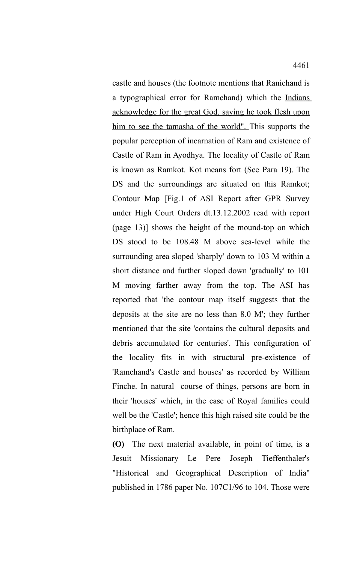castle and houses (the footnote mentions that Ranichand is a typographical error for Ramchand) which the Indians acknowledge for the great God, saying he took flesh upon him to see the tamasha of the world". This supports the popular perception of incarnation of Ram and existence of Castle of Ram in Ayodhya. The locality of Castle of Ram is known as Ramkot. Kot means fort (See Para 19). The DS and the surroundings are situated on this Ramkot; Contour Map [Fig.1 of ASI Report after GPR Survey under High Court Orders dt.13.12.2002 read with report (page 13)] shows the height of the mound-top on which DS stood to be 108.48 M above sea-level while the surrounding area sloped 'sharply' down to 103 M within a short distance and further sloped down 'gradually' to 101 M moving farther away from the top. The ASI has reported that 'the contour map itself suggests that the deposits at the site are no less than 8.0 M'; they further mentioned that the site 'contains the cultural deposits and debris accumulated for centuries'. This configuration of the locality fits in with structural pre-existence of 'Ramchand's Castle and houses' as recorded by William Finche. In natural course of things, persons are born in their 'houses' which, in the case of Royal families could well be the 'Castle'; hence this high raised site could be the birthplace of Ram.

**(O)** The next material available, in point of time, is a Jesuit Missionary Le Pere Joseph Tieffenthaler's "Historical and Geographical Description of India" published in 1786 paper No. 107C1/96 to 104. Those were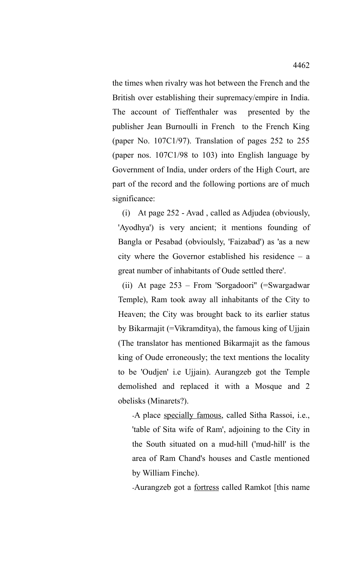the times when rivalry was hot between the French and the British over establishing their supremacy/empire in India. The account of Tieffenthaler was presented by the publisher Jean Burnoulli in French to the French King (paper No. 107C1/97). Translation of pages 252 to 255 (paper nos. 107C1/98 to 103) into English language by Government of India, under orders of the High Court, are part of the record and the following portions are of much significance:

 (i) At page 252 - Avad , called as Adjudea (obviously, 'Ayodhya') is very ancient; it mentions founding of Bangla or Pesabad (obvioulsly, 'Faizabad') as 'as a new city where the Governor established his residence – a great number of inhabitants of Oude settled there'.

 (ii) At page 253 – From 'Sorgadoori'' (=Swargadwar Temple), Ram took away all inhabitants of the City to Heaven; the City was brought back to its earlier status by Bikarmajit (=Vikramditya), the famous king of Ujjain (The translator has mentioned Bikarmajit as the famous king of Oude erroneously; the text mentions the locality to be 'Oudjen' i.e Ujjain). Aurangzeb got the Temple demolished and replaced it with a Mosque and 2 obelisks (Minarets?).

-A place specially famous, called Sitha Rassoi, i.e., 'table of Sita wife of Ram', adjoining to the City in the South situated on a mud-hill ('mud-hill' is the area of Ram Chand's houses and Castle mentioned by William Finche).

-Aurangzeb got a fortress called Ramkot [this name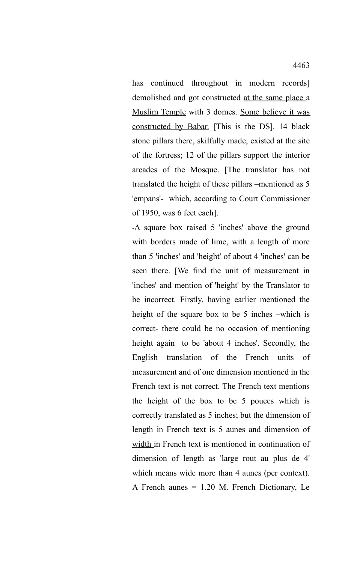has continued throughout in modern records] demolished and got constructed at the same place a Muslim Temple with 3 domes. Some believe it was constructed by Babar. [This is the DS]. 14 black stone pillars there, skilfully made, existed at the site of the fortress; 12 of the pillars support the interior arcades of the Mosque. [The translator has not translated the height of these pillars –mentioned as 5 'empans'- which, according to Court Commissioner of 1950, was 6 feet each].

-A square box raised 5 'inches' above the ground with borders made of lime, with a length of more than 5 'inches' and 'height' of about 4 'inches' can be seen there. [We find the unit of measurement in 'inches' and mention of 'height' by the Translator to be incorrect. Firstly, having earlier mentioned the height of the square box to be 5 inches –which is correct- there could be no occasion of mentioning height again to be 'about 4 inches'. Secondly, the English translation of the French units of measurement and of one dimension mentioned in the French text is not correct. The French text mentions the height of the box to be 5 pouces which is correctly translated as 5 inches; but the dimension of length in French text is 5 aunes and dimension of width in French text is mentioned in continuation of dimension of length as 'large rout au plus de 4' which means wide more than 4 aunes (per context). A French aunes = 1.20 M. French Dictionary, Le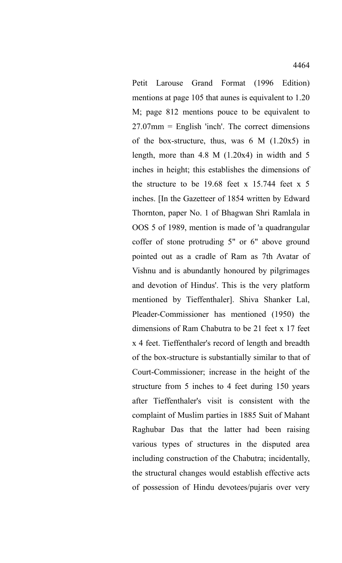Petit Larouse Grand Format (1996 Edition) mentions at page 105 that aunes is equivalent to 1.20 M; page 812 mentions pouce to be equivalent to 27.07mm = English 'inch'. The correct dimensions of the box-structure, thus, was  $6 \text{ M}$  (1.20x5) in length, more than 4.8 M (1.20x4) in width and 5 inches in height; this establishes the dimensions of the structure to be 19.68 feet x 15.744 feet x 5 inches. [In the Gazetteer of 1854 written by Edward Thornton, paper No. 1 of Bhagwan Shri Ramlala in OOS 5 of 1989, mention is made of 'a quadrangular coffer of stone protruding 5" or 6" above ground pointed out as a cradle of Ram as 7th Avatar of Vishnu and is abundantly honoured by pilgrimages and devotion of Hindus'. This is the very platform mentioned by Tieffenthaler]. Shiva Shanker Lal, Pleader-Commissioner has mentioned (1950) the dimensions of Ram Chabutra to be 21 feet x 17 feet x 4 feet. Tieffenthaler's record of length and breadth of the box-structure is substantially similar to that of Court-Commissioner; increase in the height of the structure from 5 inches to 4 feet during 150 years after Tieffenthaler's visit is consistent with the complaint of Muslim parties in 1885 Suit of Mahant Raghubar Das that the latter had been raising various types of structures in the disputed area including construction of the Chabutra; incidentally, the structural changes would establish effective acts of possession of Hindu devotees/pujaris over very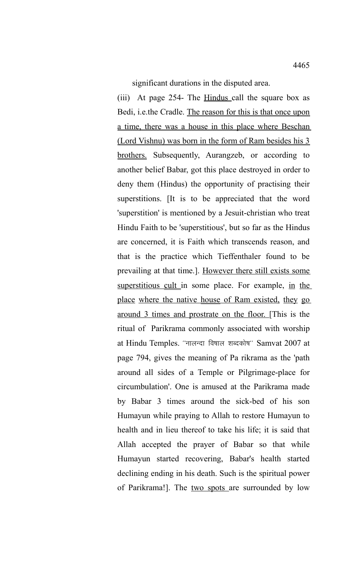significant durations in the disputed area.

(iii) At page 254- The Hindus call the square box as Bedi, i.e.the Cradle. The reason for this is that once upon a time, there was a house in this place where Beschan (Lord Vishnu) was born in the form of Ram besides his 3 brothers. Subsequently, Aurangzeb, or according to another belief Babar, got this place destroyed in order to deny them (Hindus) the opportunity of practising their superstitions. [It is to be appreciated that the word 'superstition' is mentioned by a Jesuit-christian who treat Hindu Faith to be 'superstitious', but so far as the Hindus are concerned, it is Faith which transcends reason, and that is the practice which Tieffenthaler found to be prevailing at that time.]. However there still exists some superstitious cult in some place. For example, in the place where the native house of Ram existed, they go around 3 times and prostrate on the floor. [This is the ritual of Parikrama commonly associated with worship at Hindu Temples. "नालन्दा विषाल शब्दकोष" Samvat 2007 at page 794, gives the meaning of Pa rikrama as the 'path around all sides of a Temple or Pilgrimage-place for circumbulation'. One is amused at the Parikrama made by Babar 3 times around the sick-bed of his son Humayun while praying to Allah to restore Humayun to health and in lieu thereof to take his life; it is said that Allah accepted the prayer of Babar so that while Humayun started recovering, Babar's health started declining ending in his death. Such is the spiritual power of Parikrama!]. The two spots are surrounded by low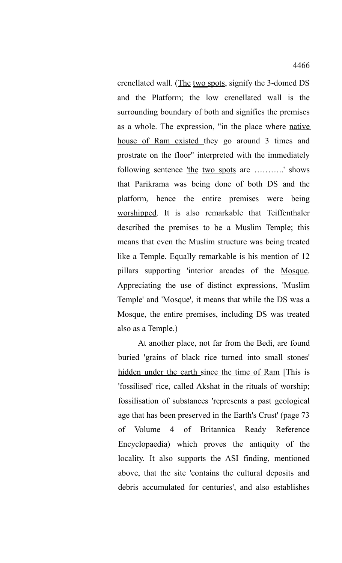crenellated wall. (The two spots, signify the 3-domed DS and the Platform; the low crenellated wall is the surrounding boundary of both and signifies the premises as a whole. The expression, "in the place where native house of Ram existed they go around 3 times and prostrate on the floor" interpreted with the immediately following sentence <u>'the two spots</u> are ...........' shows that Parikrama was being done of both DS and the platform, hence the entire premises were being worshipped. It is also remarkable that Teiffenthaler described the premises to be a Muslim Temple; this means that even the Muslim structure was being treated like a Temple. Equally remarkable is his mention of 12 pillars supporting 'interior arcades of the Mosque. Appreciating the use of distinct expressions, 'Muslim Temple' and 'Mosque', it means that while the DS was a Mosque, the entire premises, including DS was treated also as a Temple.)

At another place, not far from the Bedi, are found buried 'grains of black rice turned into small stones' hidden under the earth since the time of Ram [This is 'fossilised' rice, called Akshat in the rituals of worship; fossilisation of substances 'represents a past geological age that has been preserved in the Earth's Crust' (page 73 of Volume 4 of Britannica Ready Reference Encyclopaedia) which proves the antiquity of the locality. It also supports the ASI finding, mentioned above, that the site 'contains the cultural deposits and debris accumulated for centuries', and also establishes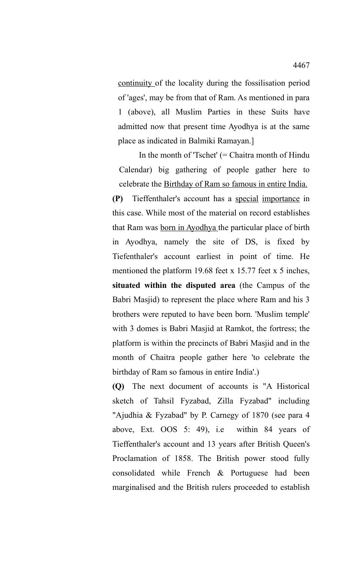continuity of the locality during the fossilisation period of 'ages', may be from that of Ram. As mentioned in para 1 (above), all Muslim Parties in these Suits have admitted now that present time Ayodhya is at the same place as indicated in Balmiki Ramayan.]

In the month of 'Tschet'  $($  = Chaitra month of Hindu Calendar) big gathering of people gather here to celebrate the Birthday of Ram so famous in entire India. **(P)** Tieffenthaler's account has a special importance in this case. While most of the material on record establishes that Ram was born in Ayodhya the particular place of birth in Ayodhya, namely the site of DS, is fixed by Tiefenthaler's account earliest in point of time. He mentioned the platform 19.68 feet x 15.77 feet x 5 inches, **situated within the disputed area** (the Campus of the Babri Masjid) to represent the place where Ram and his 3 brothers were reputed to have been born. 'Muslim temple' with 3 domes is Babri Masjid at Ramkot, the fortress; the platform is within the precincts of Babri Masjid and in the month of Chaitra people gather here 'to celebrate the birthday of Ram so famous in entire India'.)

**(Q)** The next document of accounts is "A Historical sketch of Tahsil Fyzabad, Zilla Fyzabad" including "Ajudhia & Fyzabad" by P. Carnegy of 1870 (see para 4 above, Ext. OOS 5: 49), i.e within 84 years of Tieffenthaler's account and 13 years after British Queen's Proclamation of 1858. The British power stood fully consolidated while French & Portuguese had been marginalised and the British rulers proceeded to establish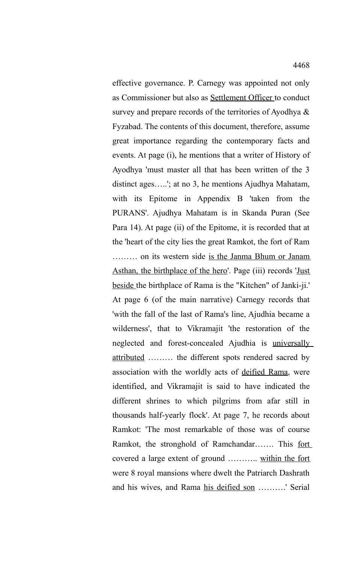effective governance. P. Carnegy was appointed not only as Commissioner but also as Settlement Officer to conduct survey and prepare records of the territories of Ayodhya & Fyzabad. The contents of this document, therefore, assume great importance regarding the contemporary facts and events. At page (i), he mentions that a writer of History of Ayodhya 'must master all that has been written of the 3 distinct ages…..'; at no 3, he mentions Ajudhya Mahatam, with its Epitome in Appendix B 'taken from the PURANS'. Ajudhya Mahatam is in Skanda Puran (See Para 14). At page (ii) of the Epitome, it is recorded that at the 'heart of the city lies the great Ramkot, the fort of Ram ……… on its western side is the Janma Bhum or Janam Asthan, the birthplace of the hero'. Page (iii) records 'Just beside the birthplace of Rama is the "Kitchen" of Janki-ji.' At page 6 (of the main narrative) Carnegy records that 'with the fall of the last of Rama's line, Ajudhia became a wilderness', that to Vikramajit 'the restoration of the neglected and forest-concealed Ajudhia is universally attributed ……… the different spots rendered sacred by association with the worldly acts of deified Rama, were identified, and Vikramajit is said to have indicated the different shrines to which pilgrims from afar still in thousands half-yearly flock'. At page 7, he records about Ramkot: 'The most remarkable of those was of course Ramkot, the stronghold of Ramchandar……. This fort covered a large extent of ground ……….. within the fort were 8 royal mansions where dwelt the Patriarch Dashrath and his wives, and Rama his deified son ……….' Serial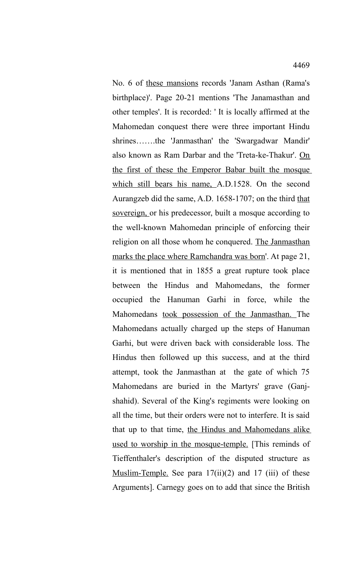No. 6 of these mansions records 'Janam Asthan (Rama's birthplace)'. Page 20-21 mentions 'The Janamasthan and other temples'. It is recorded: ' It is locally affirmed at the Mahomedan conquest there were three important Hindu shrines…….the 'Janmasthan' the 'Swargadwar Mandir' also known as Ram Darbar and the 'Treta-ke-Thakur'. On the first of these the Emperor Babar built the mosque which still bears his name, A.D.1528. On the second Aurangzeb did the same, A.D. 1658-1707; on the third that sovereign, or his predecessor, built a mosque according to the well-known Mahomedan principle of enforcing their religion on all those whom he conquered. The Janmasthan marks the place where Ramchandra was born'. At page 21, it is mentioned that in 1855 a great rupture took place between the Hindus and Mahomedans, the former occupied the Hanuman Garhi in force, while the Mahomedans took possession of the Janmasthan. The Mahomedans actually charged up the steps of Hanuman Garhi, but were driven back with considerable loss. The Hindus then followed up this success, and at the third attempt, took the Janmasthan at the gate of which 75 Mahomedans are buried in the Martyrs' grave (Ganjshahid). Several of the King's regiments were looking on all the time, but their orders were not to interfere. It is said that up to that time, the Hindus and Mahomedans alike used to worship in the mosque-temple. [This reminds of Tieffenthaler's description of the disputed structure as Muslim-Temple. See para  $17(ii)(2)$  and  $17(iii)$  of these Arguments]. Carnegy goes on to add that since the British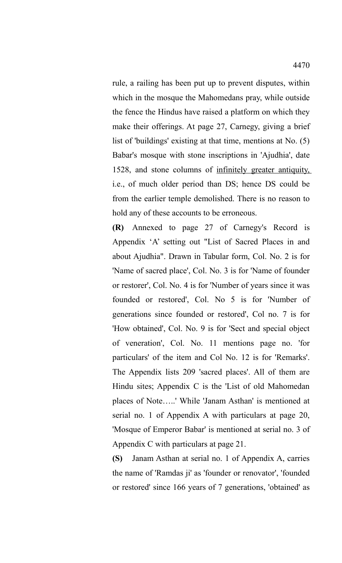rule, a railing has been put up to prevent disputes, within which in the mosque the Mahomedans pray, while outside the fence the Hindus have raised a platform on which they make their offerings. At page 27, Carnegy, giving a brief list of 'buildings' existing at that time, mentions at No. (5) Babar's mosque with stone inscriptions in 'Ajudhia', date 1528, and stone columns of infinitely greater antiquity, i.e., of much older period than DS; hence DS could be from the earlier temple demolished. There is no reason to hold any of these accounts to be erroneous.

**(R)** Annexed to page 27 of Carnegy's Record is Appendix 'A' setting out "List of Sacred Places in and about Ajudhia". Drawn in Tabular form, Col. No. 2 is for 'Name of sacred place', Col. No. 3 is for 'Name of founder or restorer', Col. No. 4 is for 'Number of years since it was founded or restored', Col. No 5 is for 'Number of generations since founded or restored', Col no. 7 is for 'How obtained', Col. No. 9 is for 'Sect and special object of veneration', Col. No. 11 mentions page no. 'for particulars' of the item and Col No. 12 is for 'Remarks'. The Appendix lists 209 'sacred places'. All of them are Hindu sites; Appendix C is the 'List of old Mahomedan places of Note…..' While 'Janam Asthan' is mentioned at serial no. 1 of Appendix A with particulars at page 20, 'Mosque of Emperor Babar' is mentioned at serial no. 3 of Appendix C with particulars at page 21.

**(S)** Janam Asthan at serial no. 1 of Appendix A, carries the name of 'Ramdas ji' as 'founder or renovator', 'founded or restored' since 166 years of 7 generations, 'obtained' as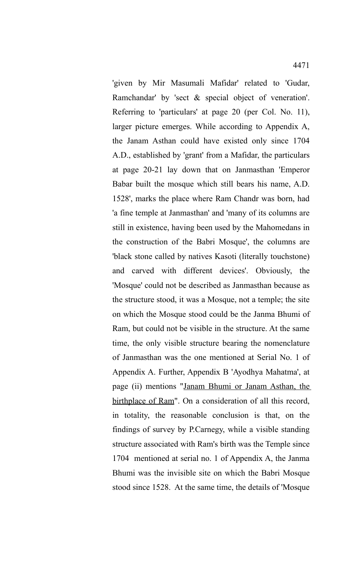'given by Mir Masumali Mafidar' related to 'Gudar, Ramchandar' by 'sect & special object of veneration'. Referring to 'particulars' at page 20 (per Col. No. 11), larger picture emerges. While according to Appendix A, the Janam Asthan could have existed only since 1704 A.D., established by 'grant' from a Mafidar, the particulars at page 20-21 lay down that on Janmasthan 'Emperor Babar built the mosque which still bears his name, A.D. 1528', marks the place where Ram Chandr was born, had 'a fine temple at Janmasthan' and 'many of its columns are still in existence, having been used by the Mahomedans in the construction of the Babri Mosque', the columns are 'black stone called by natives Kasoti (literally touchstone) and carved with different devices'. Obviously, the 'Mosque' could not be described as Janmasthan because as the structure stood, it was a Mosque, not a temple; the site on which the Mosque stood could be the Janma Bhumi of Ram, but could not be visible in the structure. At the same time, the only visible structure bearing the nomenclature of Janmasthan was the one mentioned at Serial No. 1 of Appendix A. Further, Appendix B 'Ayodhya Mahatma', at page (ii) mentions "Janam Bhumi or Janam Asthan, the birthplace of Ram". On a consideration of all this record, in totality, the reasonable conclusion is that, on the findings of survey by P.Carnegy, while a visible standing structure associated with Ram's birth was the Temple since 1704 mentioned at serial no. 1 of Appendix A, the Janma Bhumi was the invisible site on which the Babri Mosque stood since 1528. At the same time, the details of 'Mosque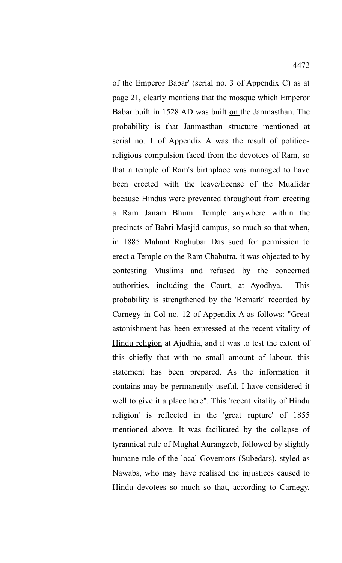of the Emperor Babar' (serial no. 3 of Appendix C) as at page 21, clearly mentions that the mosque which Emperor Babar built in 1528 AD was built on the Janmasthan. The probability is that Janmasthan structure mentioned at serial no. 1 of Appendix A was the result of politicoreligious compulsion faced from the devotees of Ram, so that a temple of Ram's birthplace was managed to have been erected with the leave/license of the Muafidar because Hindus were prevented throughout from erecting a Ram Janam Bhumi Temple anywhere within the precincts of Babri Masjid campus, so much so that when, in 1885 Mahant Raghubar Das sued for permission to erect a Temple on the Ram Chabutra, it was objected to by contesting Muslims and refused by the concerned authorities, including the Court, at Ayodhya. This probability is strengthened by the 'Remark' recorded by Carnegy in Col no. 12 of Appendix A as follows: "Great astonishment has been expressed at the recent vitality of Hindu religion at Ajudhia, and it was to test the extent of this chiefly that with no small amount of labour, this statement has been prepared. As the information it contains may be permanently useful, I have considered it well to give it a place here". This 'recent vitality of Hindu religion' is reflected in the 'great rupture' of 1855 mentioned above. It was facilitated by the collapse of tyrannical rule of Mughal Aurangzeb, followed by slightly humane rule of the local Governors (Subedars), styled as Nawabs, who may have realised the injustices caused to Hindu devotees so much so that, according to Carnegy,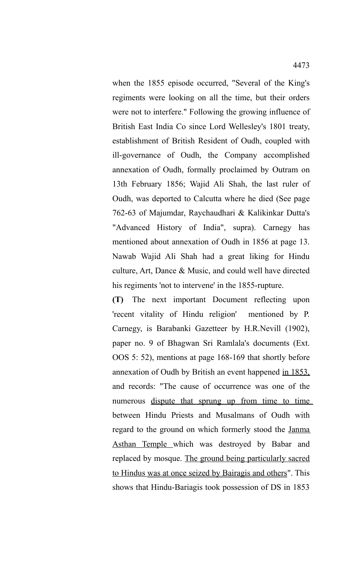when the 1855 episode occurred, "Several of the King's regiments were looking on all the time, but their orders were not to interfere." Following the growing influence of British East India Co since Lord Wellesley's 1801 treaty, establishment of British Resident of Oudh, coupled with ill-governance of Oudh, the Company accomplished annexation of Oudh, formally proclaimed by Outram on 13th February 1856; Wajid Ali Shah, the last ruler of Oudh, was deported to Calcutta where he died (See page 762-63 of Majumdar, Raychaudhari & Kalikinkar Dutta's "Advanced History of India", supra). Carnegy has mentioned about annexation of Oudh in 1856 at page 13. Nawab Wajid Ali Shah had a great liking for Hindu culture, Art, Dance & Music, and could well have directed his regiments 'not to intervene' in the 1855-rupture.

**(T)** The next important Document reflecting upon 'recent vitality of Hindu religion' mentioned by P. Carnegy, is Barabanki Gazetteer by H.R.Nevill (1902), paper no. 9 of Bhagwan Sri Ramlala's documents (Ext. OOS 5: 52), mentions at page 168-169 that shortly before annexation of Oudh by British an event happened in 1853, and records: "The cause of occurrence was one of the numerous dispute that sprung up from time to time between Hindu Priests and Musalmans of Oudh with regard to the ground on which formerly stood the Janma Asthan Temple which was destroyed by Babar and replaced by mosque. The ground being particularly sacred to Hindus was at once seized by Bairagis and others". This shows that Hindu-Bariagis took possession of DS in 1853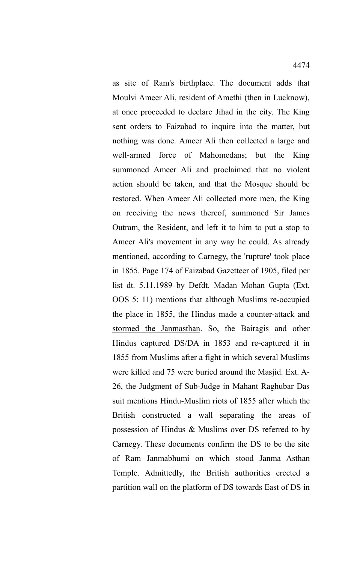as site of Ram's birthplace. The document adds that

Moulvi Ameer Ali, resident of Amethi (then in Lucknow), at once proceeded to declare Jihad in the city. The King sent orders to Faizabad to inquire into the matter, but nothing was done. Ameer Ali then collected a large and well-armed force of Mahomedans; but the King summoned Ameer Ali and proclaimed that no violent action should be taken, and that the Mosque should be restored. When Ameer Ali collected more men, the King on receiving the news thereof, summoned Sir James Outram, the Resident, and left it to him to put a stop to Ameer Ali's movement in any way he could. As already mentioned, according to Carnegy, the 'rupture' took place in 1855. Page 174 of Faizabad Gazetteer of 1905, filed per list dt. 5.11.1989 by Defdt. Madan Mohan Gupta (Ext. OOS 5: 11) mentions that although Muslims re-occupied the place in 1855, the Hindus made a counter-attack and stormed the Janmasthan. So, the Bairagis and other Hindus captured DS/DA in 1853 and re-captured it in 1855 from Muslims after a fight in which several Muslims were killed and 75 were buried around the Masjid. Ext. A-26, the Judgment of Sub-Judge in Mahant Raghubar Das suit mentions Hindu-Muslim riots of 1855 after which the British constructed a wall separating the areas of possession of Hindus & Muslims over DS referred to by Carnegy. These documents confirm the DS to be the site of Ram Janmabhumi on which stood Janma Asthan Temple. Admittedly, the British authorities erected a partition wall on the platform of DS towards East of DS in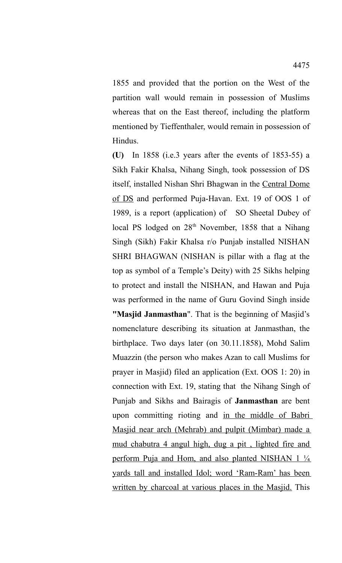1855 and provided that the portion on the West of the partition wall would remain in possession of Muslims whereas that on the East thereof, including the platform mentioned by Tieffenthaler, would remain in possession of Hindus.

**(U)** In 1858 (i.e.3 years after the events of 1853-55) a Sikh Fakir Khalsa, Nihang Singh, took possession of DS itself, installed Nishan Shri Bhagwan in the Central Dome of DS and performed Puja-Havan. Ext. 19 of OOS 1 of 1989, is a report (application) of SO Sheetal Dubey of local PS lodged on 28<sup>th</sup> November, 1858 that a Nihang Singh (Sikh) Fakir Khalsa r/o Punjab installed NISHAN SHRI BHAGWAN (NISHAN is pillar with a flag at the top as symbol of a Temple's Deity) with 25 Sikhs helping to protect and install the NISHAN, and Hawan and Puja was performed in the name of Guru Govind Singh inside **"Masjid Janmasthan**". That is the beginning of Masjid's nomenclature describing its situation at Janmasthan, the birthplace. Two days later (on 30.11.1858), Mohd Salim Muazzin (the person who makes Azan to call Muslims for prayer in Masjid) filed an application (Ext. OOS 1: 20) in connection with Ext. 19, stating that the Nihang Singh of Punjab and Sikhs and Bairagis of **Janmasthan** are bent upon committing rioting and in the middle of Babri Masjid near arch (Mehrab) and pulpit (Mimbar) made a mud chabutra 4 angul high, dug a pit , lighted fire and perform Puja and Hom, and also planted NISHAN  $1\frac{1}{4}$ yards tall and installed Idol; word 'Ram-Ram' has been written by charcoal at various places in the Masjid. This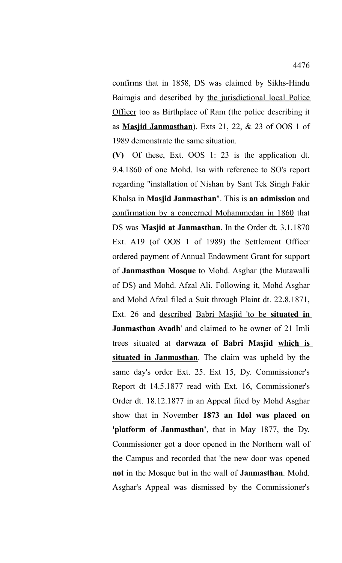confirms that in 1858, DS was claimed by Sikhs-Hindu Bairagis and described by the jurisdictional local Police Officer too as Birthplace of Ram (the police describing it as **Masjid Janmasthan**). Exts 21, 22, & 23 of OOS 1 of 1989 demonstrate the same situation.

**(V)** Of these, Ext. OOS 1: 23 is the application dt. 9.4.1860 of one Mohd. Isa with reference to SO's report regarding "installation of Nishan by Sant Tek Singh Fakir Khalsa in **Masjid Janmasthan**". This is **an admission** and confirmation by a concerned Mohammedan in 1860 that DS was **Masjid at Janmasthan**. In the Order dt. 3.1.1870 Ext. A19 (of OOS 1 of 1989) the Settlement Officer ordered payment of Annual Endowment Grant for support of **Janmasthan Mosque** to Mohd. Asghar (the Mutawalli of DS) and Mohd. Afzal Ali. Following it, Mohd Asghar and Mohd Afzal filed a Suit through Plaint dt. 22.8.1871, Ext. 26 and described Babri Masjid 'to be **situated in Janmasthan Avadh**' and claimed to be owner of 21 Imli trees situated at **darwaza of Babri Masjid which is situated in Janmasthan**. The claim was upheld by the same day's order Ext. 25. Ext 15, Dy. Commissioner's Report dt 14.5.1877 read with Ext. 16, Commissioner's Order dt. 18.12.1877 in an Appeal filed by Mohd Asghar show that in November **1873 an Idol was placed on 'platform of Janmasthan'**, that in May 1877, the Dy. Commissioner got a door opened in the Northern wall of the Campus and recorded that 'the new door was opened **not** in the Mosque but in the wall of **Janmasthan**. Mohd. Asghar's Appeal was dismissed by the Commissioner's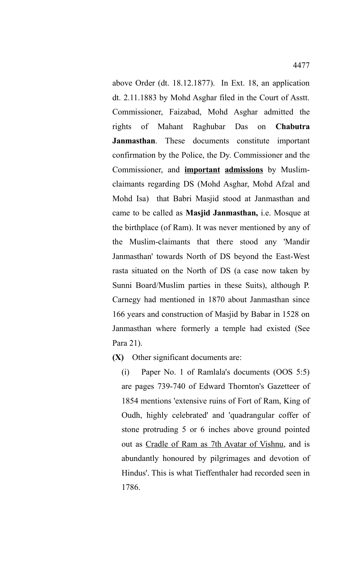above Order (dt. 18.12.1877). In Ext. 18, an application dt. 2.11.1883 by Mohd Asghar filed in the Court of Asstt. Commissioner, Faizabad, Mohd Asghar admitted the rights of Mahant Raghubar Das on **Chabutra Janmasthan**. These documents constitute important confirmation by the Police, the Dy. Commissioner and the Commissioner, and **important admissions** by Muslimclaimants regarding DS (Mohd Asghar, Mohd Afzal and Mohd Isa) that Babri Masjid stood at Janmasthan and came to be called as **Masjid Janmasthan,** i.e. Mosque at the birthplace (of Ram). It was never mentioned by any of the Muslim-claimants that there stood any 'Mandir Janmasthan' towards North of DS beyond the East-West rasta situated on the North of DS (a case now taken by Sunni Board/Muslim parties in these Suits), although P. Carnegy had mentioned in 1870 about Janmasthan since 166 years and construction of Masjid by Babar in 1528 on Janmasthan where formerly a temple had existed (See Para 21).

**(X)** Other significant documents are:

(i) Paper No. 1 of Ramlala's documents (OOS 5:5) are pages 739-740 of Edward Thornton's Gazetteer of 1854 mentions 'extensive ruins of Fort of Ram, King of Oudh, highly celebrated' and 'quadrangular coffer of stone protruding 5 or 6 inches above ground pointed out as Cradle of Ram as 7th Avatar of Vishnu, and is abundantly honoured by pilgrimages and devotion of Hindus'. This is what Tieffenthaler had recorded seen in 1786.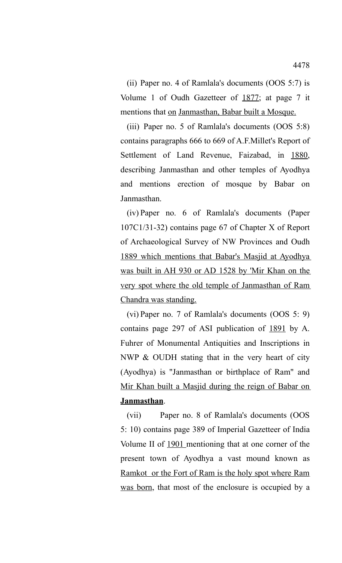(ii) Paper no. 4 of Ramlala's documents (OOS 5:7) is Volume 1 of Oudh Gazetteer of 1877; at page 7 it mentions that on Janmasthan, Babar built a Mosque.

 (iii) Paper no. 5 of Ramlala's documents (OOS 5:8) contains paragraphs 666 to 669 of A.F.Millet's Report of Settlement of Land Revenue, Faizabad, in 1880, describing Janmasthan and other temples of Ayodhya and mentions erection of mosque by Babar on Janmasthan.

 (iv) Paper no. 6 of Ramlala's documents (Paper 107C1/31-32) contains page 67 of Chapter X of Report of Archaeological Survey of NW Provinces and Oudh 1889 which mentions that Babar's Masjid at Ayodhya was built in AH 930 or AD 1528 by 'Mir Khan on the very spot where the old temple of Janmasthan of Ram Chandra was standing.

 (vi) Paper no. 7 of Ramlala's documents (OOS 5: 9) contains page 297 of ASI publication of 1891 by A. Fuhrer of Monumental Antiquities and Inscriptions in NWP & OUDH stating that in the very heart of city (Ayodhya) is "Janmasthan or birthplace of Ram" and Mir Khan built a Masjid during the reign of Babar on **Janmasthan**.

 (vii) Paper no. 8 of Ramlala's documents (OOS 5: 10) contains page 389 of Imperial Gazetteer of India Volume II of 1901 mentioning that at one corner of the present town of Ayodhya a vast mound known as Ramkot or the Fort of Ram is the holy spot where Ram was born, that most of the enclosure is occupied by a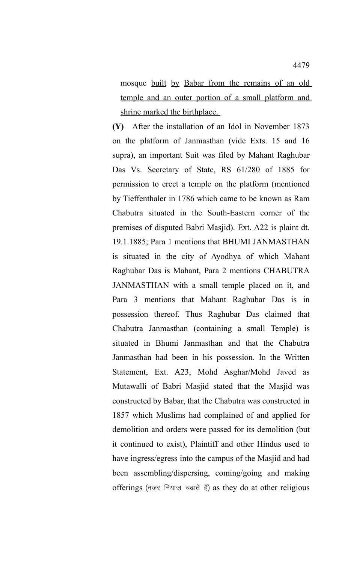mosque built by Babar from the remains of an old temple and an outer portion of a small platform and shrine marked the birthplace.

**(Y)** After the installation of an Idol in November 1873 on the platform of Janmasthan (vide Exts. 15 and 16 supra), an important Suit was filed by Mahant Raghubar Das Vs. Secretary of State, RS 61/280 of 1885 for permission to erect a temple on the platform (mentioned by Tieffenthaler in 1786 which came to be known as Ram Chabutra situated in the South-Eastern corner of the premises of disputed Babri Masjid). Ext. A22 is plaint dt. 19.1.1885; Para 1 mentions that BHUMI JANMASTHAN is situated in the city of Ayodhya of which Mahant Raghubar Das is Mahant, Para 2 mentions CHABUTRA JANMASTHAN with a small temple placed on it, and Para 3 mentions that Mahant Raghubar Das is in possession thereof. Thus Raghubar Das claimed that Chabutra Janmasthan (containing a small Temple) is situated in Bhumi Janmasthan and that the Chabutra Janmasthan had been in his possession. In the Written Statement, Ext. A23, Mohd Asghar/Mohd Javed as Mutawalli of Babri Masjid stated that the Masjid was constructed by Babar, that the Chabutra was constructed in 1857 which Muslims had complained of and applied for demolition and orders were passed for its demolition (but it continued to exist), Plaintiff and other Hindus used to have ingress/egress into the campus of the Masjid and had been assembling/dispersing, coming/going and making offerings (नज़र नियाज चढ़ाते हैं) as they do at other religious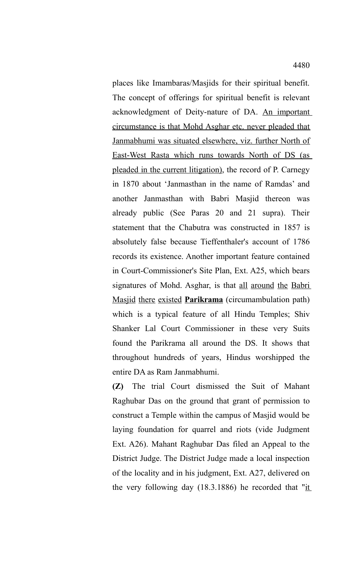places like Imambaras/Masjids for their spiritual benefit. The concept of offerings for spiritual benefit is relevant acknowledgment of Deity-nature of DA. An important circumstance is that Mohd Asghar etc. never pleaded that Janmabhumi was situated elsewhere, viz. further North of East-West Rasta which runs towards North of DS (as pleaded in the current litigation), the record of P. Carnegy in 1870 about 'Janmasthan in the name of Ramdas' and another Janmasthan with Babri Masjid thereon was already public (See Paras 20 and 21 supra). Their statement that the Chabutra was constructed in 1857 is absolutely false because Tieffenthaler's account of 1786 records its existence. Another important feature contained in Court-Commissioner's Site Plan, Ext. A25, which bears signatures of Mohd. Asghar, is that all around the Babri Masjid there existed **Parikrama** (circumambulation path) which is a typical feature of all Hindu Temples; Shiv Shanker Lal Court Commissioner in these very Suits found the Parikrama all around the DS. It shows that throughout hundreds of years, Hindus worshipped the entire DA as Ram Janmabhumi.

**(Z)** The trial Court dismissed the Suit of Mahant Raghubar Das on the ground that grant of permission to construct a Temple within the campus of Masjid would be laying foundation for quarrel and riots (vide Judgment Ext. A26). Mahant Raghubar Das filed an Appeal to the District Judge. The District Judge made a local inspection of the locality and in his judgment, Ext. A27, delivered on the very following day  $(18.3.1886)$  he recorded that "it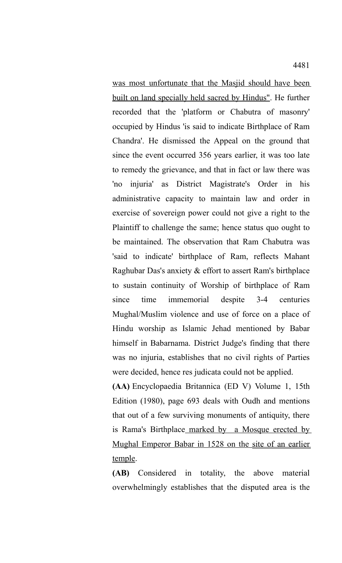was most unfortunate that the Masjid should have been built on land specially held sacred by Hindus". He further recorded that the 'platform or Chabutra of masonry' occupied by Hindus 'is said to indicate Birthplace of Ram Chandra'. He dismissed the Appeal on the ground that since the event occurred 356 years earlier, it was too late to remedy the grievance, and that in fact or law there was 'no injuria' as District Magistrate's Order in his administrative capacity to maintain law and order in exercise of sovereign power could not give a right to the Plaintiff to challenge the same; hence status quo ought to be maintained. The observation that Ram Chabutra was 'said to indicate' birthplace of Ram, reflects Mahant Raghubar Das's anxiety & effort to assert Ram's birthplace to sustain continuity of Worship of birthplace of Ram since time immemorial despite 3-4 centuries Mughal/Muslim violence and use of force on a place of Hindu worship as Islamic Jehad mentioned by Babar himself in Babarnama. District Judge's finding that there was no injuria, establishes that no civil rights of Parties were decided, hence res judicata could not be applied.

**(AA)** Encyclopaedia Britannica (ED V) Volume 1, 15th Edition (1980), page 693 deals with Oudh and mentions that out of a few surviving monuments of antiquity, there is Rama's Birthplace marked by a Mosque erected by Mughal Emperor Babar in 1528 on the site of an earlier temple.

**(AB)** Considered in totality, the above material overwhelmingly establishes that the disputed area is the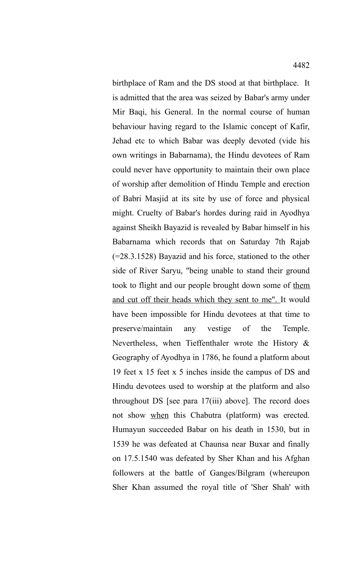birthplace of Ram and the DS stood at that birthplace. It is admitted that the area was seized by Babar's army under Mir Baqi, his General. In the normal course of human behaviour having regard to the Islamic concept of Kafir, Jehad etc to which Babar was deeply devoted (vide his own writings in Babarnama), the Hindu devotees of Ram could never have opportunity to maintain their own place of worship after demolition of Hindu Temple and erection of Babri Masjid at its site by use of force and physical might. Cruelty of Babar's hordes during raid in Ayodhya against Sheikh Bayazid is revealed by Babar himself in his Babarnama which records that on Saturday 7th Rajab (=28.3.1528) Bayazid and his force, stationed to the other side of River Saryu, "being unable to stand their ground took to flight and our people brought down some of them and cut off their heads which they sent to me". It would have been impossible for Hindu devotees at that time to preserve/maintain any vestige of the Temple. Nevertheless, when Tieffenthaler wrote the History & Geography of Ayodhya in 1786, he found a platform about 19 feet x 15 feet x 5 inches inside the campus of DS and Hindu devotees used to worship at the platform and also throughout DS [see para 17(iii) above]. The record does not show when this Chabutra (platform) was erected. Humayun succeeded Babar on his death in 1530, but in 1539 he was defeated at Chaunsa near Buxar and finally on 17.5.1540 was defeated by Sher Khan and his Afghan followers at the battle of Ganges/Bilgram (whereupon Sher Khan assumed the royal title of 'Sher Shah' with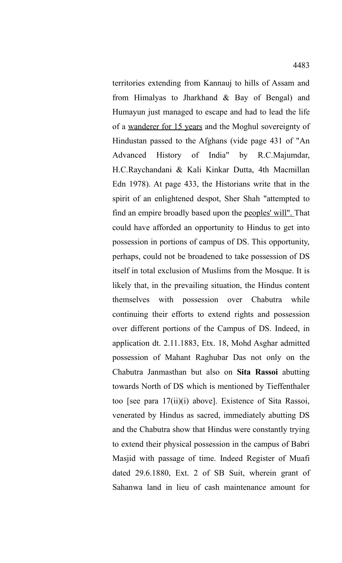territories extending from Kannauj to hills of Assam and from Himalyas to Jharkhand & Bay of Bengal) and Humayun just managed to escape and had to lead the life of a wanderer for 15 years and the Moghul sovereignty of Hindustan passed to the Afghans (vide page 431 of "An Advanced History of India" by R.C.Majumdar, H.C.Raychandani & Kali Kinkar Dutta, 4th Macmillan Edn 1978). At page 433, the Historians write that in the spirit of an enlightened despot, Sher Shah "attempted to find an empire broadly based upon the peoples' will". That could have afforded an opportunity to Hindus to get into possession in portions of campus of DS. This opportunity, perhaps, could not be broadened to take possession of DS itself in total exclusion of Muslims from the Mosque. It is likely that, in the prevailing situation, the Hindus content themselves with possession over Chabutra while continuing their efforts to extend rights and possession over different portions of the Campus of DS. Indeed, in application dt. 2.11.1883, Etx. 18, Mohd Asghar admitted possession of Mahant Raghubar Das not only on the Chabutra Janmasthan but also on **Sita Rassoi** abutting towards North of DS which is mentioned by Tieffenthaler too [see para 17(ii)(i) above]. Existence of Sita Rassoi, venerated by Hindus as sacred, immediately abutting DS and the Chabutra show that Hindus were constantly trying to extend their physical possession in the campus of Babri Masjid with passage of time. Indeed Register of Muafi dated 29.6.1880, Ext. 2 of SB Suit, wherein grant of

Sahanwa land in lieu of cash maintenance amount for

4483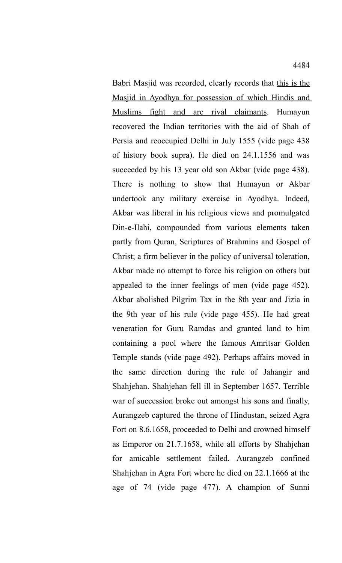Babri Masjid was recorded, clearly records that this is the Masjid in Ayodhya for possession of which Hindis and Muslims fight and are rival claimants. Humayun recovered the Indian territories with the aid of Shah of Persia and reoccupied Delhi in July 1555 (vide page 438 of history book supra). He died on 24.1.1556 and was succeeded by his 13 year old son Akbar (vide page 438). There is nothing to show that Humayun or Akbar undertook any military exercise in Ayodhya. Indeed, Akbar was liberal in his religious views and promulgated Din-e-Ilahi, compounded from various elements taken partly from Quran, Scriptures of Brahmins and Gospel of Christ; a firm believer in the policy of universal toleration, Akbar made no attempt to force his religion on others but appealed to the inner feelings of men (vide page 452). Akbar abolished Pilgrim Tax in the 8th year and Jizia in the 9th year of his rule (vide page 455). He had great veneration for Guru Ramdas and granted land to him containing a pool where the famous Amritsar Golden Temple stands (vide page 492). Perhaps affairs moved in the same direction during the rule of Jahangir and Shahjehan. Shahjehan fell ill in September 1657. Terrible war of succession broke out amongst his sons and finally, Aurangzeb captured the throne of Hindustan, seized Agra Fort on 8.6.1658, proceeded to Delhi and crowned himself as Emperor on 21.7.1658, while all efforts by Shahjehan for amicable settlement failed. Aurangzeb confined Shahjehan in Agra Fort where he died on 22.1.1666 at the age of 74 (vide page 477). A champion of Sunni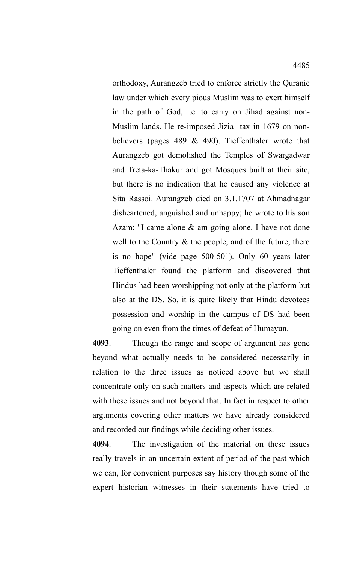orthodoxy, Aurangzeb tried to enforce strictly the Quranic law under which every pious Muslim was to exert himself in the path of God, i.e. to carry on Jihad against non-Muslim lands. He re-imposed Jizia tax in 1679 on nonbelievers (pages 489 & 490). Tieffenthaler wrote that Aurangzeb got demolished the Temples of Swargadwar and Treta-ka-Thakur and got Mosques built at their site, but there is no indication that he caused any violence at Sita Rassoi. Aurangzeb died on 3.1.1707 at Ahmadnagar disheartened, anguished and unhappy; he wrote to his son Azam: "I came alone & am going alone. I have not done well to the Country & the people, and of the future, there is no hope" (vide page 500-501). Only 60 years later Tieffenthaler found the platform and discovered that Hindus had been worshipping not only at the platform but also at the DS. So, it is quite likely that Hindu devotees possession and worship in the campus of DS had been going on even from the times of defeat of Humayun.

**4093**. Though the range and scope of argument has gone beyond what actually needs to be considered necessarily in relation to the three issues as noticed above but we shall concentrate only on such matters and aspects which are related with these issues and not beyond that. In fact in respect to other arguments covering other matters we have already considered and recorded our findings while deciding other issues.

**4094**. The investigation of the material on these issues really travels in an uncertain extent of period of the past which we can, for convenient purposes say history though some of the expert historian witnesses in their statements have tried to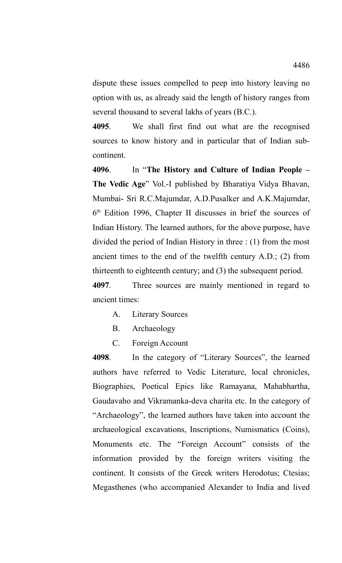dispute these issues compelled to peep into history leaving no option with us, as already said the length of history ranges from several thousand to several lakhs of years (B.C.).

**4095**. We shall first find out what are the recognised sources to know history and in particular that of Indian subcontinent.

**4096**. In "**The History and Culture of Indian People – The Vedic Age**" Vol.-I published by Bharatiya Vidya Bhavan, Mumbai- Sri R.C.Majumdar, A.D.Pusalker and A.K.Majumdar, 6 th Edition 1996, Chapter II discusses in brief the sources of Indian History. The learned authors, for the above purpose, have divided the period of Indian History in three : (1) from the most ancient times to the end of the twelfth century A.D.; (2) from thirteenth to eighteenth century; and (3) the subsequent period.

**4097**. Three sources are mainly mentioned in regard to ancient times:

- A. Literary Sources
- B. Archaeology
- C. Foreign Account

**4098**. In the category of "Literary Sources", the learned authors have referred to Vedic Literature, local chronicles, Biographies, Poetical Epics like Ramayana, Mahabhartha, Gaudavaho and Vikramanka-deva charita etc. In the category of "Archaeology", the learned authors have taken into account the archaeological excavations, Inscriptions, Numismatics (Coins), Monuments etc. The "Foreign Account" consists of the information provided by the foreign writers visiting the continent. It consists of the Greek writers Herodotus; Ctesias; Megasthenes (who accompanied Alexander to India and lived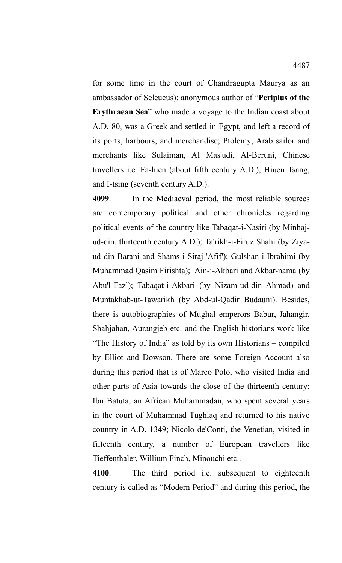for some time in the court of Chandragupta Maurya as an ambassador of Seleucus); anonymous author of "**Periplus of the Erythraean Sea**" who made a voyage to the Indian coast about A.D. 80, was a Greek and settled in Egypt, and left a record of its ports, harbours, and merchandise; Ptolemy; Arab sailor and merchants like Sulaiman, Al Mas'udi, Al-Beruni, Chinese travellers i.e. Fa-hien (about fifth century A.D.), Hiuen Tsang, and I-tsing (seventh century A.D.).

**4099**. In the Mediaeval period, the most reliable sources are contemporary political and other chronicles regarding political events of the country like Tabaqat-i-Nasiri (by Minhajud-din, thirteenth century A.D.); Ta'rikh-i-Firuz Shahi (by Ziyaud-din Barani and Shams-i-Siraj 'Afif'); Gulshan-i-Ibrahimi (by Muhammad Qasim Firishta); Ain-i-Akbari and Akbar-nama (by Abu'l-Fazl); Tabaqat-i-Akbari (by Nizam-ud-din Ahmad) and Muntakhab-ut-Tawarikh (by Abd-ul-Qadir Budauni). Besides, there is autobiographies of Mughal emperors Babur, Jahangir, Shahjahan, Aurangjeb etc. and the English historians work like "The History of India" as told by its own Historians – compiled by Elliot and Dowson. There are some Foreign Account also during this period that is of Marco Polo, who visited India and other parts of Asia towards the close of the thirteenth century; Ibn Batuta, an African Muhammadan, who spent several years in the court of Muhammad Tughlaq and returned to his native country in A.D. 1349; Nicolo de'Conti, the Venetian, visited in fifteenth century, a number of European travellers like Tieffenthaler, Willium Finch, Minouchi etc..

**4100**. The third period i.e. subsequent to eighteenth century is called as "Modern Period" and during this period, the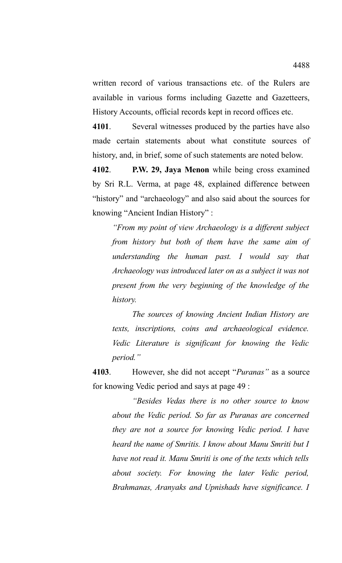written record of various transactions etc. of the Rulers are available in various forms including Gazette and Gazetteers, History Accounts, official records kept in record offices etc.

**4101**. Several witnesses produced by the parties have also made certain statements about what constitute sources of history, and, in brief, some of such statements are noted below.

**4102**. **P.W. 29, Jaya Menon** while being cross examined by Sri R.L. Verma, at page 48, explained difference between "history" and "archaeology" and also said about the sources for knowing "Ancient Indian History" :

*"From my point of view Archaeology is a different subject from history but both of them have the same aim of understanding the human past. I would say that Archaeology was introduced later on as a subject it was not present from the very beginning of the knowledge of the history.*

*The sources of knowing Ancient Indian History are texts, inscriptions, coins and archaeological evidence. Vedic Literature is significant for knowing the Vedic period."*

**4103**. However, she did not accept "*Puranas"* as a source for knowing Vedic period and says at page 49 :

*"Besides Vedas there is no other source to know about the Vedic period. So far as Puranas are concerned they are not a source for knowing Vedic period. I have heard the name of Smritis. I know about Manu Smriti but I have not read it. Manu Smriti is one of the texts which tells about society. For knowing the later Vedic period, Brahmanas, Aranyaks and Upnishads have significance. I*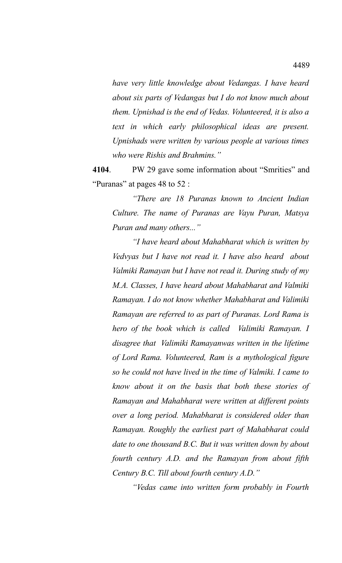*have very little knowledge about Vedangas. I have heard about six parts of Vedangas but I do not know much about them. Upnishad is the end of Vedas. Volunteered, it is also a text in which early philosophical ideas are present. Upnishads were written by various people at various times who were Rishis and Brahmins."*

**4104**. PW 29 gave some information about "Smrities" and "Puranas" at pages 48 to 52 :

*"There are 18 Puranas known to Ancient Indian Culture. The name of Puranas are Vayu Puran, Matsya Puran and many others..."*

*"I have heard about Mahabharat which is written by Vedvyas but I have not read it. I have also heard about Valmiki Ramayan but I have not read it. During study of my M.A. Classes, I have heard about Mahabharat and Valmiki Ramayan. I do not know whether Mahabharat and Valimiki Ramayan are referred to as part of Puranas. Lord Rama is hero of the book which is called Valimiki Ramayan. I disagree that Valimiki Ramayanwas written in the lifetime of Lord Rama. Volunteered, Ram is a mythological figure so he could not have lived in the time of Valmiki. I came to know about it on the basis that both these stories of Ramayan and Mahabharat were written at different points over a long period. Mahabharat is considered older than Ramayan. Roughly the earliest part of Mahabharat could date to one thousand B.C. But it was written down by about fourth century A.D. and the Ramayan from about fifth Century B.C. Till about fourth century A.D."*

*"Vedas came into written form probably in Fourth*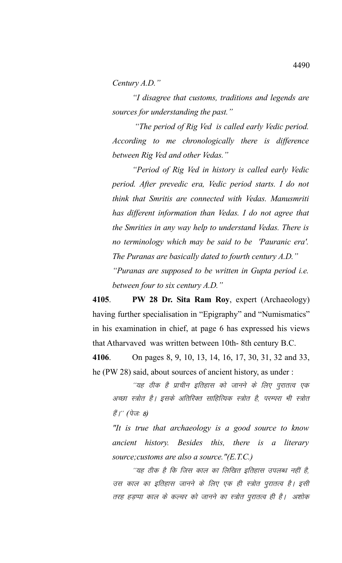*Century A.D."*

*"I disagree that customs, traditions and legends are sources for understanding the past."*

 *"The period of Rig Ved is called early Vedic period. According to me chronologically there is difference between Rig Ved and other Vedas."* 

*"Period of Rig Ved in history is called early Vedic period. After prevedic era, Vedic period starts. I do not think that Smritis are connected with Vedas. Manusmriti has different information than Vedas. I do not agree that the Smrities in any way help to understand Vedas. There is no terminology which may be said to be 'Pauranic era'. The Puranas are basically dated to fourth century A.D."*

*"Puranas are supposed to be written in Gupta period i.e. between four to six century A.D."*

**4105**. **PW 28 Dr. Sita Ram Roy**, expert (Archaeology) having further specialisation in "Epigraphy" and "Numismatics" in his examination in chief, at page 6 has expressed his views that Atharvaved was written between 10th- 8th century B.C.

**4106**. On pages 8, 9, 10, 13, 14, 16, 17, 30, 31, 32 and 33, he (PW 28) said, about sources of ancient history, as under :

''यह ठीक है प्राचीन इतिहास को जानने के लिए पुरातत्व एक अच्छा स्त्रोत है। इसके अतिरिक्त साहित्यिक स्त्रोत है, परम्परा भी स्त्रोत हैं |'' (पेज: 8)

*"It is true that archaeology is a good source to know ancient history. Besides this, there is a literary source;customs are also a source."(E.T.C.)*

''यह ठीक है कि जिस काल का लिखित इतिहास उपलब्ध नहीं है, उस काल का इतिहास जानने के लिए एक ही स्त्रोत पुरातत्व है। इसी तरह हड़प्पा काल के कल्चर को जानने का स्त्रोत पुरातत्व ही है। अशोक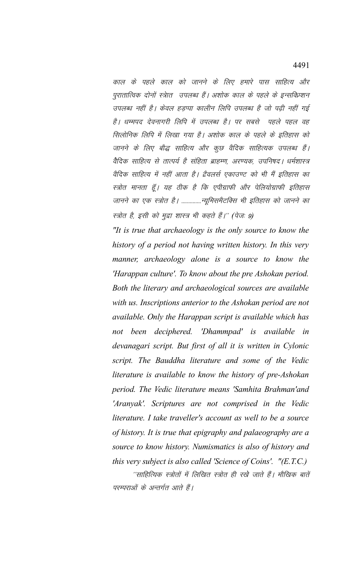काल के पहले काल को जानने के लिए हमारे पास साहित्य और पुरातात्विक दोनों स्त्रात उपलब्ध हैं। अशोक काल के पहले के इन्सकिप्शन उपलब्ध नहीं है। केवल हड़प्पा कालीन लिपि उपलब्ध है जो पढ़ी नहीं गई है। धम्मपद देवनागरी लिपि में उपलब्ध है। पर सबसे पहले पहल वह सिलोनिक लिपि में लिखा गया है। अशोक काल के पहले के इतिहास को जानने के लिए बौद्ध साहित्य और कूछ वैदिक साहित्यक उपलब्ध हैं। वैदिक साहित्य से तात्पर्य है संहिता ब्राहम्ण, अरण्यक, उपनिषद। धर्मशास्त्र वैदिक साहित्य में नहीं आता है। ट्रैवलर्स एकाउण्ट को भी मैं इतिहास का स्त्रोत मानता हूँ। यह ठीक है कि एपीग्राफी और पेलियोग्राफी इतिहास जानने का एक स्त्रोत है। ...............च्युमिसमैटक्सि भी इतिहास को जानने का स्त्रोत है, इसी को मुद्रा शास्त्र भी कहते हैं।'' (पेज: 9)

*"It is true that archaeology is the only source to know the history of a period not having written history. In this very manner, archaeology alone is a source to know the 'Harappan culture'. To know about the pre Ashokan period. Both the literary and archaeological sources are available with us. Inscriptions anterior to the Ashokan period are not available. Only the Harappan script is available which has not been deciphered. 'Dhammpad' is available in devanagari script. But first of all it is written in Cylonic script. The Bauddha literature and some of the Vedic literature is available to know the history of pre-Ashokan period. The Vedic literature means 'Samhita Brahman'and 'Aranyak'. Scriptures are not comprised in the Vedic literature. I take traveller's account as well to be a source of history. It is true that epigraphy and palaeography are a source to know history. Numismatics is also of history and this very subject is also called 'Science of Coins'. "(E.T.C.)*

''साहित्यिक स्त्रोतों में लिखित स्त्रोत ही रखे जाते हैं। मौखिक बातें परम्पराओं के अन्तर्गत आते हैं।

## 4491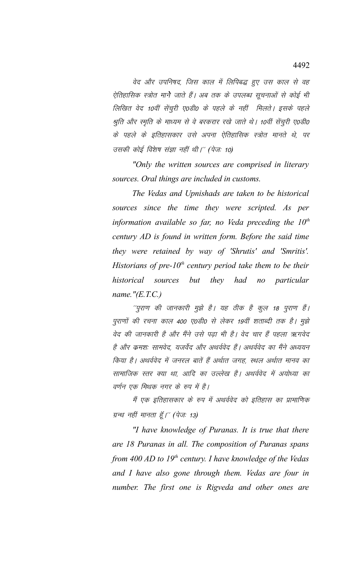वेद और उपनिषद, जिस काल में लिपिबद्ध हुए उस काल से वह ऐतिहासिक स्त्रोत मानेे जाते हैं। अब तक के उपलब्ध सूचनाओं से कोई भी लिखित वेद 10वीं सेंचुरी ए0डी0 के पहले के नहीं मिलते। इसके पहले श्रुति और स्मृति के माध्यम से वे बरकरार रखे जाते थे। 10वीं सेंचुरी ए0डी0 के पहले के इतिहासकार उसे अपना ऐतिहासिक स्त्रोत मानते थे, पर उसकी कोई विशेष संज्ञा नहीं थी*।'' (पेज: 10)* 

*"Only the written sources are comprised in literary sources. Oral things are included in customs.*

*The Vedas and Upnishads are taken to be historical sources since the time they were scripted. As per information available so far, no Veda preceding the 10th century AD is found in written form. Before the said time they were retained by way of 'Shrutis' and 'Smritis'. Historians of pre-10th century period take them to be their historical sources but they had no particular name."(E.T.C.)*

''पुराण की जानकारी मुझे है। यह ठीक है कुल 18 पुराण हैं। पुराणों की रचना काल 400 ए0डी0 से लेकर 19वीं शताब्दी तक है। मुझे वेद की जानकारी है और मैंने उसे पढ़ा भी है। वेद चार हैं पहला ऋगवेद है और क्रमशः सामवेद, यजर्वेद और अथर्ववेद हैं। अथर्ववेद का मैंने अध्ययन किया है। अथर्ववेद में जनरल बातें हैं अर्थात जगह, स्थल अर्थात मानव का सामाजिक स्तर क्या था, आदि का उल्लेख है। अथर्ववेद में अयोध्या का वर्णन एक मिथक नगर के रुप में है।

मैं एक इतिहासकार के रुप में अथर्ववेद को इतिहास का प्रामाणिक ग्रन्थ नहीं मानता हूँ।'' (पेज: 13)

*"I have knowledge of Puranas. It is true that there are 18 Puranas in all. The composition of Puranas spans from 400 AD to 19th century. I have knowledge of the Vedas and I have also gone through them. Vedas are four in number. The first one is Rigveda and other ones are*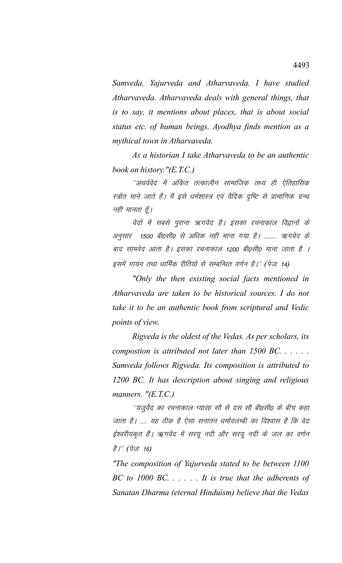*Samveda, Yajurveda and Atharvaveda. I have studied Atharvaveda. Atharvaveda deals with general things, that is to say, it mentions about places, that is about social status etc. of human beings. Ayodhya finds mention as a mythical town in Atharvaveda.*

*As a historian I take Atharvaveda to be an authentic book on history."(E.T.C.)*

''अथर्ववेद में अंकित तत्कालीन सामाजिक तथ्य ही ऐतिहासिक स्त्रोत माने जाते हैं। मैं इसे धर्मशास्त्र एवं वैदिक दृष्टि से प्रामाणिक ग्रन्थ नहीं मानता हूँ।

वेदों में सबसे पुराना ऋगवेद है। इसका रचनाकाल विद्वानों के अनुसार 1500 बी0सी0 से अधिक नहीं माना गया है। ......... ऋगवेद के बाद सामवेद आता है। इसका रचनाकाल 1200 बी0सी0 माना जाता है । इसमें गायन तथा धार्मिक रीतियों से सम्बन्धित वर्णन है।'' (पेजः 14)

*"Only the then existing social facts mentioned in Atharvaveda are taken to be historical sources. I do not take it to be an authentic book from scriptural and Vedic points of view.*

*Rigveda is the oldest of the Vedas. As per scholars, its compostion is attributed not later than 1500 BC. . . . . . Samveda follows Rigveda. Its composition is attributed to 1200 BC. It has description about singing and religious manners. "(E.T.C.)*

''यजुर्वेद का रचनाकाल ग्यारह सौ से दस सौ बी0सी0 के बीच कहा जाता है। ..... यह ठीक है ऐसा सनातन धर्मावलम्बी का विश्वास है कि वेद ईश्वरीयकृत हैं। ऋगवेंद में सरयू नदी और सरयू नदी के जल का वर्णन *है।'' (पेज: 16)* 

*"The composition of Yajurveda stated to be between 1100 BC to 1000 BC. . . . . . It is true that the adherents of Sanatan Dharma (eternal Hinduism) believe that the Vedas*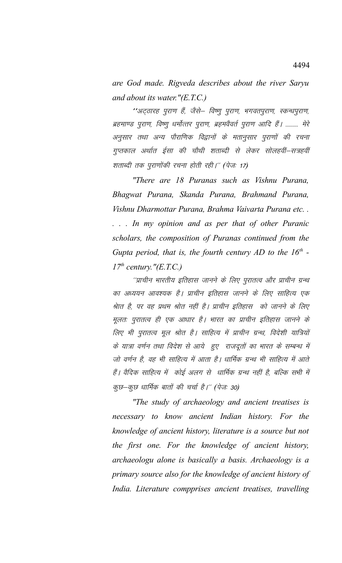*are God made. Rigveda describes about the river Saryu and about its water."(E.T.C.)*

''अट्ठारह पुराण हैं, जैसे– विष्णू पुराण, भगवतपुराण, स्कन्धपुराण, ब्रहमाण्ड पुराण, विष्णु धर्मोत्तर पुराण, ब्रहमवैवर्त पुराण आदि हैं। ......... मेरे अनुसार तथा अन्य पौराणिक विद्वानों के मतानुसार पुराणों की रचना गुप्तकाल अर्थात ईसा की चौथी शताब्दी से लेकर सोलहवीं–सत्रहवीं शताब्दी तक पुराणोंकी रचना होती रही।'' (पेज: 17)

*"There are 18 Puranas such as Vishnu Purana, Bhagwat Purana, Skanda Purana, Brahmand Purana, Vishnu Dharmottar Purana, Brahma Vaivarta Purana etc. . . . . In my opinion and as per that of other Puranic scholars, the composition of Puranas continued from the Gupta period, that is, the fourth century AD to the 16th - 17th century."(E.T.C.)*

''प्राचीन भारतीय इतिहास जानने के लिए पुरातत्व और प्राचीन ग्रन्थ का अध्ययन आवश्यक है। प्राचीन इतिहास जानने के लिए साहित्य एक श्रांत है, पर वह प्रथम श्रोत नहीं है। प्राचीन इतिहास को जानने के लिए मूलतः पुरातत्व ही एक आधार है। भारत का प्राचीन इतिहास जानने के लिए भी पुरातत्व मूल श्रोत है। साहित्य में प्राचीन ग्रन्थ, विदेशी यात्रियों के यात्रा वर्णन तथा विदेश से आये हुए राजदूतों का भारत के सम्बन्ध में जो वर्णन है, वह भी साहित्य में आता है। धार्मिक ग्रन्थ भी साहित्य में आते हैं। वैदिक साहित्य में कोई अलग से धार्मिक ग्रन्थ नहीं है, बल्कि सभी में कुछ–कुछ धार्मिक बातों की चर्चा है।'' (पेज: 30)

*"The study of archaeology and ancient treatises is necessary to know ancient Indian history. For the knowledge of ancient history, literature is a source but not the first one. For the knowledge of ancient history, archaeologu alone is basically a basis. Archaeology is a primary source also for the knowledge of ancient history of India. Literature compprises ancient treatises, travelling*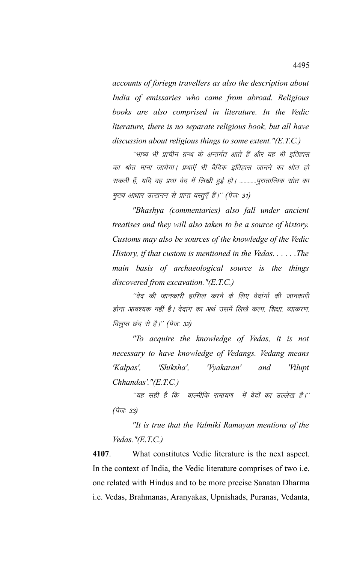*accounts of foriegn travellers as also the description about India of emissaries who came from abroad. Religious books are also comprised in literature. In the Vedic literature, there is no separate religious book, but all have discussion about religious things to some extent."(E.T.C.)*

''भाष्य भी प्राचीन ग्रन्थ के अन्तर्गत आते हैं और वह भी इतिहास का श्रोत माना जायेगा। प्रथाएँ भी वैदिक इतिहास जानने का श्रोत हो सकती हैं, यदि वह प्रथा वेद में लिखी हुई हो | ............पुरातात्विक स्रोत का <u>मुख्य आधार उत्खनन से प्राप्त वस्तुएँ हैं।'' (पेजः 31)</u>

*"Bhashya (commentaries) also fall under ancient treatises and they will also taken to be a source of history. Customs may also be sources of the knowledge of the Vedic History, if that custom is mentioned in the Vedas. . . . . .The main basis of archaeological source is the things discovered from excavation."(E.T.C.)*

''वेद की जानकारी हासिल करने के लिए वेदांगों की जानकारी होना आवश्यक नहीं है। वेदांग का अर्थ उसमें लिखे कल्प, शिक्षा, व्याकरण, *विलुप्त छंद से है।'' (पेज: 32)* 

*"To acquire the knowledge of Vedas, it is not necessary to have knowledge of Vedangs. Vedang means 'Kalpas', 'Shiksha', 'Vyakaran' and 'Vilupt Chhandas'."(E.T.C.)*

''यह सही है कि वाल्मीकि रामायण में वेदों का उल्लेख है।'' *(पेज*: 33)

*"It is true that the Valmiki Ramayan mentions of the Vedas."(E.T.C.)*

**4107**. What constitutes Vedic literature is the next aspect. In the context of India, the Vedic literature comprises of two i.e. one related with Hindus and to be more precise Sanatan Dharma i.e. Vedas, Brahmanas, Aranyakas, Upnishads, Puranas, Vedanta,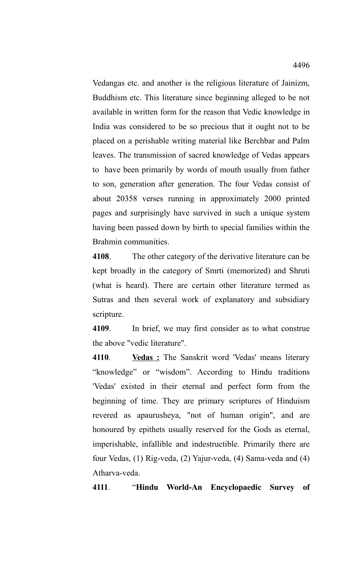Vedangas etc. and another is the religious literature of Jainizm, Buddhism etc. This literature since beginning alleged to be not available in written form for the reason that Vedic knowledge in India was considered to be so precious that it ought not to be placed on a perishable writing material like Berchbar and Palm leaves. The transmission of sacred knowledge of Vedas appears to have been primarily by words of mouth usually from father to son, generation after generation. The four Vedas consist of about 20358 verses running in approximately 2000 printed pages and surprisingly have survived in such a unique system having been passed down by birth to special families within the Brahmin communities.

**4108**. The other category of the derivative literature can be kept broadly in the category of Smrti (memorized) and Shruti (what is heard). There are certain other literature termed as Sutras and then several work of explanatory and subsidiary scripture.

**4109**. In brief, we may first consider as to what construe the above "vedic literature".

**4110**. **Vedas :** The Sanskrit word 'Vedas' means literary "knowledge" or "wisdom". According to Hindu traditions 'Vedas' existed in their eternal and perfect form from the beginning of time. They are primary scriptures of Hinduism revered as apaurusheya, "not of human origin", and are honoured by epithets usually reserved for the Gods as eternal, imperishable, infallible and indestructible. Primarily there are four Vedas, (1) Rig-veda, (2) Yajur-veda, (4) Sama-veda and (4) Atharva-veda.

**4111**. "**Hindu World-An Encyclopaedic Survey of**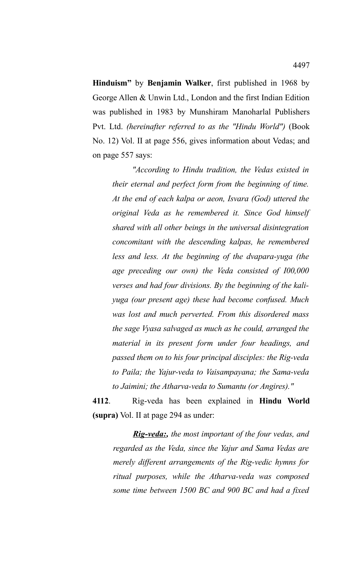**Hinduism"** by **Benjamin Walker**, first published in 1968 by George Allen & Unwin Ltd., London and the first Indian Edition was published in 1983 by Munshiram Manoharlal Publishers Pvt. Ltd. *(hereinafter referred to as the "Hindu World")* (Book No. 12) Vol. II at page 556, gives information about Vedas; and on page 557 says:

*"According to Hindu tradition, the Vedas existed in their eternal and perfect form from the beginning of time. At the end of each kalpa or aeon, Isvara (God) uttered the original Veda as he remembered it. Since God himself shared with all other beings in the universal disintegration concomitant with the descending kalpas, he remembered less and less. At the beginning of the dvapara-yuga (the age preceding our own) the Veda consisted of I00,000 verses and had four divisions. By the beginning of the kaliyuga (our present age) these had become confused. Much was lost and much perverted. From this disordered mass the sage Vyasa salvaged as much as he could, arranged the material in its present form under four headings, and passed them on to his four principal disciples: the Rig-veda to Paila; the Yajur-veda to Vaisampayana; the Sama-veda to Jaimini; the Atharva-veda to Sumantu (or Angires)."*

**4112**. Rig-veda has been explained in **Hindu World (supra)** Vol. II at page 294 as under:

*Rig-veda:, the most important of the four vedas, and regarded as the Veda, since the Yajur and Sama Vedas are merely different arrangements of the Rig-vedic hymns for ritual purposes, while the Atharva-veda was composed some time between 1500 BC and 900 BC and had a fixed*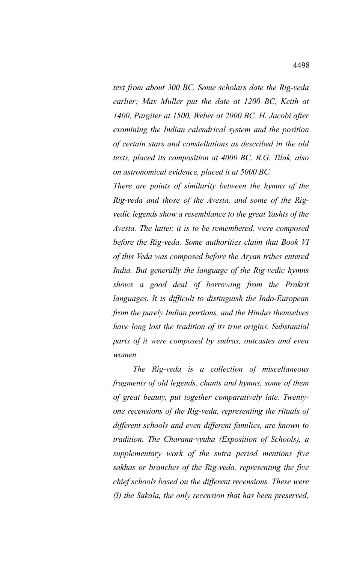*text from about 300 BC. Some scholars date the Rig-veda earlier; Max Muller put the date at 1200 BC, Keith at 1400, Pargiter at 1500, Weber at 2000 BC. H. Jacobi after examining the Indian calendrical system and the position of certain stars and constellations as described in the old texts, placed its composition at 4000 BC. B.G. Tilak, also on astronomical evidence, placed it at 5000 BC.* 

*There are points of similarity between the hymns of the Rig-veda and those of the Avesta, and some of the Rigvedic legends show a resemblance to the great Yashts of the Avesta. The latter, it is to be remembered, were composed before the Rig-veda. Some authorities claim that Book VI of this Veda was composed before the Aryan tribes entered India. But generally the language of the Rig-vedic hymns shows a good deal of borrowing from the Prakrit languages. It is difficult to distinguish the Indo-European from the purely Indian portions, and the Hindus themselves have long lost the tradition of its true origins. Substantial parts of it were composed by sudras, outcastes and even women.*

*The Rig-veda is a collection of miscellaneous fragments of old legends, chants and hymns, some of them of great beauty, put together comparatively late. Twentyone recensions of the Rig-veda, representing the rituals of different schools and even different families, are known to tradition. The Charana-vyuha (Exposition of Schools), a supplementary work of the sutra period mentions five sakhas or branches of the Rig-veda, representing the five chief schools based on the different recensions. These were (I) the Sakala, the only recension that has been preserved,*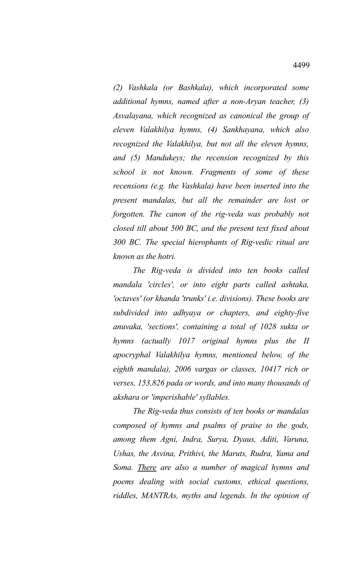*(2) Vashkala (or Bashkala), which incorporated some additional hymns, named after a non-Aryan teacher, (3) Asvalayana, which recognized as canonical the group of eleven Valakhilya hymns, (4) Sankhayana, which also recognized the Valakhilya, but not all the eleven hymns, and (5) Mandukeys; the recension recognized by this school is not known. Fragments of some of these recensions (e.g. the Vashkala) have been inserted into the present mandalas, but all the remainder are lost or forgotten. The canon of the rig-veda was probably not closed till about 500 BC, and the present text fixed about 300 BC. The special hierophants of Rig-vedic ritual are known as the hotri.* 

*The Rig-veda is divided into ten books called mandala 'circles', or into eight parts called ashtaka, 'octaves' (or khanda 'trunks' i.e. divisions). These books are subdivided into adhyaya or chapters, and eighty-five anuvaka, 'sections', containing a total of 1028 sukta or hymns (actually 1017 original hymns plus the II apocryphal Valakhilya hymns, mentioned below, of the eighth mandala), 2006 vargas or classes, 10417 rich or verses, 153,826 pada or words, and into many thousands of akshara or 'imperishable' syllables.*

*The Rig-veda thus consists of ten books or mandalas composed of hymns and psalms of praise to the gods, among them Agni, Indra, Surya, Dyaus, Aditi, Varuna, Ushas, the Asvina, Prithivi, the Maruts, Rudra, Yama and Soma. There are also a number of magical hymns and poems dealing with social customs, ethical questions, riddles, MANTRAs, myths and legends. In the opinion of*